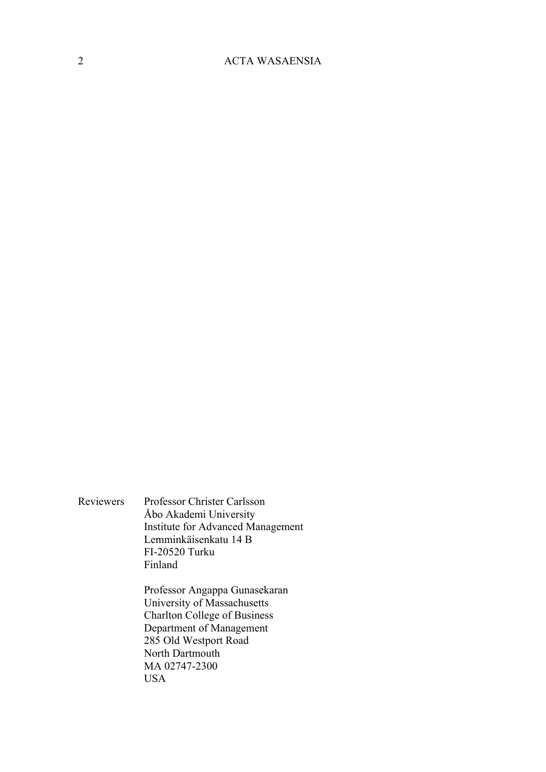Reviewers Professor Christer Carlsson Åbo Akademi University Institute for Advanced Management Lemminkäisenkatu 14 B FI-20520 Turku Finland

> Professor Angappa Gunasekaran University of Massachusetts Charlton College of Business Department of Management 285 Old Westport Road North Dartmouth MA 02747-2300 USA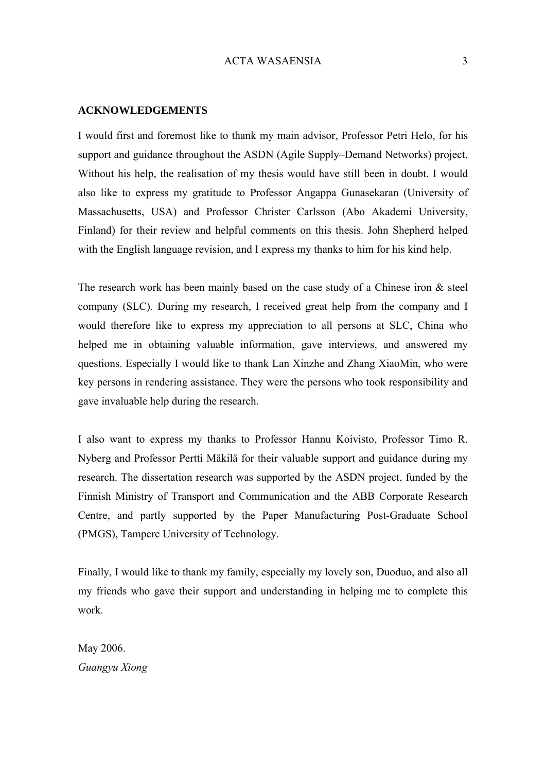#### <span id="page-2-0"></span>**ACKNOWLEDGEMENTS**

I would first and foremost like to thank my main advisor, Professor Petri Helo, for his support and guidance throughout the ASDN (Agile Supply–Demand Networks) project. Without his help, the realisation of my thesis would have still been in doubt. I would also like to express my gratitude to Professor Angappa Gunasekaran (University of Massachusetts, USA) and Professor Christer Carlsson (Abo Akademi University, Finland) for their review and helpful comments on this thesis. John Shepherd helped with the English language revision, and I express my thanks to him for his kind help.

The research work has been mainly based on the case study of a Chinese iron  $\&$  steel company (SLC). During my research, I received great help from the company and I would therefore like to express my appreciation to all persons at SLC, China who helped me in obtaining valuable information, gave interviews, and answered my questions. Especially I would like to thank Lan Xinzhe and Zhang XiaoMin, who were key persons in rendering assistance. They were the persons who took responsibility and gave invaluable help during the research.

I also want to express my thanks to Professor Hannu Koivisto, Professor Timo R. Nyberg and Professor Pertti Mäkilä for their valuable support and guidance during my research. The dissertation research was supported by the ASDN project, funded by the Finnish Ministry of Transport and Communication and the ABB Corporate Research Centre, and partly supported by the Paper Manufacturing Post-Graduate School (PMGS), Tampere University of Technology.

Finally, I would like to thank my family, especially my lovely son, Duoduo, and also all my friends who gave their support and understanding in helping me to complete this work.

May 2006. *Guangyu Xiong*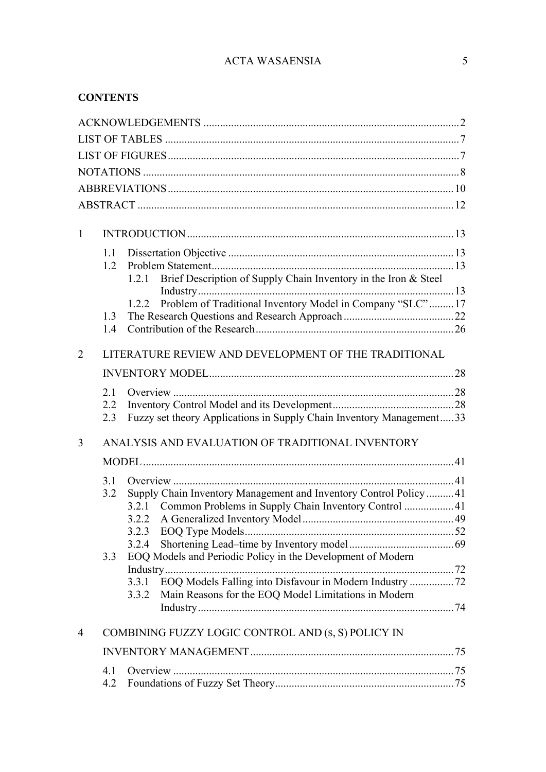# **CONTENTS**

| $\mathbf{1}$   |     |                                                                          |  |
|----------------|-----|--------------------------------------------------------------------------|--|
|                | 1.1 |                                                                          |  |
|                | 1.2 |                                                                          |  |
|                |     | Brief Description of Supply Chain Inventory in the Iron & Steel<br>1.2.1 |  |
|                |     | Problem of Traditional Inventory Model in Company "SLC"17<br>1.2.2       |  |
|                | 1.3 |                                                                          |  |
|                | 14  |                                                                          |  |
|                |     |                                                                          |  |
| $\overline{2}$ |     | LITERATURE REVIEW AND DEVELOPMENT OF THE TRADITIONAL                     |  |
|                |     |                                                                          |  |
|                | 2.1 |                                                                          |  |
|                | 2.2 |                                                                          |  |
|                | 2.3 | Fuzzy set theory Applications in Supply Chain Inventory Management33     |  |
| 3              |     | ANALYSIS AND EVALUATION OF TRADITIONAL INVENTORY                         |  |
|                |     |                                                                          |  |
|                | 3.1 |                                                                          |  |
|                | 3.2 | Supply Chain Inventory Management and Inventory Control Policy41         |  |
|                |     | 3.2.1 Common Problems in Supply Chain Inventory Control  41              |  |
|                |     |                                                                          |  |
|                |     |                                                                          |  |
|                |     | 3.2.4                                                                    |  |
|                | 3.3 | EOQ Models and Periodic Policy in the Development of Modern              |  |
|                |     | EOQ Models Falling into Disfavour in Modern Industry  72<br>3.3.1        |  |
|                |     | Main Reasons for the EOQ Model Limitations in Modern<br>3.3.2            |  |
|                |     |                                                                          |  |
| $\overline{4}$ |     | COMBINING FUZZY LOGIC CONTROL AND (S, S) POLICY IN                       |  |
|                |     |                                                                          |  |
|                |     |                                                                          |  |
|                | 4.1 |                                                                          |  |
|                | 4.2 |                                                                          |  |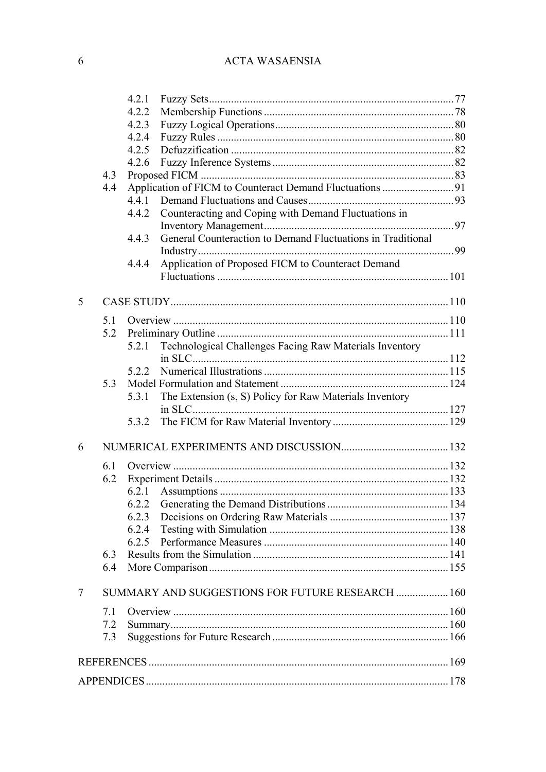|   |     | 4.2.1                                                                |  |
|---|-----|----------------------------------------------------------------------|--|
|   |     | 4.2.2                                                                |  |
|   |     | 4.2.3                                                                |  |
|   |     | 4.2.4                                                                |  |
|   |     | 4.2.5                                                                |  |
|   |     | 4.2.6                                                                |  |
|   | 4.3 |                                                                      |  |
|   | 4.4 |                                                                      |  |
|   |     | 4.4.1                                                                |  |
|   |     | Counteracting and Coping with Demand Fluctuations in<br>4.4.2        |  |
|   |     |                                                                      |  |
|   |     | General Counteraction to Demand Fluctuations in Traditional<br>4.4.3 |  |
|   |     |                                                                      |  |
|   |     | Application of Proposed FICM to Counteract Demand<br>4.4.4           |  |
|   |     |                                                                      |  |
|   |     |                                                                      |  |
| 5 |     |                                                                      |  |
|   | 5.1 |                                                                      |  |
|   |     |                                                                      |  |
|   | 5.2 |                                                                      |  |
|   |     | Technological Challenges Facing Raw Materials Inventory<br>5.2.1     |  |
|   |     |                                                                      |  |
|   |     | 5.2.2                                                                |  |
|   | 5.3 |                                                                      |  |
|   |     | The Extension (s, S) Policy for Raw Materials Inventory<br>5.3.1     |  |
|   |     |                                                                      |  |
|   |     | 5.3.2                                                                |  |
| 6 |     |                                                                      |  |
|   | 6.1 |                                                                      |  |
|   | 6.2 |                                                                      |  |
|   |     | 6.2.1                                                                |  |
|   |     |                                                                      |  |
|   |     | 6.2.3                                                                |  |
|   |     | 6.2.4                                                                |  |
|   |     | 6.2.5                                                                |  |
|   | 6.3 |                                                                      |  |
|   | 6.4 |                                                                      |  |
|   |     |                                                                      |  |
| 7 |     | SUMMARY AND SUGGESTIONS FOR FUTURE RESEARCH  160                     |  |
|   | 7.1 |                                                                      |  |
|   | 7.2 |                                                                      |  |
|   | 7.3 |                                                                      |  |
|   |     |                                                                      |  |
|   |     |                                                                      |  |
|   |     |                                                                      |  |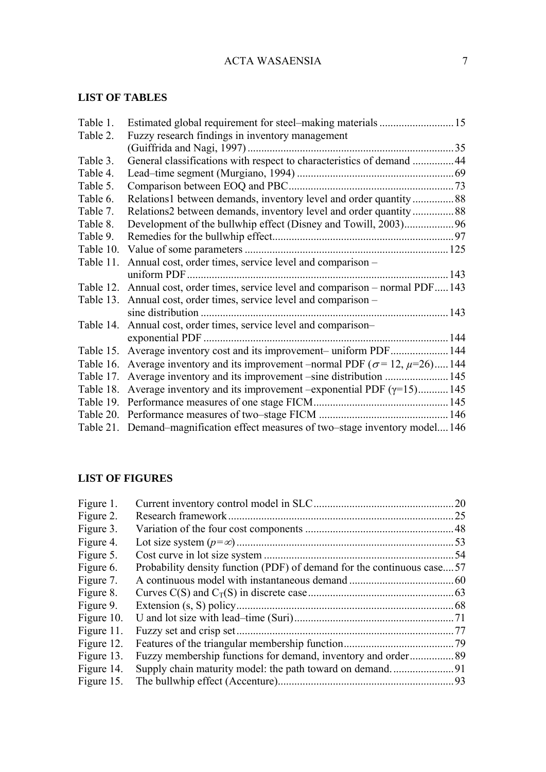# <span id="page-6-0"></span>**LIST OF TABLES**

| Table 1.  |                                                                                             |      |
|-----------|---------------------------------------------------------------------------------------------|------|
| Table 2.  | Fuzzy research findings in inventory management                                             |      |
|           |                                                                                             |      |
| Table 3.  | General classifications with respect to characteristics of demand 44                        |      |
| Table 4.  |                                                                                             |      |
| Table 5.  |                                                                                             |      |
| Table 6.  |                                                                                             |      |
| Table 7.  |                                                                                             |      |
| Table 8.  |                                                                                             |      |
| Table 9.  |                                                                                             |      |
| Table 10. |                                                                                             |      |
| Table 11. | Annual cost, order times, service level and comparison -                                    |      |
|           |                                                                                             | .143 |
|           | Table 12. Annual cost, order times, service level and comparison - normal PDF 143           |      |
|           | Table 13. Annual cost, order times, service level and comparison -                          |      |
|           |                                                                                             |      |
| Table 14. | Annual cost, order times, service level and comparison-                                     |      |
|           |                                                                                             |      |
|           | Table 15. Average inventory cost and its improvement-uniform PDF 144                        |      |
|           | Table 16. Average inventory and its improvement –normal PDF ( $\sigma$ = 12, $\mu$ =26) 144 |      |
| Table 17. | Average inventory and its improvement –sine distribution  145                               |      |
| Table 18. | Average inventory and its improvement –exponential PDF $(\gamma=15)$ 145                    |      |
|           |                                                                                             |      |
|           |                                                                                             |      |
|           | Table 21. Demand–magnification effect measures of two–stage inventory model146              |      |

# **LIST OF FIGURES**

| Figure 1.  |                                                                        | 20   |
|------------|------------------------------------------------------------------------|------|
| Figure 2.  |                                                                        | 25   |
| Figure 3.  |                                                                        |      |
| Figure 4.  |                                                                        | .53  |
| Figure 5.  |                                                                        | .54  |
| Figure 6.  | Probability density function (PDF) of demand for the continuous case57 |      |
| Figure 7.  |                                                                        |      |
| Figure 8.  |                                                                        |      |
| Figure 9.  |                                                                        | .68  |
| Figure 10. |                                                                        |      |
| Figure 11. |                                                                        | 77   |
| Figure 12. |                                                                        | . 79 |
| Figure 13. |                                                                        |      |
| Figure 14. |                                                                        |      |
| Figure 15. |                                                                        |      |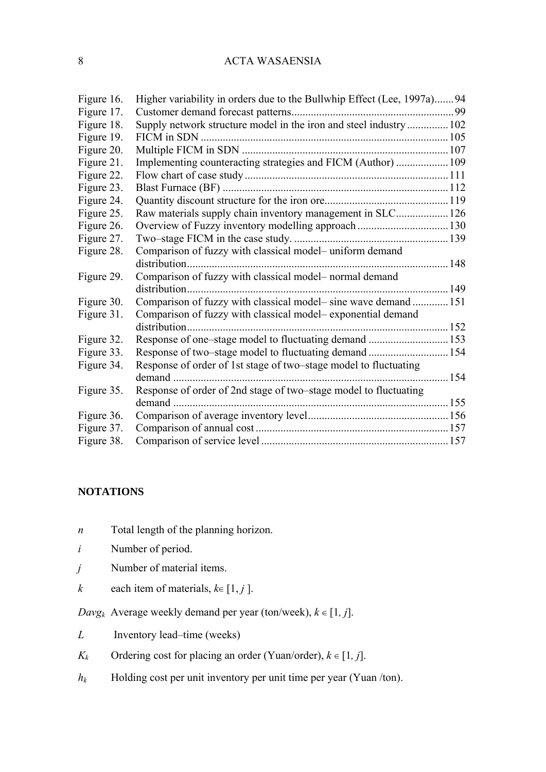<span id="page-7-0"></span>

| Figure 16. | Higher variability in orders due to the Bullwhip Effect (Lee, 1997a)94 |       |
|------------|------------------------------------------------------------------------|-------|
| Figure 17. |                                                                        |       |
| Figure 18. | Supply network structure model in the iron and steel industry 102      |       |
| Figure 19. |                                                                        |       |
| Figure 20. |                                                                        |       |
| Figure 21. | Implementing counteracting strategies and FICM (Author)  109           |       |
| Figure 22. |                                                                        |       |
| Figure 23. |                                                                        |       |
| Figure 24. |                                                                        |       |
| Figure 25. | Raw materials supply chain inventory management in SLC 126             |       |
| Figure 26. |                                                                        |       |
| Figure 27. |                                                                        |       |
| Figure 28. | Comparison of fuzzy with classical model– uniform demand               |       |
|            |                                                                        |       |
| Figure 29. | Comparison of fuzzy with classical model- normal demand                |       |
|            |                                                                        | 149   |
| Figure 30. | Comparison of fuzzy with classical model- sine wave demand  151        |       |
| Figure 31. | Comparison of fuzzy with classical model– exponential demand           |       |
|            |                                                                        | .152  |
| Figure 32. |                                                                        |       |
| Figure 33. | Response of two-stage model to fluctuating demand                      | . 154 |
| Figure 34. | Response of order of 1st stage of two–stage model to fluctuating       |       |
|            |                                                                        | .154  |
| Figure 35. | Response of order of 2nd stage of two-stage model to fluctuating       |       |
|            |                                                                        | .155  |
| Figure 36. |                                                                        |       |
| Figure 37. |                                                                        |       |
| Figure 38. |                                                                        |       |

## **NOTATIONS**

- *n* Total length of the planning horizon.
- *i* Number of period.
- *j* Number of material items.
- *k* each item of materials,  $k \in [1, j]$ .

*Davg<sub>k</sub>* Average weekly demand per year (ton/week),  $k \in [1, j]$ .

- *L* Inventory lead–time (weeks)
- *K<sub>k</sub>* Ordering cost for placing an order (Yuan/order),  $k \in [1, j]$ .
- *h<sub>k</sub>* Holding cost per unit inventory per unit time per year (Yuan /ton).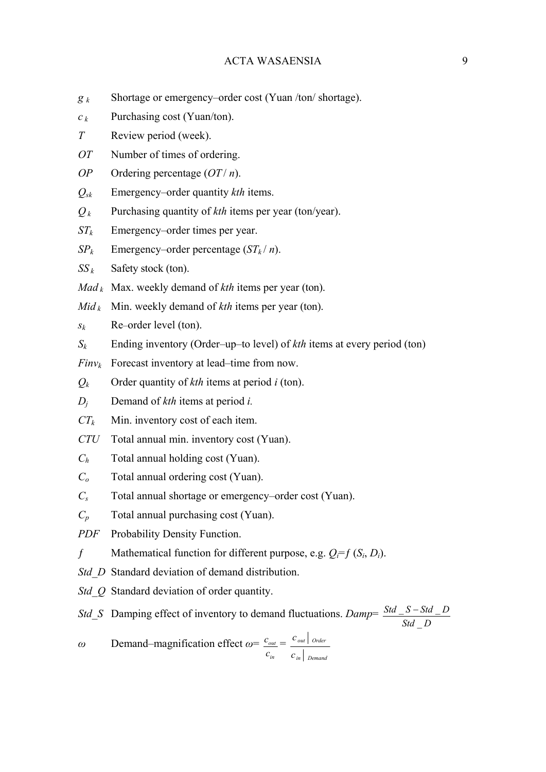- *g k* Shortage or emergency–order cost (Yuan /ton/ shortage).
- $c_k$  Purchasing cost (Yuan/ton).
- *T* Review period (week).
- *OT* Number of times of ordering.
- *OP* Ordering percentage (*OT* / *n*).
- *Qsk* Emergency–order quantity *kth* items.
- *Q k* Purchasing quantity of *kth* items per year (ton/year).
- *STk* Emergency–order times per year.
- *SP<sub>k</sub>* Emergency–order percentage  $(ST_k/n)$ .
- $SS_k$  Safety stock (ton).
- *Mad*  $<sub>k</sub>$  Max. weekly demand of *kth* items per year (ton).</sub>
- $Mid_k$  Min. weekly demand of *kth* items per year (ton).

 $s_k$  Re–order level (ton).

- *Sk* Ending inventory (Order–up–to level) of *kth* items at every period (ton)
- $Finv_k$  Forecast inventory at lead–time from now.
- $Q_k$  Order quantity of *kth* items at period *i* (ton).
- *Dj* Demand of *kth* items at period *i.*
- $CT_k$  Min. inventory cost of each item.
- *CTU* Total annual min. inventory cost (Yuan).
- *Ch* Total annual holding cost (Yuan).
- *Co* Total annual ordering cost (Yuan).
- *Cs* Total annual shortage or emergency–order cost (Yuan).
- *Cp* Total annual purchasing cost (Yuan).

*PDF* Probability Density Function.

- $f$  Mathematical function for different purpose, e.g.  $Q_i = f(S_i, D_i)$ .
- *Std\_D\_Standard deviation of demand distribution.*
- *Std\_Q* Standard deviation of order quantity.

*Std\_S* Damping effect of inventory to demand fluctuations. *Damp*= *Std D*  $Std_S-Std_D$  $\overline{a}$  $S - Std$ 

*ω* Demand–magnification effect *ω*= *in out c*  $c_{\text{out}} =$ *in Demand out Order c c*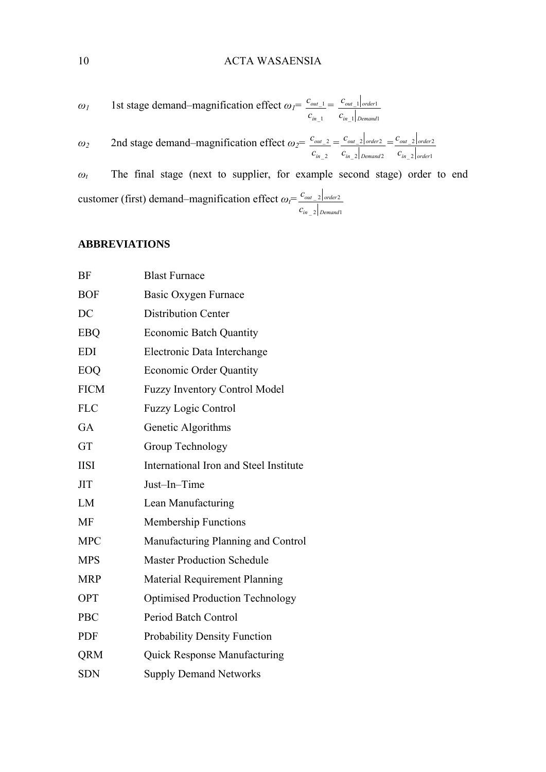<span id="page-9-0"></span>
$$
\omega_I
$$
 1st stage demand–magnification effect  $\omega_I = \frac{c_{out\_1}}{c_{in\_1}} = \frac{c_{out\_1}|_{order1}}{c_{in\_1}|_{pemand1}}$ 

*ω<sup>2</sup>* 2nd stage demand–magnification effect *ω2*=  $_{-2}$  $_{-2}$ *in out c*  $c_{out\_2} =$  $-2$  Demand 2  $2$  order 2 *in Demand out order c*  $\frac{c_{out\_2}}{c_{order2}}$  =  $\sqrt{2}$  order  $2$  order 2 *in order out order c c*

*ω<sup>t</sup>* The final stage (next to supplier, for example second stage) order to end customer (first) demand–magnification effect *ωt*=  $-2$  Demand1  $\lfloor$  2 | order 2 *in Demand out order c c*

## **ABBREVIATIONS**

| BF          | <b>Blast Furnace</b>                   |  |  |
|-------------|----------------------------------------|--|--|
| <b>BOF</b>  | Basic Oxygen Furnace                   |  |  |
| DC          | <b>Distribution Center</b>             |  |  |
| <b>EBQ</b>  | <b>Economic Batch Quantity</b>         |  |  |
| <b>EDI</b>  | Electronic Data Interchange            |  |  |
| EOQ         | <b>Economic Order Quantity</b>         |  |  |
| <b>FICM</b> | <b>Fuzzy Inventory Control Model</b>   |  |  |
| <b>FLC</b>  | <b>Fuzzy Logic Control</b>             |  |  |
| <b>GA</b>   | Genetic Algorithms                     |  |  |
| <b>GT</b>   | Group Technology                       |  |  |
| <b>IISI</b> | International Iron and Steel Institute |  |  |
| <b>JIT</b>  | Just-In-Time                           |  |  |
| LM          | Lean Manufacturing                     |  |  |
| <b>MF</b>   | <b>Membership Functions</b>            |  |  |
| <b>MPC</b>  | Manufacturing Planning and Control     |  |  |
| <b>MPS</b>  | <b>Master Production Schedule</b>      |  |  |
| <b>MRP</b>  | <b>Material Requirement Planning</b>   |  |  |
| <b>OPT</b>  | <b>Optimised Production Technology</b> |  |  |
| <b>PBC</b>  | Period Batch Control                   |  |  |
| <b>PDF</b>  | <b>Probability Density Function</b>    |  |  |
| <b>QRM</b>  | <b>Quick Response Manufacturing</b>    |  |  |
| <b>SDN</b>  | <b>Supply Demand Networks</b>          |  |  |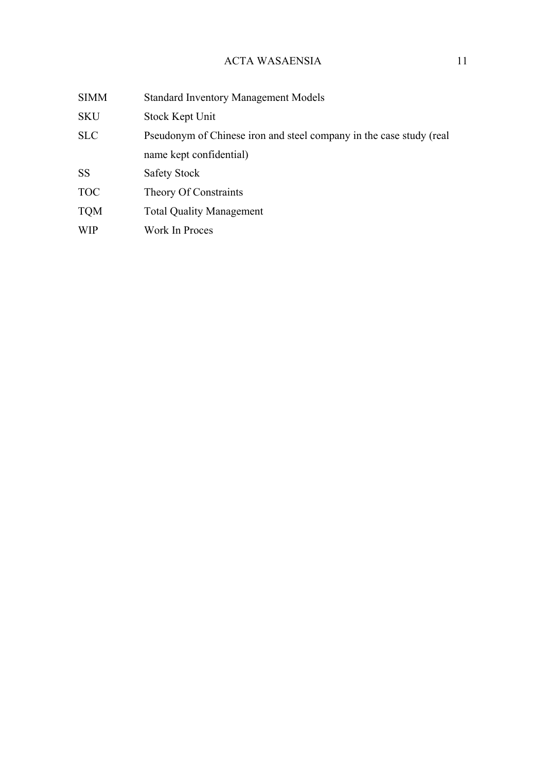| <b>SIMM</b> | <b>Standard Inventory Management Models</b>                         |  |
|-------------|---------------------------------------------------------------------|--|
| <b>SKU</b>  | Stock Kept Unit                                                     |  |
| <b>SLC</b>  | Pseudonym of Chinese iron and steel company in the case study (real |  |
|             | name kept confidential)                                             |  |
| <b>SS</b>   | Safety Stock                                                        |  |
| <b>TOC</b>  | <b>Theory Of Constraints</b>                                        |  |
| <b>TQM</b>  | <b>Total Quality Management</b>                                     |  |
| <b>WIP</b>  | Work In Proces                                                      |  |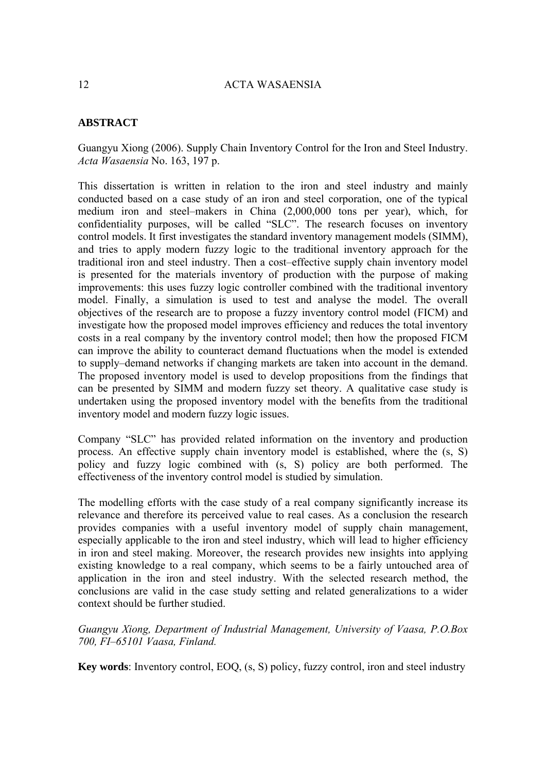# <span id="page-11-0"></span>**ABSTRACT**

Guangyu Xiong (2006). Supply Chain Inventory Control for the Iron and Steel Industry. *Acta Wasaensia* No. 163, 197 p.

This dissertation is written in relation to the iron and steel industry and mainly conducted based on a case study of an iron and steel corporation, one of the typical medium iron and steel–makers in China (2,000,000 tons per year), which, for confidentiality purposes, will be called "SLC". The research focuses on inventory control models. It first investigates the standard inventory management models (SIMM), and tries to apply modern fuzzy logic to the traditional inventory approach for the traditional iron and steel industry. Then a cost–effective supply chain inventory model is presented for the materials inventory of production with the purpose of making improvements: this uses fuzzy logic controller combined with the traditional inventory model. Finally, a simulation is used to test and analyse the model. The overall objectives of the research are to propose a fuzzy inventory control model (FICM) and investigate how the proposed model improves efficiency and reduces the total inventory costs in a real company by the inventory control model; then how the proposed FICM can improve the ability to counteract demand fluctuations when the model is extended to supply–demand networks if changing markets are taken into account in the demand. The proposed inventory model is used to develop propositions from the findings that can be presented by SIMM and modern fuzzy set theory. A qualitative case study is undertaken using the proposed inventory model with the benefits from the traditional inventory model and modern fuzzy logic issues.

Company "SLC" has provided related information on the inventory and production process. An effective supply chain inventory model is established, where the (s, S) policy and fuzzy logic combined with (s, S) policy are both performed. The effectiveness of the inventory control model is studied by simulation.

The modelling efforts with the case study of a real company significantly increase its relevance and therefore its perceived value to real cases. As a conclusion the research provides companies with a useful inventory model of supply chain management, especially applicable to the iron and steel industry, which will lead to higher efficiency in iron and steel making. Moreover, the research provides new insights into applying existing knowledge to a real company, which seems to be a fairly untouched area of application in the iron and steel industry. With the selected research method, the conclusions are valid in the case study setting and related generalizations to a wider context should be further studied.

*Guangyu Xiong, Department of Industrial Management, University of Vaasa, P.O.Box 700, FI–65101 Vaasa, Finland.* 

**Key words**: Inventory control, EOQ, (s, S) policy, fuzzy control, iron and steel industry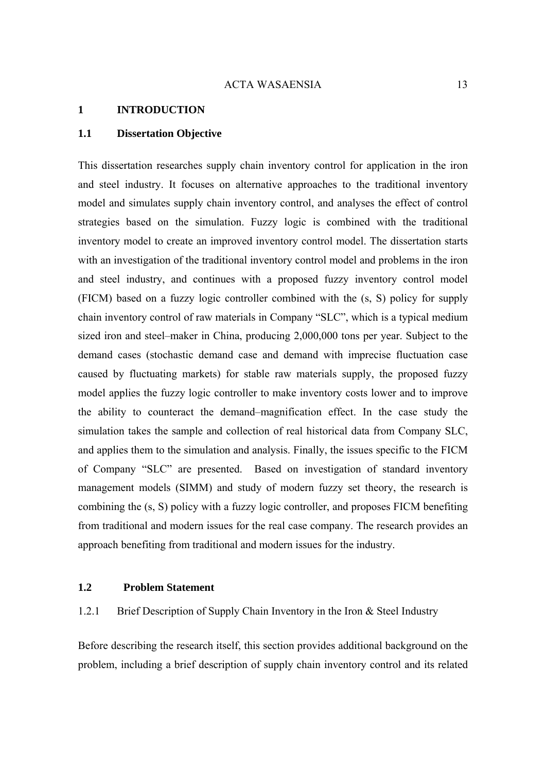#### <span id="page-12-0"></span>**1 INTRODUCTION**

#### **1.1 Dissertation Objective**

This dissertation researches supply chain inventory control for application in the iron and steel industry. It focuses on alternative approaches to the traditional inventory model and simulates supply chain inventory control, and analyses the effect of control strategies based on the simulation. Fuzzy logic is combined with the traditional inventory model to create an improved inventory control model. The dissertation starts with an investigation of the traditional inventory control model and problems in the iron and steel industry, and continues with a proposed fuzzy inventory control model (FICM) based on a fuzzy logic controller combined with the (s, S) policy for supply chain inventory control of raw materials in Company "SLC", which is a typical medium sized iron and steel–maker in China, producing 2,000,000 tons per year. Subject to the demand cases (stochastic demand case and demand with imprecise fluctuation case caused by fluctuating markets) for stable raw materials supply, the proposed fuzzy model applies the fuzzy logic controller to make inventory costs lower and to improve the ability to counteract the demand–magnification effect. In the case study the simulation takes the sample and collection of real historical data from Company SLC, and applies them to the simulation and analysis. Finally, the issues specific to the FICM of Company "SLC" are presented. Based on investigation of standard inventory management models (SIMM) and study of modern fuzzy set theory, the research is combining the (s, S) policy with a fuzzy logic controller, and proposes FICM benefiting from traditional and modern issues for the real case company. The research provides an approach benefiting from traditional and modern issues for the industry.

#### **1.2 Problem Statement**

## 1.2.1 Brief Description of Supply Chain Inventory in the Iron & Steel Industry

Before describing the research itself, this section provides additional background on the problem, including a brief description of supply chain inventory control and its related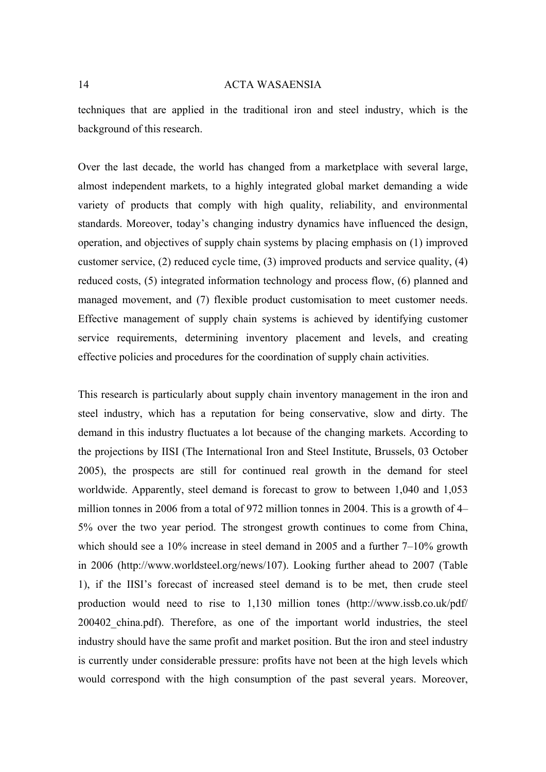techniques that are applied in the traditional iron and steel industry, which is the background of this research.

Over the last decade, the world has changed from a marketplace with several large, almost independent markets, to a highly integrated global market demanding a wide variety of products that comply with high quality, reliability, and environmental standards. Moreover, today's changing industry dynamics have influenced the design, operation, and objectives of supply chain systems by placing emphasis on (1) improved customer service, (2) reduced cycle time, (3) improved products and service quality, (4) reduced costs, (5) integrated information technology and process flow, (6) planned and managed movement, and (7) flexible product customisation to meet customer needs. Effective management of supply chain systems is achieved by identifying customer service requirements, determining inventory placement and levels, and creating effective policies and procedures for the coordination of supply chain activities.

This research is particularly about supply chain inventory management in the iron and steel industry, which has a reputation for being conservative, slow and dirty. The demand in this industry fluctuates a lot because of the changing markets. According to the projections by IISI (The International Iron and Steel Institute, Brussels, 03 October 2005), the prospects are still for continued real growth in the demand for steel worldwide. Apparently, steel demand is forecast to grow to between 1,040 and 1,053 million tonnes in 2006 from a total of 972 million tonnes in 2004. This is a growth of 4– 5% over the two year period. The strongest growth continues to come from China, which should see a 10% increase in steel demand in 2005 and a further 7–10% growth in 2006 [\(http://www.worldsteel.org/news/107](http://www.worldsteel.org/news/107)). Looking further ahead to 2007 (Table 1), if the IISI's forecast of increased steel demand is to be met, then crude steel production would need to rise to 1,130 million tones [\(http://www.issb.co.uk/pdf/](http://www.issb.co.uk/pdf/) 200402\_china.pdf). Therefore, as one of the important world industries, the steel industry should have the same profit and market position. But the iron and steel industry is currently under considerable pressure: profits have not been at the high levels which would correspond with the high consumption of the past several years. Moreover,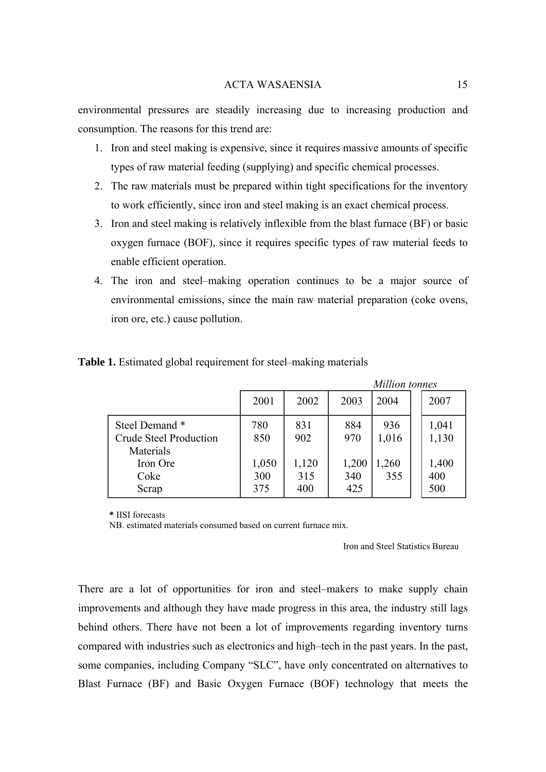<span id="page-14-0"></span>environmental pressures are steadily increasing due to increasing production and consumption. The reasons for this trend are:

- 1. Iron and steel making is expensive, since it requires massive amounts of specific types of raw material feeding (supplying) and specific chemical processes.
- 2. The raw materials must be prepared within tight specifications for the inventory to work efficiently, since iron and steel making is an exact chemical process.
- 3. Iron and steel making is relatively inflexible from the blast furnace (BF) or basic oxygen furnace (BOF), since it requires specific types of raw material feeds to enable efficient operation.
- 4. The iron and steel–making operation continues to be a major source of environmental emissions, since the main raw material preparation (coke ovens, iron ore, etc.) cause pollution.

|                                                      |              |              |              | Muuon tonnes |                |
|------------------------------------------------------|--------------|--------------|--------------|--------------|----------------|
|                                                      | 2001         | 2002         | 2003         | 2004         | 2007           |
| Steel Demand*<br>Crude Steel Production<br>Materials | 780<br>850   | 831<br>902   | 884<br>970   | 936<br>1,016 | 1,041<br>1,130 |
| Iron Ore<br>Coke                                     | 1,050<br>300 | 1,120<br>315 | 1,200<br>340 | 1,260<br>355 | 1,400<br>400   |
| Scrap                                                | 375          | 400          | 425          |              | 500            |

#### **Table 1.** Estimated global requirement for steel–making materials

**\*** IISI forecasts

NB. estimated materials consumed based on current furnace mix.

Iron and Steel Statistics Bureau

*Million tonnes* 

There are a lot of opportunities for iron and steel–makers to make supply chain improvements and although they have made progress in this area, the industry still lags behind others. There have not been a lot of improvements regarding inventory turns compared with industries such as electronics and high–tech in the past years. In the past, some companies, including Company "SLC", have only concentrated on alternatives to Blast Furnace (BF) and Basic Oxygen Furnace (BOF) technology that meets the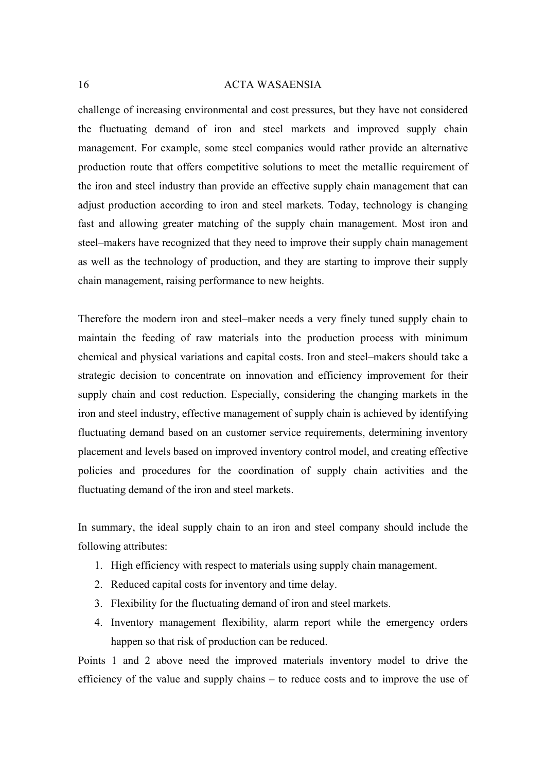challenge of increasing environmental and cost pressures, but they have not considered the fluctuating demand of iron and steel markets and improved supply chain management. For example, some steel companies would rather provide an alternative production route that offers competitive solutions to meet the metallic requirement of the iron and steel industry than provide an effective supply chain management that can adjust production according to iron and steel markets. Today, technology is changing fast and allowing greater matching of the supply chain management. Most iron and steel–makers have recognized that they need to improve their supply chain management as well as the technology of production, and they are starting to improve their supply chain management, raising performance to new heights.

Therefore the modern iron and steel–maker needs a very finely tuned supply chain to maintain the feeding of raw materials into the production process with minimum chemical and physical variations and capital costs. Iron and steel–makers should take a strategic decision to concentrate on innovation and efficiency improvement for their supply chain and cost reduction. Especially, considering the changing markets in the iron and steel industry, effective management of supply chain is achieved by identifying fluctuating demand based on an customer service requirements, determining inventory placement and levels based on improved inventory control model, and creating effective policies and procedures for the coordination of supply chain activities and the fluctuating demand of the iron and steel markets.

In summary, the ideal supply chain to an iron and steel company should include the following attributes:

- 1. High efficiency with respect to materials using supply chain management.
- 2. Reduced capital costs for inventory and time delay.
- 3. Flexibility for the fluctuating demand of iron and steel markets.
- 4. Inventory management flexibility, alarm report while the emergency orders happen so that risk of production can be reduced.

Points 1 and 2 above need the improved materials inventory model to drive the efficiency of the value and supply chains – to reduce costs and to improve the use of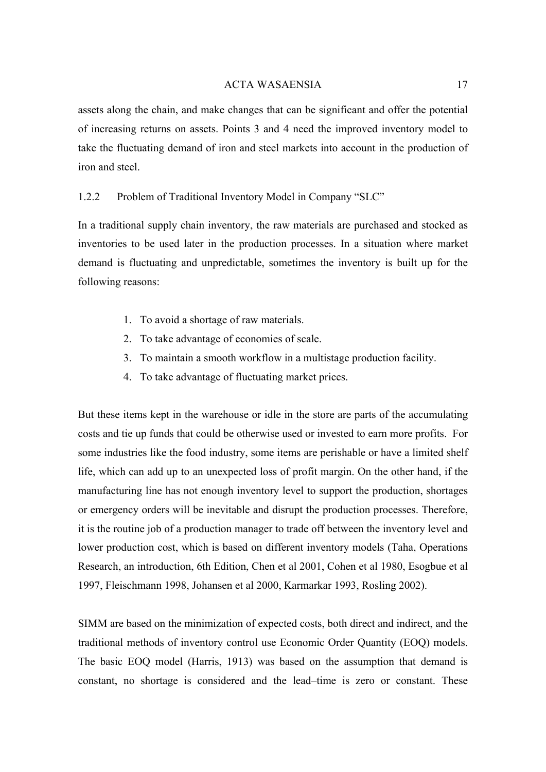<span id="page-16-0"></span>assets along the chain, and make changes that can be significant and offer the potential of increasing returns on assets. Points 3 and 4 need the improved inventory model to take the fluctuating demand of iron and steel markets into account in the production of iron and steel.

## 1.2.2 Problem of Traditional Inventory Model in Company "SLC"

In a traditional supply chain inventory, the raw materials are purchased and stocked as inventories to be used later in the production processes. In a situation where market demand is fluctuating and unpredictable, sometimes the inventory is built up for the following reasons:

- 1. To avoid a shortage of raw materials.
- 2. To take advantage of economies of scale.
- 3. To maintain a smooth workflow in a multistage production facility.
- 4. To take advantage of fluctuating market prices.

But these items kept in the warehouse or idle in the store are parts of the accumulating costs and tie up funds that could be otherwise used or invested to earn more profits. For some industries like the food industry, some items are perishable or have a limited shelf life, which can add up to an unexpected loss of profit margin. On the other hand, if the manufacturing line has not enough inventory level to support the production, shortages or emergency orders will be inevitable and disrupt the production processes. Therefore, it is the routine job of a production manager to trade off between the inventory level and lower production cost, which is based on different inventory models (Taha, Operations Research, an introduction, 6th Edition, Chen et al 2001, Cohen et al 1980, Esogbue et al 1997, Fleischmann 1998, Johansen et al 2000, Karmarkar 1993, Rosling 2002).

SIMM are based on the minimization of expected costs, both direct and indirect, and the traditional methods of inventory control use Economic Order Quantity (EOQ) models. The basic EOQ model (Harris, 1913) was based on the assumption that demand is constant, no shortage is considered and the lead–time is zero or constant. These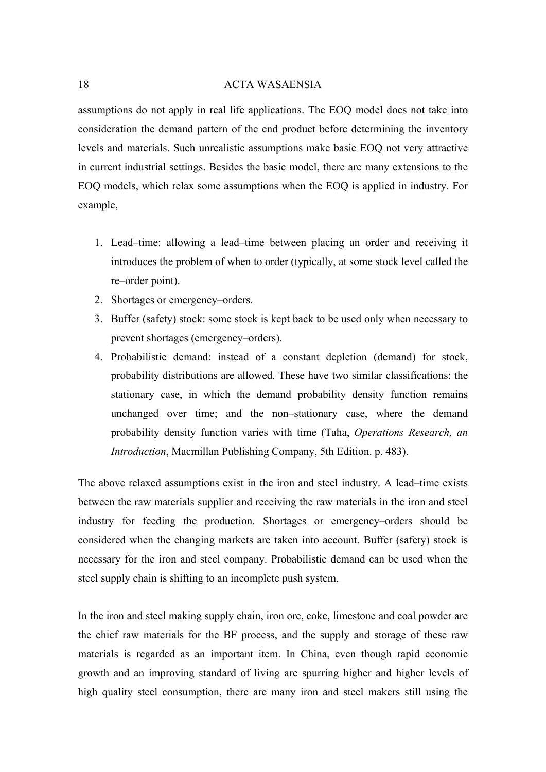assumptions do not apply in real life applications. The EOQ model does not take into consideration the demand pattern of the end product before determining the inventory levels and materials. Such unrealistic assumptions make basic EOQ not very attractive in current industrial settings. Besides the basic model, there are many extensions to the EOQ models, which relax some assumptions when the EOQ is applied in industry. For example,

- 1. Lead–time: allowing a lead–time between placing an order and receiving it introduces the problem of when to order (typically, at some stock level called the re–order point).
- 2. Shortages or emergency–orders.
- 3. Buffer (safety) stock: some stock is kept back to be used only when necessary to prevent shortages (emergency–orders).
- 4. Probabilistic demand: instead of a constant depletion (demand) for stock, probability distributions are allowed. These have two similar classifications: the stationary case, in which the demand probability density function remains unchanged over time; and the non–stationary case, where the demand probability density function varies with time (Taha, *Operations Research, an Introduction*, Macmillan Publishing Company, 5th Edition. p. 483).

The above relaxed assumptions exist in the iron and steel industry. A lead–time exists between the raw materials supplier and receiving the raw materials in the iron and steel industry for feeding the production. Shortages or emergency–orders should be considered when the changing markets are taken into account. Buffer (safety) stock is necessary for the iron and steel company. Probabilistic demand can be used when the steel supply chain is shifting to an incomplete push system.

In the iron and steel making supply chain, iron ore, coke, limestone and coal powder are the chief raw materials for the BF process, and the supply and storage of these raw materials is regarded as an important item. In China, even though rapid economic growth and an improving standard of living are spurring higher and higher levels of high quality steel consumption, there are many iron and steel makers still using the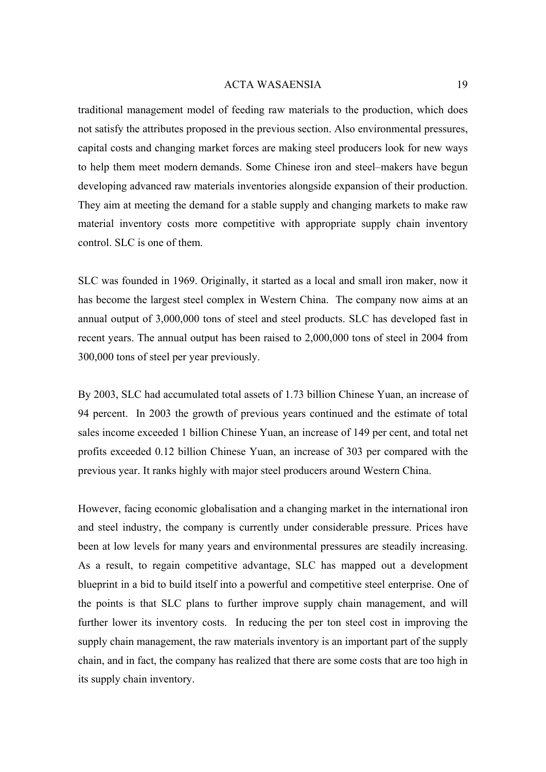traditional management model of feeding raw materials to the production, which does not satisfy the attributes proposed in the previous section. Also environmental pressures, capital costs and changing market forces are making steel producers look for new ways to help them meet modern demands. Some Chinese iron and steel–makers have begun developing advanced raw materials inventories alongside expansion of their production. They aim at meeting the demand for a stable supply and changing markets to make raw material inventory costs more competitive with appropriate supply chain inventory control. SLC is one of them.

SLC was founded in 1969. Originally, it started as a local and small iron maker, now it has become the largest steel complex in Western China. The company now aims at an annual output of 3,000,000 tons of steel and steel products. SLC has developed fast in recent years. The annual output has been raised to 2,000,000 tons of steel in 2004 from 300,000 tons of steel per year previously.

By 2003, SLC had accumulated total assets of 1.73 billion Chinese Yuan, an increase of 94 percent. In 2003 the growth of previous years continued and the estimate of total sales income exceeded 1 billion Chinese Yuan, an increase of 149 per cent, and total net profits exceeded 0.12 billion Chinese Yuan, an increase of 303 per compared with the previous year. It ranks highly with major steel producers around Western China.

However, facing economic globalisation and a changing market in the international iron and steel industry, the company is currently under considerable pressure. Prices have been at low levels for many years and environmental pressures are steadily increasing. As a result, to regain competitive advantage, SLC has mapped out a development blueprint in a bid to build itself into a powerful and competitive steel enterprise. One of the points is that SLC plans to further improve supply chain management, and will further lower its inventory costs. In reducing the per ton steel cost in improving the supply chain management, the raw materials inventory is an important part of the supply chain, and in fact, the company has realized that there are some costs that are too high in its supply chain inventory.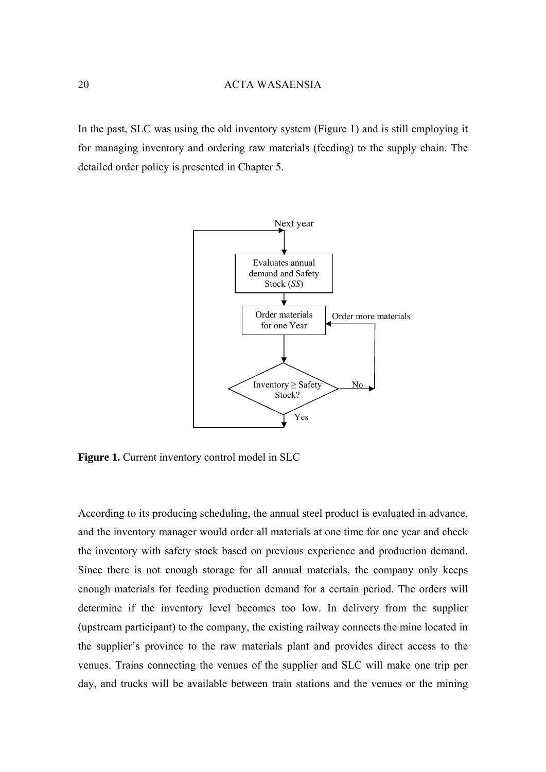<span id="page-19-0"></span>In the past, SLC was using the old inventory system (Figure 1) and is still employing it for managing inventory and ordering raw materials (feeding) to the supply chain. The detailed order policy is presented in Chapter 5.



**Figure 1.** Current inventory control model in SLC

According to its producing scheduling, the annual steel product is evaluated in advance, and the inventory manager would order all materials at one time for one year and check the inventory with safety stock based on previous experience and production demand. Since there is not enough storage for all annual materials, the company only keeps enough materials for feeding production demand for a certain period. The orders will determine if the inventory level becomes too low. In delivery from the supplier (upstream participant) to the company, the existing railway connects the mine located in the supplier's province to the raw materials plant and provides direct access to the venues. Trains connecting the venues of the supplier and SLC will make one trip per day, and trucks will be available between train stations and the venues or the mining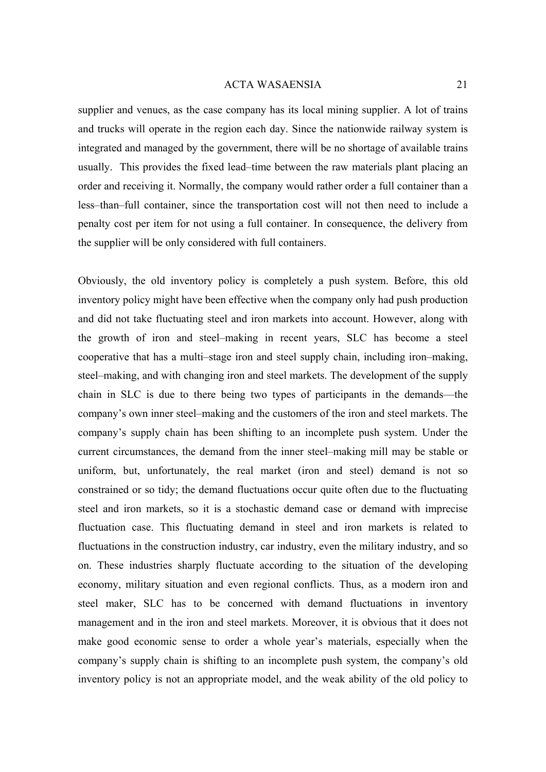supplier and venues, as the case company has its local mining supplier. A lot of trains and trucks will operate in the region each day. Since the nationwide railway system is integrated and managed by the government, there will be no shortage of available trains usually. This provides the fixed lead–time between the raw materials plant placing an order and receiving it. Normally, the company would rather order a full container than a less–than–full container, since the transportation cost will not then need to include a penalty cost per item for not using a full container. In consequence, the delivery from the supplier will be only considered with full containers.

Obviously, the old inventory policy is completely a push system. Before, this old inventory policy might have been effective when the company only had push production and did not take fluctuating steel and iron markets into account. However, along with the growth of iron and steel–making in recent years, SLC has become a steel cooperative that has a multi–stage iron and steel supply chain, including iron–making, steel–making, and with changing iron and steel markets. The development of the supply chain in SLC is due to there being two types of participants in the demands––the company's own inner steel–making and the customers of the iron and steel markets. The company's supply chain has been shifting to an incomplete push system. Under the current circumstances, the demand from the inner steel–making mill may be stable or uniform, but, unfortunately, the real market (iron and steel) demand is not so constrained or so tidy; the demand fluctuations occur quite often due to the fluctuating steel and iron markets, so it is a stochastic demand case or demand with imprecise fluctuation case. This fluctuating demand in steel and iron markets is related to fluctuations in the construction industry, car industry, even the military industry, and so on. These industries sharply fluctuate according to the situation of the developing economy, military situation and even regional conflicts. Thus, as a modern iron and steel maker, SLC has to be concerned with demand fluctuations in inventory management and in the iron and steel markets. Moreover, it is obvious that it does not make good economic sense to order a whole year's materials, especially when the company's supply chain is shifting to an incomplete push system, the company's old inventory policy is not an appropriate model, and the weak ability of the old policy to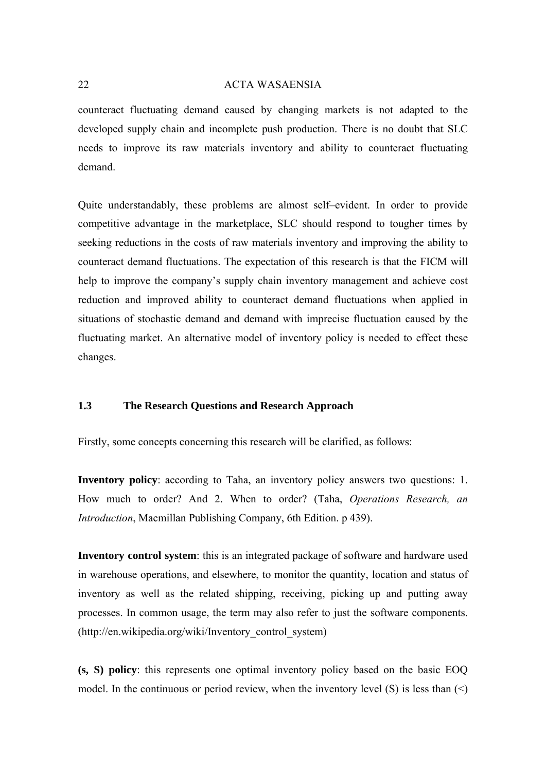<span id="page-21-0"></span>counteract fluctuating demand caused by changing markets is not adapted to the developed supply chain and incomplete push production. There is no doubt that SLC needs to improve its raw materials inventory and ability to counteract fluctuating demand.

Quite understandably, these problems are almost self–evident. In order to provide competitive advantage in the marketplace, SLC should respond to tougher times by seeking reductions in the costs of raw materials inventory and improving the ability to counteract demand fluctuations. The expectation of this research is that the FICM will help to improve the company's supply chain inventory management and achieve cost reduction and improved ability to counteract demand fluctuations when applied in situations of stochastic demand and demand with imprecise fluctuation caused by the fluctuating market. An alternative model of inventory policy is needed to effect these changes.

#### **1.3 The Research Questions and Research Approach**

Firstly, some concepts concerning this research will be clarified, as follows:

**Inventory policy**: according to Taha, an inventory policy answers two questions: 1. How much to order? And 2. When to order? (Taha, *Operations Research, an Introduction*, Macmillan Publishing Company, 6th Edition. p 439).

**Inventory control system**: this is an integrated package of software and hardware used in warehouse operations, and elsewhere, to monitor the quantity, location and status of inventory as well as the related shipping, receiving, picking up and putting away processes. In common usage, the term may also refer to just the software components. (http://en.wikipedia.org/wiki/Inventory\_control\_system)

**(s, S) policy**: this represents one optimal inventory policy based on the basic EOQ model. In the continuous or period review, when the inventory level (S) is less than  $(\leq)$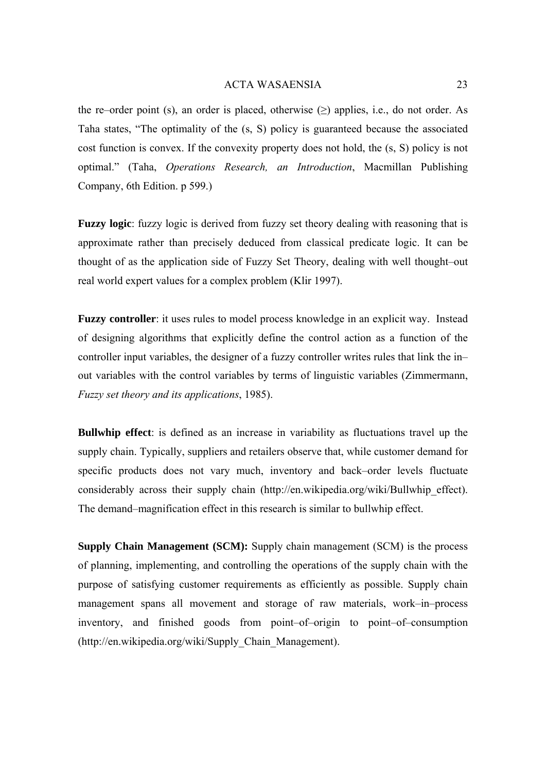the re–order point (s), an order is placed, otherwise  $(\ge)$  applies, i.e., do not order. As Taha states, "The optimality of the (s, S) policy is guaranteed because the associated cost function is convex. If the convexity property does not hold, the (s, S) policy is not optimal." (Taha, *Operations Research, an Introduction*, Macmillan Publishing Company, 6th Edition. p 599.)

**Fuzzy logic**: fuzzy logic is derived from [fuzzy set theory](http://en.wikipedia.org/w/index.php?title=Fuzzy_set_theory&action=edit) dealing with reasoning that is approximate rather than precisely deduced from classical predicate logic. It can be thought of as the application side of Fuzzy Set Theory, dealing with well thought–out real world expert values for a complex problem (Klir 1997).

**Fuzzy controller**: it uses rules to model process knowledge in an explicit way. Instead of designing algorithms that explicitly define the control action as a function of the controller input variables, the designer of a fuzzy controller writes rules that link the in– out variables with the control variables by terms of linguistic variables (Zimmermann, *Fuzzy set theory and its applications*, 1985).

**Bullwhip effect**: is defined as an increase in variability as fluctuations travel up the [supply chain](http://en.wikipedia.org/wiki/Supply_chain). Typically, [suppliers](http://en.wikipedia.org/w/index.php?title=Supplier&action=edit) and [retailers](http://en.wikipedia.org/wiki/Retailer) observe that, while [customer demand](http://en.wikipedia.org/w/index.php?title=Customer_demand&action=edit) for specific products does not vary much, inventory and back–order levels fluctuate considerably across their supply chain [\(http://en.wikipedia.org/wiki/Bullwhip\\_effect](http://en.wikipedia.org/wiki/Bullwhip_effect)). The demand–magnification effect in this research is similar to bullwhip effect.

**Supply Chain Management (SCM):** Supply chain management (SCM) is the process of planning, implementing, and controlling the operations of the [supply chain](http://en.wikipedia.org/wiki/Supply_chain) with the purpose of satisfying customer requirements as efficiently as possible. Supply chain management spans all movement and storage of raw materials, work–in–process inventory, and finished goods from point–of–origin to point–of–consumption [\(http://en.wikipedia.org/wiki/Supply\\_Chain\\_Management\)](http://en.wikipedia.org/wiki/Supply_Chain_Management).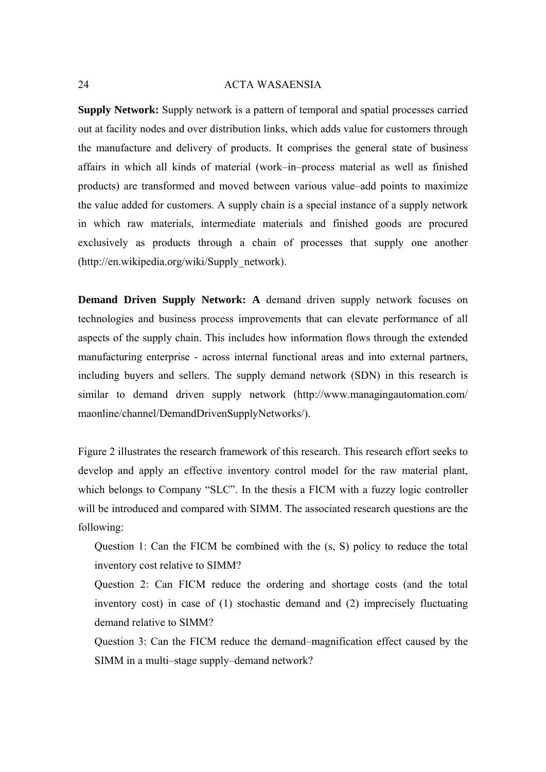**Supply Network:** Supply network is a pattern of [temporal](http://en.wikipedia.org/wiki/Temporal) and [spatial](http://en.wikipedia.org/wiki/Spatial) processes carried out at [facility](http://en.wikipedia.org/wiki/Facility) nodes and over distribution links, which adds value for [customers](http://en.wikipedia.org/wiki/Customers) through the manufacture and delivery of [products](http://en.wikipedia.org/wiki/Products). It comprises the general state of business affairs in which all kinds of material (work–in–process material as well as finished [products](http://en.wikipedia.org/wiki/Good_%28accounting%29)) are transformed and moved between various [value–add](http://en.wikipedia.org/wiki/Value-add) points to maximize the [value added](http://en.wikipedia.org/wiki/Value_added) for customers. A [supply chain](http://en.wikipedia.org/wiki/Supply_chain) is a special instance of a supply network in which [raw materials](http://en.wikipedia.org/wiki/Raw_materials), [intermediate](http://en.wikipedia.org/wiki/Intermediate) materials and finished goods are procured exclusively as products through a chain of processes that supply one another [\(http://en.wikipedia.org/wiki/Supply\\_network\)](http://en.wikipedia.org/wiki/Supply_network).

**Demand Driven Supply Network: A demand driven supply network focuses on** technologies and business process improvements that can elevate performance of all aspects of the supply chain. This includes how information flows through the extended manufacturing enterprise - across internal functional areas and into external partners, including buyers and sellers. The supply demand network (SDN) in this research is similar to demand driven supply network [\(http://www.managingautomation.com/](http://www.managingautomation.com/ maonline/channel/DemandDrivenSupplyNetworks/)  [maonline/channel/DemandDrivenSupplyNetworks/\)](http://www.managingautomation.com/ maonline/channel/DemandDrivenSupplyNetworks/).

Figure 2 illustrates the research framework of this research. This research effort seeks to develop and apply an effective inventory control model for the raw material plant, which belongs to Company "SLC". In the thesis a FICM with a fuzzy logic controller will be introduced and compared with SIMM. The associated research questions are the following:

Question 1: Can the FICM be combined with the (s, S) policy to reduce the total inventory cost relative to SIMM?

Question 2: Can FICM reduce the ordering and shortage costs (and the total inventory cost) in case of (1) stochastic demand and (2) imprecisely fluctuating demand relative to SIMM?

Question 3: Can the FICM reduce the demand–magnification effect caused by the SIMM in a multi–stage supply–demand network?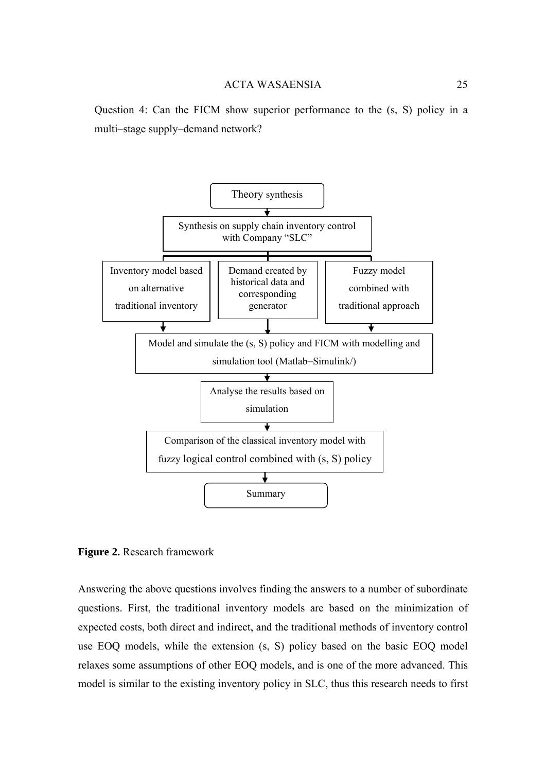<span id="page-24-0"></span>Question 4: Can the FICM show superior performance to the (s, S) policy in a multi–stage supply–demand network?



**Figure 2.** Research framework

Answering the above questions involves finding the answers to a number of subordinate questions. First, the traditional inventory models are based on the minimization of expected costs, both direct and indirect, and the traditional methods of inventory control use EOQ models, while the extension (s, S) policy based on the basic EOQ model relaxes some assumptions of other EOQ models, and is one of the more advanced. This model is similar to the existing inventory policy in SLC, thus this research needs to first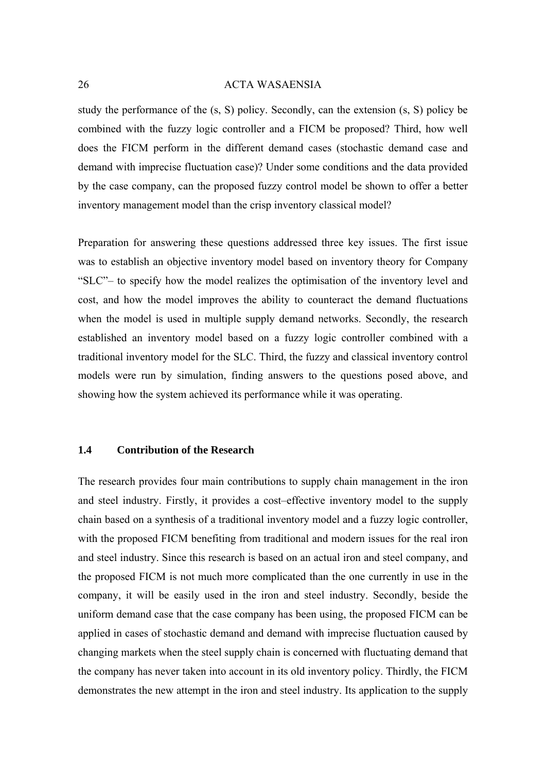<span id="page-25-0"></span>study the performance of the (s, S) policy. Secondly, can the extension (s, S) policy be combined with the fuzzy logic controller and a FICM be proposed? Third, how well does the FICM perform in the different demand cases (stochastic demand case and demand with imprecise fluctuation case)? Under some conditions and the data provided by the case company, can the proposed fuzzy control model be shown to offer a better inventory management model than the crisp inventory classical model?

Preparation for answering these questions addressed three key issues. The first issue was to establish an objective inventory model based on inventory theory for Company "SLC"– to specify how the model realizes the optimisation of the inventory level and cost, and how the model improves the ability to counteract the demand fluctuations when the model is used in multiple supply demand networks. Secondly, the research established an inventory model based on a fuzzy logic controller combined with a traditional inventory model for the SLC. Third, the fuzzy and classical inventory control models were run by simulation, finding answers to the questions posed above, and showing how the system achieved its performance while it was operating.

## **1.4 Contribution of the Research**

The research provides four main contributions to supply chain management in the iron and steel industry. Firstly, it provides a cost–effective inventory model to the supply chain based on a synthesis of a traditional inventory model and a fuzzy logic controller, with the proposed FICM benefiting from traditional and modern issues for the real iron and steel industry. Since this research is based on an actual iron and steel company, and the proposed FICM is not much more complicated than the one currently in use in the company, it will be easily used in the iron and steel industry. Secondly, beside the uniform demand case that the case company has been using, the proposed FICM can be applied in cases of stochastic demand and demand with imprecise fluctuation caused by changing markets when the steel supply chain is concerned with fluctuating demand that the company has never taken into account in its old inventory policy. Thirdly, the FICM demonstrates the new attempt in the iron and steel industry. Its application to the supply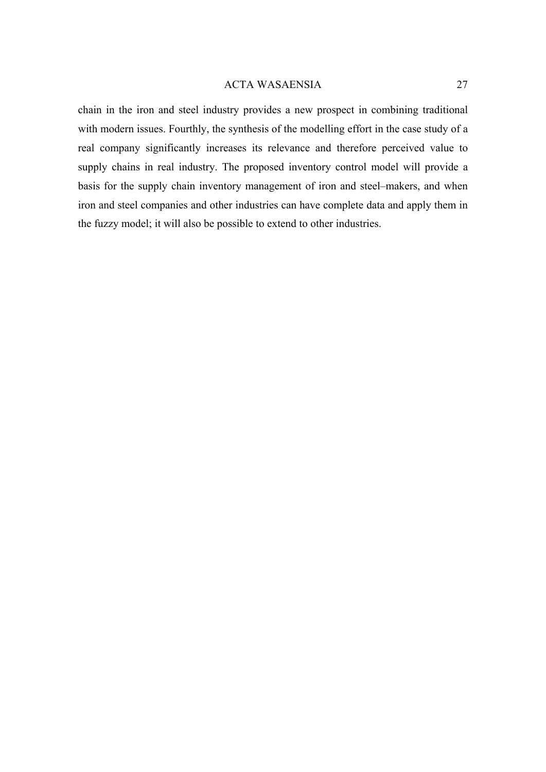chain in the iron and steel industry provides a new prospect in combining traditional with modern issues. Fourthly, the synthesis of the modelling effort in the case study of a real company significantly increases its relevance and therefore perceived value to supply chains in real industry. The proposed inventory control model will provide a basis for the supply chain inventory management of iron and steel–makers, and when iron and steel companies and other industries can have complete data and apply them in the fuzzy model; it will also be possible to extend to other industries.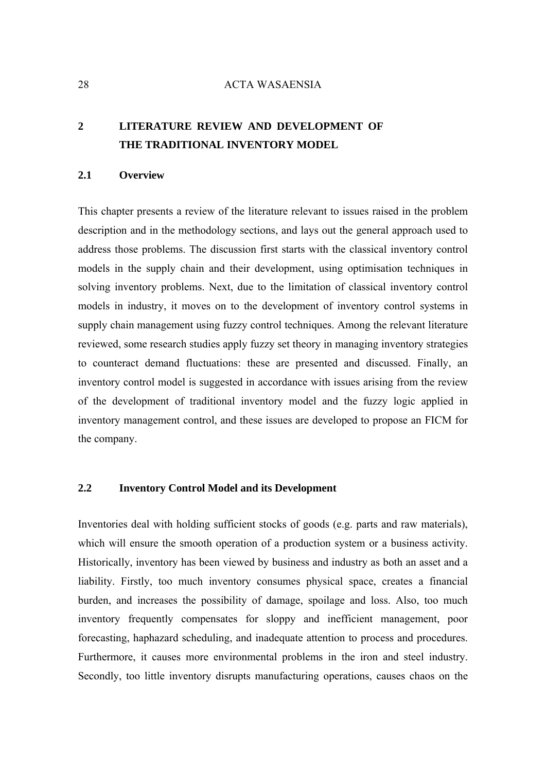# <span id="page-27-0"></span>**2 LITERATURE REVIEW AND DEVELOPMENT OF THE TRADITIONAL INVENTORY MODEL**

#### **2.1 Overview**

This chapter presents a review of the literature relevant to issues raised in the problem description and in the methodology sections, and lays out the general approach used to address those problems. The discussion first starts with the classical inventory control models in the supply chain and their development, using optimisation techniques in solving inventory problems. Next, due to the limitation of classical inventory control models in industry, it moves on to the development of inventory control systems in supply chain management using fuzzy control techniques. Among the relevant literature reviewed, some research studies apply fuzzy set theory in managing inventory strategies to counteract demand fluctuations: these are presented and discussed. Finally, an inventory control model is suggested in accordance with issues arising from the review of the development of traditional inventory model and the fuzzy logic applied in inventory management control, and these issues are developed to propose an FICM for the company.

## **2.2 Inventory Control Model and its Development**

Inventories deal with holding sufficient stocks of goods (e.g. parts and raw materials), which will ensure the smooth operation of a production system or a business activity. Historically, inventory has been viewed by business and industry as both an asset and a liability. Firstly, too much inventory consumes physical space, creates a financial burden, and increases the possibility of damage, spoilage and loss. Also, too much inventory frequently compensates for sloppy and inefficient management, poor forecasting, haphazard scheduling, and inadequate attention to process and procedures. Furthermore, it causes more environmental problems in the iron and steel industry. Secondly, too little inventory disrupts manufacturing operations, causes chaos on the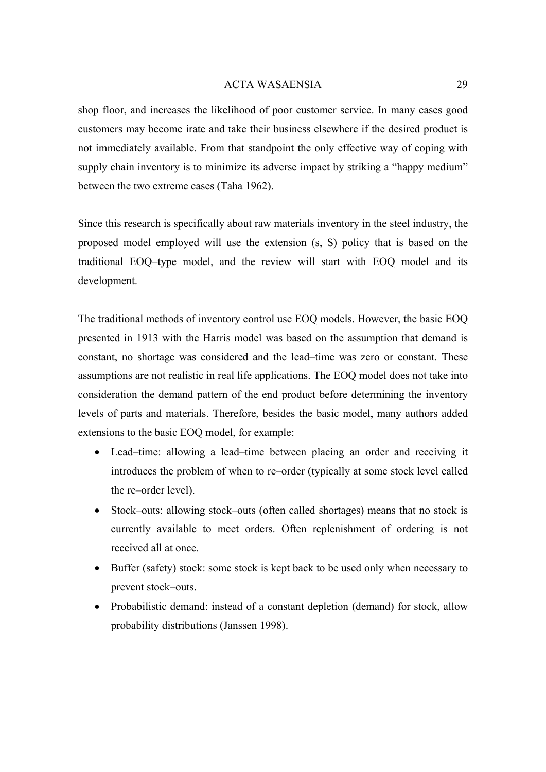shop floor, and increases the likelihood of poor customer service. In many cases good customers may become irate and take their business elsewhere if the desired product is not immediately available. From that standpoint the only effective way of coping with supply chain inventory is to minimize its adverse impact by striking a "happy medium" between the two extreme cases (Taha 1962).

Since this research is specifically about raw materials inventory in the steel industry, the proposed model employed will use the extension (s, S) policy that is based on the traditional EOQ–type model, and the review will start with EOQ model and its development.

The traditional methods of inventory control use EOQ models. However, the basic EOQ presented in 1913 with the Harris model was based on the assumption that demand is constant, no shortage was considered and the lead–time was zero or constant. These assumptions are not realistic in real life applications. The EOQ model does not take into consideration the demand pattern of the end product before determining the inventory levels of parts and materials. Therefore, besides the basic model, many authors added extensions to the basic EOQ model, for example:

- Lead–time: allowing a lead–time between placing an order and receiving it introduces the problem of when to re–order (typically at some stock level called the re–order level).
- Stock–outs: allowing stock–outs (often called shortages) means that no stock is currently available to meet orders. Often replenishment of ordering is not received all at once.
- Buffer (safety) stock: some stock is kept back to be used only when necessary to prevent stock–outs.
- Probabilistic demand: instead of a constant depletion (demand) for stock, allow probability distributions (Janssen 1998).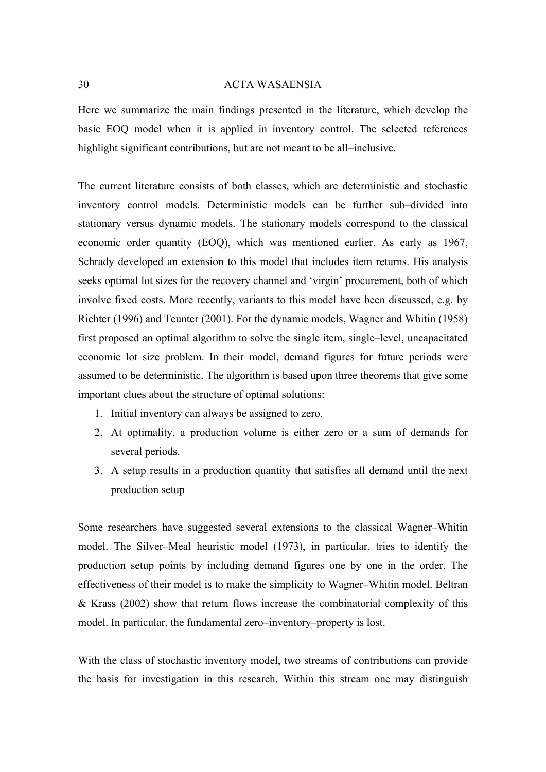Here we summarize the main findings presented in the literature, which develop the basic EOQ model when it is applied in inventory control. The selected references highlight significant contributions, but are not meant to be all–inclusive.

The current literature consists of both classes, which are deterministic and stochastic inventory control models. Deterministic models can be further sub–divided into stationary versus dynamic models. The stationary models correspond to the classical economic order quantity (EOQ), which was mentioned earlier. As early as 1967, Schrady developed an extension to this model that includes item returns. His analysis seeks optimal lot sizes for the recovery channel and 'virgin' procurement, both of which involve fixed costs. More recently, variants to this model have been discussed, e.g. by Richter (1996) and Teunter (2001). For the dynamic models, Wagner and Whitin (1958) first proposed an optimal algorithm to solve the single item, single–level, uncapacitated economic lot size problem. In their model, demand figures for future periods were assumed to be deterministic. The algorithm is based upon three theorems that give some important clues about the structure of optimal solutions:

- 1. Initial inventory can always be assigned to zero.
- 2. At optimality, a production volume is either zero or a sum of demands for several periods.
- 3. A setup results in a production quantity that satisfies all demand until the next production setup

Some researchers have suggested several extensions to the classical Wagner–Whitin model. The Silver–Meal heuristic model (1973), in particular, tries to identify the production setup points by including demand figures one by one in the order. The effectiveness of their model is to make the simplicity to Wagner–Whitin model. Beltran & Krass (2002) show that return flows increase the combinatorial complexity of this model. In particular, the fundamental zero–inventory–property is lost.

With the class of stochastic inventory model, two streams of contributions can provide the basis for investigation in this research. Within this stream one may distinguish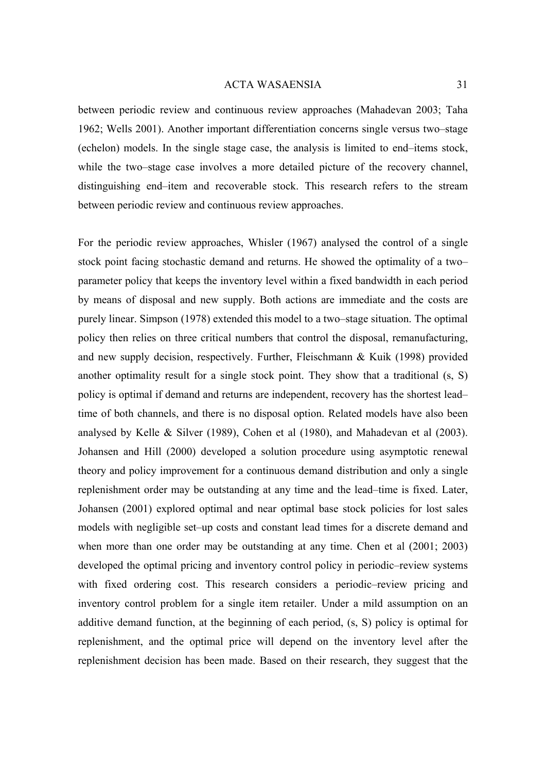between periodic review and continuous review approaches (Mahadevan 2003; Taha 1962; Wells 2001). Another important differentiation concerns single versus two–stage (echelon) models. In the single stage case, the analysis is limited to end–items stock, while the two–stage case involves a more detailed picture of the recovery channel, distinguishing end–item and recoverable stock. This research refers to the stream between periodic review and continuous review approaches.

For the periodic review approaches, Whisler (1967) analysed the control of a single stock point facing stochastic demand and returns. He showed the optimality of a two– parameter policy that keeps the inventory level within a fixed bandwidth in each period by means of disposal and new supply. Both actions are immediate and the costs are purely linear. Simpson (1978) extended this model to a two–stage situation. The optimal policy then relies on three critical numbers that control the disposal, remanufacturing, and new supply decision, respectively. Further, Fleischmann & Kuik (1998) provided another optimality result for a single stock point. They show that a traditional (s, S) policy is optimal if demand and returns are independent, recovery has the shortest lead– time of both channels, and there is no disposal option. Related models have also been analysed by Kelle & Silver (1989), Cohen et al (1980), and Mahadevan et al (2003). Johansen and Hill (2000) developed a solution procedure using asymptotic renewal theory and policy improvement for a continuous demand distribution and only a single replenishment order may be outstanding at any time and the lead–time is fixed. Later, Johansen (2001) explored optimal and near optimal base stock policies for lost sales models with negligible set–up costs and constant lead times for a discrete demand and when more than one order may be outstanding at any time. Chen et al (2001; 2003) developed the optimal pricing and inventory control policy in periodic–review systems with fixed ordering cost. This research considers a periodic–review pricing and inventory control problem for a single item retailer. Under a mild assumption on an additive demand function, at the beginning of each period, (s, S) policy is optimal for replenishment, and the optimal price will depend on the inventory level after the replenishment decision has been made. Based on their research, they suggest that the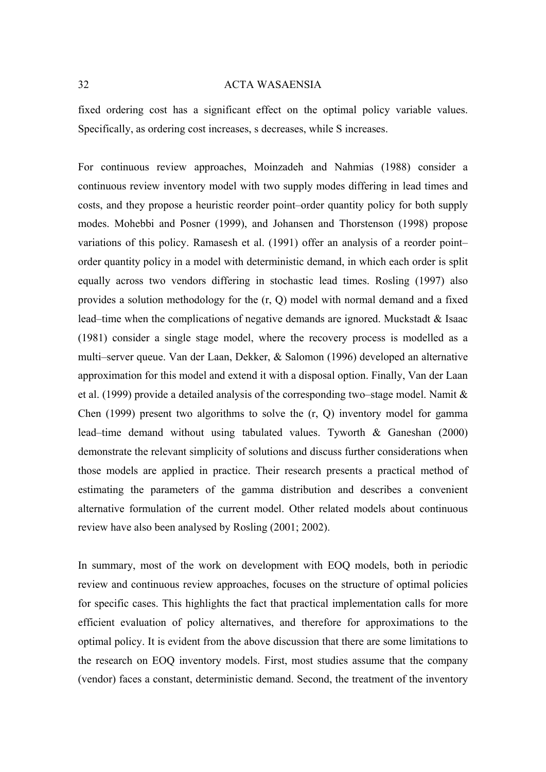fixed ordering cost has a significant effect on the optimal policy variable values. Specifically, as ordering cost increases, s decreases, while S increases.

For continuous review approaches, Moinzadeh and Nahmias (1988) consider a continuous review inventory model with two supply modes differing in lead times and costs, and they propose a heuristic reorder point–order quantity policy for both supply modes. Mohebbi and Posner (1999), and Johansen and Thorstenson (1998) propose variations of this policy. Ramasesh et al. (1991) offer an analysis of a reorder point– order quantity policy in a model with deterministic demand, in which each order is split equally across two vendors differing in stochastic lead times. Rosling (1997) also provides a solution methodology for the (r, Q) model with normal demand and a fixed lead–time when the complications of negative demands are ignored. Muckstadt & Isaac (1981) consider a single stage model, where the recovery process is modelled as a multi–server queue. Van der Laan, Dekker, & Salomon (1996) developed an alternative approximation for this model and extend it with a disposal option. Finally, Van der Laan et al. (1999) provide a detailed analysis of the corresponding two–stage model. Namit & Chen (1999) present two algorithms to solve the (r, Q) inventory model for gamma lead–time demand without using tabulated values. Tyworth & Ganeshan (2000) demonstrate the relevant simplicity of solutions and discuss further considerations when those models are applied in practice. Their research presents a practical method of estimating the parameters of the gamma distribution and describes a convenient alternative formulation of the current model. Other related models about continuous review have also been analysed by Rosling (2001; 2002).

In summary, most of the work on development with EOQ models, both in periodic review and continuous review approaches, focuses on the structure of optimal policies for specific cases. This highlights the fact that practical implementation calls for more efficient evaluation of policy alternatives, and therefore for approximations to the optimal policy. It is evident from the above discussion that there are some limitations to the research on EOQ inventory models. First, most studies assume that the company (vendor) faces a constant, deterministic demand. Second, the treatment of the inventory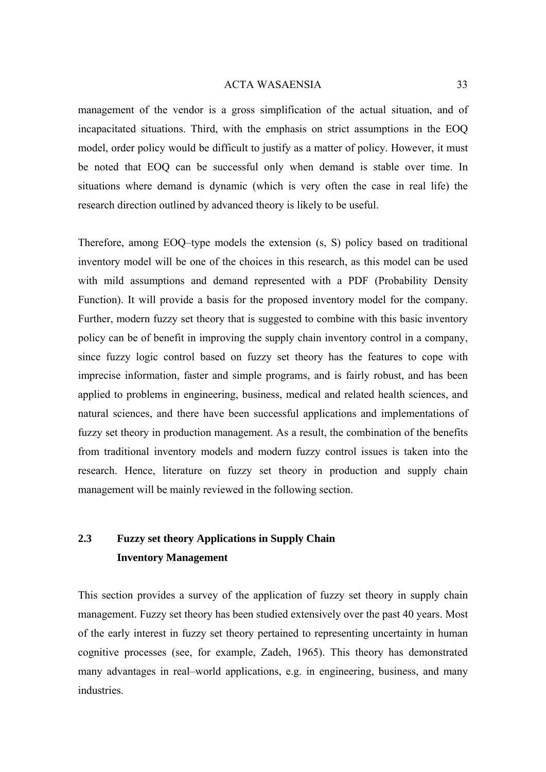<span id="page-32-0"></span>management of the vendor is a gross simplification of the actual situation, and of incapacitated situations. Third, with the emphasis on strict assumptions in the EOQ model, order policy would be difficult to justify as a matter of policy. However, it must be noted that EOQ can be successful only when demand is stable over time. In situations where demand is dynamic (which is very often the case in real life) the research direction outlined by advanced theory is likely to be useful.

Therefore, among EOQ–type models the extension (s, S) policy based on traditional inventory model will be one of the choices in this research, as this model can be used with mild assumptions and demand represented with a PDF (Probability Density Function). It will provide a basis for the proposed inventory model for the company. Further, modern fuzzy set theory that is suggested to combine with this basic inventory policy can be of benefit in improving the supply chain inventory control in a company, since fuzzy logic control based on fuzzy set theory has the features to cope with imprecise information, faster and simple programs, and is fairly robust, and has been applied to problems in engineering, business, medical and related health sciences, and natural sciences, and there have been successful applications and implementations of fuzzy set theory in production management. As a result, the combination of the benefits from traditional inventory models and modern fuzzy control issues is taken into the research. Hence, literature on fuzzy set theory in production and supply chain management will be mainly reviewed in the following section.

# **2.3 Fuzzy set theory Applications in Supply Chain Inventory Management**

This section provides a survey of the application of fuzzy set theory in supply chain management. Fuzzy set theory has been studied extensively over the past 40 years. Most of the early interest in fuzzy set theory pertained to representing uncertainty in human cognitive processes (see, for example, Zadeh, 1965). This theory has demonstrated many advantages in real–world applications, e.g. in engineering, business, and many industries.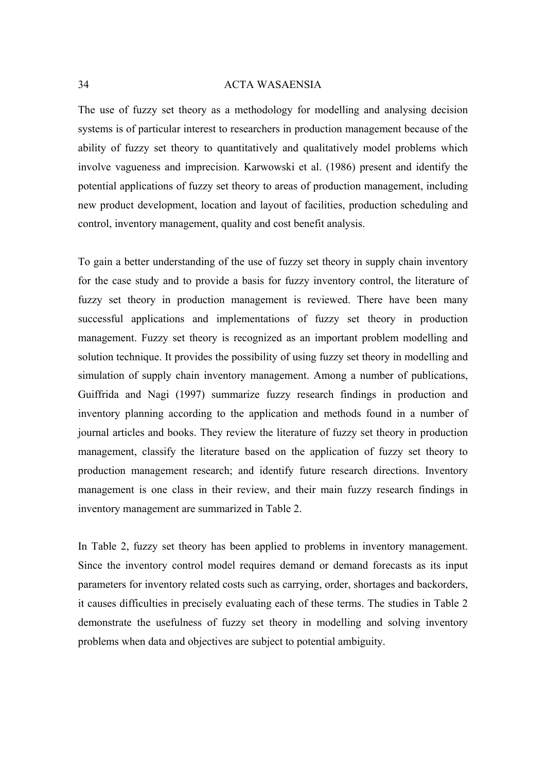The use of fuzzy set theory as a methodology for modelling and analysing decision systems is of particular interest to researchers in production management because of the ability of fuzzy set theory to quantitatively and qualitatively model problems which involve vagueness and imprecision. Karwowski et al. (1986) present and identify the potential applications of fuzzy set theory to areas of production management, including new product development, location and layout of facilities, production scheduling and control, inventory management, quality and cost benefit analysis.

To gain a better understanding of the use of fuzzy set theory in supply chain inventory for the case study and to provide a basis for fuzzy inventory control, the literature of fuzzy set theory in production management is reviewed. There have been many successful applications and implementations of fuzzy set theory in production management. Fuzzy set theory is recognized as an important problem modelling and solution technique. It provides the possibility of using fuzzy set theory in modelling and simulation of supply chain inventory management. Among a number of publications, Guiffrida and Nagi (1997) summarize fuzzy research findings in production and inventory planning according to the application and methods found in a number of journal articles and books. They review the literature of fuzzy set theory in production management, classify the literature based on the application of fuzzy set theory to production management research; and identify future research directions. Inventory management is one class in their review, and their main fuzzy research findings in inventory management are summarized in Table 2.

In Table 2, fuzzy set theory has been applied to problems in inventory management. Since the inventory control model requires demand or demand forecasts as its input parameters for inventory related costs such as carrying, order, shortages and backorders, it causes difficulties in precisely evaluating each of these terms. The studies in Table 2 demonstrate the usefulness of fuzzy set theory in modelling and solving inventory problems when data and objectives are subject to potential ambiguity.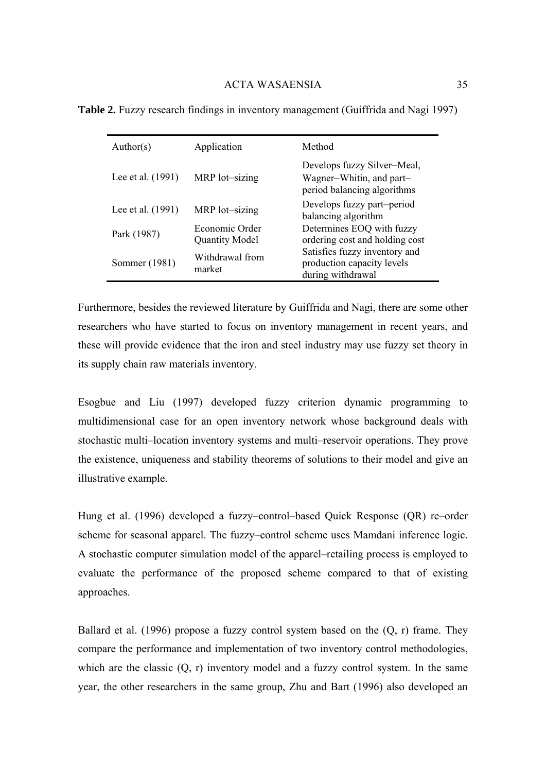| Author(s)         | Application                             | Method                                                                                 |  |  |
|-------------------|-----------------------------------------|----------------------------------------------------------------------------------------|--|--|
| Lee et al. (1991) | MRP lot-sizing                          | Develops fuzzy Silver-Meal,<br>Wagner-Whitin, and part-<br>period balancing algorithms |  |  |
| Lee et al. (1991) | MRP lot-sizing                          | Develops fuzzy part-period<br>balancing algorithm                                      |  |  |
| Park (1987)       | Economic Order<br><b>Quantity Model</b> | Determines EOQ with fuzzy<br>ordering cost and holding cost                            |  |  |
| Sommer (1981)     | Withdrawal from<br>market               | Satisfies fuzzy inventory and<br>production capacity levels<br>during withdrawal       |  |  |

<span id="page-34-0"></span>**Table 2.** Fuzzy research findings in inventory management (Guiffrida and Nagi 1997)

Furthermore, besides the reviewed literature by Guiffrida and Nagi, there are some other researchers who have started to focus on inventory management in recent years, and these will provide evidence that the iron and steel industry may use fuzzy set theory in its supply chain raw materials inventory.

Esogbue and Liu (1997) developed fuzzy criterion dynamic programming to multidimensional case for an open inventory network whose background deals with stochastic multi–location inventory systems and multi–reservoir operations. They prove the existence, uniqueness and stability theorems of solutions to their model and give an illustrative example.

Hung et al. (1996) developed a fuzzy–control–based Quick Response (QR) re–order scheme for seasonal apparel. The fuzzy–control scheme uses Mamdani inference logic. A stochastic computer simulation model of the apparel–retailing process is employed to evaluate the performance of the proposed scheme compared to that of existing approaches.

Ballard et al. (1996) propose a fuzzy control system based on the  $(Q, r)$  frame. They compare the performance and implementation of two inventory control methodologies, which are the classic  $(0, r)$  inventory model and a fuzzy control system. In the same year, the other researchers in the same group, Zhu and Bart (1996) also developed an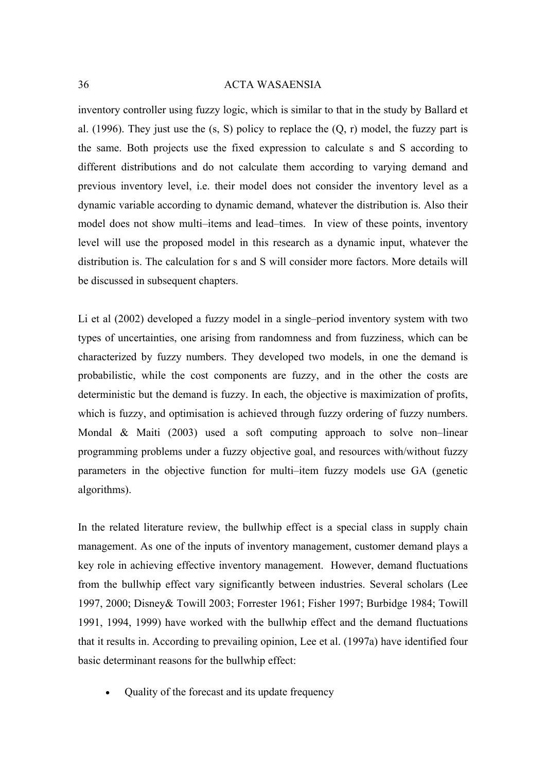inventory controller using fuzzy logic, which is similar to that in the study by Ballard et al. (1996). They just use the  $(s, S)$  policy to replace the  $(Q, r)$  model, the fuzzy part is the same. Both projects use the fixed expression to calculate s and S according to different distributions and do not calculate them according to varying demand and previous inventory level, i.e. their model does not consider the inventory level as a dynamic variable according to dynamic demand, whatever the distribution is. Also their model does not show multi–items and lead–times. In view of these points, inventory level will use the proposed model in this research as a dynamic input, whatever the distribution is. The calculation for s and S will consider more factors. More details will be discussed in subsequent chapters.

Li et al (2002) developed a fuzzy model in a single–period inventory system with two types of uncertainties, one arising from randomness and from fuzziness, which can be characterized by fuzzy numbers. They developed two models, in one the demand is probabilistic, while the cost components are fuzzy, and in the other the costs are deterministic but the demand is fuzzy. In each, the objective is maximization of profits, which is fuzzy, and optimisation is achieved through fuzzy ordering of fuzzy numbers. Mondal & Maiti (2003) used a soft computing approach to solve non–linear programming problems under a fuzzy objective goal, and resources with/without fuzzy parameters in the objective function for multi–item fuzzy models use GA (genetic algorithms).

In the related literature review, the bullwhip effect is a special class in supply chain management. As one of the inputs of inventory management, customer demand plays a key role in achieving effective inventory management. However, demand fluctuations from the bullwhip effect vary significantly between industries. Several scholars (Lee 1997, 2000; Disney& Towill 2003; Forrester 1961; Fisher 1997; Burbidge 1984; Towill 1991, 1994, 1999) have worked with the bullwhip effect and the demand fluctuations that it results in. According to prevailing opinion, Lee et al. (1997a) have identified four basic determinant reasons for the bullwhip effect:

• Quality of the forecast and its update frequency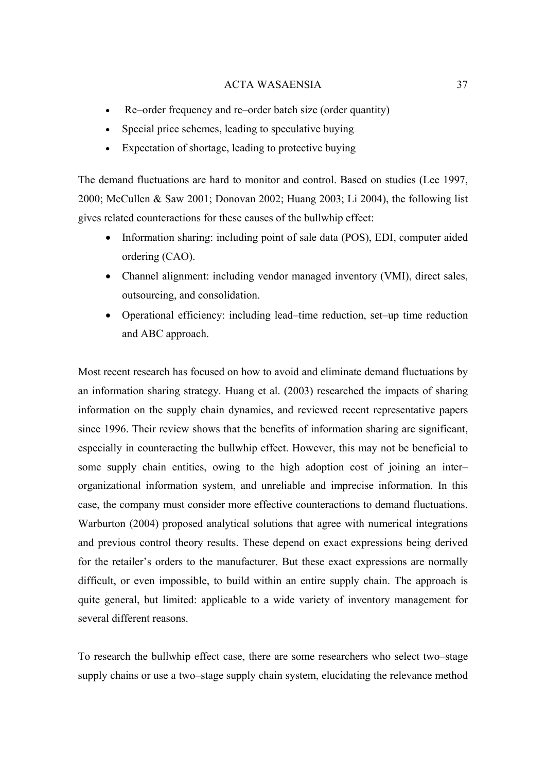- Re–order frequency and re–order batch size (order quantity)
- Special price schemes, leading to speculative buying
- Expectation of shortage, leading to protective buying

The demand fluctuations are hard to monitor and control. Based on studies (Lee 1997, 2000; McCullen & Saw 2001; Donovan 2002; Huang 2003; Li 2004), the following list gives related counteractions for these causes of the bullwhip effect:

- Information sharing: including point of sale data (POS), EDI, computer aided ordering (CAO).
- Channel alignment: including vendor managed inventory (VMI), direct sales, outsourcing, and consolidation.
- Operational efficiency: including lead–time reduction, set–up time reduction and ABC approach.

Most recent research has focused on how to avoid and eliminate demand fluctuations by an information sharing strategy. Huang et al. (2003) researched the impacts of sharing information on the supply chain dynamics, and reviewed recent representative papers since 1996. Their review shows that the benefits of information sharing are significant, especially in counteracting the bullwhip effect. However, this may not be beneficial to some supply chain entities, owing to the high adoption cost of joining an inter– organizational information system, and unreliable and imprecise information. In this case, the company must consider more effective counteractions to demand fluctuations. Warburton (2004) proposed analytical solutions that agree with numerical integrations and previous control theory results. These depend on exact expressions being derived for the retailer's orders to the manufacturer. But these exact expressions are normally difficult, or even impossible, to build within an entire supply chain. The approach is quite general, but limited: applicable to a wide variety of inventory management for several different reasons.

To research the bullwhip effect case, there are some researchers who select two–stage supply chains or use a two–stage supply chain system, elucidating the relevance method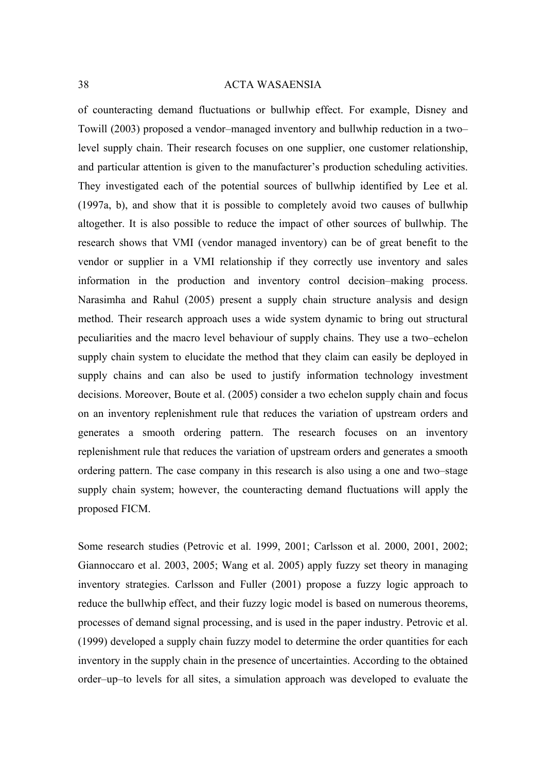of counteracting demand fluctuations or bullwhip effect. For example, Disney and Towill (2003) proposed a vendor–managed inventory and bullwhip reduction in a two– level supply chain. Their research focuses on one supplier, one customer relationship, and particular attention is given to the manufacturer's production scheduling activities. They investigated each of the potential sources of bullwhip identified by Lee et al. (1997a, b), and show that it is possible to completely avoid two causes of bullwhip altogether. It is also possible to reduce the impact of other sources of bullwhip. The research shows that VMI (vendor managed inventory) can be of great benefit to the vendor or supplier in a VMI relationship if they correctly use inventory and sales information in the production and inventory control decision–making process. Narasimha and Rahul (2005) present a supply chain structure analysis and design method. Their research approach uses a wide system dynamic to bring out structural peculiarities and the macro level behaviour of supply chains. They use a two–echelon supply chain system to elucidate the method that they claim can easily be deployed in supply chains and can also be used to justify information technology investment decisions. Moreover, Boute et al. (2005) consider a two echelon supply chain and focus on an inventory replenishment rule that reduces the variation of upstream orders and generates a smooth ordering pattern. The research focuses on an inventory replenishment rule that reduces the variation of upstream orders and generates a smooth ordering pattern. The case company in this research is also using a one and two–stage supply chain system; however, the counteracting demand fluctuations will apply the proposed FICM.

Some research studies (Petrovic et al. 1999, 2001; Carlsson et al. 2000, 2001, 2002; Giannoccaro et al. 2003, 2005; Wang et al. 2005) apply fuzzy set theory in managing inventory strategies. Carlsson and Fuller (2001) propose a fuzzy logic approach to reduce the bullwhip effect, and their fuzzy logic model is based on numerous theorems, processes of demand signal processing, and is used in the paper industry. Petrovic et al. (1999) developed a supply chain fuzzy model to determine the order quantities for each inventory in the supply chain in the presence of uncertainties. According to the obtained order–up–to levels for all sites, a simulation approach was developed to evaluate the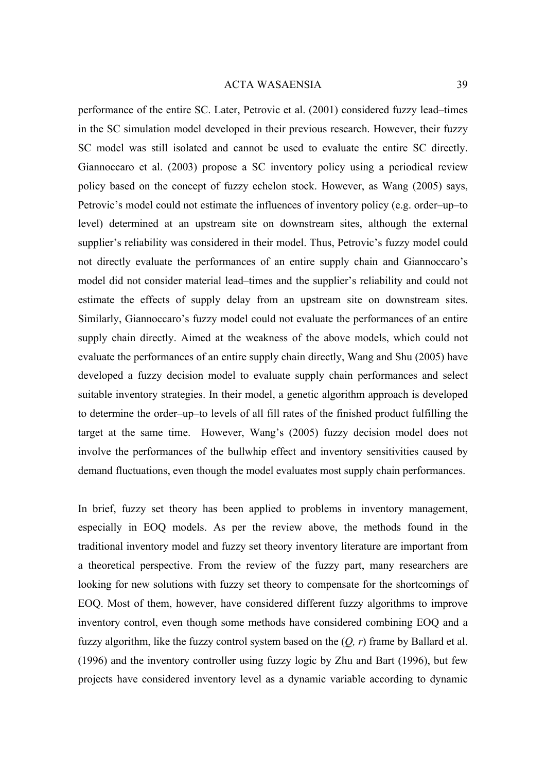performance of the entire SC. Later, Petrovic et al. (2001) considered fuzzy lead–times in the SC simulation model developed in their previous research. However, their fuzzy SC model was still isolated and cannot be used to evaluate the entire SC directly. Giannoccaro et al. (2003) propose a SC inventory policy using a periodical review policy based on the concept of fuzzy echelon stock. However, as Wang (2005) says, Petrovic's model could not estimate the influences of inventory policy (e.g. order–up–to level) determined at an upstream site on downstream sites, although the external supplier's reliability was considered in their model. Thus, Petrovic's fuzzy model could not directly evaluate the performances of an entire supply chain and Giannoccaro's model did not consider material lead–times and the supplier's reliability and could not estimate the effects of supply delay from an upstream site on downstream sites. Similarly, Giannoccaro's fuzzy model could not evaluate the performances of an entire supply chain directly. Aimed at the weakness of the above models, which could not evaluate the performances of an entire supply chain directly, Wang and Shu (2005) have developed a fuzzy decision model to evaluate supply chain performances and select suitable inventory strategies. In their model, a genetic algorithm approach is developed to determine the order–up–to levels of all fill rates of the finished product fulfilling the target at the same time. However, Wang's (2005) fuzzy decision model does not involve the performances of the bullwhip effect and inventory sensitivities caused by demand fluctuations, even though the model evaluates most supply chain performances.

In brief, fuzzy set theory has been applied to problems in inventory management, especially in EOQ models. As per the review above, the methods found in the traditional inventory model and fuzzy set theory inventory literature are important from a theoretical perspective. From the review of the fuzzy part, many researchers are looking for new solutions with fuzzy set theory to compensate for the shortcomings of EOQ. Most of them, however, have considered different fuzzy algorithms to improve inventory control, even though some methods have considered combining EOQ and a fuzzy algorithm, like the fuzzy control system based on the (*Q, r*) frame by Ballard et al. (1996) and the inventory controller using fuzzy logic by Zhu and Bart (1996), but few projects have considered inventory level as a dynamic variable according to dynamic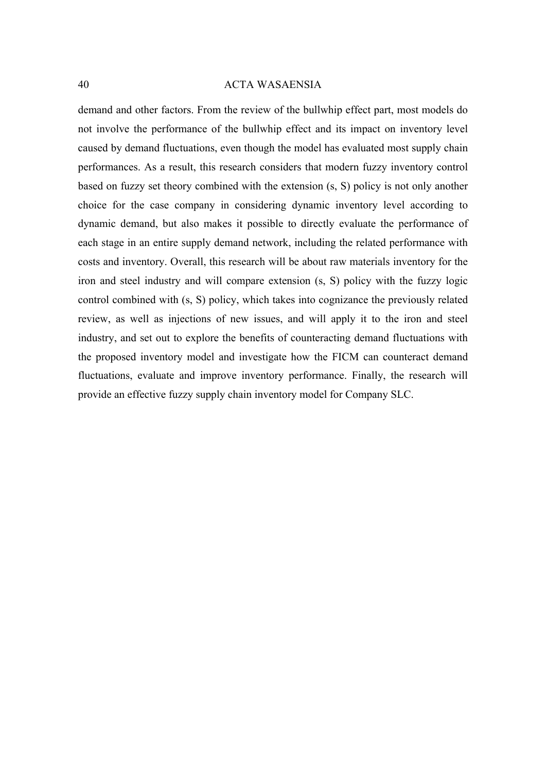demand and other factors. From the review of the bullwhip effect part, most models do not involve the performance of the bullwhip effect and its impact on inventory level caused by demand fluctuations, even though the model has evaluated most supply chain performances. As a result, this research considers that modern fuzzy inventory control based on fuzzy set theory combined with the extension (s, S) policy is not only another choice for the case company in considering dynamic inventory level according to dynamic demand, but also makes it possible to directly evaluate the performance of each stage in an entire supply demand network, including the related performance with costs and inventory. Overall, this research will be about raw materials inventory for the iron and steel industry and will compare extension (s, S) policy with the fuzzy logic control combined with (s, S) policy, which takes into cognizance the previously related review, as well as injections of new issues, and will apply it to the iron and steel industry, and set out to explore the benefits of counteracting demand fluctuations with the proposed inventory model and investigate how the FICM can counteract demand fluctuations, evaluate and improve inventory performance. Finally, the research will provide an effective fuzzy supply chain inventory model for Company SLC.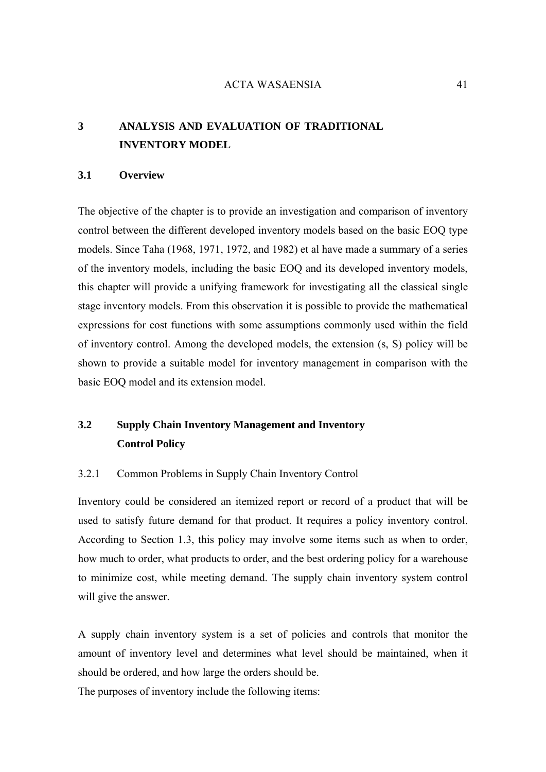# **3 ANALYSIS AND EVALUATION OF TRADITIONAL INVENTORY MODEL**

# **3.1 Overview**

The objective of the chapter is to provide an investigation and comparison of inventory control between the different developed inventory models based on the basic EOQ type models. Since Taha (1968, 1971, 1972, and 1982) et al have made a summary of a series of the inventory models, including the basic EOQ and its developed inventory models, this chapter will provide a unifying framework for investigating all the classical single stage inventory models. From this observation it is possible to provide the mathematical expressions for cost functions with some assumptions commonly used within the field of inventory control. Among the developed models, the extension (s, S) policy will be shown to provide a suitable model for inventory management in comparison with the basic EOQ model and its extension model.

# **3.2 Supply Chain Inventory Management and Inventory Control Policy**

# 3.2.1 Common Problems in Supply Chain Inventory Control

Inventory could be considered an itemized report or record of a product that will be used to satisfy future demand for that product. It requires a policy inventory control. According to Section 1.3, this policy may involve some items such as when to order, how much to order, what products to order, and the best ordering policy for a warehouse to minimize cost, while meeting demand. The supply chain inventory system control will give the answer.

A supply chain inventory system is a set of policies and controls that monitor the amount of inventory level and determines what level should be maintained, when it should be ordered, and how large the orders should be.

The purposes of inventory include the following items: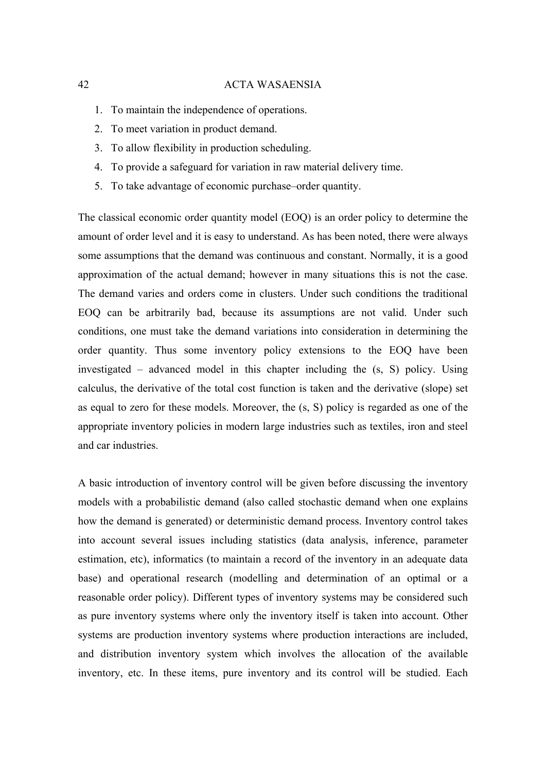- 1. To maintain the independence of operations.
- 2. To meet variation in product demand.
- 3. To allow flexibility in production scheduling.
- 4. To provide a safeguard for variation in raw material delivery time.
- 5. To take advantage of economic purchase–order quantity.

The classical economic order quantity model (EOQ) is an order policy to determine the amount of order level and it is easy to understand. As has been noted, there were always some assumptions that the demand was continuous and constant. Normally, it is a good approximation of the actual demand; however in many situations this is not the case. The demand varies and orders come in clusters. Under such conditions the traditional EOQ can be arbitrarily bad, because its assumptions are not valid. Under such conditions, one must take the demand variations into consideration in determining the order quantity. Thus some inventory policy extensions to the EOQ have been investigated – advanced model in this chapter including the (s, S) policy. Using calculus, the derivative of the total cost function is taken and the derivative (slope) set as equal to zero for these models. Moreover, the (s, S) policy is regarded as one of the appropriate inventory policies in modern large industries such as textiles, iron and steel and car industries.

A basic introduction of inventory control will be given before discussing the inventory models with a probabilistic demand (also called stochastic demand when one explains how the demand is generated) or deterministic demand process. Inventory control takes into account several issues including statistics (data analysis, inference, parameter estimation, etc), informatics (to maintain a record of the inventory in an adequate data base) and operational research (modelling and determination of an optimal or a reasonable order policy). Different types of inventory systems may be considered such as pure inventory systems where only the inventory itself is taken into account. Other systems are production inventory systems where production interactions are included, and distribution inventory system which involves the allocation of the available inventory, etc. In these items, pure inventory and its control will be studied. Each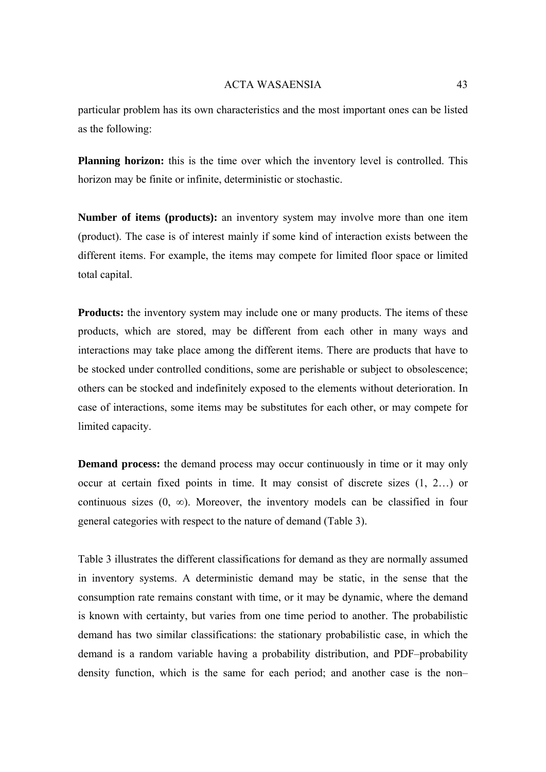particular problem has its own characteristics and the most important ones can be listed as the following:

**Planning horizon:** this is the time over which the inventory level is controlled. This horizon may be finite or infinite, deterministic or stochastic.

**Number of items (products):** an inventory system may involve more than one item (product). The case is of interest mainly if some kind of interaction exists between the different items. For example, the items may compete for limited floor space or limited total capital.

**Products:** the inventory system may include one or many products. The items of these products, which are stored, may be different from each other in many ways and interactions may take place among the different items. There are products that have to be stocked under controlled conditions, some are perishable or subject to obsolescence; others can be stocked and indefinitely exposed to the elements without deterioration. In case of interactions, some items may be substitutes for each other, or may compete for limited capacity.

**Demand process:** the demand process may occur continuously in time or it may only occur at certain fixed points in time. It may consist of discrete sizes (1, 2…) or continuous sizes  $(0, \infty)$ . Moreover, the inventory models can be classified in four general categories with respect to the nature of demand (Table 3).

Table 3 illustrates the different classifications for demand as they are normally assumed in inventory systems. A deterministic demand may be static, in the sense that the consumption rate remains constant with time, or it may be dynamic, where the demand is known with certainty, but varies from one time period to another. The probabilistic demand has two similar classifications: the stationary probabilistic case, in which the demand is a random variable having a probability distribution, and PDF–probability density function, which is the same for each period; and another case is the non–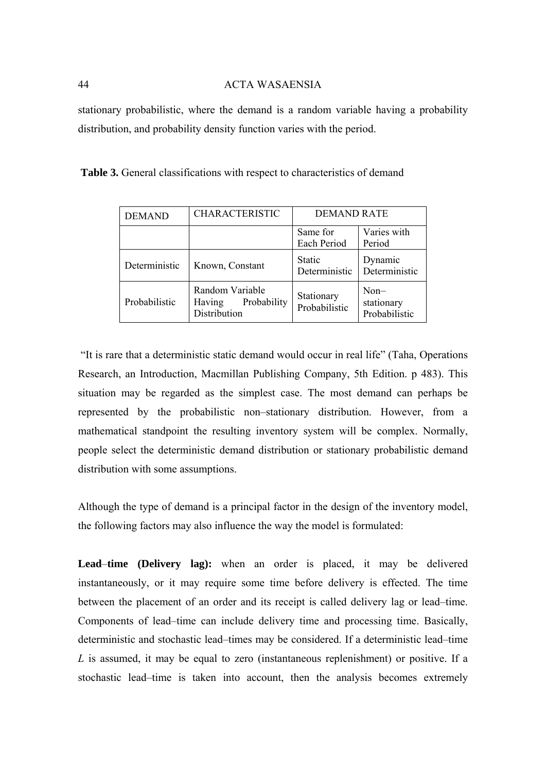stationary probabilistic, where the demand is a random variable having a probability distribution, and probability density function varies with the period.

| <b>DEMAND</b> | <b>CHARACTERISTIC</b>                                    | <b>DEMAND RATE</b>          |                                       |
|---------------|----------------------------------------------------------|-----------------------------|---------------------------------------|
|               |                                                          | Same for<br>Each Period     | Varies with<br>Period                 |
| Deterministic | Known, Constant                                          | Static<br>Deterministic     | Dynamic<br>Deterministic              |
| Probabilistic | Random Variable<br>Probability<br>Having<br>Distribution | Stationary<br>Probabilistic | $Non-$<br>stationary<br>Probabilistic |

**Table 3.** General classifications with respect to characteristics of demand

 "It is rare that a deterministic static demand would occur in real life" (Taha, Operations Research, an Introduction, Macmillan Publishing Company, 5th Edition. p 483). This situation may be regarded as the simplest case. The most demand can perhaps be represented by the probabilistic non–stationary distribution. However, from a mathematical standpoint the resulting inventory system will be complex. Normally, people select the deterministic demand distribution or stationary probabilistic demand distribution with some assumptions.

Although the type of demand is a principal factor in the design of the inventory model, the following factors may also influence the way the model is formulated:

**Lead**–**time (Delivery lag):** when an order is placed, it may be delivered instantaneously, or it may require some time before delivery is effected. The time between the placement of an order and its receipt is called delivery lag or lead–time. Components of lead–time can include delivery time and processing time. Basically, deterministic and stochastic lead–times may be considered. If a deterministic lead–time *L* is assumed, it may be equal to zero (instantaneous replenishment) or positive. If a stochastic lead–time is taken into account, then the analysis becomes extremely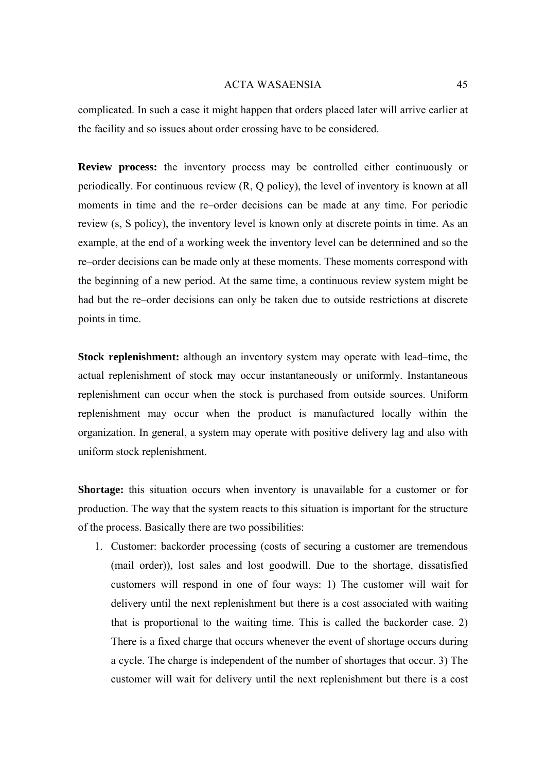complicated. In such a case it might happen that orders placed later will arrive earlier at the facility and so issues about order crossing have to be considered.

**Review process:** the inventory process may be controlled either continuously or periodically. For continuous review (R, Q policy), the level of inventory is known at all moments in time and the re–order decisions can be made at any time. For periodic review (s, S policy), the inventory level is known only at discrete points in time. As an example, at the end of a working week the inventory level can be determined and so the re–order decisions can be made only at these moments. These moments correspond with the beginning of a new period. At the same time, a continuous review system might be had but the re–order decisions can only be taken due to outside restrictions at discrete points in time.

**Stock replenishment:** although an inventory system may operate with lead–time, the actual replenishment of stock may occur instantaneously or uniformly. Instantaneous replenishment can occur when the stock is purchased from outside sources. Uniform replenishment may occur when the product is manufactured locally within the organization. In general, a system may operate with positive delivery lag and also with uniform stock replenishment.

**Shortage:** this situation occurs when inventory is unavailable for a customer or for production. The way that the system reacts to this situation is important for the structure of the process. Basically there are two possibilities:

1. Customer: backorder processing (costs of securing a customer are tremendous (mail order)), lost sales and lost goodwill. Due to the shortage, dissatisfied customers will respond in one of four ways: 1) The customer will wait for delivery until the next replenishment but there is a cost associated with waiting that is proportional to the waiting time. This is called the backorder case. 2) There is a fixed charge that occurs whenever the event of shortage occurs during a cycle. The charge is independent of the number of shortages that occur. 3) The customer will wait for delivery until the next replenishment but there is a cost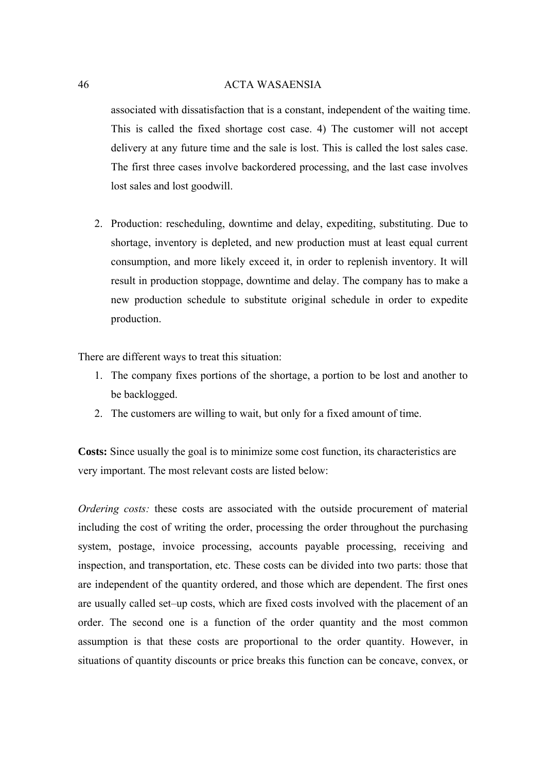associated with dissatisfaction that is a constant, independent of the waiting time. This is called the fixed shortage cost case. 4) The customer will not accept delivery at any future time and the sale is lost. This is called the lost sales case. The first three cases involve backordered processing, and the last case involves lost sales and lost goodwill.

2. Production: rescheduling, downtime and delay, expediting, substituting. Due to shortage, inventory is depleted, and new production must at least equal current consumption, and more likely exceed it, in order to replenish inventory. It will result in production stoppage, downtime and delay. The company has to make a new production schedule to substitute original schedule in order to expedite production.

There are different ways to treat this situation:

- 1. The company fixes portions of the shortage, a portion to be lost and another to be backlogged.
- 2. The customers are willing to wait, but only for a fixed amount of time.

**Costs:** Since usually the goal is to minimize some cost function, its characteristics are very important. The most relevant costs are listed below:

*Ordering costs:* these costs are associated with the outside procurement of material including the cost of writing the order, processing the order throughout the purchasing system, postage, invoice processing, accounts payable processing, receiving and inspection, and transportation, etc. These costs can be divided into two parts: those that are independent of the quantity ordered, and those which are dependent. The first ones are usually called set–up costs, which are fixed costs involved with the placement of an order. The second one is a function of the order quantity and the most common assumption is that these costs are proportional to the order quantity. However, in situations of quantity discounts or price breaks this function can be concave, convex, or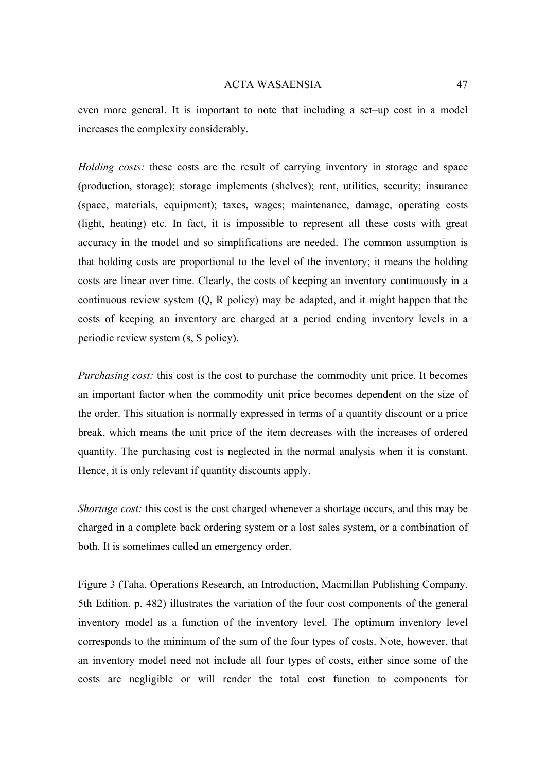even more general. It is important to note that including a set–up cost in a model increases the complexity considerably.

*Holding costs:* these costs are the result of carrying inventory in storage and space (production, storage); storage implements (shelves); rent, utilities, security; insurance (space, materials, equipment); taxes, wages; maintenance, damage, operating costs (light, heating) etc. In fact, it is impossible to represent all these costs with great accuracy in the model and so simplifications are needed. The common assumption is that holding costs are proportional to the level of the inventory; it means the holding costs are linear over time. Clearly, the costs of keeping an inventory continuously in a continuous review system (Q, R policy) may be adapted, and it might happen that the costs of keeping an inventory are charged at a period ending inventory levels in a periodic review system (s, S policy).

*Purchasing cost:* this cost is the cost to purchase the commodity unit price. It becomes an important factor when the commodity unit price becomes dependent on the size of the order. This situation is normally expressed in terms of a quantity discount or a price break, which means the unit price of the item decreases with the increases of ordered quantity. The purchasing cost is neglected in the normal analysis when it is constant. Hence, it is only relevant if quantity discounts apply.

*Shortage cost:* this cost is the cost charged whenever a shortage occurs, and this may be charged in a complete back ordering system or a lost sales system, or a combination of both. It is sometimes called an emergency order.

Figure 3 (Taha, Operations Research, an Introduction, Macmillan Publishing Company, 5th Edition. p. 482) illustrates the variation of the four cost components of the general inventory model as a function of the inventory level. The optimum inventory level corresponds to the minimum of the sum of the four types of costs. Note, however, that an inventory model need not include all four types of costs, either since some of the costs are negligible or will render the total cost function to components for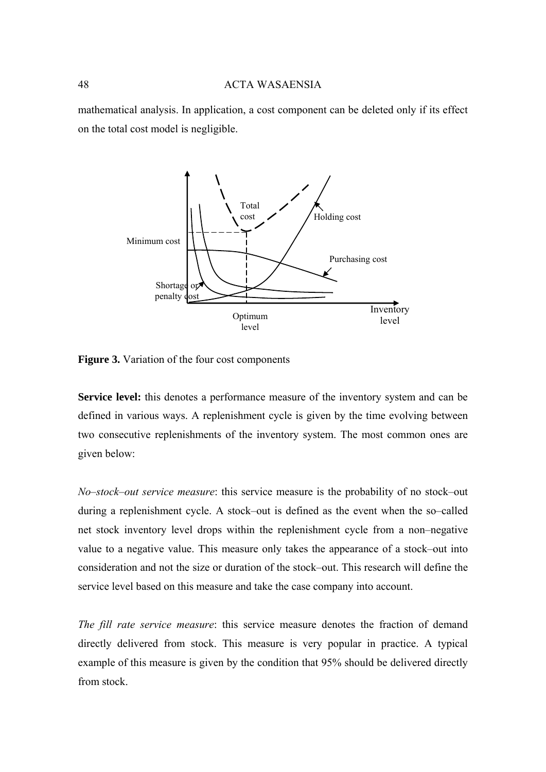mathematical analysis. In application, a cost component can be deleted only if its effect on the total cost model is negligible.



**Figure 3.** Variation of the four cost components

**Service level:** this denotes a performance measure of the inventory system and can be defined in various ways. A replenishment cycle is given by the time evolving between two consecutive replenishments of the inventory system. The most common ones are given below:

*No*–*stock*–*out service measure*: this service measure is the probability of no stock–out during a replenishment cycle. A stock–out is defined as the event when the so–called net stock inventory level drops within the replenishment cycle from a non–negative value to a negative value. This measure only takes the appearance of a stock–out into consideration and not the size or duration of the stock–out. This research will define the service level based on this measure and take the case company into account.

*The fill rate service measure*: this service measure denotes the fraction of demand directly delivered from stock. This measure is very popular in practice. A typical example of this measure is given by the condition that 95% should be delivered directly from stock.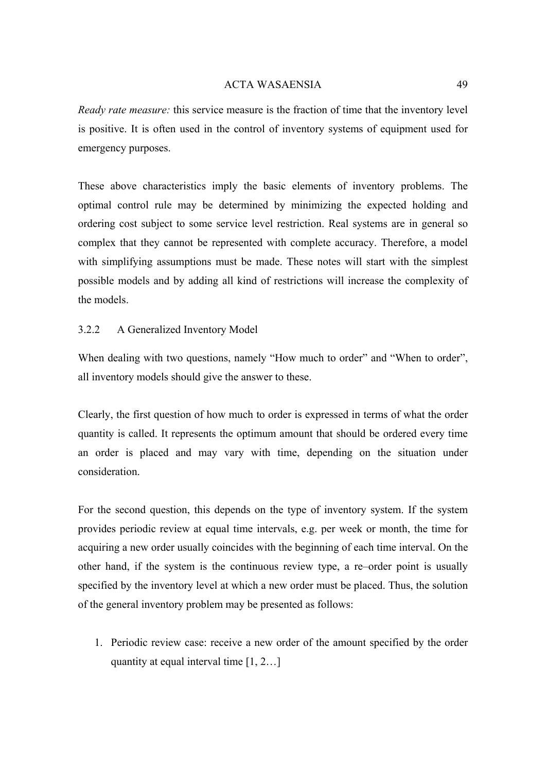*Ready rate measure:* this service measure is the fraction of time that the inventory level is positive. It is often used in the control of inventory systems of equipment used for emergency purposes.

These above characteristics imply the basic elements of inventory problems. The optimal control rule may be determined by minimizing the expected holding and ordering cost subject to some service level restriction. Real systems are in general so complex that they cannot be represented with complete accuracy. Therefore, a model with simplifying assumptions must be made. These notes will start with the simplest possible models and by adding all kind of restrictions will increase the complexity of the models.

# 3.2.2 A Generalized Inventory Model

When dealing with two questions, namely "How much to order" and "When to order", all inventory models should give the answer to these.

Clearly, the first question of how much to order is expressed in terms of what the order quantity is called. It represents the optimum amount that should be ordered every time an order is placed and may vary with time, depending on the situation under consideration.

For the second question, this depends on the type of inventory system. If the system provides periodic review at equal time intervals, e.g. per week or month, the time for acquiring a new order usually coincides with the beginning of each time interval. On the other hand, if the system is the continuous review type, a re–order point is usually specified by the inventory level at which a new order must be placed. Thus, the solution of the general inventory problem may be presented as follows:

1. Periodic review case: receive a new order of the amount specified by the order quantity at equal interval time [1, 2…]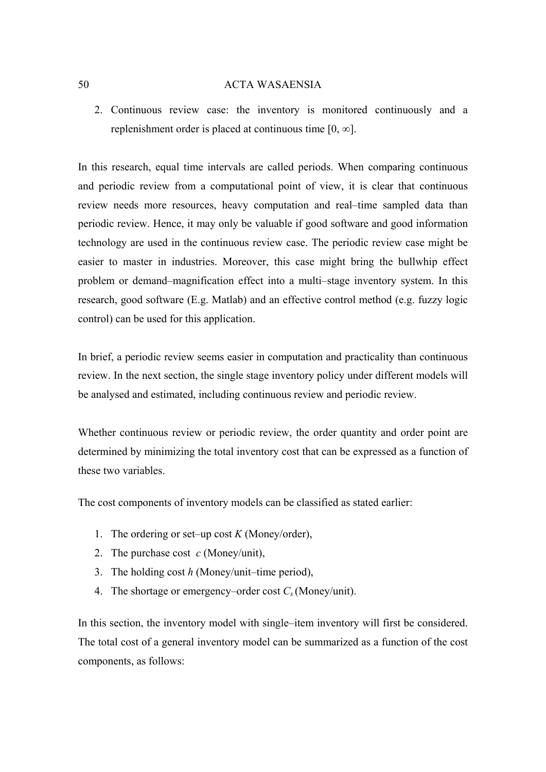2. Continuous review case: the inventory is monitored continuously and a replenishment order is placed at continuous time  $[0, \infty]$ .

In this research, equal time intervals are called periods. When comparing continuous and periodic review from a computational point of view, it is clear that continuous review needs more resources, heavy computation and real–time sampled data than periodic review. Hence, it may only be valuable if good software and good information technology are used in the continuous review case. The periodic review case might be easier to master in industries. Moreover, this case might bring the bullwhip effect problem or demand–magnification effect into a multi–stage inventory system. In this research, good software (E.g. Matlab) and an effective control method (e.g. fuzzy logic control) can be used for this application.

In brief, a periodic review seems easier in computation and practicality than continuous review. In the next section, the single stage inventory policy under different models will be analysed and estimated, including continuous review and periodic review.

Whether continuous review or periodic review, the order quantity and order point are determined by minimizing the total inventory cost that can be expressed as a function of these two variables.

The cost components of inventory models can be classified as stated earlier:

- 1. The ordering or set–up cost  $K$  (Money/order),
- 2. The purchase cost *c* (Money/unit),
- 3. The holding cost *h* (Money/unit–time period),
- 4. The shortage or emergency–order cost  $C_s$  (Money/unit).

In this section, the inventory model with single–item inventory will first be considered. The total cost of a general inventory model can be summarized as a function of the cost components, as follows: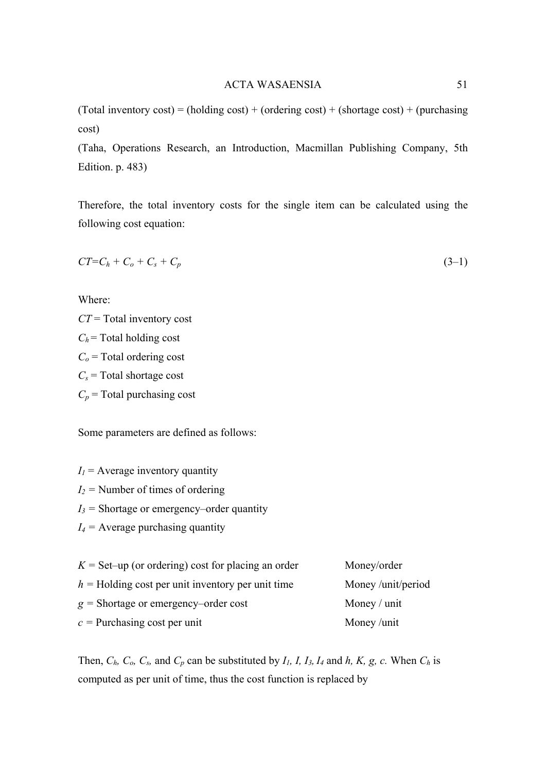(Total inventory  $cost$ ) = (holding cost) + (ordering cost) + (shortage cost) + (purchasing cost)

(Taha, Operations Research, an Introduction, Macmillan Publishing Company, 5th Edition. p. 483)

Therefore, the total inventory costs for the single item can be calculated using the following cost equation:

$$
CT=C_h+C_o+C_s+C_p \tag{3-1}
$$

Where:

*CT* = Total inventory cost  $C_h$  = Total holding cost  $C<sub>o</sub>$  = Total ordering cost  $C_s$  = Total shortage cost  $C_p$  = Total purchasing cost

Some parameters are defined as follows:

 $I_1$  = Average inventory quantity

*I2 =* Number of times of ordering

*I3 =* Shortage or emergency–order quantity

*I4 =* Average purchasing quantity

| $K =$ Set–up (or ordering) cost for placing an order | Money/order       |
|------------------------------------------------------|-------------------|
| $h =$ Holding cost per unit inventory per unit time  | Money/unit/period |
| $g =$ Shortage or emergency-order cost               | Money / unit      |
| $c =$ Purchasing cost per unit                       | Money/unit        |

Then,  $C_h$ ,  $C_o$ ,  $C_s$ , and  $C_p$  can be substituted by  $I_l$ ,  $I_l$ ,  $I_3$ ,  $I_4$  and  $h$ ,  $K$ ,  $g$ ,  $c$ . When  $C_h$  is computed as per unit of time, thus the cost function is replaced by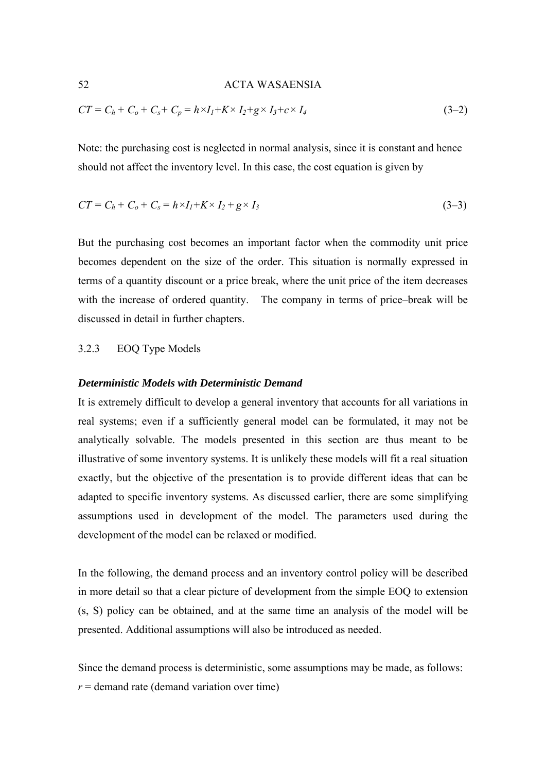$$
CT = C_h + C_o + C_s + C_p = h \times I_1 + K \times I_2 + g \times I_3 + c \times I_4
$$
\n(3-2)

Note: the purchasing cost is neglected in normal analysis, since it is constant and hence should not affect the inventory level. In this case, the cost equation is given by

$$
CT = Ch + Co + Cs = h \times I1 + K \times I2 + g \times I3
$$
\n(3-3)

But the purchasing cost becomes an important factor when the commodity unit price becomes dependent on the size of the order. This situation is normally expressed in terms of a quantity discount or a price break, where the unit price of the item decreases with the increase of ordered quantity. The company in terms of price–break will be discussed in detail in further chapters.

# 3.2.3 EOQ Type Models

#### *Deterministic Models with Deterministic Demand*

It is extremely difficult to develop a general inventory that accounts for all variations in real systems; even if a sufficiently general model can be formulated, it may not be analytically solvable. The models presented in this section are thus meant to be illustrative of some inventory systems. It is unlikely these models will fit a real situation exactly, but the objective of the presentation is to provide different ideas that can be adapted to specific inventory systems. As discussed earlier, there are some simplifying assumptions used in development of the model. The parameters used during the development of the model can be relaxed or modified.

In the following, the demand process and an inventory control policy will be described in more detail so that a clear picture of development from the simple EOQ to extension (s, S) policy can be obtained, and at the same time an analysis of the model will be presented. Additional assumptions will also be introduced as needed.

Since the demand process is deterministic, some assumptions may be made, as follows:  $r =$  demand rate (demand variation over time)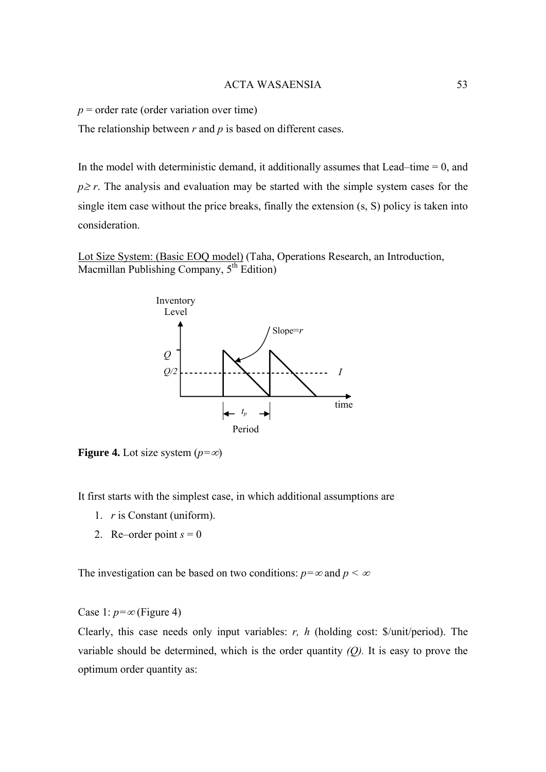$p =$  order rate (order variation over time)

The relationship between *r* and *p* is based on different cases.

In the model with deterministic demand, it additionally assumes that Lead–time  $= 0$ , and  $p \ge r$ . The analysis and evaluation may be started with the simple system cases for the single item case without the price breaks, finally the extension (s, S) policy is taken into consideration.

Lot Size System: (Basic EOQ model) (Taha, Operations Research, an Introduction, Macmillan Publishing Company,  $5<sup>th</sup>$  Edition)



**Figure 4.** Lot size system  $(p=\infty)$ 

It first starts with the simplest case, in which additional assumptions are

- 1. *r* is Constant (uniform).
- 2. Re–order point  $s = 0$

The investigation can be based on two conditions:  $p = \infty$  and  $p < \infty$ 

Case 1:  $p=\infty$  (Figure 4)

Clearly, this case needs only input variables: *r, h* (holding cost: \$/unit/period). The variable should be determined, which is the order quantity *(Q).* It is easy to prove the optimum order quantity as: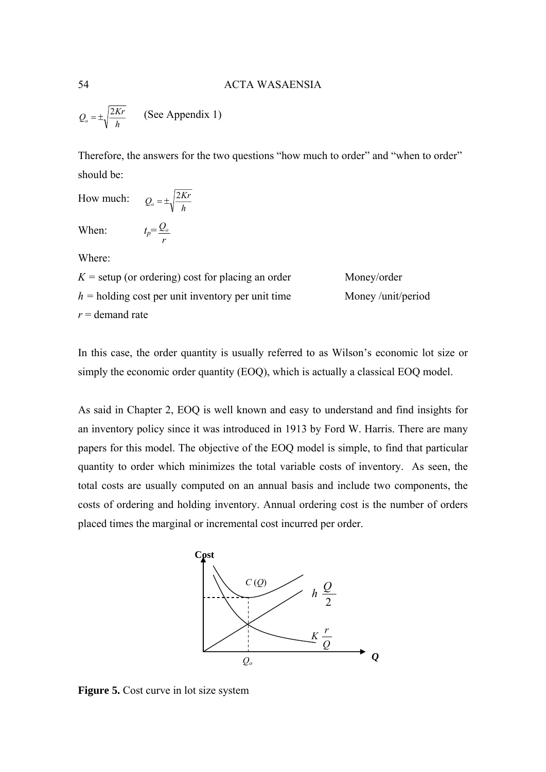$Q_o = \pm \sqrt{\frac{2Kr}{h}}$ (See Appendix 1)

Therefore, the answers for the two questions "how much to order" and "when to order" should be:

How much: 
$$
Q_o = \pm \sqrt{\frac{2Kr}{h}}
$$
  
When:  $t_p = \frac{Q_o}{r}$ 

Where:

| $K$ = setup (or ordering) cost for placing an order | Money/order       |
|-----------------------------------------------------|-------------------|
| $h =$ holding cost per unit inventory per unit time | Money/unit/period |
| $r =$ demand rate                                   |                   |

In this case, the order quantity is usually referred to as Wilson's economic lot size or simply the economic order quantity (EOQ), which is actually a classical EOQ model.

As said in Chapter 2, EOQ is well known and easy to understand and find insights for an inventory policy since it was introduced in 1913 by Ford W. Harris. There are many papers for this model. The objective of the EOQ model is simple, to find that particular quantity to order which minimizes the total variable costs of inventory. As seen, the total costs are usually computed on an annual basis and include two components, the costs of ordering and holding inventory. Annual ordering cost is the number of orders placed times the marginal or incremental cost incurred per order.



**Figure 5.** Cost curve in lot size system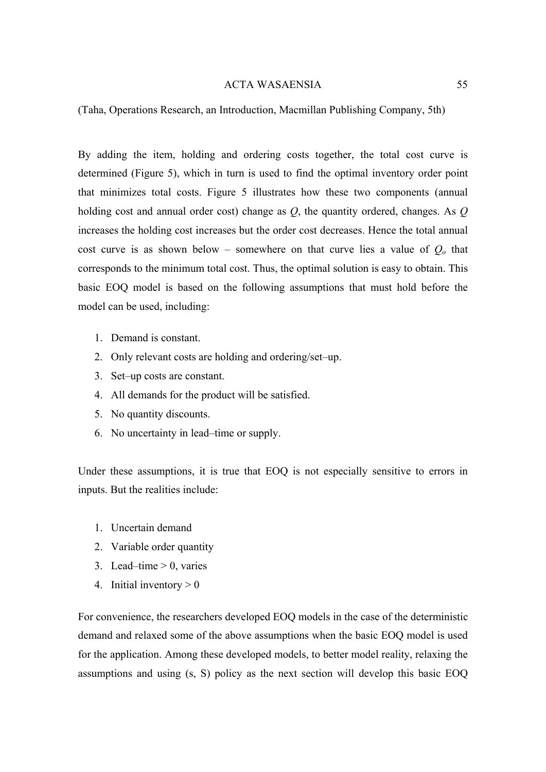(Taha, Operations Research, an Introduction, Macmillan Publishing Company, 5th)

By adding the item, holding and ordering costs together, the total cost curve is determined (Figure 5), which in turn is used to find the optimal inventory order point that minimizes total costs. Figure 5 illustrates how these two components (annual holding cost and annual order cost) change as *Q*, the quantity ordered, changes. As *Q* increases the holding cost increases but the order cost decreases. Hence the total annual cost curve is as shown below – somewhere on that curve lies a value of *Qo* that corresponds to the minimum total cost. Thus, the optimal solution is easy to obtain. This basic EOQ model is based on the following assumptions that must hold before the model can be used, including:

- 1. Demand is constant.
- 2. Only relevant costs are holding and ordering/set–up.
- 3. Set–up costs are constant.
- 4. All demands for the product will be satisfied.
- 5. No quantity discounts.
- 6. No uncertainty in lead–time or supply.

Under these assumptions, it is true that EOQ is not especially sensitive to errors in inputs. But the realities include:

- 1. Uncertain demand
- 2. Variable order quantity
- 3. Lead–time  $> 0$ , varies
- 4. Initial inventory  $> 0$

For convenience, the researchers developed EOQ models in the case of the deterministic demand and relaxed some of the above assumptions when the basic EOQ model is used for the application. Among these developed models, to better model reality, relaxing the assumptions and using (s, S) policy as the next section will develop this basic EOQ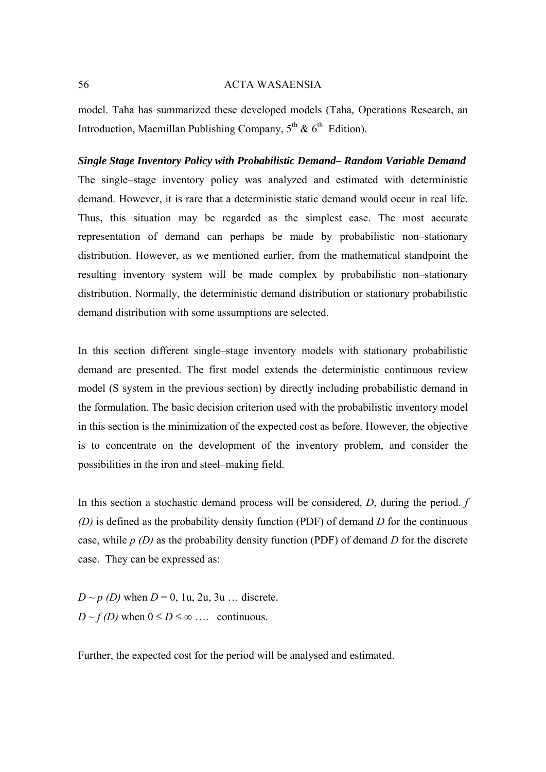model. Taha has summarized these developed models (Taha, Operations Research, an Introduction, Macmillan Publishing Company,  $5^{th}$  &  $6^{th}$  Edition).

*Single Stage Inventory Policy with Probabilistic Demand– Random Variable Demand*  The single–stage inventory policy was analyzed and estimated with deterministic demand. However, it is rare that a deterministic static demand would occur in real life. Thus, this situation may be regarded as the simplest case. The most accurate representation of demand can perhaps be made by probabilistic non–stationary distribution. However, as we mentioned earlier, from the mathematical standpoint the resulting inventory system will be made complex by probabilistic non–stationary distribution. Normally, the deterministic demand distribution or stationary probabilistic demand distribution with some assumptions are selected.

In this section different single–stage inventory models with stationary probabilistic demand are presented. The first model extends the deterministic continuous review model (S system in the previous section) by directly including probabilistic demand in the formulation. The basic decision criterion used with the probabilistic inventory model in this section is the minimization of the expected cost as before. However, the objective is to concentrate on the development of the inventory problem, and consider the possibilities in the iron and steel–making field.

In this section a stochastic demand process will be considered, *D*, during the period. *f (D)* is defined as the probability density function (PDF) of demand *D* for the continuous case, while *p (D)* as the probability density function (PDF) of demand *D* for the discrete case. They can be expressed as:

 $D \sim p(D)$  when  $D = 0$ , 1u, 2u, 3u ... discrete.  $D \sim f(D)$  when  $0 \le D \le \infty$  ... continuous.

Further, the expected cost for the period will be analysed and estimated.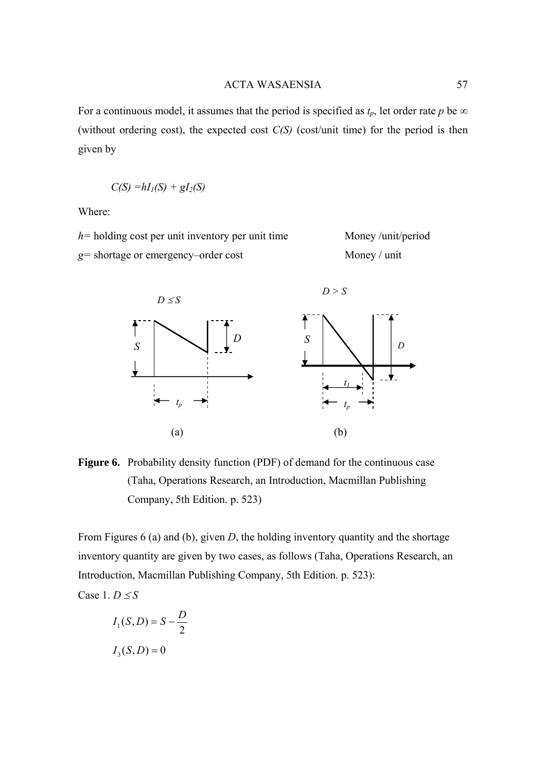For a continuous model, it assumes that the period is specified as  $t_p$ , let order rate  $p$  be  $\infty$ (without ordering cost), the expected cost *C(S)* (cost/unit time) for the period is then given by

$$
C(S) = hI_I(S) + gI_2(S)
$$

Where:

*h*= holding cost per unit inventory per unit time Money /unit/period *g=* shortage or emergency–order cost Money / unit



**Figure 6.** Probability density function (PDF) of demand for the continuous case (Taha, Operations Research, an Introduction, Macmillan Publishing Company, 5th Edition. p. 523)

From Figures 6 (a) and (b), given *D*, the holding inventory quantity and the shortage inventory quantity are given by two cases, as follows (Taha, Operations Research, an Introduction, Macmillan Publishing Company, 5th Edition. p. 523):

Case 1.  $D \leq S$ 

$$
I_1(S, D) = S - \frac{D}{2}
$$

$$
I_3(S, D) = 0
$$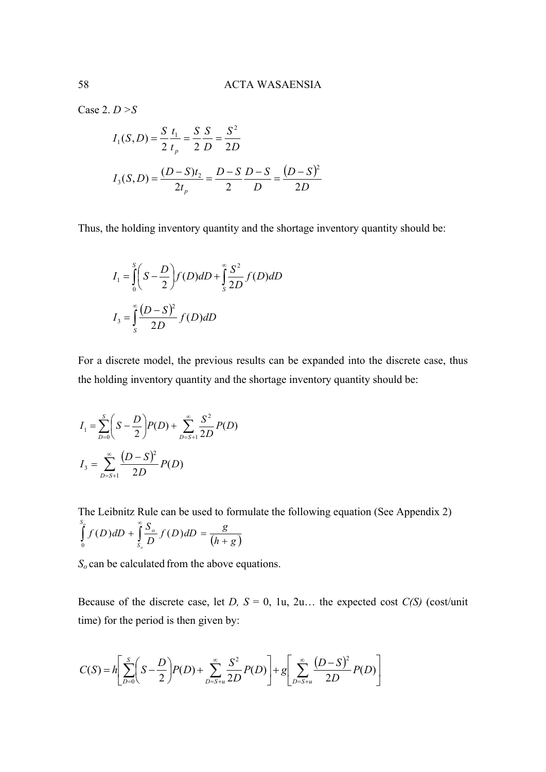Case 2. *D >S*

$$
I_1(S, D) = \frac{S}{2} \frac{t_1}{t_p} = \frac{S}{2} \frac{S}{D} = \frac{S^2}{2D}
$$
  

$$
I_3(S, D) = \frac{(D - S)t_2}{2t_p} = \frac{D - S}{2} \frac{D - S}{D} = \frac{(D - S)^2}{2D}
$$

Thus, the holding inventory quantity and the shortage inventory quantity should be:

$$
I_1 = \int_0^s \left( S - \frac{D}{2} \right) f(D) dD + \int_s^{\infty} \frac{S^2}{2D} f(D) dD
$$

$$
I_3 = \int_s^{\infty} \frac{(D - S)^2}{2D} f(D) dD
$$

For a discrete model, the previous results can be expanded into the discrete case, thus the holding inventory quantity and the shortage inventory quantity should be:

$$
I_1 = \sum_{D=0}^{S} \left( S - \frac{D}{2} \right) P(D) + \sum_{D=S+1}^{\infty} \frac{S^2}{2D} P(D)
$$
  

$$
I_3 = \sum_{D=S+1}^{\infty} \frac{(D-S)^2}{2D} P(D)
$$

The Leibnitz Rule can be used to formulate the following equation (See Appendix 2)  $(h + g)$  $f(D)dD = \frac{g}{\sqrt{2}}$ *D*  $\int_a^g f(D) dD + \int_a^{\infty} \frac{S}{2}$ *o S S o*  $\int_{0}^{R} f(D) dD + \int_{S}^{S} \frac{\partial}{\partial D} f(D) dD = \frac{8}{(h + R)}$ ∞ 0  $(D)$ dD +  $\frac{5}{2}$ f(D)

*So* can be calculated from the above equations.

Because of the discrete case, let *D, S* = 0, 1u, 2u... the expected cost *C(S)* (cost/unit time) for the period is then given by:

$$
C(S) = h \left[ \sum_{D=0}^{S} \left( S - \frac{D}{2} \right) P(D) + \sum_{D=S+u}^{\infty} \frac{S^2}{2D} P(D) \right] + g \left[ \sum_{D=S+u}^{\infty} \frac{(D-S)^2}{2D} P(D) \right]
$$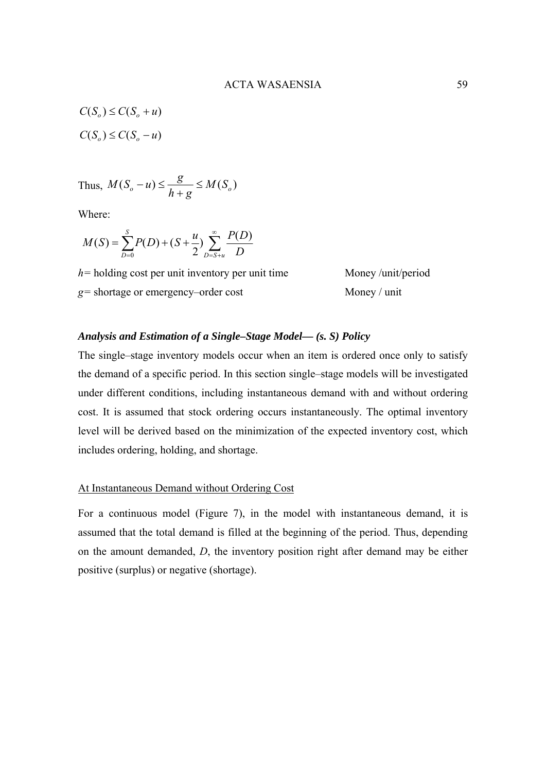$$
C(S_o) \le C(S_o + u)
$$
  

$$
C(S_o) \le C(S_o - u)
$$

Thus, 
$$
M(S_o - u) \le \frac{g}{h + g} \le M(S_o)
$$

Where:

$$
M(S) = \sum_{D=0}^{S} P(D) + (S + \frac{u}{2}) \sum_{D=S+u}^{\infty} \frac{P(D)}{D}
$$

*h*= holding cost per unit inventory per unit time Money /unit/period *g=* shortage or emergency–order cost Money / unit

# *Analysis and Estimation of a Single–Stage Model–– (s. S) Policy*

The single–stage inventory models occur when an item is ordered once only to satisfy the demand of a specific period. In this section single–stage models will be investigated under different conditions, including instantaneous demand with and without ordering cost. It is assumed that stock ordering occurs instantaneously. The optimal inventory level will be derived based on the minimization of the expected inventory cost, which includes ordering, holding, and shortage.

# At Instantaneous Demand without Ordering Cost

For a continuous model (Figure 7), in the model with instantaneous demand, it is assumed that the total demand is filled at the beginning of the period. Thus, depending on the amount demanded, *D*, the inventory position right after demand may be either positive (surplus) or negative (shortage).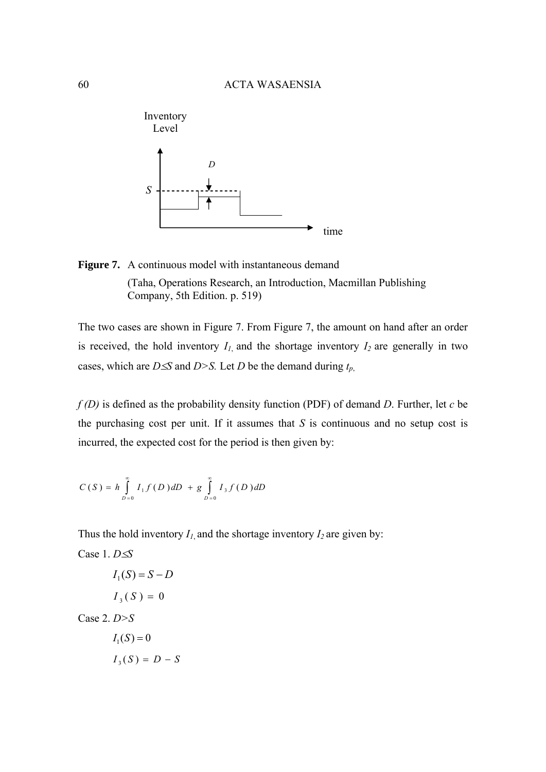



The two cases are shown in Figure 7. From Figure 7, the amount on hand after an order is received, the hold inventory  $I_1$  and the shortage inventory  $I_2$  are generally in two cases, which are *D*≤*S* and *D*>*S*. Let *D* be the demand during  $t_p$ ,

*f (D)* is defined as the probability density function (PDF) of demand *D*. Further, let *c* be the purchasing cost per unit. If it assumes that *S* is continuous and no setup cost is incurred, the expected cost for the period is then given by:

$$
C(S) = h \int_{D=0}^{\infty} I_1 f(D) dD + g \int_{D=0}^{\infty} I_3 f(D) dD
$$

Thus the hold inventory  $I_1$  and the shortage inventory  $I_2$  are given by:

Case 1. 
$$
D \le S
$$
  
\n $I_1(S) = S - D$   
\n $I_3(S) = 0$   
\nCase 2.  $D > S$   
\n $I_1(S) = 0$   
\n $I_3(S) = D - S$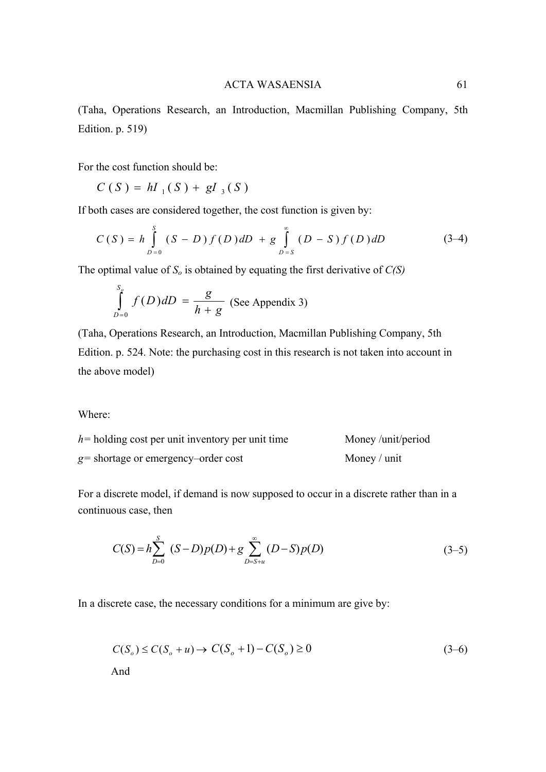(Taha, Operations Research, an Introduction, Macmillan Publishing Company, 5th Edition. p. 519)

For the cost function should be:

 $C(S) = hI_1(S) + gI_3(S)$ 

If both cases are considered together, the cost function is given by:

$$
C(S) = h \int_{D=0}^{S} (S-D) f(D) dD + g \int_{D=S}^{\infty} (D-S) f(D) dD
$$
 (3-4)

The optimal value of  $S_o$  is obtained by equating the first derivative of  $C(S)$ 

$$
\int_{D=0}^{S_g} f(D) dD = \frac{g}{h+g}
$$
 (See Appendix 3)

(Taha, Operations Research, an Introduction, Macmillan Publishing Company, 5th Edition. p. 524. Note: the purchasing cost in this research is not taken into account in the above model)

Where:

| $h$ = holding cost per unit inventory per unit time | Money/unit/period |
|-----------------------------------------------------|-------------------|
| $g$ = shortage or emergency–order cost              | Money / unit      |

For a discrete model, if demand is now supposed to occur in a discrete rather than in a continuous case, then

$$
C(S) = h \sum_{D=0}^{S} (S-D)p(D) + g \sum_{D=S+u}^{\infty} (D-S)p(D)
$$
 (3-5)

In a discrete case, the necessary conditions for a minimum are give by:

$$
C(So) \le C(So + u) \to C(So + 1) - C(So) \ge 0
$$
\n
$$
\text{And} \tag{3-6}
$$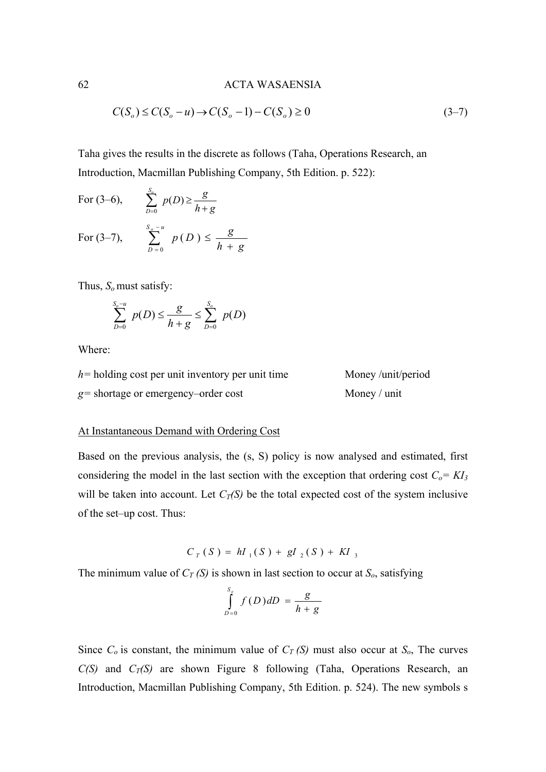$$
C(S_o) \le C(S_o - u) \to C(S_o - 1) - C(S_o) \ge 0
$$
\n(3-7)

Taha gives the results in the discrete as follows (Taha, Operations Research, an Introduction, Macmillan Publishing Company, 5th Edition. p. 522):

For (3–6), 
$$
\sum_{D=0}^{S_o} p(D) \ge \frac{g}{h+g}
$$
  
For (3–7), 
$$
\sum_{D=0}^{S_o-u} p(D) \le \frac{g}{h+g}
$$

Thus, *So* must satisfy:

$$
\sum_{D=0}^{S_o-u} p(D) \le \frac{g}{h+g} \le \sum_{D=0}^{S_o} p(D)
$$

Where:

| $h$ = holding cost per unit inventory per unit time | Money/unit/period |
|-----------------------------------------------------|-------------------|
| $g$ = shortage or emergency–order cost              | Money / unit      |

#### At Instantaneous Demand with Ordering Cost

Based on the previous analysis, the (s, S) policy is now analysed and estimated, first considering the model in the last section with the exception that ordering cost  $C_0 = K I_3$ will be taken into account. Let  $C_T(S)$  be the total expected cost of the system inclusive of the set–up cost. Thus:

$$
C_T(S) = hI_1(S) + gI_2(S) + KI_3
$$

The minimum value of  $C_T(S)$  is shown in last section to occur at  $S_o$ , satisfying

$$
\int_{D=0}^{S_g} f(D) dD = \frac{g}{h+g}
$$

Since  $C_0$  is constant, the minimum value of  $C_T(S)$  must also occur at  $S_0$ , The curves  $C(S)$  and  $C_T(S)$  are shown Figure 8 following (Taha, Operations Research, an Introduction, Macmillan Publishing Company, 5th Edition. p. 524). The new symbols s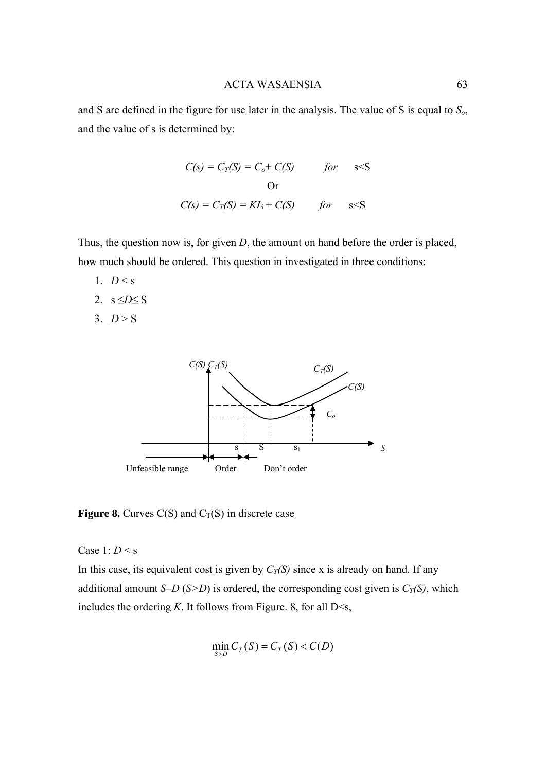and S are defined in the figure for use later in the analysis. The value of S is equal to *So*, and the value of s is determined by:

$$
C(s) = C_T(S) = C_o + C(S) \qquad for \quad s < S
$$
  
Or  

$$
C(s) = C_T(S) = KI_3 + C(S) \qquad for \quad s < S
$$

Thus, the question now is, for given *D*, the amount on hand before the order is placed, how much should be ordered. This question in investigated in three conditions:

- 1.  $D < s$
- 2. s  $\leq D \leq S$
- 3.  $D > S$



**Figure 8.** Curves  $C(S)$  and  $C_T(S)$  in discrete case

Case 1: *D* < s

In this case, its equivalent cost is given by  $C_T(S)$  since x is already on hand. If any additional amount *S*–*D* (*S*>*D*) is ordered, the corresponding cost given is  $C_T(S)$ , which includes the ordering  $K$ . It follows from Figure. 8, for all  $D \leq s$ ,

$$
\min_{S>D} C_T(S) = C_T(S) < C(D)
$$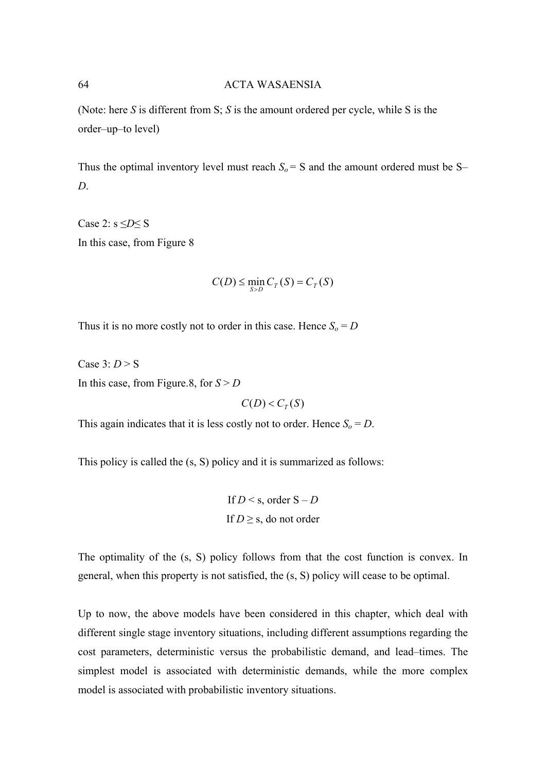(Note: here *S* is different from S; *S* is the amount ordered per cycle, while S is the order–up–to level)

Thus the optimal inventory level must reach  $S_0 = S$  and the amount ordered must be S– *D*.

Case 2: s ≤*D*≤ S In this case, from Figure 8

$$
C(D) \le \min_{S > D} C_T(S) = C_T(S)
$$

Thus it is no more costly not to order in this case. Hence  $S_0 = D$ 

Case 3: *D* > S In this case, from Figure.8, for  $S > D$ 

 $C(D) < C_{T}(S)$ 

This again indicates that it is less costly not to order. Hence  $S_0 = D$ .

This policy is called the (s, S) policy and it is summarized as follows:

If  $D < s$ , order  $S - D$ If  $D \geq s$ , do not order

The optimality of the (s, S) policy follows from that the cost function is convex. In general, when this property is not satisfied, the (s, S) policy will cease to be optimal.

Up to now, the above models have been considered in this chapter, which deal with different single stage inventory situations, including different assumptions regarding the cost parameters, deterministic versus the probabilistic demand, and lead–times. The simplest model is associated with deterministic demands, while the more complex model is associated with probabilistic inventory situations.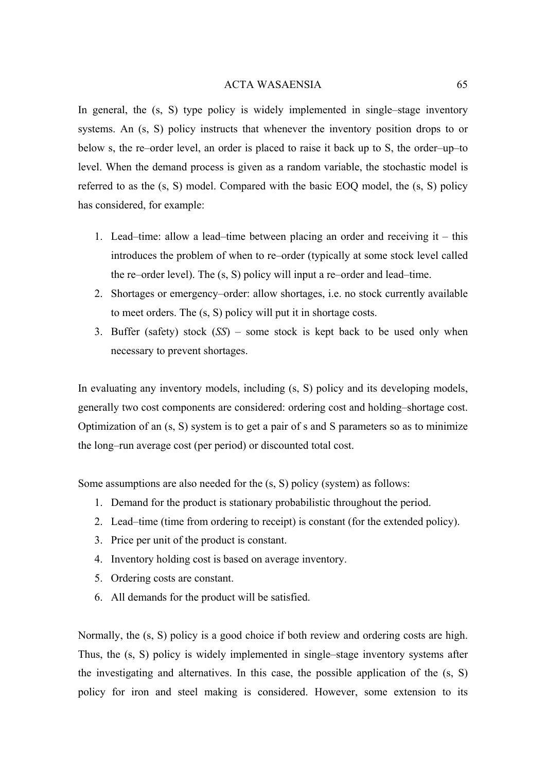In general, the  $(s, S)$  type policy is widely implemented in single–stage inventory systems. An (s, S) policy instructs that whenever the inventory position drops to or below s, the re–order level, an order is placed to raise it back up to S, the order–up–to level. When the demand process is given as a random variable, the stochastic model is referred to as the (s, S) model. Compared with the basic EOQ model, the (s, S) policy has considered, for example:

- 1. Lead–time: allow a lead–time between placing an order and receiving it this introduces the problem of when to re–order (typically at some stock level called the re–order level). The (s, S) policy will input a re–order and lead–time.
- 2. Shortages or emergency–order: allow shortages, i.e. no stock currently available to meet orders. The (s, S) policy will put it in shortage costs.
- 3. Buffer (safety) stock (*SS*) some stock is kept back to be used only when necessary to prevent shortages.

In evaluating any inventory models, including (s, S) policy and its developing models, generally two cost components are considered: ordering cost and holding–shortage cost. Optimization of an (s, S) system is to get a pair of s and S parameters so as to minimize the long–run average cost (per period) or discounted total cost.

Some assumptions are also needed for the (s, S) policy (system) as follows:

- 1. Demand for the product is stationary probabilistic throughout the period.
- 2. Lead–time (time from ordering to receipt) is constant (for the extended policy).
- 3. Price per unit of the product is constant.
- 4. Inventory holding cost is based on average inventory.
- 5. Ordering costs are constant.
- 6. All demands for the product will be satisfied.

Normally, the (s, S) policy is a good choice if both review and ordering costs are high. Thus, the (s, S) policy is widely implemented in single–stage inventory systems after the investigating and alternatives. In this case, the possible application of the (s, S) policy for iron and steel making is considered. However, some extension to its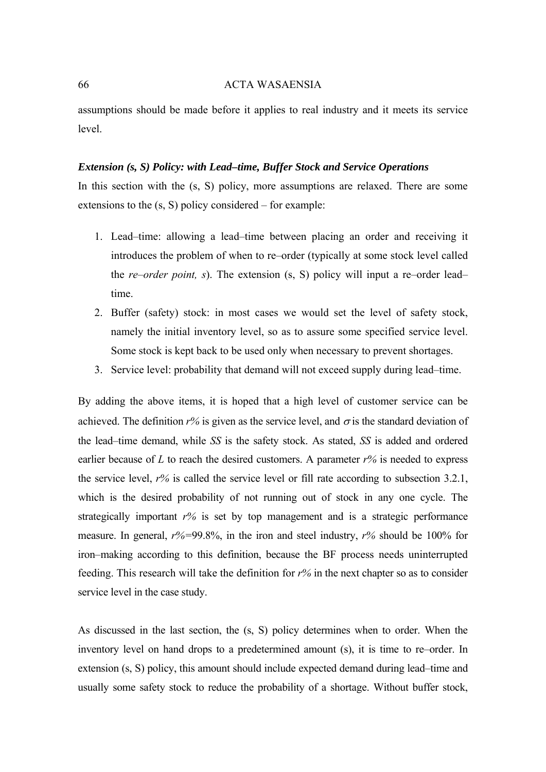assumptions should be made before it applies to real industry and it meets its service level.

#### *Extension (s, S) Policy: with Lead–time, Buffer Stock and Service Operations*

In this section with the (s, S) policy, more assumptions are relaxed. There are some extensions to the (s, S) policy considered – for example:

- 1. Lead–time: allowing a lead–time between placing an order and receiving it introduces the problem of when to re–order (typically at some stock level called the *re*–*order point, s*). The extension (s, S) policy will input a re–order lead– time.
- 2. Buffer (safety) stock: in most cases we would set the level of safety stock, namely the initial inventory level, so as to assure some specified service level. Some stock is kept back to be used only when necessary to prevent shortages.
- 3. Service level: probability that demand will not exceed supply during lead–time.

By adding the above items, it is hoped that a high level of customer service can be achieved. The definition  $r\%$  is given as the service level, and  $\sigma$  is the standard deviation of the lead–time demand, while *SS* is the safety stock. As stated, *SS* is added and ordered earlier because of *L* to reach the desired customers. A parameter *r%* is needed to express the service level, *r%* is called the service level or fill rate according to subsection 3.2.1, which is the desired probability of not running out of stock in any one cycle. The strategically important *r%* is set by top management and is a strategic performance measure. In general, *r%=*99.8%, in the iron and steel industry, *r%* should be 100% for iron–making according to this definition, because the BF process needs uninterrupted feeding. This research will take the definition for *r%* in the next chapter so as to consider service level in the case study.

As discussed in the last section, the (s, S) policy determines when to order. When the inventory level on hand drops to a predetermined amount (s), it is time to re–order. In extension (s, S) policy, this amount should include expected demand during lead–time and usually some safety stock to reduce the probability of a shortage. Without buffer stock,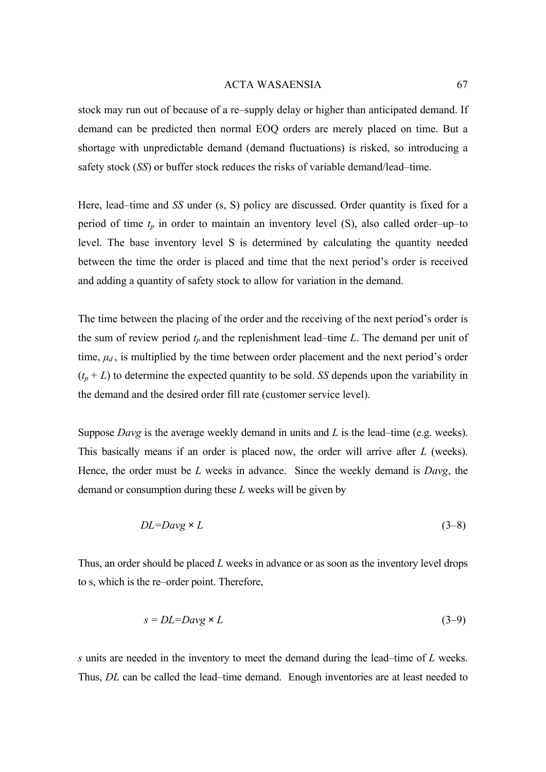stock may run out of because of a re–supply delay or higher than anticipated demand. If demand can be predicted then normal EOQ orders are merely placed on time. But a shortage with unpredictable demand (demand fluctuations) is risked, so introducing a safety stock (*SS*) or buffer stock reduces the risks of variable demand/lead–time.

Here, lead–time and *SS* under (s, S) policy are discussed. Order quantity is fixed for a period of time  $t_p$  in order to maintain an inventory level  $(S)$ , also called order–up–to level. The base inventory level S is determined by calculating the quantity needed between the time the order is placed and time that the next period's order is received and adding a quantity of safety stock to allow for variation in the demand.

The time between the placing of the order and the receiving of the next period's order is the sum of review period  $t_p$  and the replenishment lead–time *L*. The demand per unit of time,  $\mu_d$ , is multiplied by the time between order placement and the next period's order  $(t_p + L)$  to determine the expected quantity to be sold. *SS* depends upon the variability in the demand and the desired order fill rate (customer service level).

Suppose *Davg* is the average weekly demand in units and *L* is the lead–time (e.g. weeks). This basically means if an order is placed now, the order will arrive after *L* (weeks). Hence, the order must be *L* weeks in advance. Since the weekly demand is *Davg*, the demand or consumption during these *L* weeks will be given by

$$
DL = Day \times L \tag{3-8}
$$

Thus, an order should be placed *L* weeks in advance or as soon as the inventory level drops to s, which is the re–order point. Therefore,

$$
s = DL = Day \times L \tag{3-9}
$$

*s* units are needed in the inventory to meet the demand during the lead–time of *L* weeks. Thus, *DL* can be called the lead–time demand. Enough inventories are at least needed to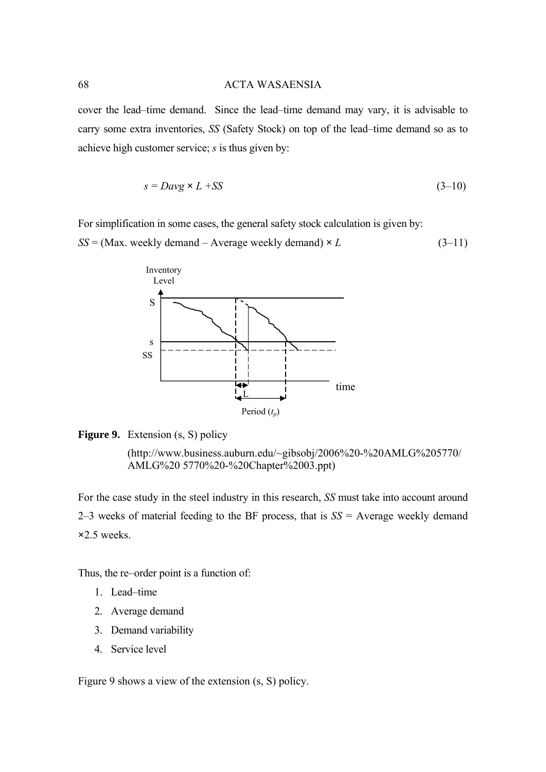cover the lead–time demand. Since the lead–time demand may vary, it is advisable to carry some extra inventories, *SS* (Safety Stock) on top of the lead–time demand so as to achieve high customer service; *s* is thus given by:

$$
s = Day \times L + SS \tag{3-10}
$$

For simplification in some cases, the general safety stock calculation is given by:

 $SS = (Max. weekly demand - Average weekly demand) \times L$  (3–11)



# **Figure 9.** Extension (s, S) policy

 [\(http://www.business.auburn.edu/~gibsobj/2006%20-%20AMLG%205770/](http://www.business.auburn.edu/~gibsobj/2006 - AMLG 5770/ AMLG)  [AMLG%20](http://www.business.auburn.edu/~gibsobj/2006 - AMLG 5770/ AMLG) 5770%20-%20Chapter%2003.ppt)

For the case study in the steel industry in this research, *SS* must take into account around 2–3 weeks of material feeding to the BF process, that is *SS* = Average weekly demand **×**2.5 weeks.

Thus, the re–order point is a function of:

- 1. Lead–time
- 2. Average demand
- 3. Demand variability
- 4. Service level

Figure 9 shows a view of the extension (s, S) policy.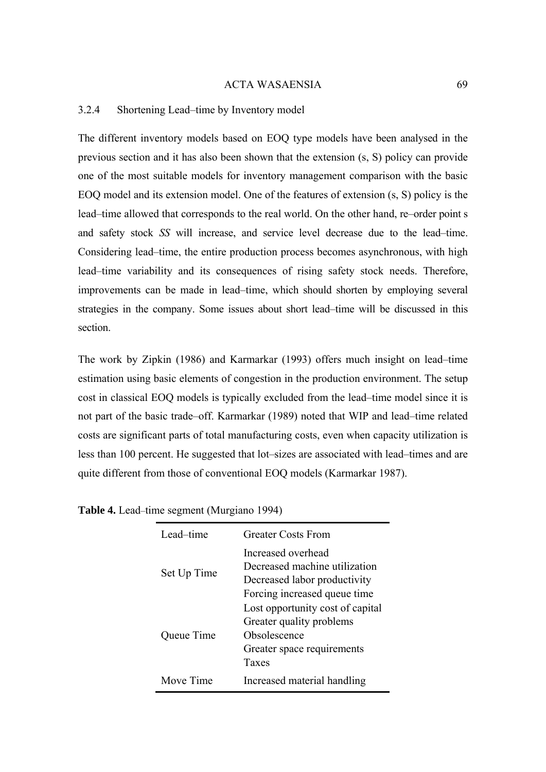# 3.2.4 Shortening Lead–time by Inventory model

The different inventory models based on EOQ type models have been analysed in the previous section and it has also been shown that the extension (s, S) policy can provide one of the most suitable models for inventory management comparison with the basic EOQ model and its extension model. One of the features of extension (s, S) policy is the lead–time allowed that corresponds to the real world. On the other hand, re–order point s and safety stock *SS* will increase, and service level decrease due to the lead–time. Considering lead–time, the entire production process becomes asynchronous, with high lead–time variability and its consequences of rising safety stock needs. Therefore, improvements can be made in lead–time, which should shorten by employing several strategies in the company. Some issues about short lead–time will be discussed in this section.

The work by Zipkin (1986) and Karmarkar (1993) offers much insight on lead–time estimation using basic elements of congestion in the production environment. The setup cost in classical EOQ models is typically excluded from the lead–time model since it is not part of the basic trade–off. Karmarkar (1989) noted that WIP and lead–time related costs are significant parts of total manufacturing costs, even when capacity utilization is less than 100 percent. He suggested that lot–sizes are associated with lead–times and are quite different from those of conventional EOQ models (Karmarkar 1987).

| Lead–time   | <b>Greater Costs From</b>                                                                                           |
|-------------|---------------------------------------------------------------------------------------------------------------------|
| Set Up Time | Increased overhead<br>Decreased machine utilization<br>Decreased labor productivity<br>Forcing increased queue time |
| Queue Time  | Lost opportunity cost of capital<br>Greater quality problems<br>Obsolescence<br>Greater space requirements<br>Taxes |
| Move Time   | Increased material handling                                                                                         |

**Table 4.** Lead–time segment (Murgiano 1994)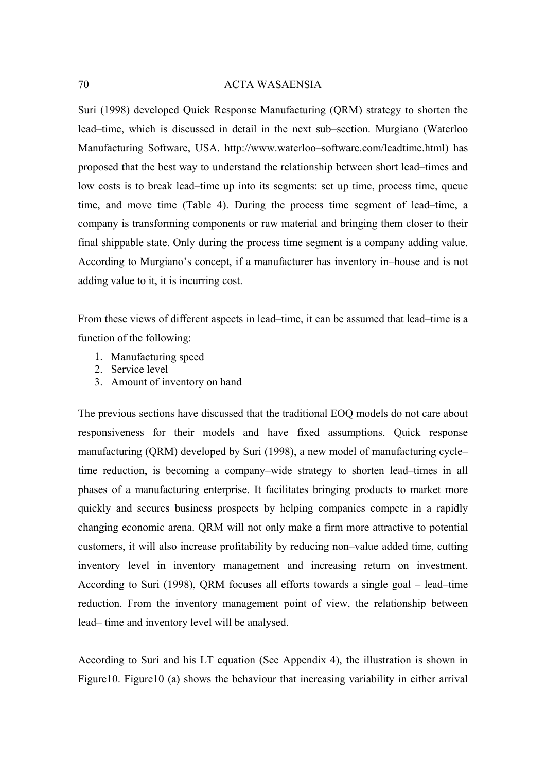Suri (1998) developed Quick Response Manufacturing (QRM) strategy to shorten the lead–time, which is discussed in detail in the next sub–section. Murgiano (Waterloo Manufacturing Software, USA. http://www.waterloo–software.com/leadtime.html) has proposed that the best way to understand the relationship between short lead–times and low costs is to break lead–time up into its segments: set up time, process time, queue time, and move time (Table 4). During the process time segment of lead–time, a company is transforming components or raw material and bringing them closer to their final shippable state. Only during the process time segment is a company adding value. According to Murgiano's concept, if a manufacturer has inventory in–house and is not adding value to it, it is incurring cost.

From these views of different aspects in lead–time, it can be assumed that lead–time is a function of the following:

- 1. Manufacturing speed
- 2. Service level
- 3. Amount of inventory on hand

The previous sections have discussed that the traditional EOQ models do not care about responsiveness for their models and have fixed assumptions. Quick response manufacturing (QRM) developed by Suri (1998), a new model of manufacturing cycle– time reduction, is becoming a company–wide strategy to shorten lead–times in all phases of a manufacturing enterprise. It facilitates bringing products to market more quickly and secures business prospects by helping companies compete in a rapidly changing economic arena. QRM will not only make a firm more attractive to potential customers, it will also increase profitability by reducing non–value added time, cutting inventory level in inventory management and increasing return on investment. According to Suri (1998), QRM focuses all efforts towards a single goal – lead–time reduction. From the inventory management point of view, the relationship between lead– time and inventory level will be analysed.

According to Suri and his LT equation (See Appendix 4), the illustration is shown in Figure10. Figure10 (a) shows the behaviour that increasing variability in either arrival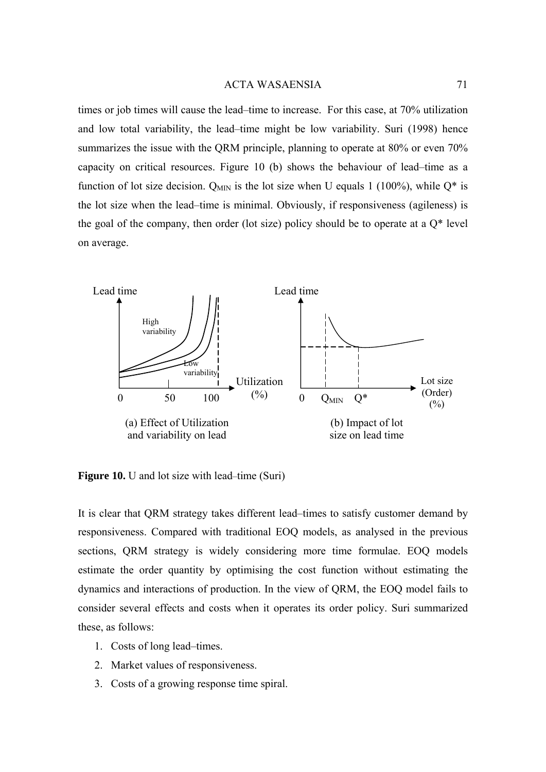times or job times will cause the lead–time to increase. For this case, at 70% utilization and low total variability, the lead–time might be low variability. Suri (1998) hence summarizes the issue with the QRM principle, planning to operate at 80% or even 70% capacity on critical resources. Figure 10 (b) shows the behaviour of lead–time as a function of lot size decision.  $Q_{MIN}$  is the lot size when U equals 1 (100%), while  $Q^*$  is the lot size when the lead–time is minimal. Obviously, if responsiveness (agileness) is the goal of the company, then order (lot size) policy should be to operate at a  $Q^*$  level on average.



**Figure 10.** U and lot size with lead–time (Suri)

It is clear that QRM strategy takes different lead–times to satisfy customer demand by responsiveness. Compared with traditional EOQ models, as analysed in the previous sections, QRM strategy is widely considering more time formulae. EOQ models estimate the order quantity by optimising the cost function without estimating the dynamics and interactions of production. In the view of QRM, the EOQ model fails to consider several effects and costs when it operates its order policy. Suri summarized these, as follows:

- 1. Costs of long lead–times.
- 2. Market values of responsiveness.
- 3. Costs of a growing response time spiral.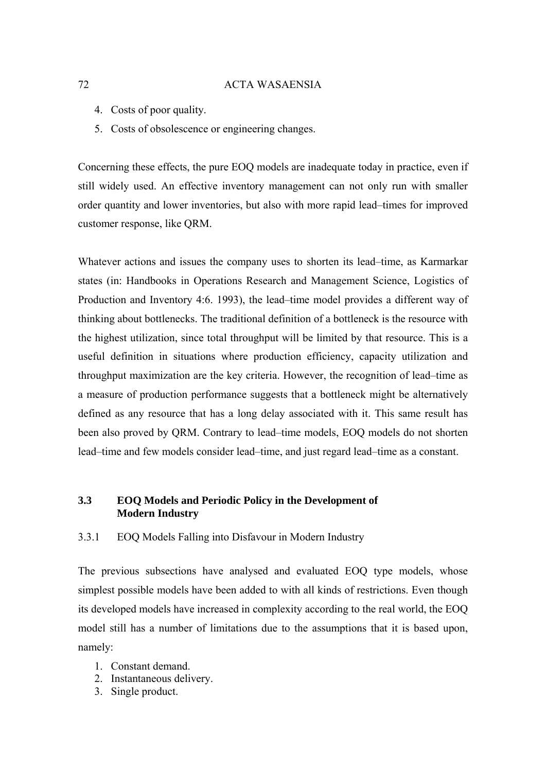- 4. Costs of poor quality.
- 5. Costs of obsolescence or engineering changes.

Concerning these effects, the pure EOQ models are inadequate today in practice, even if still widely used. An effective inventory management can not only run with smaller order quantity and lower inventories, but also with more rapid lead–times for improved customer response, like QRM.

Whatever actions and issues the company uses to shorten its lead–time, as Karmarkar states (in: Handbooks in Operations Research and Management Science, Logistics of Production and Inventory 4:6. 1993), the lead–time model provides a different way of thinking about bottlenecks. The traditional definition of a bottleneck is the resource with the highest utilization, since total throughput will be limited by that resource. This is a useful definition in situations where production efficiency, capacity utilization and throughput maximization are the key criteria. However, the recognition of lead–time as a measure of production performance suggests that a bottleneck might be alternatively defined as any resource that has a long delay associated with it. This same result has been also proved by QRM. Contrary to lead–time models, EOQ models do not shorten lead–time and few models consider lead–time, and just regard lead–time as a constant.

# **3.3 EOQ Models and Periodic Policy in the Development of Modern Industry**

3.3.1 EOQ Models Falling into Disfavour in Modern Industry

The previous subsections have analysed and evaluated EOQ type models, whose simplest possible models have been added to with all kinds of restrictions. Even though its developed models have increased in complexity according to the real world, the EOQ model still has a number of limitations due to the assumptions that it is based upon, namely:

- 1. Constant demand.
- 2. Instantaneous delivery.
- 3. Single product.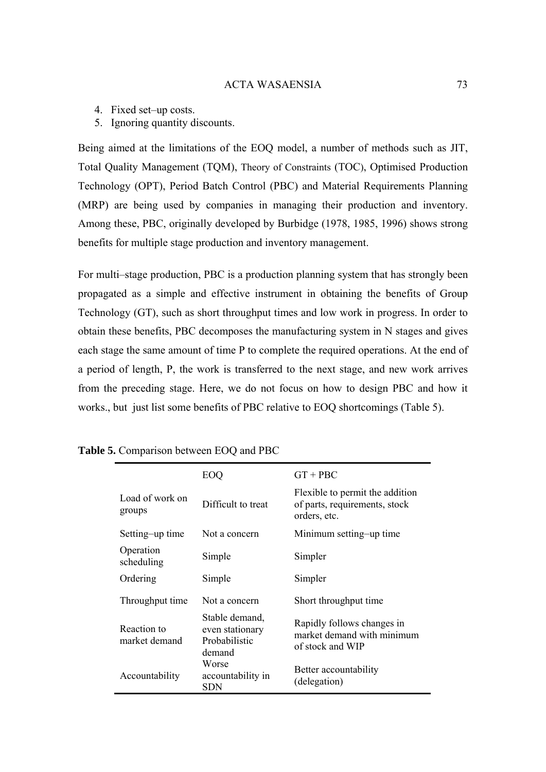- 4. Fixed set–up costs.
- 5. Ignoring quantity discounts.

Being aimed at the limitations of the EOQ model, a number of methods such as JIT, Total Quality Management (TQM), Theory of Constraints (TOC), Optimised Production Technology (OPT), Period Batch Control (PBC) and Material Requirements Planning (MRP) are being used by companies in managing their production and inventory. Among these, PBC, originally developed by Burbidge (1978, 1985, 1996) shows strong benefits for multiple stage production and inventory management.

For multi–stage production, PBC is a production planning system that has strongly been propagated as a simple and effective instrument in obtaining the benefits of Group Technology (GT), such as short throughput times and low work in progress. In order to obtain these benefits, PBC decomposes the manufacturing system in N stages and gives each stage the same amount of time P to complete the required operations. At the end of a period of length, P, the work is transferred to the next stage, and new work arrives from the preceding stage. Here, we do not focus on how to design PBC and how it works., but just list some benefits of PBC relative to EOQ shortcomings (Table 5).

|                              | EOO                                                          | $GT + PBC$                                                                       |
|------------------------------|--------------------------------------------------------------|----------------------------------------------------------------------------------|
| Load of work on<br>groups    | Difficult to treat                                           | Flexible to permit the addition<br>of parts, requirements, stock<br>orders, etc. |
| Setting-up time              | Not a concern                                                | Minimum setting-up time                                                          |
| Operation<br>scheduling      | Simple                                                       | Simpler                                                                          |
| Ordering                     | Simple                                                       | Simpler                                                                          |
| Throughput time              | Not a concern                                                | Short throughput time                                                            |
| Reaction to<br>market demand | Stable demand,<br>even stationary<br>Probabilistic<br>demand | Rapidly follows changes in<br>market demand with minimum<br>of stock and WIP     |
| Accountability               | Worse<br>accountability in<br>SDN                            | Better accountability<br>(delegation)                                            |

**Table 5.** Comparison between EOQ and PBC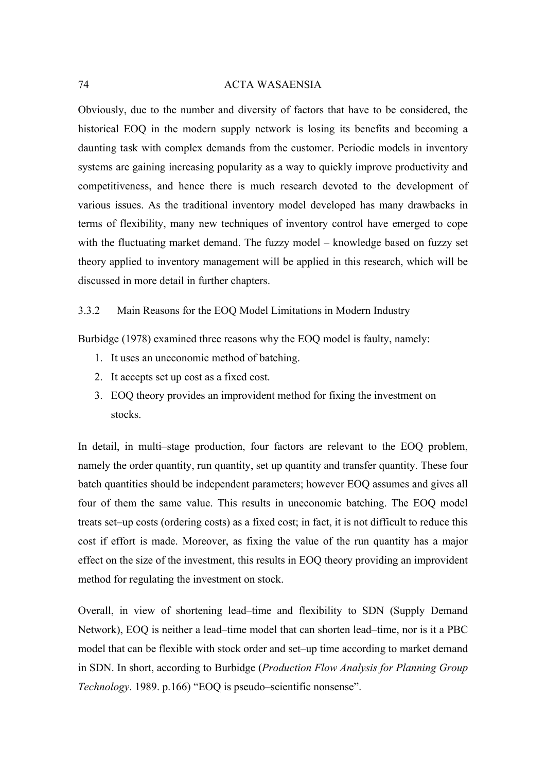Obviously, due to the number and diversity of factors that have to be considered, the historical EOQ in the modern supply network is losing its benefits and becoming a daunting task with complex demands from the customer. Periodic models in inventory systems are gaining increasing popularity as a way to quickly improve productivity and competitiveness, and hence there is much research devoted to the development of various issues. As the traditional inventory model developed has many drawbacks in terms of flexibility, many new techniques of inventory control have emerged to cope with the fluctuating market demand. The fuzzy model – knowledge based on fuzzy set theory applied to inventory management will be applied in this research, which will be discussed in more detail in further chapters.

3.3.2 Main Reasons for the EOQ Model Limitations in Modern Industry

Burbidge (1978) examined three reasons why the EOQ model is faulty, namely:

- 1. It uses an uneconomic method of batching.
- 2. It accepts set up cost as a fixed cost.
- 3. EOQ theory provides an improvident method for fixing the investment on stocks.

In detail, in multi–stage production, four factors are relevant to the EOQ problem, namely the order quantity, run quantity, set up quantity and transfer quantity. These four batch quantities should be independent parameters; however EOQ assumes and gives all four of them the same value. This results in uneconomic batching. The EOQ model treats set–up costs (ordering costs) as a fixed cost; in fact, it is not difficult to reduce this cost if effort is made. Moreover, as fixing the value of the run quantity has a major effect on the size of the investment, this results in EOQ theory providing an improvident method for regulating the investment on stock.

Overall, in view of shortening lead–time and flexibility to SDN (Supply Demand Network), EOQ is neither a lead–time model that can shorten lead–time, nor is it a PBC model that can be flexible with stock order and set–up time according to market demand in SDN. In short, according to Burbidge (*Production Flow Analysis for Planning Group Technology*. 1989. p.166) "EOQ is pseudo–scientific nonsense".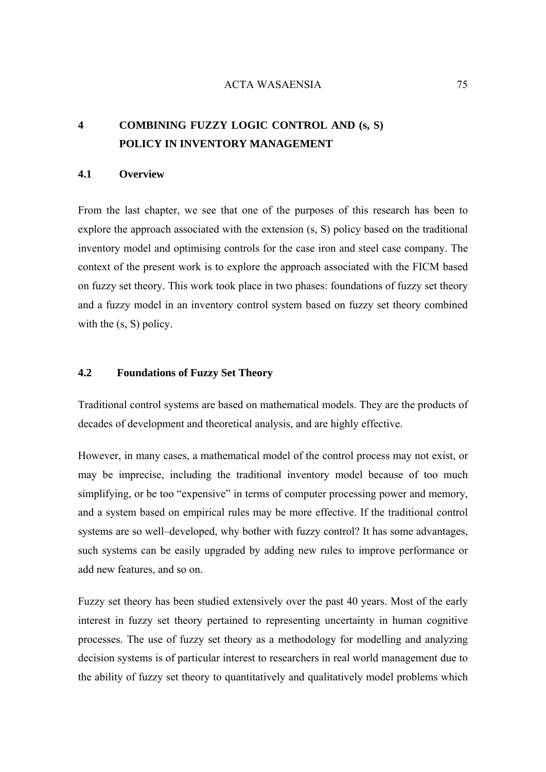## **4 COMBINING FUZZY LOGIC CONTROL AND (s, S) POLICY IN INVENTORY MANAGEMENT**

## **4.1 Overview**

From the last chapter, we see that one of the purposes of this research has been to explore the approach associated with the extension (s, S) policy based on the traditional inventory model and optimising controls for the case iron and steel case company. The context of the present work is to explore the approach associated with the FICM based on fuzzy set theory. This work took place in two phases: foundations of fuzzy set theory and a fuzzy model in an inventory control system based on fuzzy set theory combined with the  $(s, S)$  policy.

## **4.2 Foundations of Fuzzy Set Theory**

Traditional control systems are based on mathematical models. They are the products of decades of development and theoretical analysis, and are highly effective.

However, in many cases, a mathematical model of the control process may not exist, or may be imprecise, including the traditional inventory model because of too much simplifying, or be too "expensive" in terms of computer processing power and memory, and a system based on empirical rules may be more effective. If the traditional control systems are so well–developed, why bother with fuzzy control? It has some advantages, such systems can be easily upgraded by adding new rules to improve performance or add new features, and so on.

Fuzzy set theory has been studied extensively over the past 40 years. Most of the early interest in fuzzy set theory pertained to representing uncertainty in human cognitive processes. The use of fuzzy set theory as a methodology for modelling and analyzing decision systems is of particular interest to researchers in real world management due to the ability of fuzzy set theory to quantitatively and qualitatively model problems which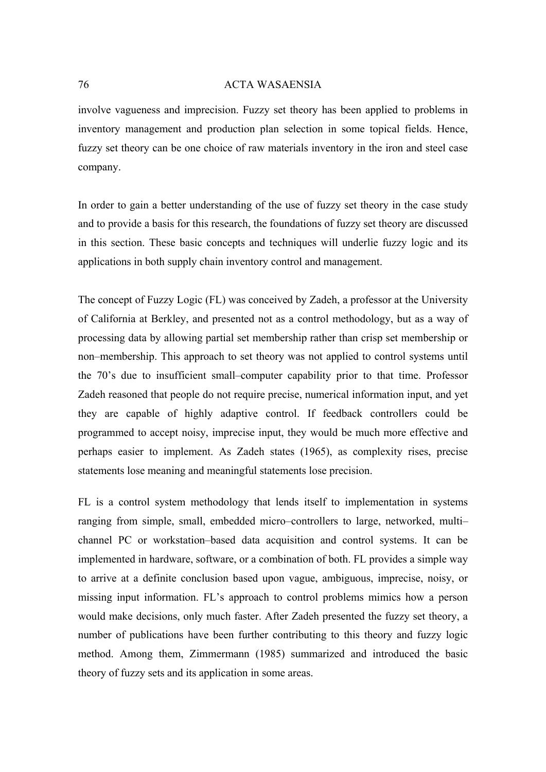involve vagueness and imprecision. Fuzzy set theory has been applied to problems in inventory management and production plan selection in some topical fields. Hence, fuzzy set theory can be one choice of raw materials inventory in the iron and steel case company.

In order to gain a better understanding of the use of fuzzy set theory in the case study and to provide a basis for this research, the foundations of fuzzy set theory are discussed in this section. These basic concepts and techniques will underlie fuzzy logic and its applications in both supply chain inventory control and management.

The concept of Fuzzy Logic (FL) was conceived by Zadeh, a professor at the University of California at Berkley, and presented not as a control methodology, but as a way of processing data by allowing partial set membership rather than crisp set membership or non–membership. This approach to set theory was not applied to control systems until the 70's due to insufficient small–computer capability prior to that time. Professor Zadeh reasoned that people do not require precise, numerical information input, and yet they are capable of highly adaptive control. If feedback controllers could be programmed to accept noisy, imprecise input, they would be much more effective and perhaps easier to implement. As Zadeh states (1965), as complexity rises, precise statements lose meaning and meaningful statements lose precision.

FL is a control system methodology that lends itself to implementation in systems ranging from simple, small, embedded micro–controllers to large, networked, multi– channel PC or workstation–based data acquisition and control systems. It can be implemented in hardware, software, or a combination of both. FL provides a simple way to arrive at a definite conclusion based upon vague, ambiguous, imprecise, noisy, or missing input information. FL's approach to control problems mimics how a person would make decisions, only much faster. After Zadeh presented the fuzzy set theory, a number of publications have been further contributing to this theory and fuzzy logic method. Among them, Zimmermann (1985) summarized and introduced the basic theory of fuzzy sets and its application in some areas.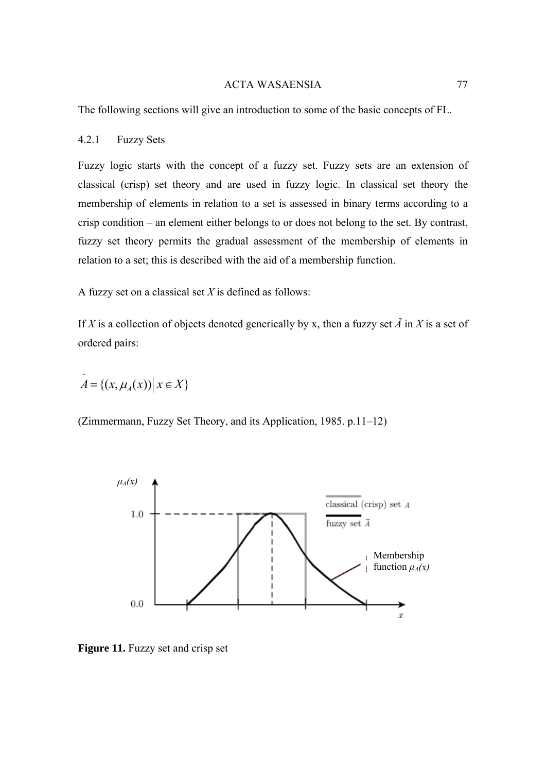The following sections will give an introduction to some of the basic concepts of FL.

## 4.2.1 Fuzzy Sets

Fuzzy logic starts with the concept of a fuzzy set. Fuzzy sets are an extension of classical (crisp) [set theory](http://en.wikipedia.org/wiki/Set_theory) and are used in [fuzzy logic](http://en.wikipedia.org/wiki/Fuzzy_logic). In classical set theory the membership of elements in relation to a set is assessed in binary terms according to a crisp condition – an element either belongs to or does not belong to the set. By contrast, fuzzy set theory permits the gradual assessment of the membership of elements in relation to a set; this is described with the aid of a [membership function.](http://en.wikipedia.org/wiki/Membership_function_%28mathematics%29)

A fuzzy set on a classical set *Χ* is defined as follows:

If *X* is a collection of objects denoted generically by x, then a fuzzy set  $\tilde{A}$  in *X* is a set of ordered pairs:

$$
\widetilde{A} = \{ (x, \mu_A(x)) \, \big| \, x \in X \}
$$

(Zimmermann, Fuzzy Set Theory, and its Application, 1985. p.11–12)



**Figure 11.** Fuzzy set and crisp set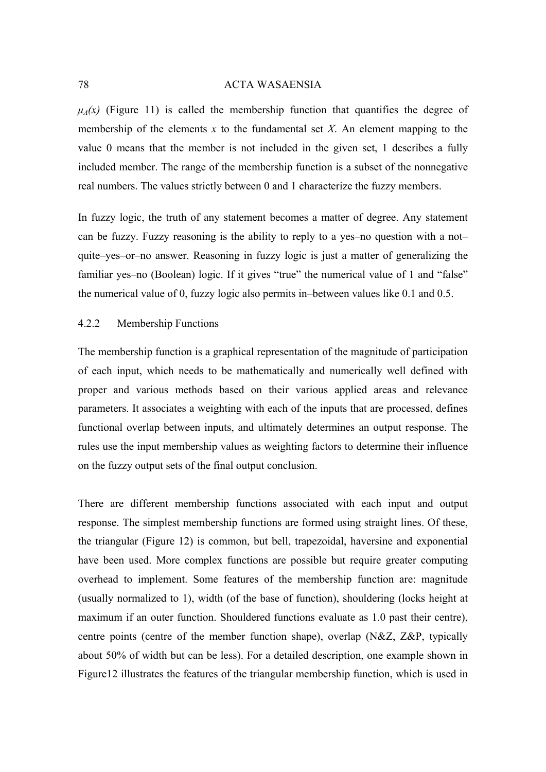$\mu_A(x)$  (Figure 11) is called the membership function that quantifies the degree of membership of the elements *x* to the fundamental set *Χ*. An element mapping to the value 0 means that the member is not included in the given set, 1 describes a fully included member. The range of the membership function is a subset of the nonnegative real numbers. The values strictly between 0 and 1 characterize the fuzzy members.

In fuzzy logic, the truth of any statement becomes a matter of degree. Any statement can be fuzzy. Fuzzy reasoning is the ability to reply to a yes–no question with a not– quite–yes–or–no answer. Reasoning in fuzzy logic is just a matter of generalizing the familiar yes–no (Boolean) logic. If it gives "true" the numerical value of 1 and "false" the numerical value of 0, fuzzy logic also permits in–between values like 0.1 and 0.5.

## 4.2.2 Membership Functions

The membership function is a graphical representation of the magnitude of participation of each input, which needs to be mathematically and numerically well defined with proper and various methods based on their various applied areas and relevance parameters. It associates a weighting with each of the inputs that are processed, defines functional overlap between inputs, and ultimately determines an output response. The rules use the input membership values as weighting factors to determine their influence on the fuzzy output sets of the final output conclusion.

There are different membership functions associated with each input and output response. The simplest membership functions are formed using straight lines. Of these, the triangular (Figure 12) is common, but bell, trapezoidal, haversine and exponential have been used. More complex functions are possible but require greater computing overhead to implement. Some features of the membership function are: magnitude (usually normalized to 1), width (of the base of function), shouldering (locks height at maximum if an outer function. Shouldered functions evaluate as 1.0 past their centre), centre points (centre of the member function shape), overlap (N&Z, Z&P, typically about 50% of width but can be less). For a detailed description, one example shown in Figure12 illustrates the features of the triangular membership function, which is used in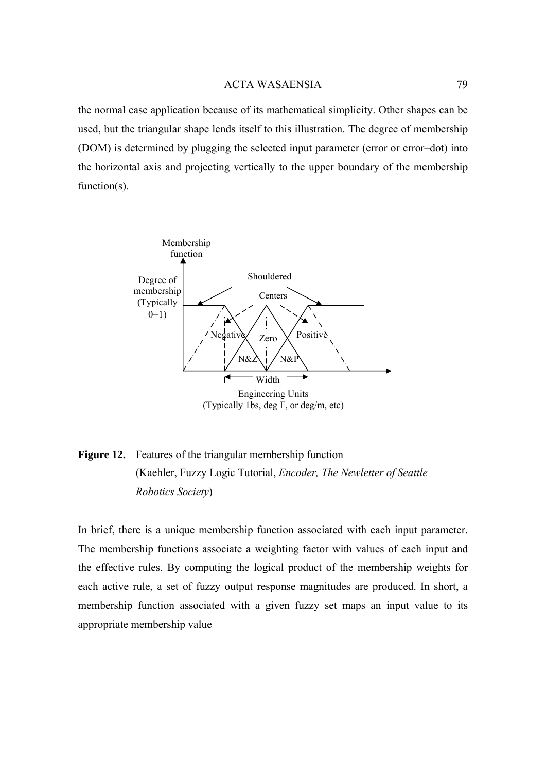the normal case application because of its mathematical simplicity. Other shapes can be used, but the triangular shape lends itself to this illustration. The degree of membership (DOM) is determined by plugging the selected input parameter (error or error–dot) into the horizontal axis and projecting vertically to the upper boundary of the membership function(s).



**Figure 12.** Features of the triangular membership function [\(Kaehler](http://www.seattlerobotics.org/encoder/mar98/fuz/author.html), Fuzzy Logic Tutorial, *Encoder, The Newletter of Seattle Robotics Society*)

In brief, there is a unique membership function associated with each input parameter. The membership functions associate a weighting factor with values of each input and the effective rules. By computing the logical product of the membership weights for each active rule, a set of fuzzy output response magnitudes are produced. In short, a membership function associated with a given fuzzy set maps an input value to its appropriate membership value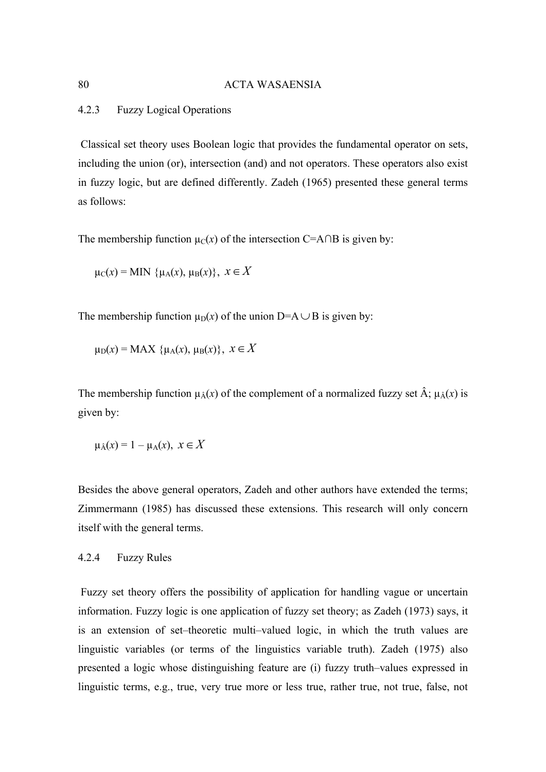## 4.2.3 Fuzzy Logical Operations

 Classical set theory uses Boolean logic that provides the fundamental operator on sets, including the union (or), intersection (and) and not operators. These operators also exist in fuzzy logic, but are defined differently. Zadeh (1965) presented these general terms as follows:

The membership function  $u_C(x)$  of the intersection C=A∩B is given by:

$$
\mu_C(x) = \text{MIN } \{ \mu_A(x), \mu_B(x) \}, \ x \in X
$$

The membership function  $\mu_D(x)$  of the union D=A $\cup$ B is given by:

 $\mu_D(x) = MAX \{ \mu_A(x), \mu_B(x) \}, x \in X$ 

The membership function  $\mu_{\hat{A}}(x)$  of the complement of a normalized fuzzy set  $\hat{A}$ ;  $\mu_{\hat{A}}(x)$  is given by:

$$
\mu_{\hat{A}}(x) = 1 - \mu_A(x), \ x \in X
$$

Besides the above general operators, Zadeh and other authors have extended the terms; Zimmermann (1985) has discussed these extensions. This research will only concern itself with the general terms.

## 4.2.4 Fuzzy Rules

 Fuzzy set theory offers the possibility of application for handling vague or uncertain information. Fuzzy logic is one application of fuzzy set theory; as Zadeh (1973) says, it is an extension of set–theoretic multi–valued logic, in which the truth values are linguistic variables (or terms of the linguistics variable truth). Zadeh (1975) also presented a logic whose distinguishing feature are (i) fuzzy truth–values expressed in linguistic terms, e.g., true, very true more or less true, rather true, not true, false, not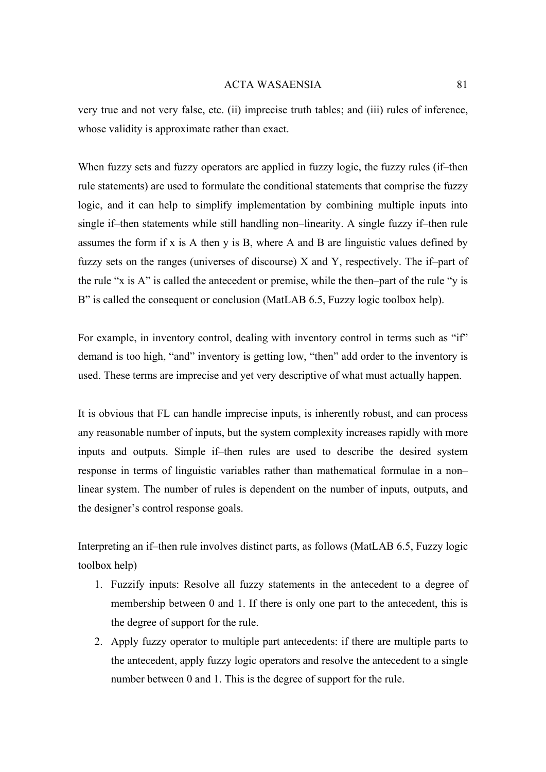very true and not very false, etc. (ii) imprecise truth tables; and (iii) rules of inference, whose validity is approximate rather than exact.

When fuzzy sets and fuzzy operators are applied in fuzzy logic, the fuzzy rules (if–then rule statements) are used to formulate the conditional statements that comprise the fuzzy logic, and it can help to simplify implementation by combining multiple inputs into single if–then statements while still handling non–linearity. A single fuzzy if–then rule assumes the form if x is A then y is B, where A and B are linguistic values defined by fuzzy sets on the ranges (universes of discourse)  $X$  and  $Y$ , respectively. The if-part of the rule "x is A" is called the antecedent or premise, while the then–part of the rule "y is B" is called the consequent or conclusion (MatLAB 6.5, Fuzzy logic toolbox help).

For example, in inventory control, dealing with inventory control in terms such as "if" demand is too high, "and" inventory is getting low, "then" add order to the inventory is used. These terms are imprecise and yet very descriptive of what must actually happen.

It is obvious that FL can handle imprecise inputs, is inherently robust, and can process any reasonable number of inputs, but the system complexity increases rapidly with more inputs and outputs. Simple if–then rules are used to describe the desired system response in terms of linguistic variables rather than mathematical formulae in a non– linear system. The number of rules is dependent on the number of inputs, outputs, and the designer's control response goals.

Interpreting an if–then rule involves distinct parts, as follows (MatLAB 6.5, Fuzzy logic toolbox help)

- 1. Fuzzify inputs: Resolve all fuzzy statements in the antecedent to a degree of membership between 0 and 1. If there is only one part to the antecedent, this is the degree of support for the rule.
- 2. Apply fuzzy operator to multiple part antecedents: if there are multiple parts to the antecedent, apply fuzzy logic operators and resolve the antecedent to a single number between 0 and 1. This is the degree of support for the rule.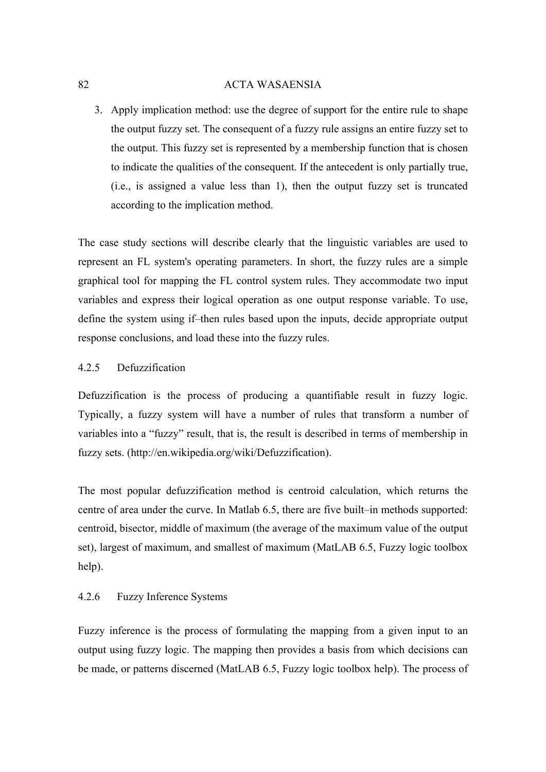3. Apply implication method: use the degree of support for the entire rule to shape the output fuzzy set. The consequent of a fuzzy rule assigns an entire fuzzy set to the output. This fuzzy set is represented by a membership function that is chosen to indicate the qualities of the consequent. If the antecedent is only partially true, (i.e., is assigned a value less than 1), then the output fuzzy set is truncated according to the implication method.

The case study sections will describe clearly that the linguistic variables are used to represent an FL system's operating parameters. In short, the fuzzy rules are a simple graphical tool for mapping the FL control system rules. They accommodate two input variables and express their logical operation as one output response variable. To use, define the system using if–then rules based upon the inputs, decide appropriate output response conclusions, and load these into the fuzzy rules.

## 4.2.5 Defuzzification

Defuzzification is the process of producing a quantifiable result in [fuzzy logic](http://en.wikipedia.org/wiki/Fuzzy_logic). Typically, a fuzzy system will have a number of rules that transform a number of variables into a "fuzzy" result, that is, the result is described in terms of membership in [fuzzy sets.](http://en.wikipedia.org/wiki/Fuzzy_sets) ([http://en.wikipedia.org/wiki/Defuzzification\)](http://en.wikipedia.org/wiki/Defuzzification).

The most popular defuzzification method is centroid calculation, which returns the centre of area under the curve. In Matlab 6.5, there are five built–in methods supported: centroid, bisector, middle of maximum (the average of the maximum value of the output set), largest of maximum, and smallest of maximum (MatLAB 6.5, Fuzzy logic toolbox help).

## 4.2.6 Fuzzy Inference Systems

Fuzzy inference is the process of formulating the mapping from a given input to an output using fuzzy logic. The mapping then provides a basis from which decisions can be made, or patterns discerned (MatLAB 6.5, Fuzzy logic toolbox help). The process of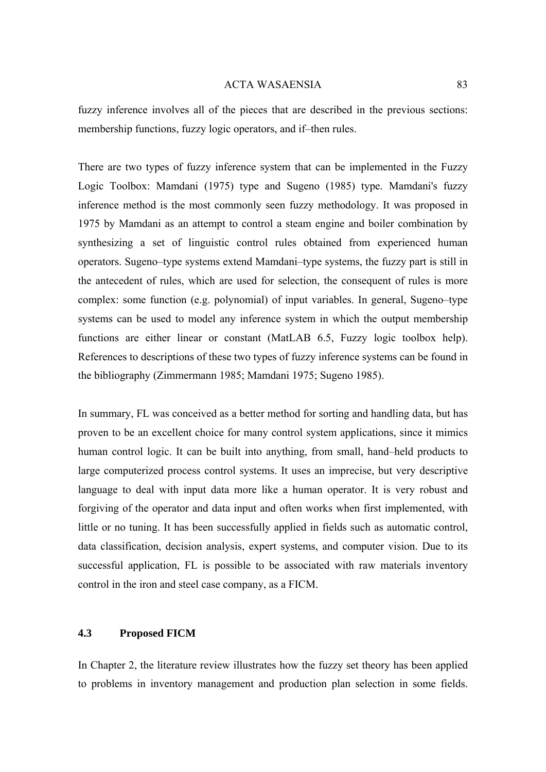fuzzy inference involves all of the pieces that are described in the previous sections: membership functions, fuzzy logic operators, and if–then rules.

There are two types of fuzzy inference system that can be implemented in the Fuzzy Logic Toolbox: Mamdani (1975) type and Sugeno (1985) type. Mamdani's fuzzy inference method is the most commonly seen fuzzy methodology. It was proposed in 1975 by Mamdani as an attempt to control a steam engine and boiler combination by synthesizing a set of linguistic control rules obtained from experienced human operators. Sugeno–type systems extend Mamdani–type systems, the fuzzy part is still in the antecedent of rules, which are used for selection, the consequent of rules is more complex: some function (e.g. polynomial) of input variables. In general, Sugeno–type systems can be used to model any inference system in which the output membership functions are either linear or constant (MatLAB 6.5, Fuzzy logic toolbox help). References to descriptions of these two types of fuzzy inference systems can be found in the bibliography (Zimmermann 1985; Mamdani 1975; Sugeno 1985).

In summary, FL was conceived as a better method for sorting and handling data, but has proven to be an excellent choice for many control system applications, since it mimics human control logic. It can be built into anything, from small, hand–held products to large computerized process control systems. It uses an imprecise, but very descriptive language to deal with input data more like a human operator. It is very robust and forgiving of the operator and data input and often works when first implemented, with little or no tuning. It has been successfully applied in fields such as automatic control, data classification, decision analysis, expert systems, and computer vision. Due to its successful application, FL is possible to be associated with raw materials inventory control in the iron and steel case company, as a FICM.

## **4.3 Proposed FICM**

In Chapter 2, the literature review illustrates how the fuzzy set theory has been applied to problems in inventory management and production plan selection in some fields.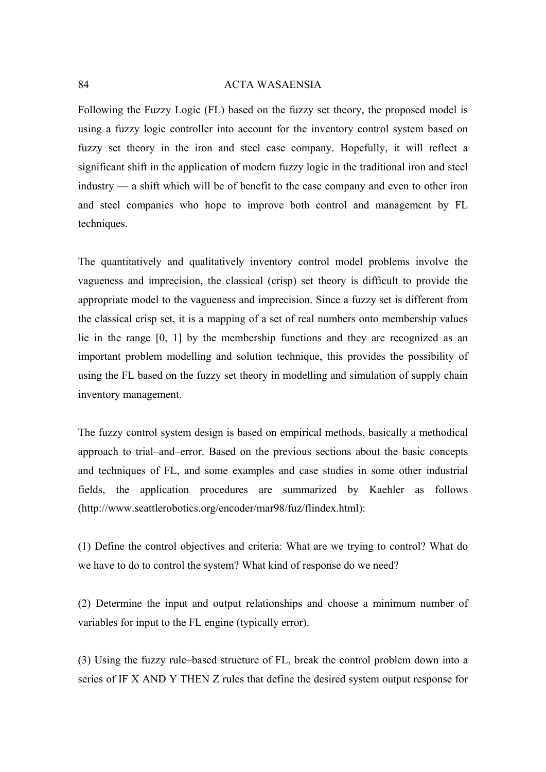Following the Fuzzy Logic (FL) based on the fuzzy set theory, the proposed model is using a fuzzy logic controller into account for the inventory control system based on fuzzy set theory in the iron and steel case company. Hopefully, it will reflect a significant shift in the application of modern fuzzy logic in the traditional iron and steel industry — a shift which will be of benefit to the case company and even to other iron and steel companies who hope to improve both control and management by FL techniques.

The quantitatively and qualitatively inventory control model problems involve the vagueness and imprecision, the classical (crisp) [set theory](http://en.wikipedia.org/wiki/Set_theory) is difficult to provide the appropriate model to the vagueness and imprecision. Since a fuzzy set is different from the classical crisp set, it is a mapping of a set of real numbers onto membership values lie in the range [0, 1] by the membership functions and they are recognized as an important problem modelling and solution technique, this provides the possibility of using the FL based on the fuzzy set theory in modelling and simulation of supply chain inventory management.

The fuzzy control system design is based on empirical methods, basically a methodical approach to trial–and–error. Based on the previous sections about the basic concepts and techniques of FL, and some examples and case studies in some other industrial fields, the application procedures are summarized by Kaehler as follows (http://www.seattlerobotics.org/encoder/mar98/fuz/flindex.html):

(1) Define the control objectives and criteria: What are we trying to control? What do we have to do to control the system? What kind of response do we need?

(2) Determine the input and output relationships and choose a minimum number of variables for input to the FL engine (typically error).

(3) Using the fuzzy rule–based structure of FL, break the control problem down into a series of IF X AND Y THEN Z rules that define the desired system output response for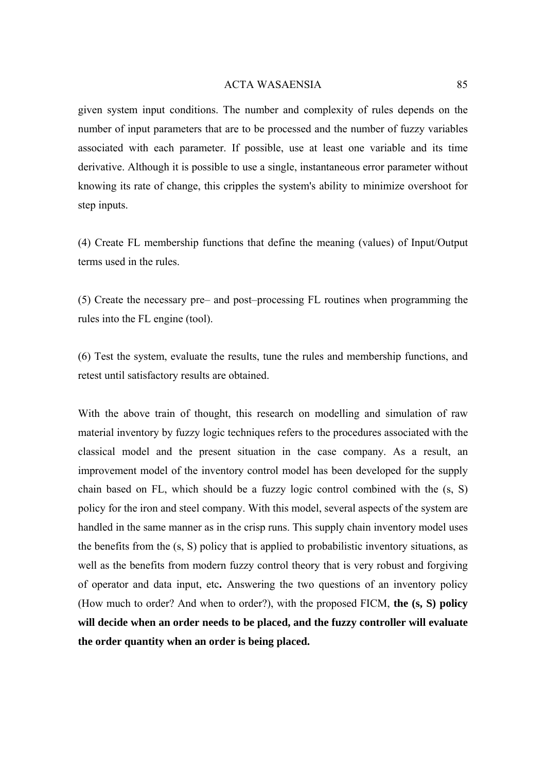given system input conditions. The number and complexity of rules depends on the number of input parameters that are to be processed and the number of fuzzy variables associated with each parameter. If possible, use at least one variable and its time derivative. Although it is possible to use a single, instantaneous error parameter without knowing its rate of change, this cripples the system's ability to minimize overshoot for step inputs.

(4) Create FL membership functions that define the meaning (values) of Input/Output terms used in the rules.

(5) Create the necessary pre– and post–processing FL routines when programming the rules into the FL engine (tool).

(6) Test the system, evaluate the results, tune the rules and membership functions, and retest until satisfactory results are obtained.

With the above train of thought, this research on modelling and simulation of raw material inventory by fuzzy logic techniques refers to the procedures associated with the classical model and the present situation in the case company. As a result, an improvement model of the inventory control model has been developed for the supply chain based on FL, which should be a fuzzy logic control combined with the (s, S) policy for the iron and steel company. With this model, several aspects of the system are handled in the same manner as in the crisp runs. This supply chain inventory model uses the benefits from the (s, S) policy that is applied to probabilistic inventory situations, as well as the benefits from modern fuzzy control theory that is very robust and forgiving of operator and data input, etc**.** Answering the two questions of an inventory policy (How much to order? And when to order?), with the proposed FICM, **the (s, S) policy will decide when an order needs to be placed, and the fuzzy controller will evaluate the order quantity when an order is being placed.**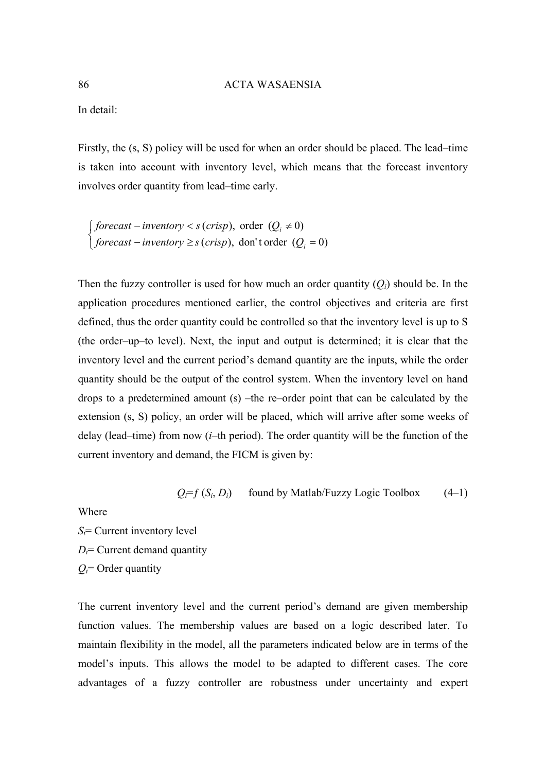In detail:

Firstly, the (s, S) policy will be used for when an order should be placed. The lead–time is taken into account with inventory level, which means that the forecast inventory involves order quantity from lead–time early.

 $\overline{a}$ ⎨  $\left\lceil \right\rceil$  $-i$ *nventory* ≥ *s* (*crisp*), don't order ( $Q_i$  =  $-i$ *nventory* < *s* (*crisp*), order ( $Q_i \neq$ (*crisp*), don't order  $(Q_i = 0)$ (*crisp*), order  $(Q_i \neq 0)$ *i i forecast* – *inventory*  $\geq$  *s* (*crisp*), don't order (Q *forecast – inventory*  $\lt s$  *(crisp)*, order *(Q*)

Then the fuzzy controller is used for how much an order quantity  $(O_i)$  should be. In the application procedures mentioned earlier, the control objectives and criteria are first defined, thus the order quantity could be controlled so that the inventory level is up to S (the order–up–to level). Next, the input and output is determined; it is clear that the inventory level and the current period's demand quantity are the inputs, while the order quantity should be the output of the control system. When the inventory level on hand drops to a predetermined amount (s) –the re–order point that can be calculated by the extension (s, S) policy, an order will be placed, which will arrive after some weeks of delay (lead–time) from now (*i*–th period). The order quantity will be the function of the current inventory and demand, the FICM is given by:

$$
Q_i = f(S_i, D_i)
$$
 found by Matlab/Fuzzy Logic Toolbox (4–1)

Where

*Si*= Current inventory level *Di*= Current demand quantity *Qi*= Order quantity

The current inventory level and the current period's demand are given membership function values. The membership values are based on a logic described later. To maintain flexibility in the model, all the parameters indicated below are in terms of the model's inputs. This allows the model to be adapted to different cases. The core advantages of a fuzzy controller are robustness under uncertainty and expert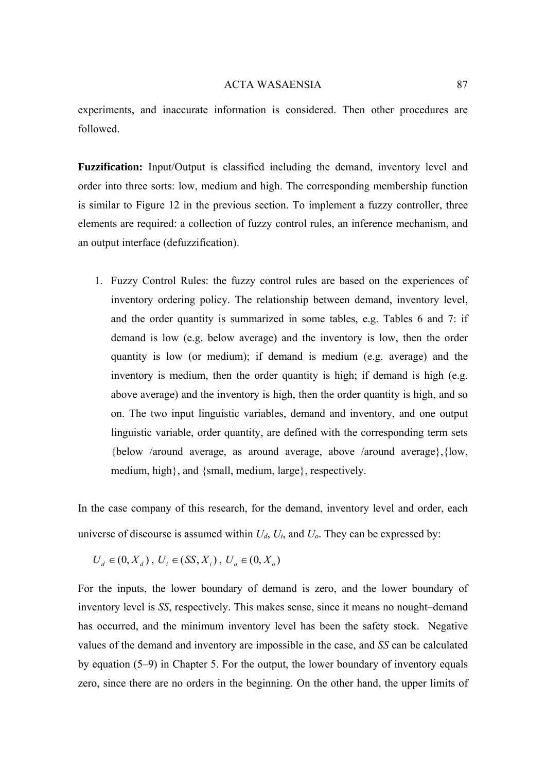experiments, and inaccurate information is considered. Then other procedures are followed.

**Fuzzification:** Input/Output is classified including the demand, inventory level and order into three sorts: low, medium and high. The corresponding membership function is similar to Figure 12 in the previous section. To implement a fuzzy controller, three elements are required: a collection of fuzzy control rules, an inference mechanism, and an output interface (defuzzification).

1. Fuzzy Control Rules: the fuzzy control rules are based on the experiences of inventory ordering policy. The relationship between demand, inventory level, and the order quantity is summarized in some tables, e.g. Tables 6 and 7: if demand is low (e.g. below average) and the inventory is low, then the order quantity is low (or medium); if demand is medium (e.g. average) and the inventory is medium, then the order quantity is high; if demand is high (e.g. above average) and the inventory is high, then the order quantity is high, and so on. The two input linguistic variables, demand and inventory, and one output linguistic variable, order quantity, are defined with the corresponding term sets {below /around average, as around average, above /around average},{low, medium, high}, and {small, medium, large}, respectively.

In the case company of this research, for the demand, inventory level and order, each universe of discourse is assumed within  $U_d$ ,  $U_i$ , and  $U_o$ . They can be expressed by:

$$
U_d \in (0, X_d)
$$
,  $U_i \in (SS, X_i)$ ,  $U_o \in (0, X_o)$ 

For the inputs, the lower boundary of demand is zero, and the lower boundary of inventory level is *SS*, respectively. This makes sense, since it means no nought–demand has occurred, and the minimum inventory level has been the safety stock. Negative values of the demand and inventory are impossible in the case, and *SS* can be calculated by equation (5–9) in Chapter 5. For the output, the lower boundary of inventory equals zero, since there are no orders in the beginning. On the other hand, the upper limits of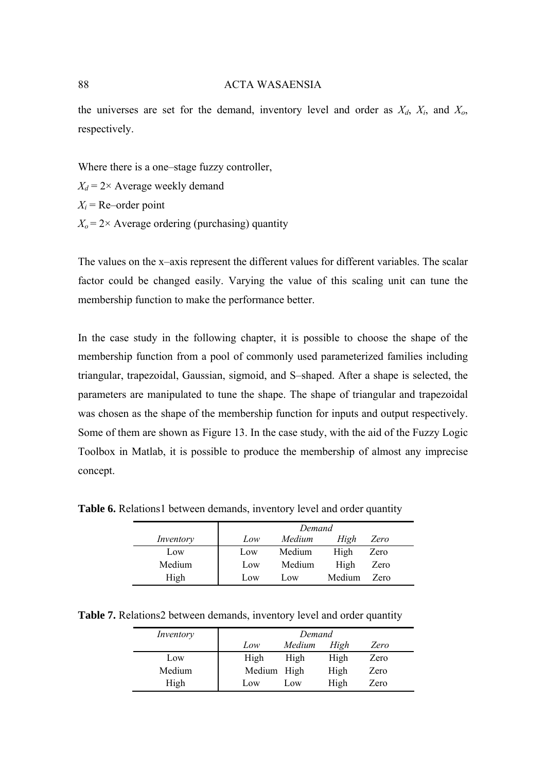the universes are set for the demand, inventory level and order as  $X_d$ ,  $X_i$ , and  $X_o$ , respectively.

Where there is a one–stage fuzzy controller,  $X_d = 2 \times$  Average weekly demand  $X_i$  = Re–order point  $X_0 = 2 \times$  Average ordering (purchasing) quantity

The values on the x–axis represent the different values for different variables. The scalar factor could be changed easily. Varying the value of this scaling unit can tune the membership function to make the performance better.

In the case study in the following chapter, it is possible to choose the shape of the membership function from a pool of commonly used parameterized families including triangular, trapezoidal, Gaussian, sigmoid, and S–shaped. After a shape is selected, the parameters are manipulated to tune the shape. The shape of triangular and trapezoidal was chosen as the shape of the membership function for inputs and output respectively. Some of them are shown as Figure 13. In the case study, with the aid of the Fuzzy Logic Toolbox in Matlab, it is possible to produce the membership of almost any imprecise concept.

*Inventory Demand Low Medium High Zero*  Low Low Medium High Zero Medium Low Medium High Zero

High Low Low Medium Zero

Table 6. Relations1 between demands, inventory level and order quantity

**Table 7.** Relations2 between demands, inventory level and order quantity

| Inventory | Demand      |        |      |      |
|-----------|-------------|--------|------|------|
|           | Low         | Medium | High | Zero |
| Low       | High        | High   | High | Zero |
| Medium    | Medium High |        | High | Zero |
| High      | Low         | Low    | High | Zero |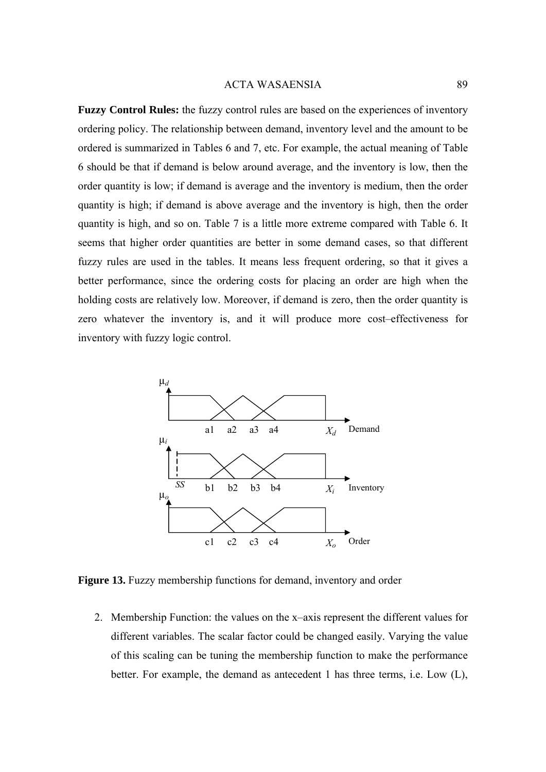**Fuzzy Control Rules:** the fuzzy control rules are based on the experiences of inventory ordering policy. The relationship between demand, inventory level and the amount to be ordered is summarized in Tables 6 and 7, etc. For example, the actual meaning of Table 6 should be that if demand is below around average, and the inventory is low, then the order quantity is low; if demand is average and the inventory is medium, then the order quantity is high; if demand is above average and the inventory is high, then the order quantity is high, and so on. Table 7 is a little more extreme compared with Table 6. It seems that higher order quantities are better in some demand cases, so that different fuzzy rules are used in the tables. It means less frequent ordering, so that it gives a better performance, since the ordering costs for placing an order are high when the holding costs are relatively low. Moreover, if demand is zero, then the order quantity is zero whatever the inventory is, and it will produce more cost–effectiveness for inventory with fuzzy logic control.



**Figure 13.** Fuzzy membership functions for demand, inventory and order

2. Membership Function: the values on the x–axis represent the different values for different variables. The scalar factor could be changed easily. Varying the value of this scaling can be tuning the membership function to make the performance better. For example, the demand as antecedent 1 has three terms, i.e. Low (L),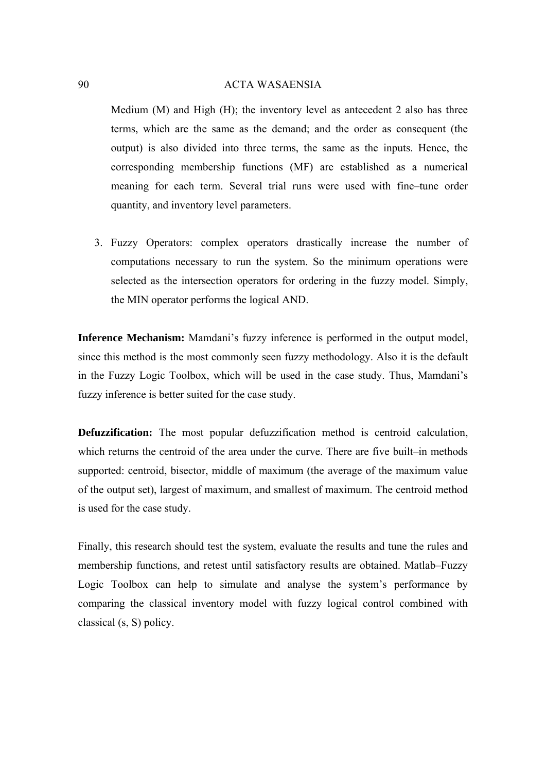Medium (M) and High (H); the inventory level as antecedent 2 also has three terms, which are the same as the demand; and the order as consequent (the output) is also divided into three terms, the same as the inputs. Hence, the corresponding membership functions (MF) are established as a numerical meaning for each term. Several trial runs were used with fine–tune order quantity, and inventory level parameters.

3. Fuzzy Operators: complex operators drastically increase the number of computations necessary to run the system. So the minimum operations were selected as the intersection operators for ordering in the fuzzy model. Simply, the MIN operator performs the logical AND.

**Inference Mechanism:** Mamdani's fuzzy inference is performed in the output model, since this method is the most commonly seen fuzzy methodology. Also it is the default in the Fuzzy Logic Toolbox, which will be used in the case study. Thus, Mamdani's fuzzy inference is better suited for the case study.

**Defuzzification:** The most popular defuzzification method is centroid calculation, which returns the centroid of the area under the curve. There are five built–in methods supported: centroid, bisector, middle of maximum (the average of the maximum value of the output set), largest of maximum, and smallest of maximum. The centroid method is used for the case study.

Finally, this research should test the system, evaluate the results and tune the rules and membership functions, and retest until satisfactory results are obtained. Matlab–Fuzzy Logic Toolbox can help to simulate and analyse the system's performance by comparing the classical inventory model with fuzzy logical control combined with classical (s, S) policy.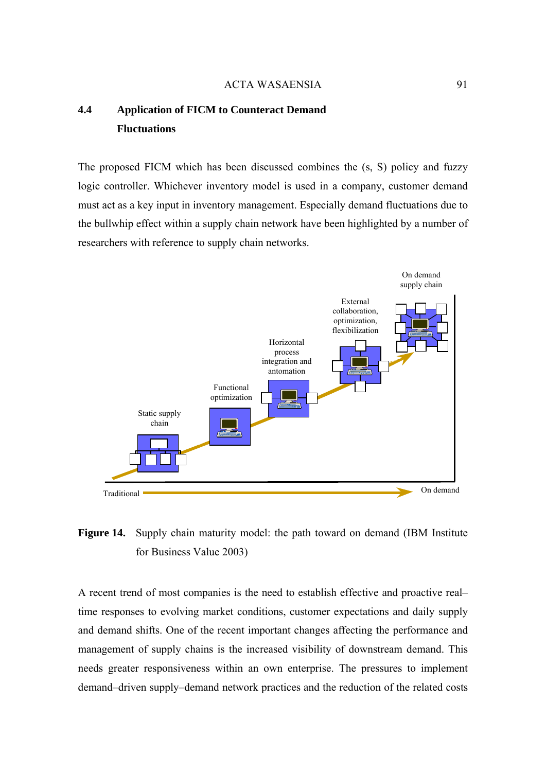# **4.4 Application of FICM to Counteract Demand Fluctuations**

The proposed FICM which has been discussed combines the (s, S) policy and fuzzy logic controller. Whichever inventory model is used in a company, customer demand must act as a key input in inventory management. Especially demand fluctuations due to the bullwhip effect within a supply chain network have been highlighted by a number of researchers with reference to supply chain networks.



**Figure 14.** Supply chain maturity model: the path toward on demand (IBM Institute for Business Value 2003)

A recent trend of most companies is the need to establish effective and proactive real– time responses to evolving market conditions, customer expectations and daily supply and demand shifts. One of the recent important changes affecting the performance and management of supply chains is the increased visibility of downstream demand. This needs greater responsiveness within an own enterprise. The pressures to implement demand–driven supply–demand network practices and the reduction of the related costs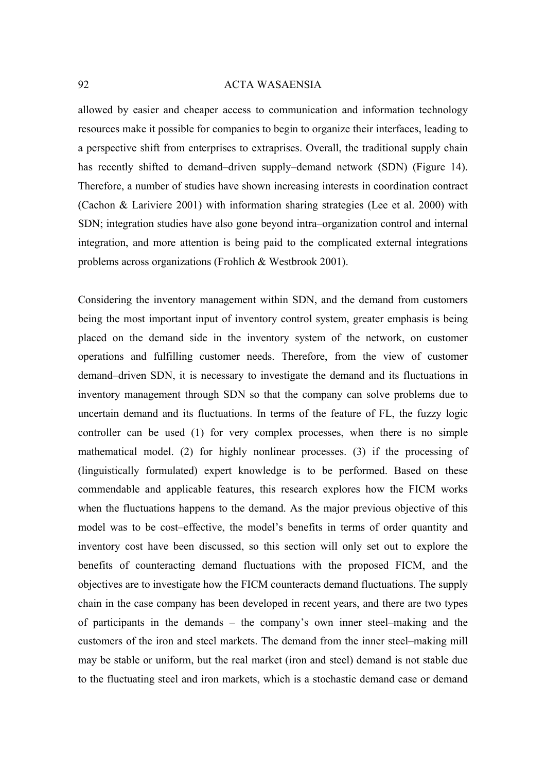allowed by easier and cheaper access to communication and information technology resources make it possible for companies to begin to organize their interfaces, leading to a perspective shift from enterprises to extraprises. Overall, the traditional supply chain has recently shifted to demand–driven supply–demand network (SDN) (Figure 14). Therefore, a number of studies have shown increasing interests in coordination contract (Cachon & Lariviere 2001) with information sharing strategies (Lee et al. 2000) with SDN; integration studies have also gone beyond intra–organization control and internal integration, and more attention is being paid to the complicated external integrations problems across organizations (Frohlich & Westbrook 2001).

Considering the inventory management within SDN, and the demand from customers being the most important input of inventory control system, greater emphasis is being placed on the demand side in the inventory system of the network, on customer operations and fulfilling customer needs. Therefore, from the view of customer demand–driven SDN, it is necessary to investigate the demand and its fluctuations in inventory management through SDN so that the company can solve problems due to uncertain demand and its fluctuations. In terms of the feature of FL, the fuzzy logic controller can be used (1) for very complex processes, when there is no simple mathematical model. (2) for highly nonlinear processes. (3) if the processing of (linguistically formulated) expert knowledge is to be performed. Based on these commendable and applicable features, this research explores how the FICM works when the fluctuations happens to the demand. As the major previous objective of this model was to be cost–effective, the model's benefits in terms of order quantity and inventory cost have been discussed, so this section will only set out to explore the benefits of counteracting demand fluctuations with the proposed FICM, and the objectives are to investigate how the FICM counteracts demand fluctuations. The supply chain in the case company has been developed in recent years, and there are two types of participants in the demands – the company's own inner steel–making and the customers of the iron and steel markets. The demand from the inner steel–making mill may be stable or uniform, but the real market (iron and steel) demand is not stable due to the fluctuating steel and iron markets, which is a stochastic demand case or demand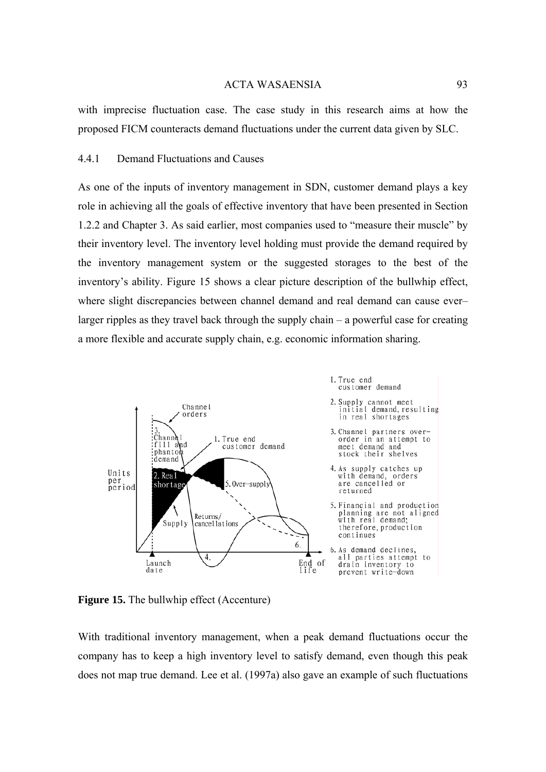with imprecise fluctuation case. The case study in this research aims at how the proposed FICM counteracts demand fluctuations under the current data given by SLC.

## 4.4.1 Demand Fluctuations and Causes

As one of the inputs of inventory management in SDN, customer demand plays a key role in achieving all the goals of effective inventory that have been presented in Section 1.2.2 and Chapter 3. As said earlier, most companies used to "measure their muscle" by their inventory level. The inventory level holding must provide the demand required by the inventory management system or the suggested storages to the best of the inventory's ability. Figure 15 shows a clear picture description of the bullwhip effect, where slight discrepancies between channel demand and real demand can cause ever– larger ripples as they travel back through the supply chain – a powerful case for creating a more flexible and accurate supply chain, e.g. economic information sharing.



**Figure 15.** The bullwhip effect (Accenture)

With traditional inventory management, when a peak demand fluctuations occur the company has to keep a high inventory level to satisfy demand, even though this peak does not map true demand. Lee et al. (1997a) also gave an example of such fluctuations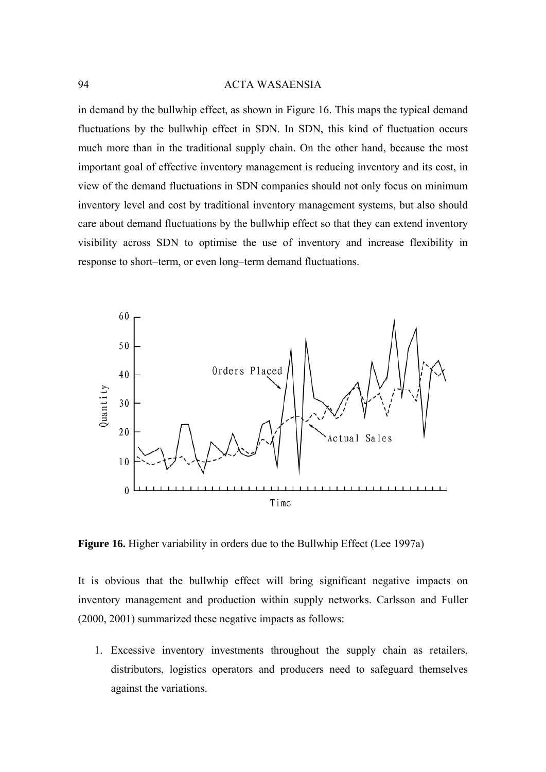in demand by the bullwhip effect, as shown in Figure 16. This maps the typical demand fluctuations by the bullwhip effect in SDN. In SDN, this kind of fluctuation occurs much more than in the traditional supply chain. On the other hand, because the most important goal of effective inventory management is reducing inventory and its cost, in view of the demand fluctuations in SDN companies should not only focus on minimum inventory level and cost by traditional inventory management systems, but also should care about demand fluctuations by the bullwhip effect so that they can extend inventory visibility across SDN to optimise the use of inventory and increase flexibility in response to short–term, or even long–term demand fluctuations.



**Figure 16.** Higher variability in orders due to the Bullwhip Effect (Lee 1997a)

It is obvious that the bullwhip effect will bring significant negative impacts on inventory management and production within supply networks. Carlsson and Fuller (2000, 2001) summarized these negative impacts as follows:

1. Excessive inventory investments throughout the supply chain as retailers, distributors, logistics operators and producers need to safeguard themselves against the variations.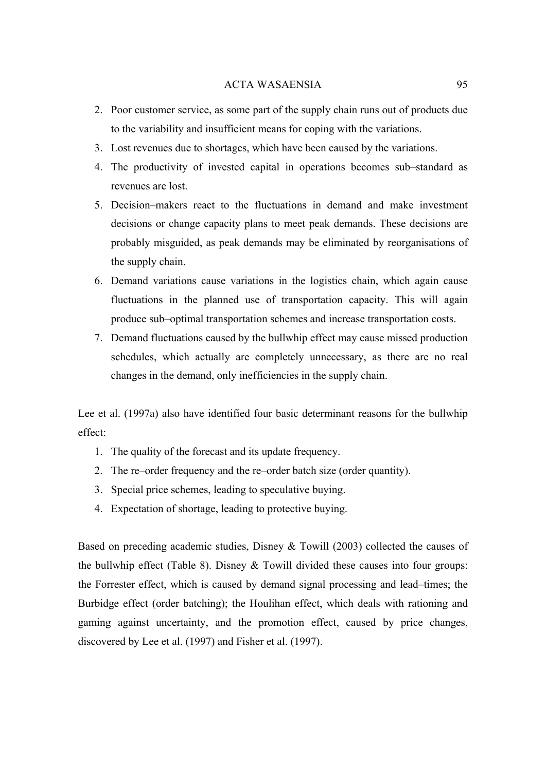- 2. Poor customer service, as some part of the supply chain runs out of products due to the variability and insufficient means for coping with the variations.
- 3. Lost revenues due to shortages, which have been caused by the variations.
- 4. The productivity of invested capital in operations becomes sub–standard as revenues are lost.
- 5. Decision–makers react to the fluctuations in demand and make investment decisions or change capacity plans to meet peak demands. These decisions are probably misguided, as peak demands may be eliminated by reorganisations of the supply chain.
- 6. Demand variations cause variations in the logistics chain, which again cause fluctuations in the planned use of transportation capacity. This will again produce sub–optimal transportation schemes and increase transportation costs.
- 7. Demand fluctuations caused by the bullwhip effect may cause missed production schedules, which actually are completely unnecessary, as there are no real changes in the demand, only inefficiencies in the supply chain.

Lee et al. (1997a) also have identified four basic determinant reasons for the bullwhip effect:

- 1. The quality of the forecast and its update frequency.
- 2. The re–order frequency and the re–order batch size (order quantity).
- 3. Special price schemes, leading to speculative buying.
- 4. Expectation of shortage, leading to protective buying.

Based on preceding academic studies, Disney & Towill (2003) collected the causes of the bullwhip effect (Table 8). Disney  $&$  Towill divided these causes into four groups: the Forrester effect, which is caused by demand signal processing and lead–times; the Burbidge effect (order batching); the Houlihan effect, which deals with rationing and gaming against uncertainty, and the promotion effect, caused by price changes, discovered by Lee et al. (1997) and Fisher et al. (1997).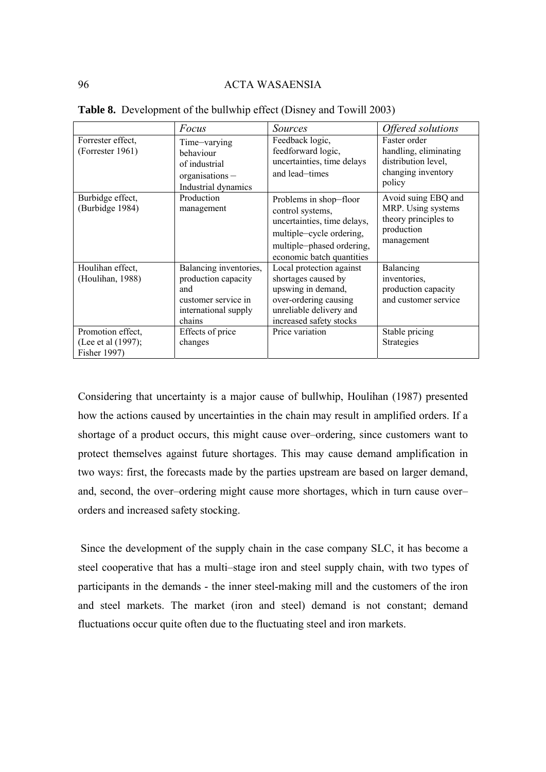|                                                         | Focus                                                                                                         | <i>Sources</i>                                                                                                                                                  | Offered solutions                                                                             |
|---------------------------------------------------------|---------------------------------------------------------------------------------------------------------------|-----------------------------------------------------------------------------------------------------------------------------------------------------------------|-----------------------------------------------------------------------------------------------|
| Forrester effect,<br>(Forrester 1961)                   | Time-varying<br>behaviour<br>of industrial<br>$organisations -$<br>Industrial dynamics                        | Feedback logic,<br>feedforward logic,<br>uncertainties, time delays<br>and lead-times                                                                           | Faster order<br>handling, eliminating<br>distribution level,<br>changing inventory<br>policy  |
| Burbidge effect,<br>(Burbidge 1984)                     | Production<br>management                                                                                      | Problems in shop-floor<br>control systems,<br>uncertainties, time delays,<br>multiple-cycle ordering,<br>multiple-phased ordering,<br>economic batch quantities | Avoid suing EBQ and<br>MRP. Using systems<br>theory principles to<br>production<br>management |
| Houlihan effect,<br>(Houlihan, 1988)                    | Balancing inventories,<br>production capacity<br>and<br>customer service in<br>international supply<br>chains | Local protection against<br>shortages caused by<br>upswing in demand,<br>over-ordering causing<br>unreliable delivery and<br>increased safety stocks            | Balancing<br>inventories,<br>production capacity<br>and customer service                      |
| Promotion effect,<br>(Lee et al (1997);<br>Fisher 1997) | Effects of price<br>changes                                                                                   | Price variation                                                                                                                                                 | Stable pricing<br><b>Strategies</b>                                                           |

**Table 8.** Development of the bullwhip effect (Disney and Towill 2003)

Considering that uncertainty is a major cause of bullwhip, Houlihan (1987) presented how the actions caused by uncertainties in the chain may result in amplified orders. If a shortage of a product occurs, this might cause over–ordering, since customers want to protect themselves against future shortages. This may cause demand amplification in two ways: first, the forecasts made by the parties upstream are based on larger demand, and, second, the over–ordering might cause more shortages, which in turn cause over– orders and increased safety stocking.

 Since the development of the supply chain in the case company SLC, it has become a steel cooperative that has a multi–stage iron and steel supply chain, with two types of participants in the demands - the inner steel-making mill and the customers of the iron and steel markets. The market (iron and steel) demand is not constant; demand fluctuations occur quite often due to the fluctuating steel and iron markets.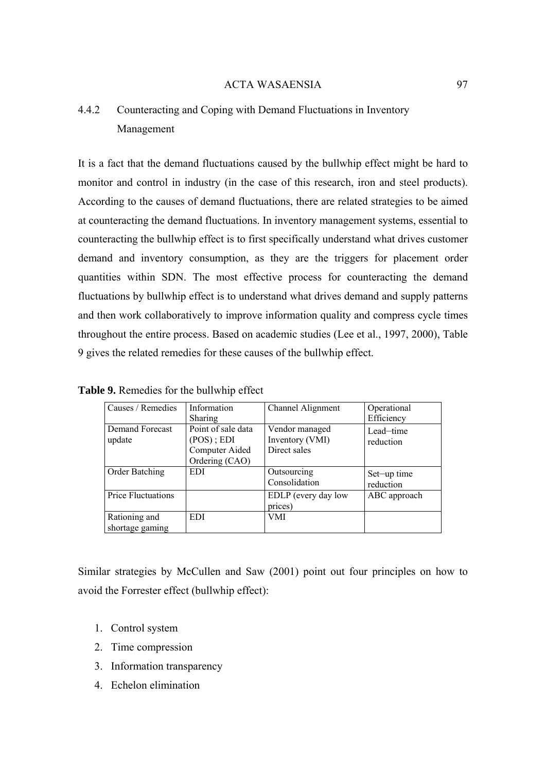# 4.4.2 Counteracting and Coping with Demand Fluctuations in Inventory Management

It is a fact that the demand fluctuations caused by the bullwhip effect might be hard to monitor and control in industry (in the case of this research, iron and steel products). According to the causes of demand fluctuations, there are related strategies to be aimed at counteracting the demand fluctuations. In inventory management systems, essential to counteracting the bullwhip effect is to first specifically understand what drives customer demand and inventory consumption, as they are the triggers for placement order quantities within SDN. The most effective process for counteracting the demand fluctuations by bullwhip effect is to understand what drives demand and supply patterns and then work collaboratively to improve information quality and compress cycle times throughout the entire process. Based on academic studies (Lee et al., 1997, 2000), Table 9 gives the related remedies for these causes of the bullwhip effect.

| Causes / Remedies                | Information<br><b>Sharing</b>                                        | Channel Alignment                                 | Operational<br>Efficiency |
|----------------------------------|----------------------------------------------------------------------|---------------------------------------------------|---------------------------|
| Demand Forecast<br>update        | Point of sale data<br>(POS); EDI<br>Computer Aided<br>Ordering (CAO) | Vendor managed<br>Inventory (VMI)<br>Direct sales | Lead-time<br>reduction    |
| Order Batching                   | <b>EDI</b>                                                           | Outsourcing<br>Consolidation                      | Set-up time<br>reduction  |
| Price Fluctuations               |                                                                      | EDLP (every day low<br>prices)                    | ABC approach              |
| Rationing and<br>shortage gaming | EDI                                                                  | VMI                                               |                           |

**Table 9.** Remedies for the bullwhip effect

Similar strategies by McCullen and Saw (2001) point out four principles on how to avoid the Forrester effect (bullwhip effect):

- 1. Control system
- 2. Time compression
- 3. Information transparency
- 4. Echelon elimination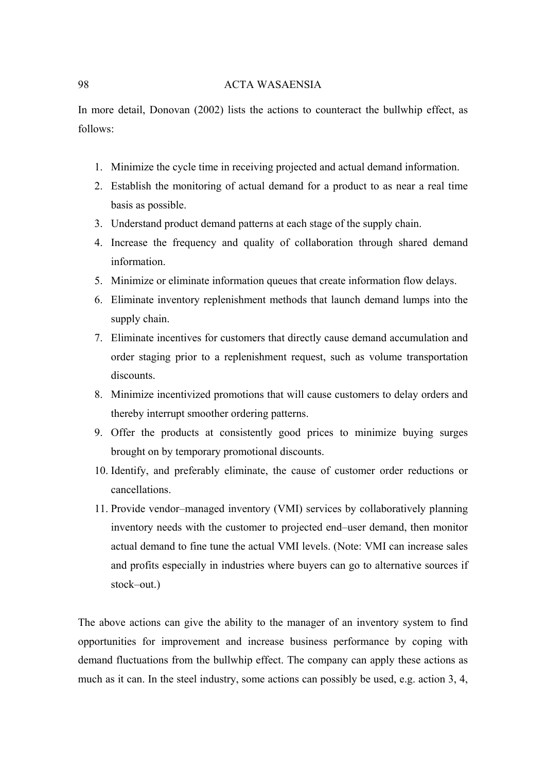In more detail, Donovan (2002) lists the actions to counteract the bullwhip effect, as follows:

- 1. Minimize the cycle time in receiving projected and actual demand information.
- 2. Establish the monitoring of actual demand for a product to as near a real time basis as possible.
- 3. Understand product demand patterns at each stage of the supply chain.
- 4. Increase the frequency and quality of collaboration through shared demand information.
- 5. Minimize or eliminate information queues that create information flow delays.
- 6. Eliminate inventory replenishment methods that launch demand lumps into the supply chain.
- 7. Eliminate incentives for customers that directly cause demand accumulation and order staging prior to a replenishment request, such as volume transportation discounts.
- 8. Minimize incentivized promotions that will cause customers to delay orders and thereby interrupt smoother ordering patterns.
- 9. Offer the products at consistently good prices to minimize buying surges brought on by temporary promotional discounts.
- 10. Identify, and preferably eliminate, the cause of customer order reductions or cancellations.
- 11. Provide vendor–managed inventory (VMI) services by collaboratively planning inventory needs with the customer to projected end–user demand, then monitor actual demand to fine tune the actual VMI levels. (Note: VMI can increase sales and profits especially in industries where buyers can go to alternative sources if stock–out.)

The above actions can give the ability to the manager of an inventory system to find opportunities for improvement and increase business performance by coping with demand fluctuations from the bullwhip effect. The company can apply these actions as much as it can. In the steel industry, some actions can possibly be used, e.g. action 3, 4,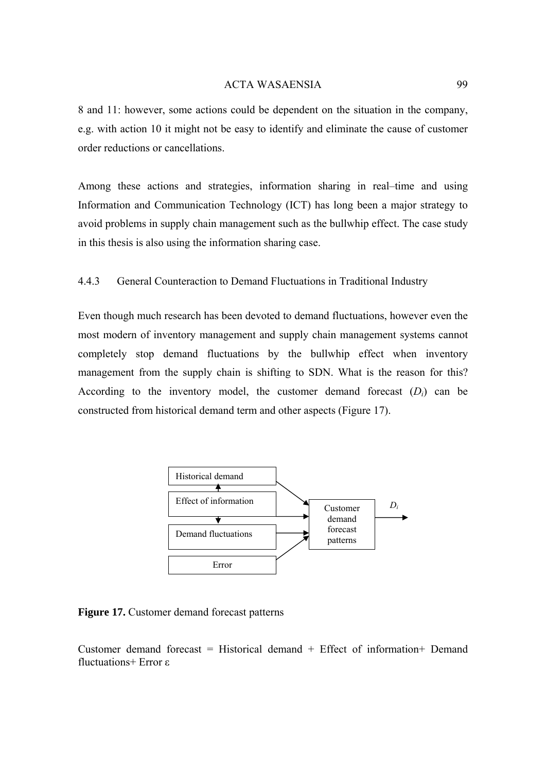8 and 11: however, some actions could be dependent on the situation in the company, e.g. with action 10 it might not be easy to identify and eliminate the cause of customer order reductions or cancellations.

Among these actions and strategies, information sharing in real–time and using Information and Communication Technology (ICT) has long been a major strategy to avoid problems in supply chain management such as the bullwhip effect. The case study in this thesis is also using the information sharing case.

## 4.4.3 General Counteraction to Demand Fluctuations in Traditional Industry

Even though much research has been devoted to demand fluctuations, however even the most modern of inventory management and supply chain management systems cannot completely stop demand fluctuations by the bullwhip effect when inventory management from the supply chain is shifting to SDN. What is the reason for this? According to the inventory model, the customer demand forecast  $(D_i)$  can be constructed from historical demand term and other aspects (Figure 17).



**Figure 17.** Customer demand forecast patterns

Customer demand forecast = Historical demand + Effect of information+ Demand fluctuations+ Error ε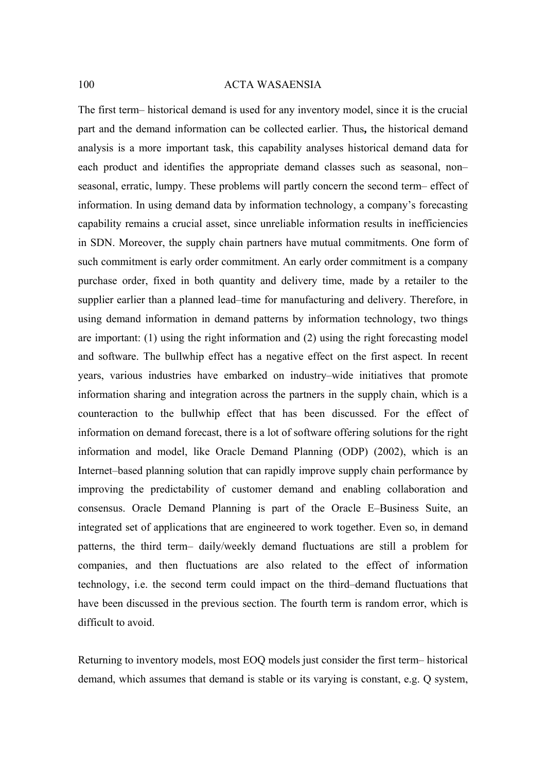The first term– historical demand is used for any inventory model, since it is the crucial part and the demand information can be collected earlier. Thus**,** the historical demand analysis is a more important task, this capability analyses historical demand data for each product and identifies the appropriate demand classes such as seasonal, non– seasonal, erratic, lumpy. These problems will partly concern the second term– effect of information. In using demand data by information technology, a company's forecasting capability remains a crucial asset, since unreliable information results in inefficiencies in SDN. Moreover, the supply chain partners have mutual commitments. One form of such commitment is early order commitment. An early order commitment is a company purchase order, fixed in both quantity and delivery time, made by a retailer to the supplier earlier than a planned lead–time for manufacturing and delivery. Therefore, in using demand information in demand patterns by information technology, two things are important: (1) using the right information and (2) using the right forecasting model and software. The bullwhip effect has a negative effect on the first aspect. In recent years, various industries have embarked on industry–wide initiatives that promote information sharing and integration across the partners in the supply chain, which is a counteraction to the bullwhip effect that has been discussed. For the effect of information on demand forecast, there is a lot of software offering solutions for the right information and model, like Oracle Demand Planning (ODP) (2002), which is an Internet–based planning solution that can rapidly improve supply chain performance by improving the predictability of customer demand and enabling collaboration and consensus. Oracle Demand Planning is part of the Oracle E–Business Suite, an integrated set of applications that are engineered to work together. Even so, in demand patterns, the third term– daily/weekly demand fluctuations are still a problem for companies, and then fluctuations are also related to the effect of information technology, i.e. the second term could impact on the third–demand fluctuations that have been discussed in the previous section. The fourth term is random error, which is difficult to avoid.

Returning to inventory models, most EOQ models just consider the first term– historical demand, which assumes that demand is stable or its varying is constant, e.g. Q system,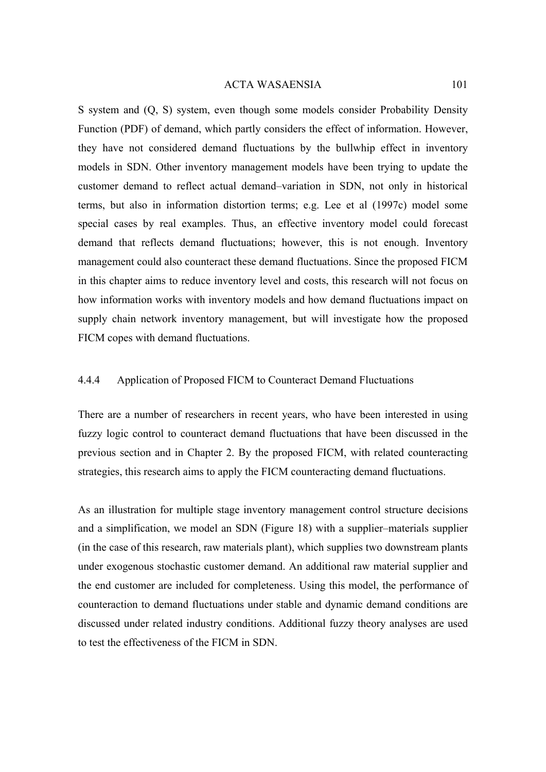S system and (Q, S) system, even though some models consider Probability Density Function (PDF) of demand, which partly considers the effect of information. However, they have not considered demand fluctuations by the bullwhip effect in inventory models in SDN. Other inventory management models have been trying to update the customer demand to reflect actual demand–variation in SDN, not only in historical terms, but also in information distortion terms; e.g. Lee et al (1997c) model some special cases by real examples. Thus, an effective inventory model could forecast demand that reflects demand fluctuations; however, this is not enough. Inventory management could also counteract these demand fluctuations. Since the proposed FICM in this chapter aims to reduce inventory level and costs, this research will not focus on how information works with inventory models and how demand fluctuations impact on supply chain network inventory management, but will investigate how the proposed FICM copes with demand fluctuations.

## 4.4.4 Application of Proposed FICM to Counteract Demand Fluctuations

There are a number of researchers in recent years, who have been interested in using fuzzy logic control to counteract demand fluctuations that have been discussed in the previous section and in Chapter 2. By the proposed FICM, with related counteracting strategies, this research aims to apply the FICM counteracting demand fluctuations.

As an illustration for multiple stage inventory management control structure decisions and a simplification, we model an SDN (Figure 18) with a supplier–materials supplier (in the case of this research, raw materials plant), which supplies two downstream plants under exogenous stochastic customer demand. An additional raw material supplier and the end customer are included for completeness. Using this model, the performance of counteraction to demand fluctuations under stable and dynamic demand conditions are discussed under related industry conditions. Additional fuzzy theory analyses are used to test the effectiveness of the FICM in SDN.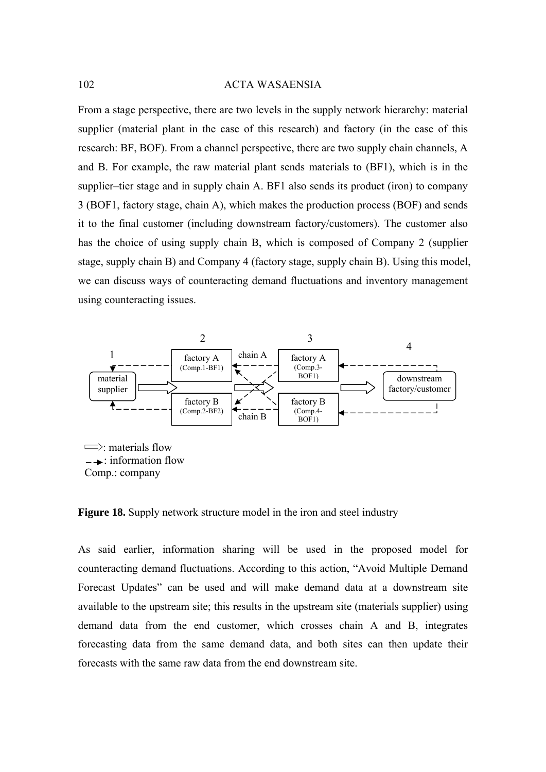From a stage perspective, there are two levels in the supply network hierarchy: material supplier (material plant in the case of this research) and factory (in the case of this research: BF, BOF). From a channel perspective, there are two supply chain channels, A and B. For example, the raw material plant sends materials to (BF1), which is in the supplier–tier stage and in supply chain A. BF1 also sends its product (iron) to company 3 (BOF1, factory stage, chain A), which makes the production process (BOF) and sends it to the final customer (including downstream factory/customers). The customer also has the choice of using supply chain B, which is composed of Company 2 (supplier stage, supply chain B) and Company 4 (factory stage, supply chain B). Using this model, we can discuss ways of counteracting demand fluctuations and inventory management using counteracting issues.



**Figure 18.** Supply network structure model in the iron and steel industry

As said earlier, information sharing will be used in the proposed model for counteracting demand fluctuations. According to this action, "Avoid Multiple Demand Forecast Updates" can be used and will make demand data at a downstream site available to the upstream site; this results in the upstream site (materials supplier) using demand data from the end customer, which crosses chain A and B, integrates forecasting data from the same demand data, and both sites can then update their forecasts with the same raw data from the end downstream site.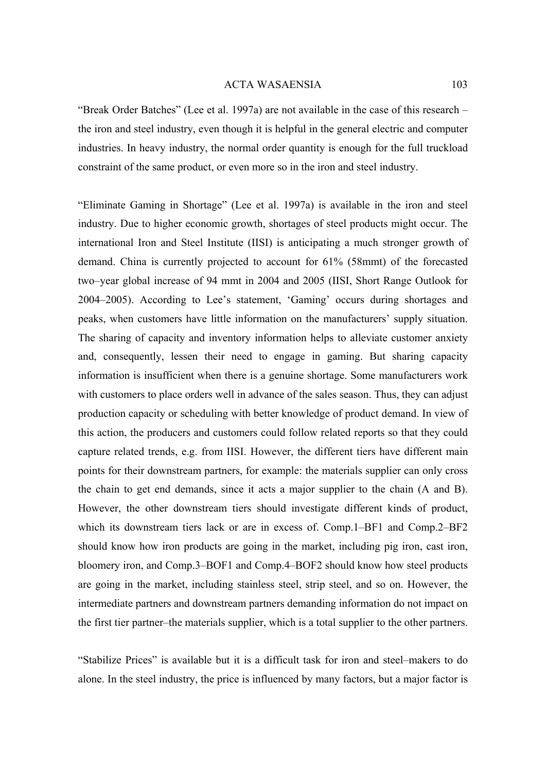"Break Order Batches" (Lee et al. 1997a) are not available in the case of this research – the iron and steel industry, even though it is helpful in the general electric and computer industries. In heavy industry, the normal order quantity is enough for the full truckload constraint of the same product, or even more so in the iron and steel industry.

"Eliminate Gaming in Shortage" (Lee et al. 1997a) is available in the iron and steel industry. Due to higher economic growth, shortages of steel products might occur. The international Iron and Steel Institute (IISI) is anticipating a much stronger growth of demand. China is currently projected to account for 61% (58mmt) of the forecasted two–year global increase of 94 mmt in 2004 and 2005 (IISI, Short Range Outlook for 2004–2005). According to Lee's statement, 'Gaming' occurs during shortages and peaks, when customers have little information on the manufacturers' supply situation. The sharing of capacity and inventory information helps to alleviate customer anxiety and, consequently, lessen their need to engage in gaming. But sharing capacity information is insufficient when there is a genuine shortage. Some manufacturers work with customers to place orders well in advance of the sales season. Thus, they can adjust production capacity or scheduling with better knowledge of product demand. In view of this action, the producers and customers could follow related reports so that they could capture related trends, e.g. from IISI. However, the different tiers have different main points for their downstream partners, for example: the materials supplier can only cross the chain to get end demands, since it acts a major supplier to the chain (A and B). However, the other downstream tiers should investigate different kinds of product, which its downstream tiers lack or are in excess of. Comp.1–BF1 and Comp.2–BF2 should know how iron products are going in the market, including pig iron, cast iron, bloomery iron, and Comp.3–BOF1 and Comp.4–BOF2 should know how steel products are going in the market, including stainless steel, strip steel, and so on. However, the intermediate partners and downstream partners demanding information do not impact on the first tier partner–the materials supplier, which is a total supplier to the other partners.

"Stabilize Prices" is available but it is a difficult task for iron and steel–makers to do alone. In the steel industry, the price is influenced by many factors, but a major factor is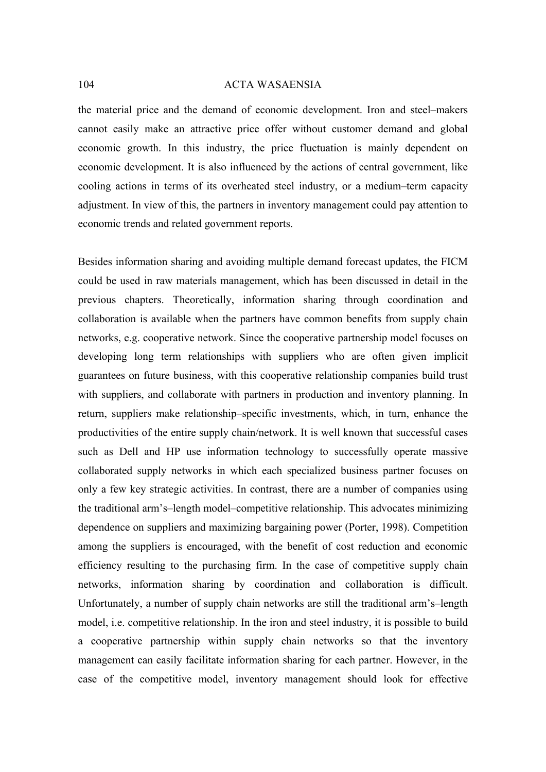the material price and the demand of economic development. Iron and steel–makers cannot easily make an attractive price offer without customer demand and global economic growth. In this industry, the price fluctuation is mainly dependent on economic development. It is also influenced by the actions of central government, like cooling actions in terms of its overheated steel industry, or a medium–term capacity adjustment. In view of this, the partners in inventory management could pay attention to economic trends and related government reports.

Besides information sharing and avoiding multiple demand forecast updates, the FICM could be used in raw materials management, which has been discussed in detail in the previous chapters. Theoretically, information sharing through coordination and collaboration is available when the partners have common benefits from supply chain networks, e.g. cooperative network. Since the cooperative partnership model focuses on developing long term relationships with suppliers who are often given implicit guarantees on future business, with this cooperative relationship companies build trust with suppliers, and collaborate with partners in production and inventory planning. In return, suppliers make relationship–specific investments, which, in turn, enhance the productivities of the entire supply chain/network. It is well known that successful cases such as Dell and HP use information technology to successfully operate massive collaborated supply networks in which each specialized business partner focuses on only a few key strategic activities. In contrast, there are a number of companies using the traditional arm's–length model–competitive relationship. This advocates minimizing dependence on suppliers and maximizing bargaining power (Porter, 1998). Competition among the suppliers is encouraged, with the benefit of cost reduction and economic efficiency resulting to the purchasing firm. In the case of competitive supply chain networks, information sharing by coordination and collaboration is difficult. Unfortunately, a number of supply chain networks are still the traditional arm's–length model, i.e. competitive relationship. In the iron and steel industry, it is possible to build a cooperative partnership within supply chain networks so that the inventory management can easily facilitate information sharing for each partner. However, in the case of the competitive model, inventory management should look for effective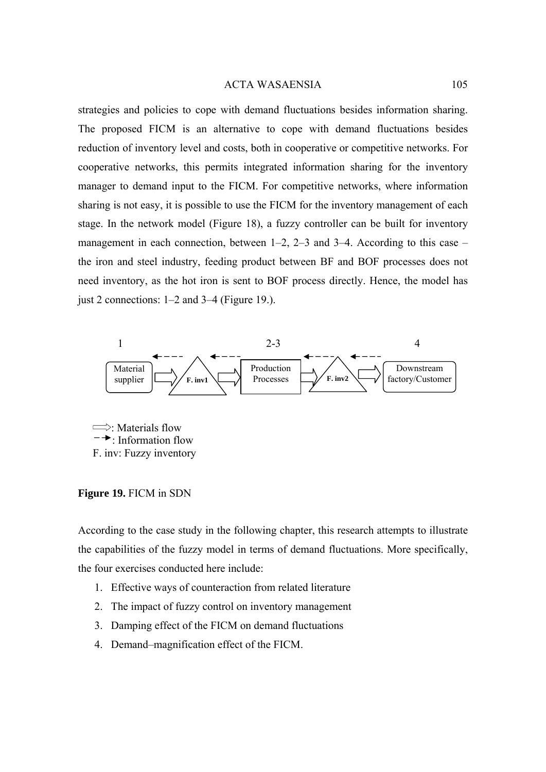strategies and policies to cope with demand fluctuations besides information sharing. The proposed FICM is an alternative to cope with demand fluctuations besides reduction of inventory level and costs, both in cooperative or competitive networks. For cooperative networks, this permits integrated information sharing for the inventory manager to demand input to the FICM. For competitive networks, where information sharing is not easy, it is possible to use the FICM for the inventory management of each stage. In the network model (Figure 18), a fuzzy controller can be built for inventory management in each connection, between  $1-2$ ,  $2-3$  and  $3-4$ . According to this case – the iron and steel industry, feeding product between BF and BOF processes does not need inventory, as the hot iron is sent to BOF process directly. Hence, the model has just 2 connections: 1–2 and 3–4 (Figure 19.).



 $\implies$ : Materials flow : Information flow F. inv: Fuzzy inventory

## **Figure 19.** FICM in SDN

According to the case study in the following chapter, this research attempts to illustrate the capabilities of the fuzzy model in terms of demand fluctuations. More specifically, the four exercises conducted here include:

- 1. Effective ways of counteraction from related literature
- 2. The impact of fuzzy control on inventory management
- 3. Damping effect of the FICM on demand fluctuations
- 4. Demand–magnification effect of the FICM.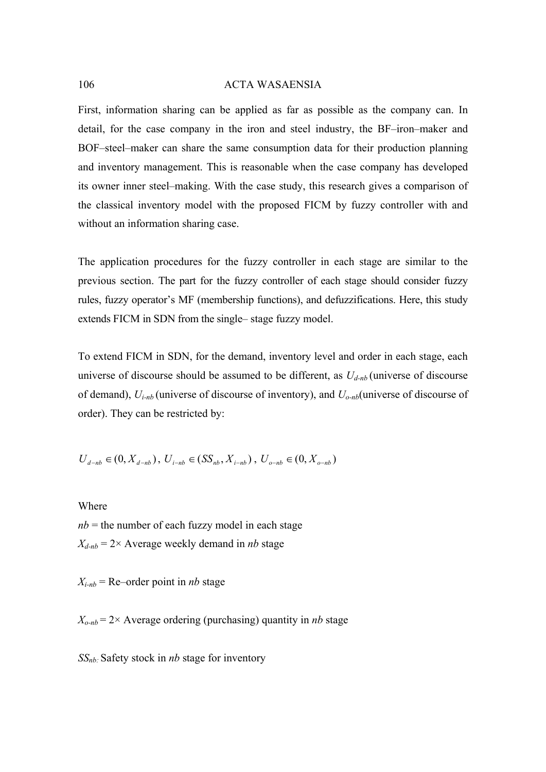First, information sharing can be applied as far as possible as the company can. In detail, for the case company in the iron and steel industry, the BF–iron–maker and BOF–steel–maker can share the same consumption data for their production planning and inventory management. This is reasonable when the case company has developed its owner inner steel–making. With the case study, this research gives a comparison of the classical inventory model with the proposed FICM by fuzzy controller with and without an information sharing case.

The application procedures for the fuzzy controller in each stage are similar to the previous section. The part for the fuzzy controller of each stage should consider fuzzy rules, fuzzy operator's MF (membership functions), and defuzzifications. Here, this study extends FICM in SDN from the single– stage fuzzy model.

To extend FICM in SDN, for the demand, inventory level and order in each stage, each universe of discourse should be assumed to be different, as  $U_{d-nb}$  (universe of discourse of demand), *Ui-nb* (universe of discourse of inventory), and *Uo-nb*(universe of discourse of order). They can be restricted by:

$$
U_{d-nb} \in (0, X_{d-nb}), U_{i-nb} \in (SS_{nb}, X_{i-nb}), U_{o-nb} \in (0, X_{o-nb})
$$

Where

 $nb =$  the number of each fuzzy model in each stage  $X_{d-nb} = 2 \times$  Average weekly demand in *nb* stage

 $X_{i-nb}$  = Re–order point in *nb* stage

 $X_{o-nb} = 2 \times$  Average ordering (purchasing) quantity in *nb* stage

*SSnb:* Safety stock in *nb* stage for inventory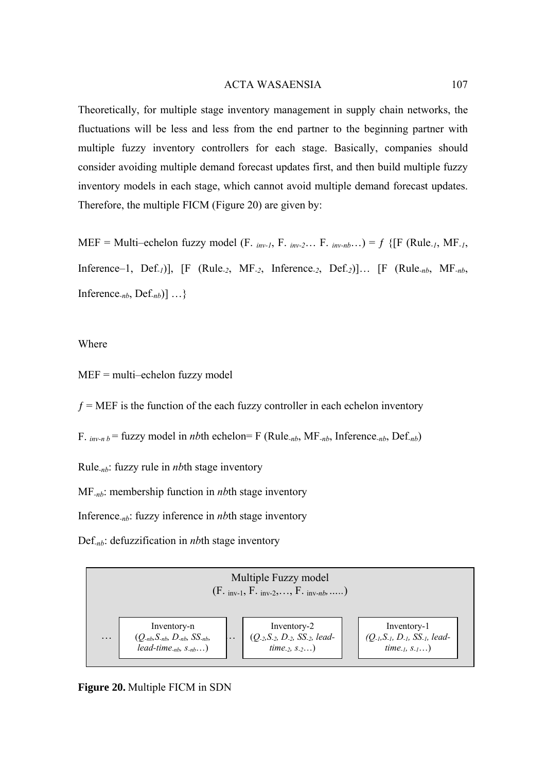Theoretically, for multiple stage inventory management in supply chain networks, the fluctuations will be less and less from the end partner to the beginning partner with multiple fuzzy inventory controllers for each stage. Basically, companies should consider avoiding multiple demand forecast updates first, and then build multiple fuzzy inventory models in each stage, which cannot avoid multiple demand forecast updates. Therefore, the multiple FICM (Figure 20) are given by:

MEF = Multi–echelon fuzzy model (F. *inv-1*, F. *inv-2*… F. *inv-nb*…) =  $f$  {[F (Rule<sub>-1</sub>, MF<sub>-1</sub>, Inference–1, Def*-1*)], [F (Rule*-2*, MF*-2*, Inference*-2*, Def*-2*)]… [F (Rule*-nb*, MF*-nb*, Inference*-nb*, Def*-nb*)] …}

## Where

MEF = multi–echelon fuzzy model

 $f = MEF$  is the function of the each fuzzy controller in each echelon inventory

F.  $_{inv-n}b$  = fuzzy model in *nb*th echelon= F (Rule<sub>-nb</sub>, MF<sub>-nb</sub>, Inference<sub>-nb</sub>, Def<sub>-nb</sub>)

Rule*-nb*: fuzzy rule in *nb*th stage inventory

MF*-nb*: membership function in *nb*th stage inventory

Inference*-nb*: fuzzy inference in *nb*th stage inventory

Def*-nb*: defuzzification in *nb*th stage inventory



**Figure 20.** Multiple FICM in SDN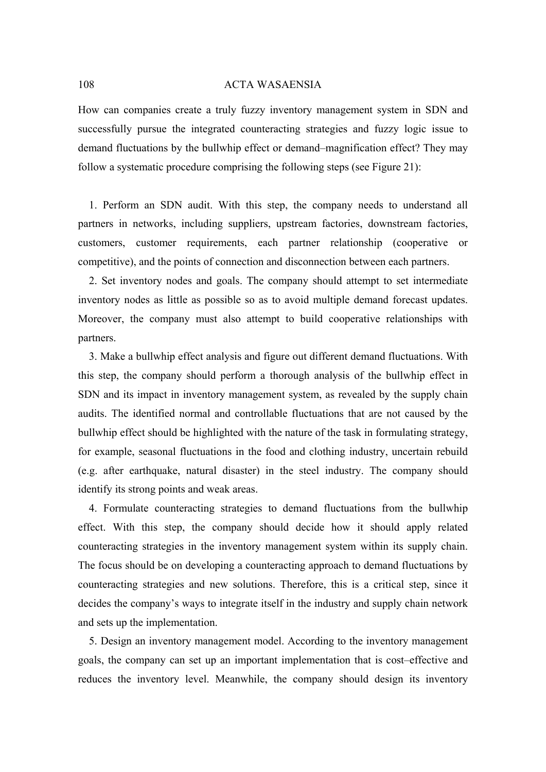How can companies create a truly fuzzy inventory management system in SDN and successfully pursue the integrated counteracting strategies and fuzzy logic issue to demand fluctuations by the bullwhip effect or demand–magnification effect? They may follow a systematic procedure comprising the following steps (see Figure 21):

1. Perform an SDN audit. With this step, the company needs to understand all partners in networks, including suppliers, upstream factories, downstream factories, customers, customer requirements, each partner relationship (cooperative or competitive), and the points of connection and disconnection between each partners.

2. Set inventory nodes and goals. The company should attempt to set intermediate inventory nodes as little as possible so as to avoid multiple demand forecast updates. Moreover, the company must also attempt to build cooperative relationships with partners.

3. Make a bullwhip effect analysis and figure out different demand fluctuations. With this step, the company should perform a thorough analysis of the bullwhip effect in SDN and its impact in inventory management system, as revealed by the supply chain audits. The identified normal and controllable fluctuations that are not caused by the bullwhip effect should be highlighted with the nature of the task in formulating strategy, for example, seasonal fluctuations in the food and clothing industry, uncertain rebuild (e.g. after earthquake, natural disaster) in the steel industry. The company should identify its strong points and weak areas.

4. Formulate counteracting strategies to demand fluctuations from the bullwhip effect. With this step, the company should decide how it should apply related counteracting strategies in the inventory management system within its supply chain. The focus should be on developing a counteracting approach to demand fluctuations by counteracting strategies and new solutions. Therefore, this is a critical step, since it decides the company's ways to integrate itself in the industry and supply chain network and sets up the implementation.

5. Design an inventory management model. According to the inventory management goals, the company can set up an important implementation that is cost–effective and reduces the inventory level. Meanwhile, the company should design its inventory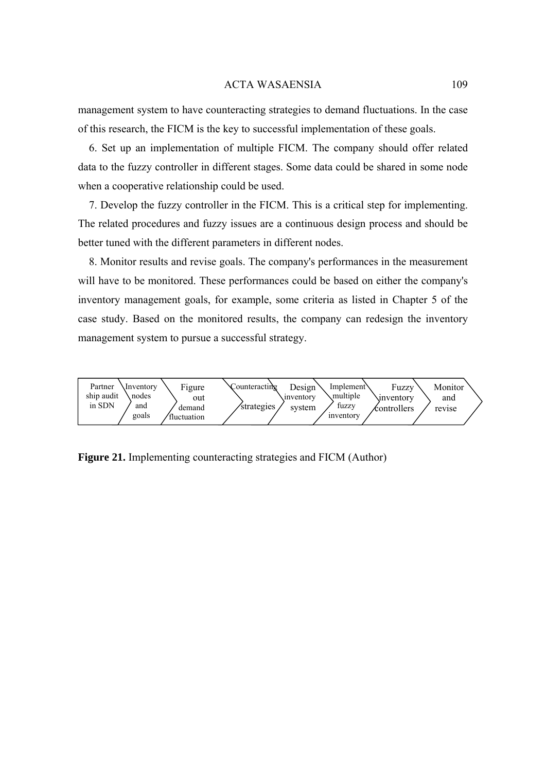management system to have counteracting strategies to demand fluctuations. In the case of this research, the FICM is the key to successful implementation of these goals.

6. Set up an implementation of multiple FICM. The company should offer related data to the fuzzy controller in different stages. Some data could be shared in some node when a cooperative relationship could be used.

7. Develop the fuzzy controller in the FICM. This is a critical step for implementing. The related procedures and fuzzy issues are a continuous design process and should be better tuned with the different parameters in different nodes.

8. Monitor results and revise goals. The company's performances in the measurement will have to be monitored. These performances could be based on either the company's inventory management goals, for example, some criteria as listed in Chapter 5 of the case study. Based on the monitored results, the company can redesign the inventory management system to pursue a successful strategy.



**Figure 21.** Implementing counteracting strategies and FICM (Author)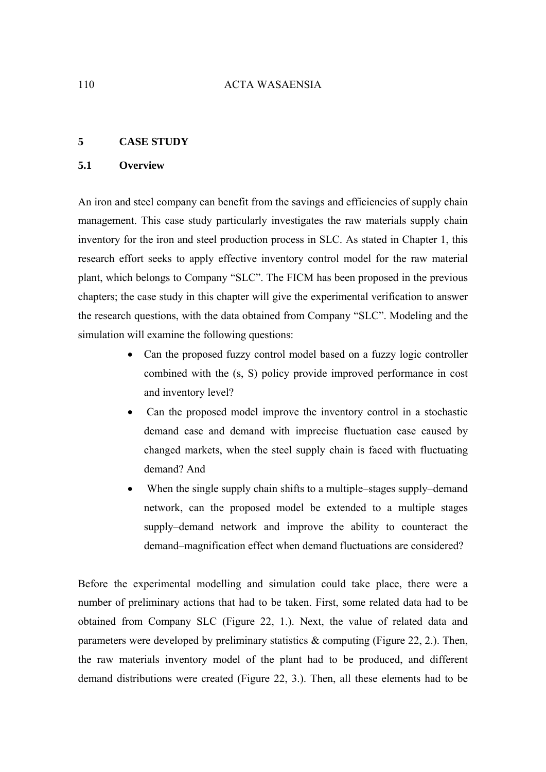### **5 CASE STUDY**

## **5.1 Overview**

An iron and steel company can benefit from the savings and efficiencies of supply chain management. This case study particularly investigates the raw materials supply chain inventory for the iron and steel production process in SLC. As stated in Chapter 1, this research effort seeks to apply effective inventory control model for the raw material plant, which belongs to Company "SLC". The FICM has been proposed in the previous chapters; the case study in this chapter will give the experimental verification to answer the research questions, with the data obtained from Company "SLC". Modeling and the simulation will examine the following questions:

- Can the proposed fuzzy control model based on a fuzzy logic controller combined with the (s, S) policy provide improved performance in cost and inventory level?
- Can the proposed model improve the inventory control in a stochastic demand case and demand with imprecise fluctuation case caused by changed markets, when the steel supply chain is faced with fluctuating demand? And
- When the single supply chain shifts to a multiple–stages supply–demand network, can the proposed model be extended to a multiple stages supply–demand network and improve the ability to counteract the demand–magnification effect when demand fluctuations are considered?

Before the experimental modelling and simulation could take place, there were a number of preliminary actions that had to be taken. First, some related data had to be obtained from Company SLC (Figure 22, 1.). Next, the value of related data and parameters were developed by preliminary statistics  $\&$  computing (Figure 22, 2.). Then, the raw materials inventory model of the plant had to be produced, and different demand distributions were created (Figure 22, 3.). Then, all these elements had to be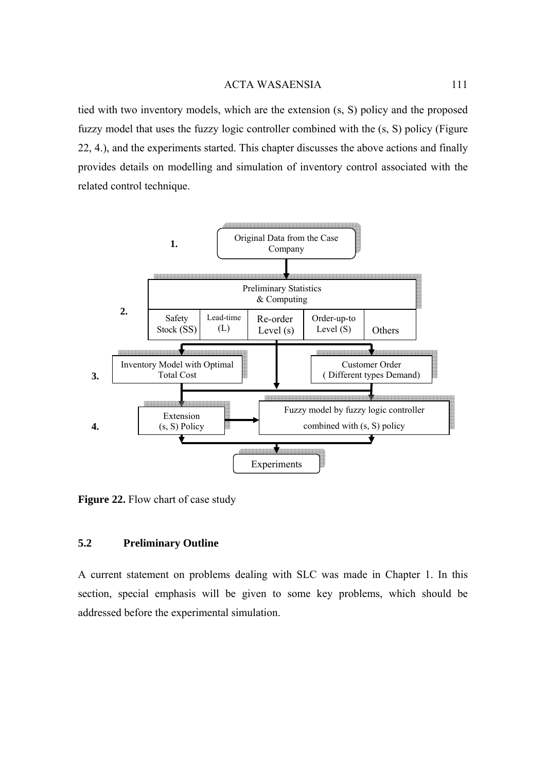tied with two inventory models, which are the extension (s, S) policy and the proposed fuzzy model that uses the fuzzy logic controller combined with the (s, S) policy (Figure 22, 4.), and the experiments started. This chapter discusses the above actions and finally provides details on modelling and simulation of inventory control associated with the related control technique.



Figure 22. Flow chart of case study

### **5.2 Preliminary Outline**

A current statement on problems dealing with SLC was made in Chapter 1. In this section, special emphasis will be given to some key problems, which should be addressed before the experimental simulation.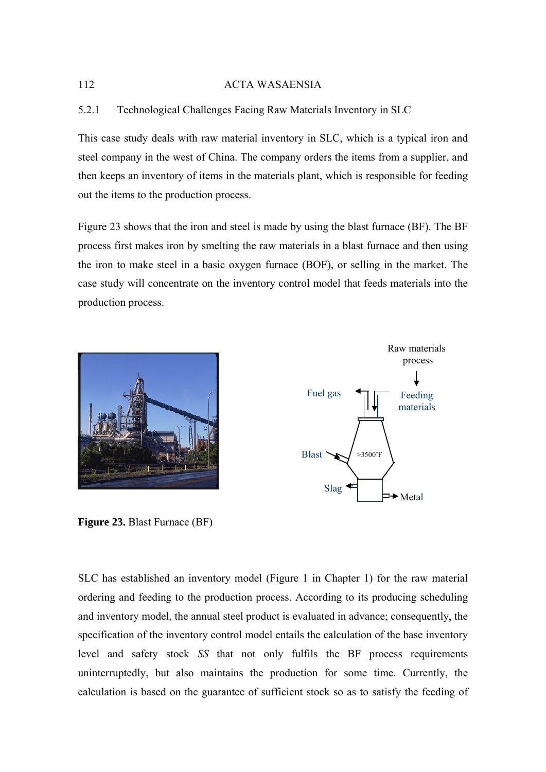# 5.2.1 Technological Challenges Facing Raw Materials Inventory in SLC

This case study deals with raw material inventory in SLC, which is a typical iron and steel company in the west of China. The company orders the items from a supplier, and then keeps an inventory of items in the materials plant, which is responsible for feeding out the items to the production process.

Figure 23 shows that the iron and steel is made by using the blast furnace (BF). The BF process first makes iron by smelting the raw materials in a blast furnace and then using the iron to make steel in a basic oxygen furnace (BOF), or selling in the market. The case study will concentrate on the inventory control model that feeds materials into the production process.







SLC has established an inventory model (Figure 1 in Chapter 1) for the raw material ordering and feeding to the production process. According to its producing scheduling and inventory model, the annual steel product is evaluated in advance; consequently, the specification of the inventory control model entails the calculation of the base inventory level and safety stock *SS* that not only fulfils the BF process requirements uninterruptedly, but also maintains the production for some time. Currently, the calculation is based on the guarantee of sufficient stock so as to satisfy the feeding of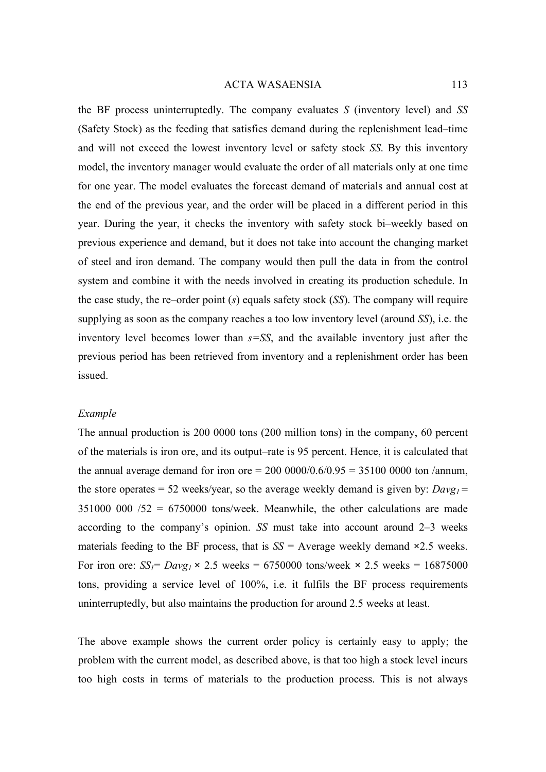the BF process uninterruptedly. The company evaluates *S* (inventory level) and *SS*  (Safety Stock) as the feeding that satisfies demand during the replenishment lead–time and will not exceed the lowest inventory level or safety stock *SS*. By this inventory model, the inventory manager would evaluate the order of all materials only at one time for one year. The model evaluates the forecast demand of materials and annual cost at the end of the previous year, and the order will be placed in a different period in this year. During the year, it checks the inventory with safety stock bi–weekly based on previous experience and demand, but it does not take into account the changing market of steel and iron demand. The company would then pull the data in from the control system and combine it with the needs involved in creating its production schedule. In the case study, the re–order point (*s*) equals safety stock (*SS*). The company will require supplying as soon as the company reaches a too low inventory level (around *SS*), i.e. the inventory level becomes lower than *s=SS*, and the available inventory just after the previous period has been retrieved from inventory and a replenishment order has been issued.

#### *Example*

The annual production is 200 0000 tons (200 million tons) in the company, 60 percent of the materials is iron ore, and its output–rate is 95 percent. Hence, it is calculated that the annual average demand for iron ore  $= 200\,0000/0.6/0.95 = 35100\,0000$  ton /annum, the store operates = 52 weeks/year, so the average weekly demand is given by:  $Davg_1 =$  $351000\ 000\ 752 = 6750000$  tons/week. Meanwhile, the other calculations are made according to the company's opinion. *SS* must take into account around 2–3 weeks materials feeding to the BF process, that is  $SS =$  Average weekly demand  $\times 2.5$  weeks. For iron ore:  $SS_I = Dayg_I \times 2.5$  weeks = 6750000 tons/week  $\times$  2.5 weeks = 16875000 tons, providing a service level of 100%, i.e. it fulfils the BF process requirements uninterruptedly, but also maintains the production for around 2.5 weeks at least.

The above example shows the current order policy is certainly easy to apply; the problem with the current model, as described above, is that too high a stock level incurs too high costs in terms of materials to the production process. This is not always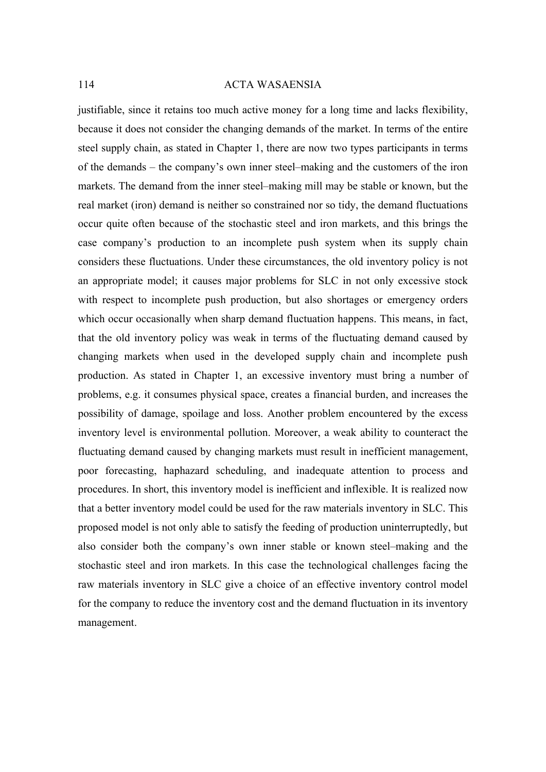justifiable, since it retains too much active money for a long time and lacks flexibility, because it does not consider the changing demands of the market. In terms of the entire steel supply chain, as stated in Chapter 1, there are now two types participants in terms of the demands – the company's own inner steel–making and the customers of the iron markets. The demand from the inner steel–making mill may be stable or known, but the real market (iron) demand is neither so constrained nor so tidy, the demand fluctuations occur quite often because of the stochastic steel and iron markets, and this brings the case company's production to an incomplete push system when its supply chain considers these fluctuations. Under these circumstances, the old inventory policy is not an appropriate model; it causes major problems for SLC in not only excessive stock with respect to incomplete push production, but also shortages or emergency orders which occur occasionally when sharp demand fluctuation happens. This means, in fact, that the old inventory policy was weak in terms of the fluctuating demand caused by changing markets when used in the developed supply chain and incomplete push production. As stated in Chapter 1, an excessive inventory must bring a number of problems, e.g. it consumes physical space, creates a financial burden, and increases the possibility of damage, spoilage and loss. Another problem encountered by the excess inventory level is environmental pollution. Moreover, a weak ability to counteract the fluctuating demand caused by changing markets must result in inefficient management, poor forecasting, haphazard scheduling, and inadequate attention to process and procedures. In short, this inventory model is inefficient and inflexible. It is realized now that a better inventory model could be used for the raw materials inventory in SLC. This proposed model is not only able to satisfy the feeding of production uninterruptedly, but also consider both the company's own inner stable or known steel–making and the stochastic steel and iron markets. In this case the technological challenges facing the raw materials inventory in SLC give a choice of an effective inventory control model for the company to reduce the inventory cost and the demand fluctuation in its inventory management.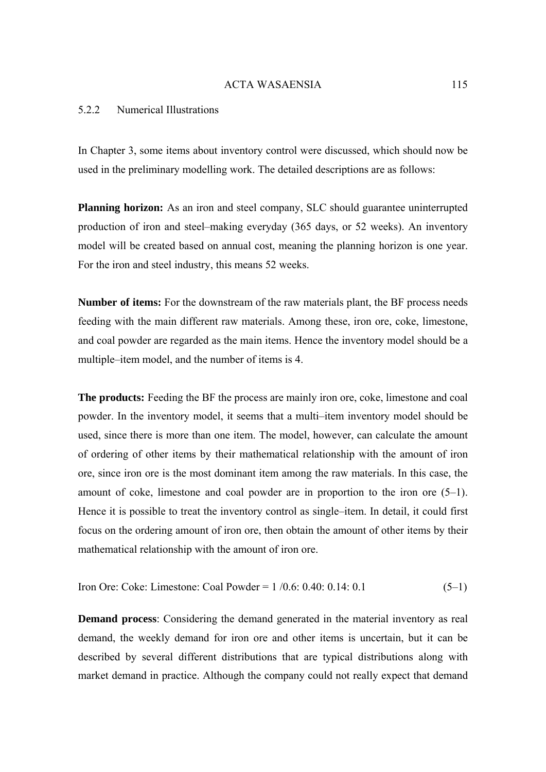## 5.2.2 Numerical Illustrations

In Chapter 3, some items about inventory control were discussed, which should now be used in the preliminary modelling work. The detailed descriptions are as follows:

**Planning horizon:** As an iron and steel company, SLC should guarantee uninterrupted production of iron and steel–making everyday (365 days, or 52 weeks). An inventory model will be created based on annual cost, meaning the planning horizon is one year. For the iron and steel industry, this means 52 weeks.

**Number of items:** For the downstream of the raw materials plant, the BF process needs feeding with the main different raw materials. Among these, iron ore, coke, limestone, and coal powder are regarded as the main items. Hence the inventory model should be a multiple–item model, and the number of items is 4.

**The products:** Feeding the BF the process are mainly iron ore, coke, limestone and coal powder. In the inventory model, it seems that a multi–item inventory model should be used, since there is more than one item. The model, however, can calculate the amount of ordering of other items by their mathematical relationship with the amount of iron ore, since iron ore is the most dominant item among the raw materials. In this case, the amount of coke, limestone and coal powder are in proportion to the iron ore (5–1). Hence it is possible to treat the inventory control as single–item. In detail, it could first focus on the ordering amount of iron ore, then obtain the amount of other items by their mathematical relationship with the amount of iron ore.

Iron Ore: Coke: Limestone: Coal Powder =  $1/0.6$ : 0.40: 0.14: 0.1 (5–1)

**Demand process**: Considering the demand generated in the material inventory as real demand, the weekly demand for iron ore and other items is uncertain, but it can be described by several different distributions that are typical distributions along with market demand in practice. Although the company could not really expect that demand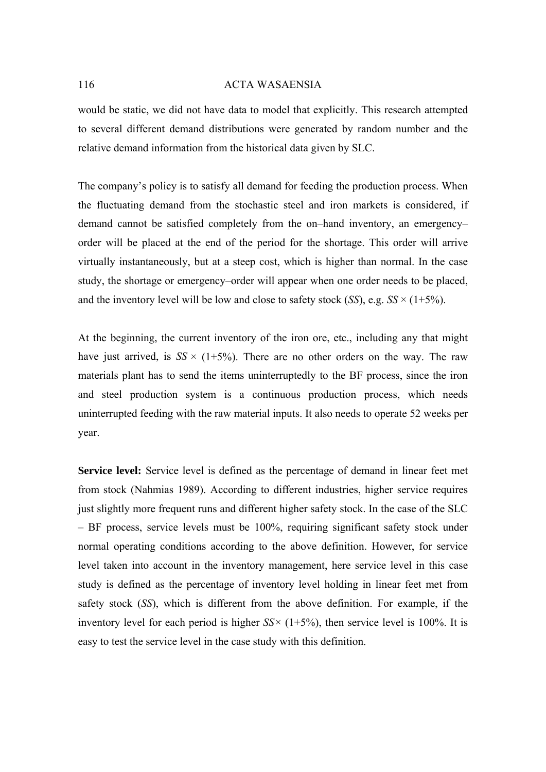would be static, we did not have data to model that explicitly. This research attempted to several different demand distributions were generated by random number and the relative demand information from the historical data given by SLC.

The company's policy is to satisfy all demand for feeding the production process. When the fluctuating demand from the stochastic steel and iron markets is considered, if demand cannot be satisfied completely from the on–hand inventory, an emergency– order will be placed at the end of the period for the shortage. This order will arrive virtually instantaneously, but at a steep cost, which is higher than normal. In the case study, the shortage or emergency–order will appear when one order needs to be placed, and the inventory level will be low and close to safety stock  $(SS)$ , e.g.  $SS \times (1+5\%)$ .

At the beginning, the current inventory of the iron ore, etc., including any that might have just arrived, is  $SS \times (1+5\%)$ . There are no other orders on the way. The raw materials plant has to send the items uninterruptedly to the BF process, since the iron and steel production system is a continuous production process, which needs uninterrupted feeding with the raw material inputs. It also needs to operate 52 weeks per year.

**Service level:** Service level is defined as the percentage of demand in linear feet met from stock (Nahmias 1989). According to different industries, higher service requires just slightly more frequent runs and different higher safety stock. In the case of the SLC – BF process, service levels must be 100%, requiring significant safety stock under normal operating conditions according to the above definition. However, for service level taken into account in the inventory management, here service level in this case study is defined as the percentage of inventory level holding in linear feet met from safety stock (*SS*), which is different from the above definition. For example, if the inventory level for each period is higher  $SS \times (1+5\%)$ , then service level is 100%. It is easy to test the service level in the case study with this definition.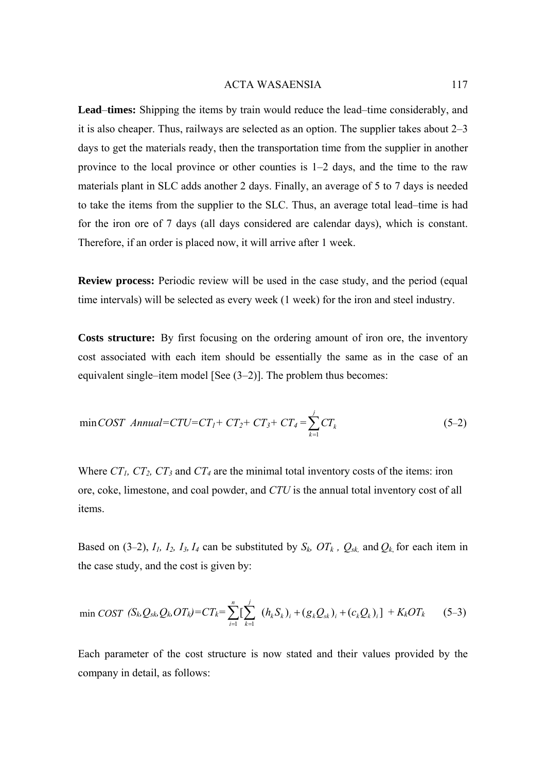**Lead**–**times:** Shipping the items by train would reduce the lead–time considerably, and it is also cheaper. Thus, railways are selected as an option. The supplier takes about 2–3 days to get the materials ready, then the transportation time from the supplier in another province to the local province or other counties is 1–2 days, and the time to the raw materials plant in SLC adds another 2 days. Finally, an average of 5 to 7 days is needed to take the items from the supplier to the SLC. Thus, an average total lead–time is had for the iron ore of 7 days (all days considered are calendar days), which is constant. Therefore, if an order is placed now, it will arrive after 1 week.

**Review process:** Periodic review will be used in the case study, and the period (equal time intervals) will be selected as every week (1 week) for the iron and steel industry.

**Costs structure:** By first focusing on the ordering amount of iron ore, the inventory cost associated with each item should be essentially the same as in the case of an equivalent single–item model [See (3–2)]. The problem thus becomes:

$$
\min COST \; Annual = CTU = CT_1 + CT_2 + CT_3 + CT_4 = \sum_{k=1}^{j} CT_k \tag{5-2}
$$

Where  $CT_1$ ,  $CT_2$ ,  $CT_3$  and  $CT_4$  are the minimal total inventory costs of the items: iron ore, coke, limestone, and coal powder, and *CTU* is the annual total inventory cost of all items.

Based on (3–2),  $I_1$ ,  $I_2$ ,  $I_3$ ,  $I_4$  can be substituted by  $S_k$ ,  $OT_k$ ,  $Q_{sk}$ , and  $Q_k$  for each item in the case study, and the cost is given by:

$$
\min \text{COST} \ (S_k Q_{sk} Q_k O T_k) = C T_k = \sum_{i=1}^n \left[ \sum_{k=1}^j \ (h_k S_k)_i + (g_k Q_{sk})_i + (c_k Q_k)_i \right] + K_k O T_k \tag{5-3}
$$

Each parameter of the cost structure is now stated and their values provided by the company in detail, as follows: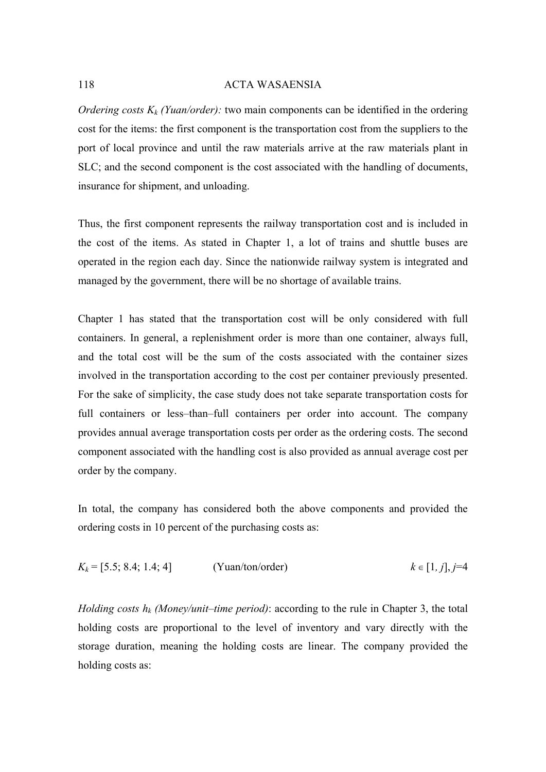*Ordering costs*  $K_k$  *(Yuan/order):* two main components can be identified in the ordering cost for the items: the first component is the transportation cost from the suppliers to the port of local province and until the raw materials arrive at the raw materials plant in SLC; and the second component is the cost associated with the handling of documents, insurance for shipment, and unloading.

Thus, the first component represents the railway transportation cost and is included in the cost of the items. As stated in Chapter 1, a lot of trains and shuttle buses are operated in the region each day. Since the nationwide railway system is integrated and managed by the government, there will be no shortage of available trains.

Chapter 1 has stated that the transportation cost will be only considered with full containers. In general, a replenishment order is more than one container, always full, and the total cost will be the sum of the costs associated with the container sizes involved in the transportation according to the cost per container previously presented. For the sake of simplicity, the case study does not take separate transportation costs for full containers or less–than–full containers per order into account. The company provides annual average transportation costs per order as the ordering costs. The second component associated with the handling cost is also provided as annual average cost per order by the company.

In total, the company has considered both the above components and provided the ordering costs in 10 percent of the purchasing costs as:

$$
K_k = [5.5; 8.4; 1.4; 4]
$$
 (Yuan/ton/order)  $k \in [1, j], j=4$ 

*Holding costs hk (Money/unit*–*time period)*: according to the rule in Chapter 3, the total holding costs are proportional to the level of inventory and vary directly with the storage duration, meaning the holding costs are linear. The company provided the holding costs as: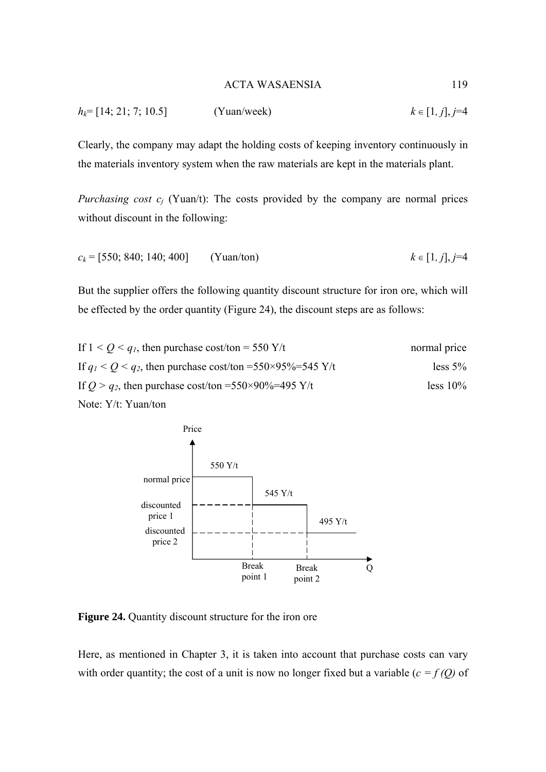$$
h_k = [14; 21; 7; 10.5] \qquad \text{(Yuan/week)} \qquad k \in [1, j], j=4
$$

Clearly, the company may adapt the holding costs of keeping inventory continuously in the materials inventory system when the raw materials are kept in the materials plant.

*Purchasing cost*  $c_i$  (Yuan/t): The costs provided by the company are normal prices without discount in the following:

$$
c_k = [550; 840; 140; 400] \qquad \text{(Yuan/ton)} \qquad k \in [1, j], j = 4
$$

But the supplier offers the following quantity discount structure for iron ore, which will be effected by the order quantity (Figure 24), the discount steps are as follows:

If 
$$
1 < Q < q_1
$$
, then purchase cost/ton = 550 Y/t normal price  
\nIf  $q_1 < Q < q_2$ , then purchase cost/ton = 550×95%=545 Y/t less 5%  
\nIf  $Q > q_2$ , then purchase cost/ton = 550×90%=495 Y/t less 10%  
\nNote: Y/t: Yuan/ton



**Figure 24.** Quantity discount structure for the iron ore

Here, as mentioned in Chapter 3, it is taken into account that purchase costs can vary with order quantity; the cost of a unit is now no longer fixed but a variable  $(c = f(Q))$  of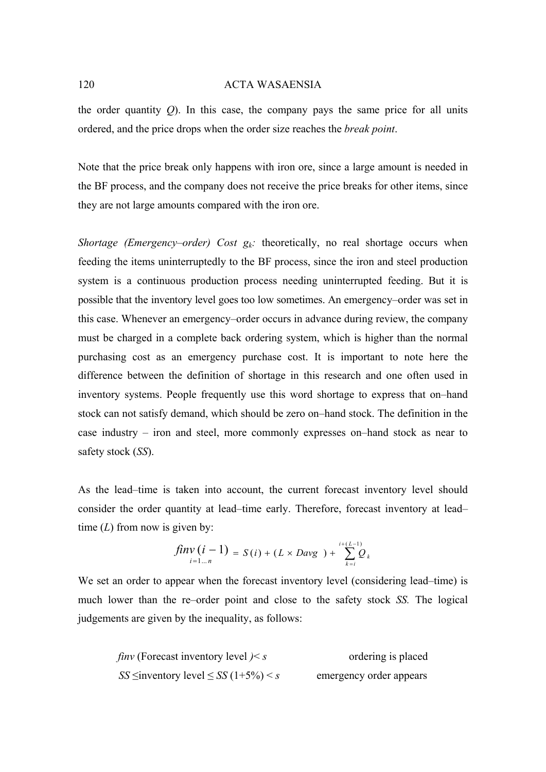the order quantity *Q*). In this case, the company pays the same price for all units ordered, and the price drops when the order size reaches the *break point*.

Note that the price break only happens with iron ore, since a large amount is needed in the BF process, and the company does not receive the price breaks for other items, since they are not large amounts compared with the iron ore.

*Shortage (Emergency–order) Cost*  $g_k$ *:* theoretically, no real shortage occurs when feeding the items uninterruptedly to the BF process, since the iron and steel production system is a continuous production process needing uninterrupted feeding. But it is possible that the inventory level goes too low sometimes. An emergency–order was set in this case. Whenever an emergency–order occurs in advance during review, the company must be charged in a complete back ordering system, which is higher than the normal purchasing cost as an emergency purchase cost. It is important to note here the difference between the definition of shortage in this research and one often used in inventory systems. People frequently use this word shortage to express that on–hand stock can not satisfy demand, which should be zero on–hand stock. The definition in the case industry – iron and steel, more commonly expresses on–hand stock as near to safety stock (*SS*).

As the lead–time is taken into account, the current forecast inventory level should consider the order quantity at lead–time early. Therefore, forecast inventory at lead– time (*L*) from now is given by:

$$
fin_{i=1...n} (i-1) = S(i) + (L \times Day) + \sum_{k=i}^{i+(L-1)} Q_k
$$

We set an order to appear when the forecast inventory level (considering lead–time) is much lower than the re–order point and close to the safety stock *SS.* The logical judgements are given by the inequality, as follows:

| <i>finv</i> (Forecast inventory level $\geq s$   | ordering is placed      |
|--------------------------------------------------|-------------------------|
| $SS \le$ inventory level $\leq SS(1+5\%) \leq s$ | emergency order appears |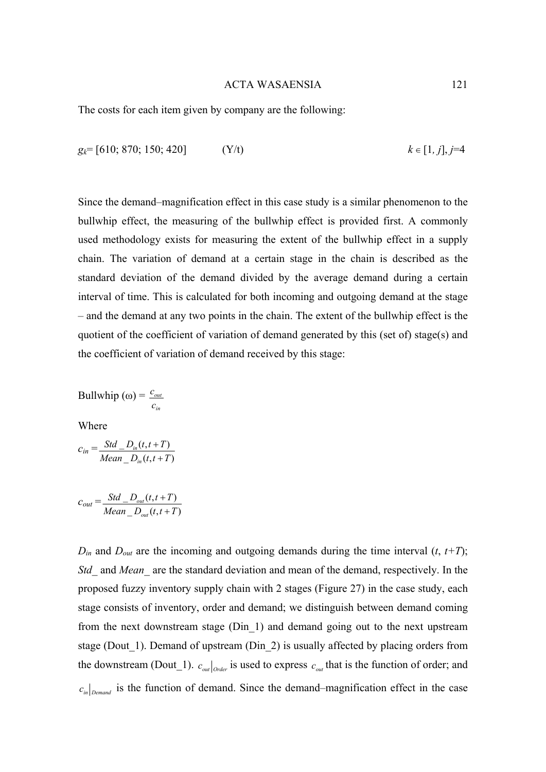The costs for each item given by company are the following:

$$
g_k = [610; 870; 150; 420]
$$
 (Y/t)  $k \in [1, j], j=4$ 

Since the demand–magnification effect in this case study is a similar phenomenon to the bullwhip effect, the measuring of the bullwhip effect is provided first. A commonly used methodology exists for measuring the extent of the bullwhip effect in a supply chain. The variation of demand at a certain stage in the chain is described as the standard deviation of the demand divided by the average demand during a certain interval of time. This is calculated for both incoming and outgoing demand at the stage – and the demand at any two points in the chain. The extent of the bullwhip effect is the quotient of the coefficient of variation of demand generated by this (set of) stage(s) and the coefficient of variation of demand received by this stage:

Bullwhip 
$$
(\omega) = \frac{c_{\omega}}{c_{\omega}}
$$

Where

$$
c_{in} = \frac{Std\_D_{in}(t, t+T)}{Mean\_D_{in}(t, t+T)}
$$

$$
c_{out} = \frac{Std\_D_{out}(t, t+T)}{Mean\_D_{out}(t, t+T)}
$$

 $D_{in}$  and  $D_{out}$  are the incoming and outgoing demands during the time interval  $(t, t+T)$ ; *Std\_* and *Mean\_* are the standard deviation and mean of the demand, respectively. In the proposed fuzzy inventory supply chain with 2 stages (Figure 27) in the case study, each stage consists of inventory, order and demand; we distinguish between demand coming from the next downstream stage (Din\_1) and demand going out to the next upstream stage (Dout\_1). Demand of upstream (Din\_2) is usually affected by placing orders from the downstream (Dout<sub>1</sub>).  $c_{out}$  *<sub>Order</sub>* is used to express  $c_{out}$  that is the function of order; and  $c_{in}$   $c_{in}$  *Demand* is the function of demand. Since the demand–magnification effect in the case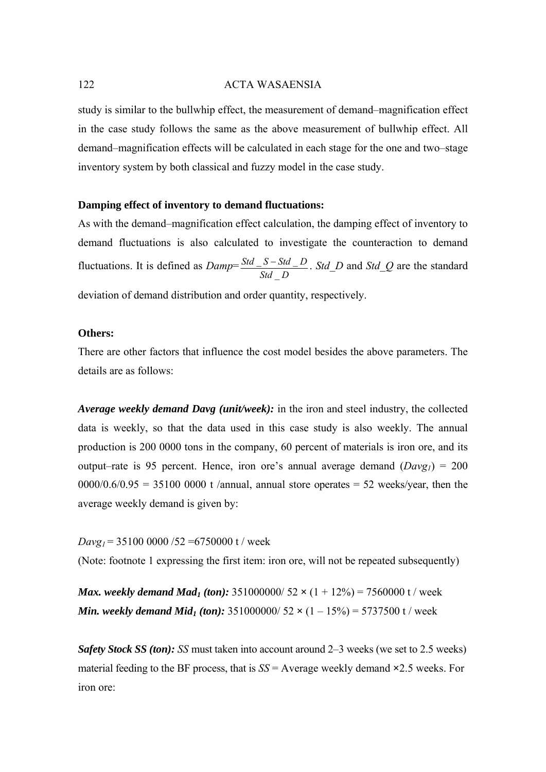study is similar to the bullwhip effect, the measurement of demand–magnification effect in the case study follows the same as the above measurement of bullwhip effect. All demand–magnification effects will be calculated in each stage for the one and two–stage inventory system by both classical and fuzzy model in the case study.

## **Damping effect of inventory to demand fluctuations:**

As with the demand–magnification effect calculation, the damping effect of inventory to demand fluctuations is also calculated to investigate the counteraction to demand fluctuations. It is defined as  $Damp = \frac{Std\_S - Std\_D}{Std\_D}$  $\overline{\phantom{0}}$  $\frac{-S - Std - D}{-}$ . *Std D* and *Std Q* are the standard deviation of demand distribution and order quantity, respectively.

## **Others:**

There are other factors that influence the cost model besides the above parameters. The details are as follows:

*Average weekly demand Davg (unit/week):* in the iron and steel industry, the collected data is weekly, so that the data used in this case study is also weekly. The annual production is 200 0000 tons in the company, 60 percent of materials is iron ore, and its output–rate is 95 percent. Hence, iron ore's annual average demand  $(Davg<sub>1</sub>) = 200$  $0000/0.6/0.95 = 35100 0000$  t /annual, annual store operates = 52 weeks/year, then the average weekly demand is given by:

 $Davg_1 = 35100\ 0000/52 = 6750000$  t / week

(Note: footnote 1 expressing the first item: iron ore, will not be repeated subsequently)

*Max. weekly demand Mad<sub>1</sub> (ton):* 351000000/ 52  $\times$  (1 + 12%) = 7560000 t/ week *Min. weekly demand Mid<sub>1</sub> (ton):*  $351000000/52 \times (1 - 15\%) = 5737500$  t / week

*Safety Stock SS (ton): SS* must taken into account around 2–3 weeks (we set to 2.5 weeks) material feeding to the BF process, that is *SS* = Average weekly demand **×**2.5 weeks. For iron ore: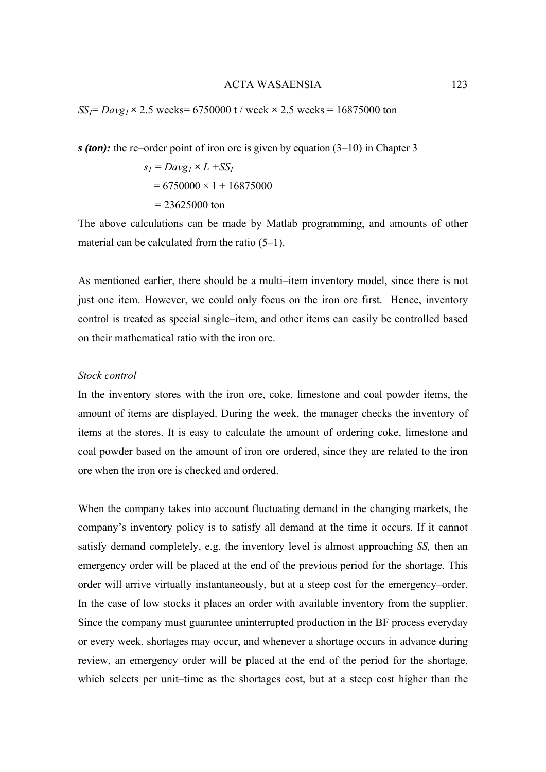*SS<sub>1</sub>*= *Davg<sub>1</sub>*  $\times$  2.5 weeks= 6750000 t / week  $\times$  2.5 weeks = 16875000 ton

*s (ton):* the re–order point of iron ore is given by equation (3–10) in Chapter 3

$$
s_1 = Dayg_1 \times L + SS_1
$$
  
= 6750000 × 1 + 16875000  
= 23625000 ton

The above calculations can be made by Matlab programming, and amounts of other material can be calculated from the ratio (5–1).

As mentioned earlier, there should be a multi–item inventory model, since there is not just one item. However, we could only focus on the iron ore first. Hence, inventory control is treated as special single–item, and other items can easily be controlled based on their mathematical ratio with the iron ore.

# *Stock control*

In the inventory stores with the iron ore, coke, limestone and coal powder items, the amount of items are displayed. During the week, the manager checks the inventory of items at the stores. It is easy to calculate the amount of ordering coke, limestone and coal powder based on the amount of iron ore ordered, since they are related to the iron ore when the iron ore is checked and ordered.

When the company takes into account fluctuating demand in the changing markets, the company's inventory policy is to satisfy all demand at the time it occurs. If it cannot satisfy demand completely, e.g. the inventory level is almost approaching *SS,* then an emergency order will be placed at the end of the previous period for the shortage. This order will arrive virtually instantaneously, but at a steep cost for the emergency–order. In the case of low stocks it places an order with available inventory from the supplier. Since the company must guarantee uninterrupted production in the BF process everyday or every week, shortages may occur, and whenever a shortage occurs in advance during review, an emergency order will be placed at the end of the period for the shortage, which selects per unit–time as the shortages cost, but at a steep cost higher than the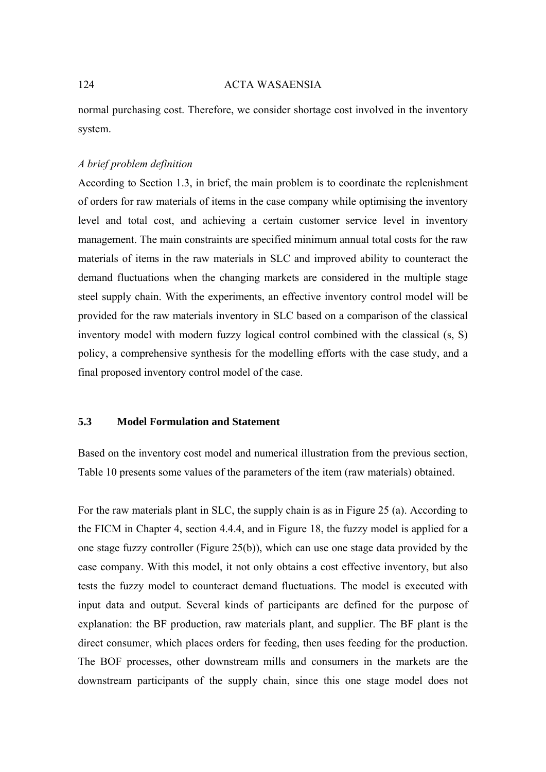normal purchasing cost. Therefore, we consider shortage cost involved in the inventory system.

## *A brief problem definition*

According to Section 1.3, in brief, the main problem is to coordinate the replenishment of orders for raw materials of items in the case company while optimising the inventory level and total cost, and achieving a certain customer service level in inventory management. The main constraints are specified minimum annual total costs for the raw materials of items in the raw materials in SLC and improved ability to counteract the demand fluctuations when the changing markets are considered in the multiple stage steel supply chain. With the experiments, an effective inventory control model will be provided for the raw materials inventory in SLC based on a comparison of the classical inventory model with modern fuzzy logical control combined with the classical (s, S) policy, a comprehensive synthesis for the modelling efforts with the case study, and a final proposed inventory control model of the case.

# **5.3 Model Formulation and Statement**

Based on the inventory cost model and numerical illustration from the previous section, Table 10 presents some values of the parameters of the item (raw materials) obtained.

For the raw materials plant in SLC, the supply chain is as in Figure 25 (a). According to the FICM in Chapter 4, section 4.4.4, and in Figure 18, the fuzzy model is applied for a one stage fuzzy controller (Figure 25(b)), which can use one stage data provided by the case company. With this model, it not only obtains a cost effective inventory, but also tests the fuzzy model to counteract demand fluctuations. The model is executed with input data and output. Several kinds of participants are defined for the purpose of explanation: the BF production, raw materials plant, and supplier. The BF plant is the direct consumer, which places orders for feeding, then uses feeding for the production. The BOF processes, other downstream mills and consumers in the markets are the downstream participants of the supply chain, since this one stage model does not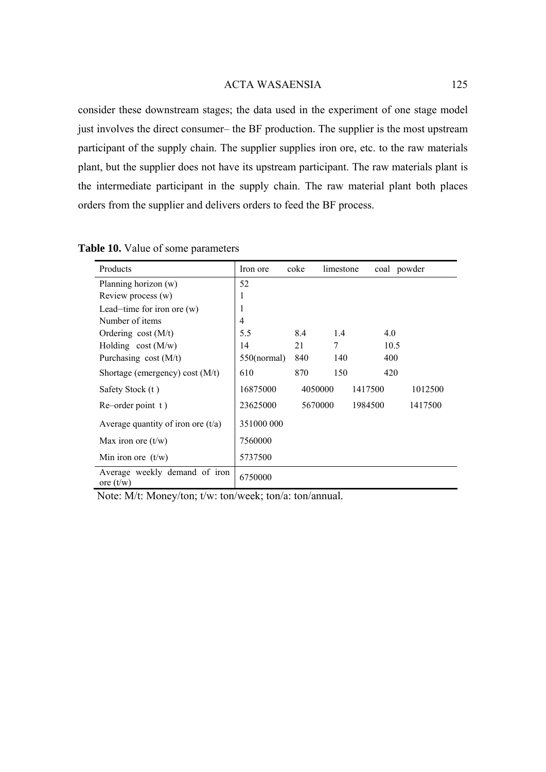consider these downstream stages; the data used in the experiment of one stage model just involves the direct consumer– the BF production. The supplier is the most upstream participant of the supply chain. The supplier supplies iron ore, etc. to the raw materials plant, but the supplier does not have its upstream participant. The raw materials plant is the intermediate participant in the supply chain. The raw material plant both places orders from the supplier and delivers orders to feed the BF process.

| Products                                     | Iron ore       | coke    | limestone | coal powder |         |
|----------------------------------------------|----------------|---------|-----------|-------------|---------|
| Planning horizon (w)                         | 52             |         |           |             |         |
| Review process (w)                           | 1              |         |           |             |         |
| Lead-time for iron ore $(w)$                 | 1              |         |           |             |         |
| Number of items                              | 4              |         |           |             |         |
| Ordering $cost(M/t)$                         | 5.5            | 8.4     | 1.4       | 4.0         |         |
| Holding $cost(M/w)$                          | 14             | 21      | 7         | 10.5        |         |
| Purchasing cost $(M/t)$                      | $550$ (normal) | 840     | 140       | 400         |         |
| Shortage (emergency) cost $(M/t)$            | 610            | 870     | 150       | 420         |         |
| Safety Stock (t)                             | 16875000       | 4050000 |           | 1417500     | 1012500 |
| Re–order point t)                            | 23625000       | 5670000 |           | 1984500     | 1417500 |
| Average quantity of iron ore $(t/a)$         | 351000 000     |         |           |             |         |
| Max iron ore $(t/w)$                         | 7560000        |         |           |             |         |
| Min iron ore $(t/w)$                         | 5737500        |         |           |             |         |
| Average weekly demand of iron<br>ore $(t/w)$ | 6750000        |         |           |             |         |

**Table 10.** Value of some parameters

Note: M/t: Money/ton; t/w: ton/week; ton/a: ton/annual.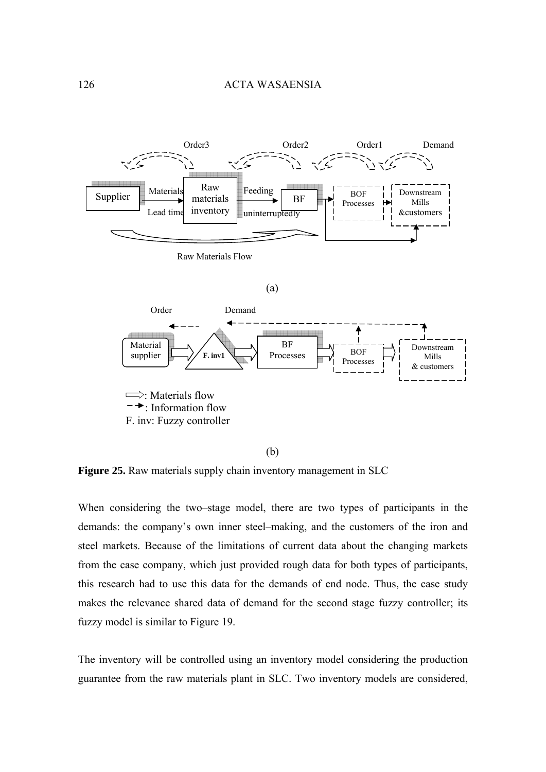

(b)

**Figure 25.** Raw materials supply chain inventory management in SLC

When considering the two–stage model, there are two types of participants in the demands: the company's own inner steel–making, and the customers of the iron and steel markets. Because of the limitations of current data about the changing markets from the case company, which just provided rough data for both types of participants, this research had to use this data for the demands of end node. Thus, the case study makes the relevance shared data of demand for the second stage fuzzy controller; its fuzzy model is similar to Figure 19.

The inventory will be controlled using an inventory model considering the production guarantee from the raw materials plant in SLC. Two inventory models are considered,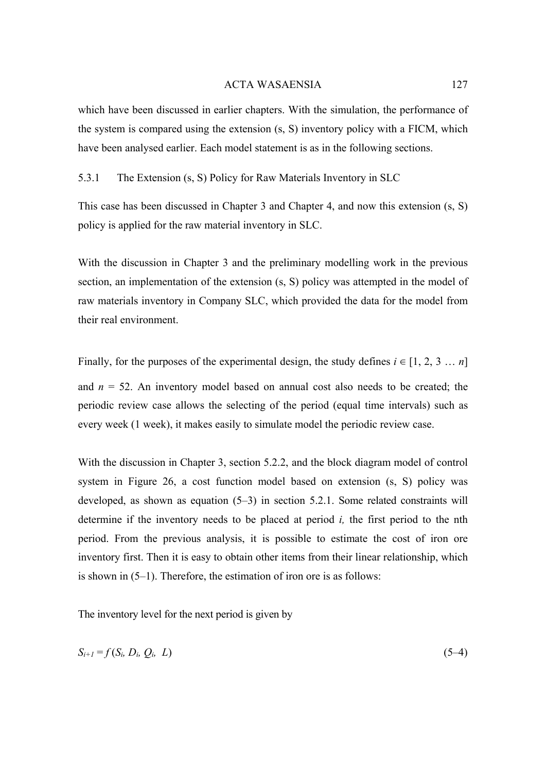which have been discussed in earlier chapters. With the simulation, the performance of the system is compared using the extension (s, S) inventory policy with a FICM, which have been analysed earlier. Each model statement is as in the following sections.

## 5.3.1 The Extension (s, S) Policy for Raw Materials Inventory in SLC

This case has been discussed in Chapter 3 and Chapter 4, and now this extension (s, S) policy is applied for the raw material inventory in SLC.

With the discussion in Chapter 3 and the preliminary modelling work in the previous section, an implementation of the extension (s, S) policy was attempted in the model of raw materials inventory in Company SLC, which provided the data for the model from their real environment.

Finally, for the purposes of the experimental design, the study defines  $i \in [1, 2, 3, \dots, n]$ and  $n = 52$ . An inventory model based on annual cost also needs to be created; the periodic review case allows the selecting of the period (equal time intervals) such as every week (1 week), it makes easily to simulate model the periodic review case.

With the discussion in Chapter 3, section 5.2.2, and the block diagram model of control system in Figure 26, a cost function model based on extension (s, S) policy was developed, as shown as equation (5–3) in section 5.2.1. Some related constraints will determine if the inventory needs to be placed at period *i,* the first period to the nth period. From the previous analysis, it is possible to estimate the cost of iron ore inventory first. Then it is easy to obtain other items from their linear relationship, which is shown in (5–1). Therefore, the estimation of iron ore is as follows:

The inventory level for the next period is given by

$$
S_{i+1} = f(S_i, D_i, Q_i, L) \tag{5-4}
$$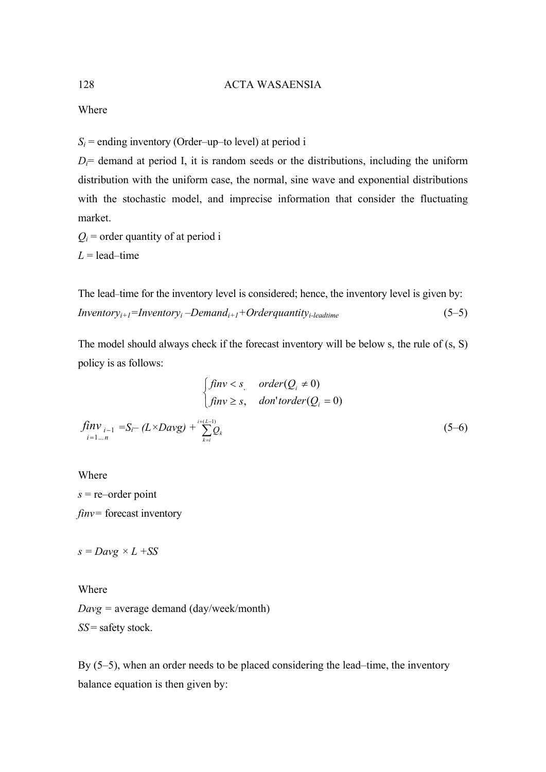Where

 $S_i$  = ending inventory (Order–up–to level) at period i

 $D_i$  demand at period I, it is random seeds or the distributions, including the uniform distribution with the uniform case, the normal, sine wave and exponential distributions with the stochastic model, and imprecise information that consider the fluctuating market.

 $Q_i$  = order quantity of at period i  $L =$  lead–time

The lead–time for the inventory level is considered; hence, the inventory level is given by: *Inventoryi+1=Inventoryi* –*Demandi+1+Orderquantityi-leadtime* (5–5)

The model should always check if the forecast inventory will be below s, the rule of (s, S) policy is as follows:

$$
\begin{cases}\n\text{fin}v < s, \quad \text{order}(Q_i \neq 0) \\
\text{fin}v \ge s, \quad \text{don'}\text{torder}(Q_i = 0)\n\end{cases}
$$
\n
$$
\begin{cases}\n\text{fin}v_{i-1} = S_i - (L \times \text{Dayg}) + \sum_{k=i}^{i+(L-1)} Q_k\n\end{cases}
$$
\n
$$
(5-6)
$$

Where

Where

*s* = re–order point *finv=* forecast inventory

 $s = Dayg \times L + SS$ 

*Davg =* average demand (day/week/month) *SS* = safety stock.

By (5–5), when an order needs to be placed considering the lead–time, the inventory balance equation is then given by: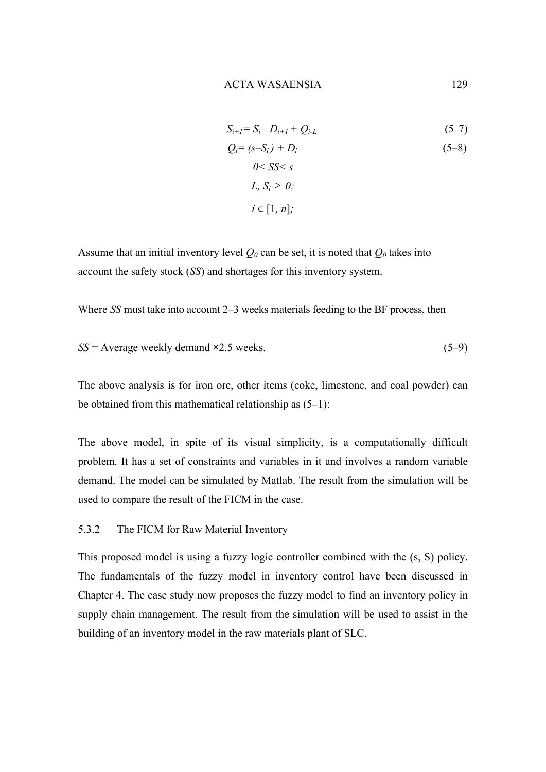$$
S_{i+1} = S_i - D_{i+1} + Q_{i-L}
$$
  
\n
$$
Q_i = (s - S_i) + D_i
$$
  
\n
$$
0 < SS < s
$$
  
\n
$$
L, S_i \ge 0;
$$
  
\n
$$
i \in [1, n];
$$
  
\n(5-8)

Assume that an initial inventory level  $Q_0$  can be set, it is noted that  $Q_0$  takes into account the safety stock (*SS*) and shortages for this inventory system.

Where *SS* must take into account 2–3 weeks materials feeding to the BF process, then

$$
SS = Average weekly demand \times 2.5 weeks.
$$
 (5–9)

The above analysis is for iron ore, other items (coke, limestone, and coal powder) can be obtained from this mathematical relationship as  $(5-1)$ :

The above model, in spite of its visual simplicity, is a computationally difficult problem. It has a set of constraints and variables in it and involves a random variable demand. The model can be simulated by Matlab. The result from the simulation will be used to compare the result of the FICM in the case.

# 5.3.2 The FICM for Raw Material Inventory

This proposed model is using a fuzzy logic controller combined with the (s, S) policy. The fundamentals of the fuzzy model in inventory control have been discussed in Chapter 4. The case study now proposes the fuzzy model to find an inventory policy in supply chain management. The result from the simulation will be used to assist in the building of an inventory model in the raw materials plant of SLC.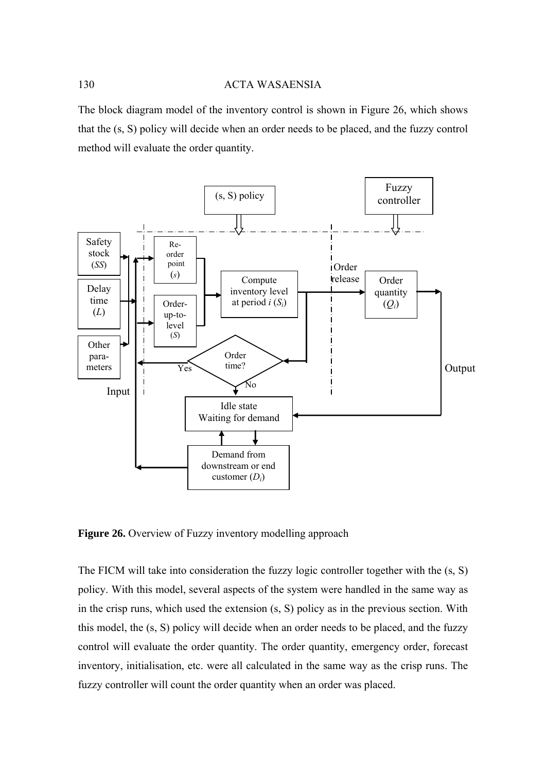The block diagram model of the inventory control is shown in Figure 26, which shows that the (s, S) policy will decide when an order needs to be placed, and the fuzzy control method will evaluate the order quantity.



**Figure 26.** Overview of Fuzzy inventory modelling approach

The FICM will take into consideration the fuzzy logic controller together with the (s, S) policy. With this model, several aspects of the system were handled in the same way as in the crisp runs, which used the extension (s, S) policy as in the previous section. With this model, the (s, S) policy will decide when an order needs to be placed, and the fuzzy control will evaluate the order quantity. The order quantity, emergency order, forecast inventory, initialisation, etc. were all calculated in the same way as the crisp runs. The fuzzy controller will count the order quantity when an order was placed.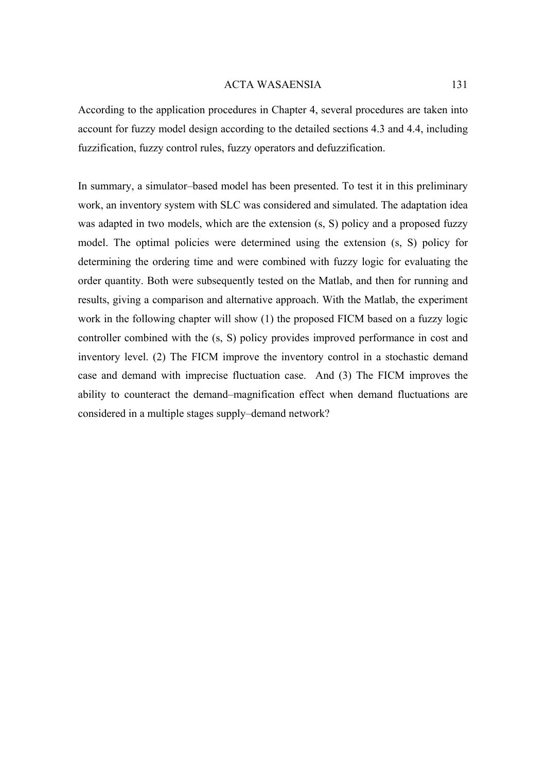According to the application procedures in Chapter 4, several procedures are taken into account for fuzzy model design according to the detailed sections 4.3 and 4.4, including fuzzification, fuzzy control rules, fuzzy operators and defuzzification.

In summary, a simulator–based model has been presented. To test it in this preliminary work, an inventory system with SLC was considered and simulated. The adaptation idea was adapted in two models, which are the extension (s, S) policy and a proposed fuzzy model. The optimal policies were determined using the extension (s, S) policy for determining the ordering time and were combined with fuzzy logic for evaluating the order quantity. Both were subsequently tested on the Matlab, and then for running and results, giving a comparison and alternative approach. With the Matlab, the experiment work in the following chapter will show (1) the proposed FICM based on a fuzzy logic controller combined with the (s, S) policy provides improved performance in cost and inventory level. (2) The FICM improve the inventory control in a stochastic demand case and demand with imprecise fluctuation case. And (3) The FICM improves the ability to counteract the demand–magnification effect when demand fluctuations are considered in a multiple stages supply–demand network?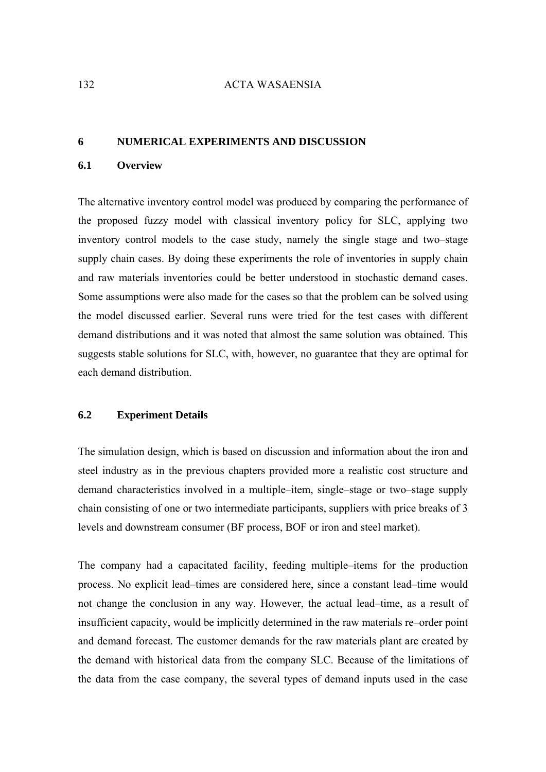#### **6 NUMERICAL EXPERIMENTS AND DISCUSSION**

## **6.1 Overview**

The alternative inventory control model was produced by comparing the performance of the proposed fuzzy model with classical inventory policy for SLC, applying two inventory control models to the case study, namely the single stage and two–stage supply chain cases. By doing these experiments the role of inventories in supply chain and raw materials inventories could be better understood in stochastic demand cases. Some assumptions were also made for the cases so that the problem can be solved using the model discussed earlier. Several runs were tried for the test cases with different demand distributions and it was noted that almost the same solution was obtained. This suggests stable solutions for SLC, with, however, no guarantee that they are optimal for each demand distribution.

### **6.2 Experiment Details**

The simulation design, which is based on discussion and information about the iron and steel industry as in the previous chapters provided more a realistic cost structure and demand characteristics involved in a multiple–item, single–stage or two–stage supply chain consisting of one or two intermediate participants, suppliers with price breaks of 3 levels and downstream consumer (BF process, BOF or iron and steel market).

The company had a capacitated facility, feeding multiple–items for the production process. No explicit lead–times are considered here, since a constant lead–time would not change the conclusion in any way. However, the actual lead–time, as a result of insufficient capacity, would be implicitly determined in the raw materials re–order point and demand forecast. The customer demands for the raw materials plant are created by the demand with historical data from the company SLC. Because of the limitations of the data from the case company, the several types of demand inputs used in the case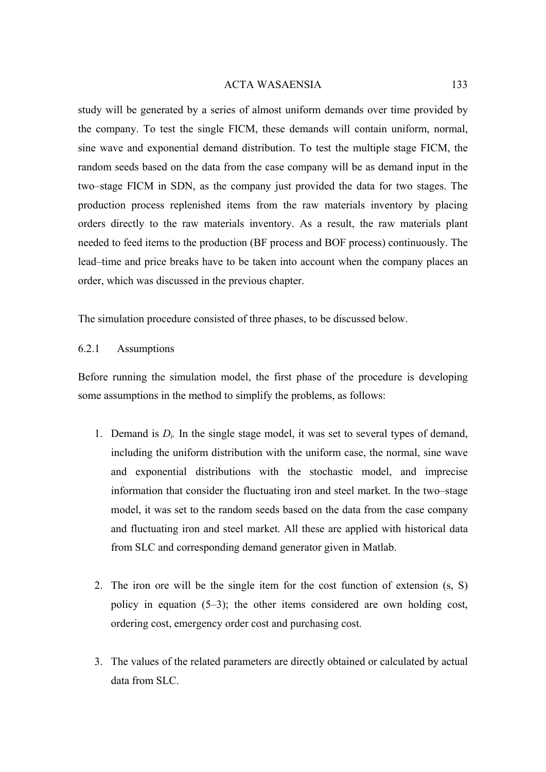study will be generated by a series of almost uniform demands over time provided by the company. To test the single FICM, these demands will contain uniform, normal, sine wave and exponential demand distribution. To test the multiple stage FICM, the random seeds based on the data from the case company will be as demand input in the two–stage FICM in SDN, as the company just provided the data for two stages. The production process replenished items from the raw materials inventory by placing orders directly to the raw materials inventory. As a result, the raw materials plant needed to feed items to the production (BF process and BOF process) continuously. The lead–time and price breaks have to be taken into account when the company places an order, which was discussed in the previous chapter.

The simulation procedure consisted of three phases, to be discussed below.

# 6.2.1 Assumptions

Before running the simulation model, the first phase of the procedure is developing some assumptions in the method to simplify the problems, as follows:

- 1. Demand is  $D_i$ . In the single stage model, it was set to several types of demand, including the uniform distribution with the uniform case, the normal, sine wave and exponential distributions with the stochastic model, and imprecise information that consider the fluctuating iron and steel market. In the two–stage model, it was set to the random seeds based on the data from the case company and fluctuating iron and steel market. All these are applied with historical data from SLC and corresponding demand generator given in Matlab.
- 2. The iron ore will be the single item for the cost function of extension (s, S) policy in equation (5–3); the other items considered are own holding cost, ordering cost, emergency order cost and purchasing cost.
- 3. The values of the related parameters are directly obtained or calculated by actual data from SLC.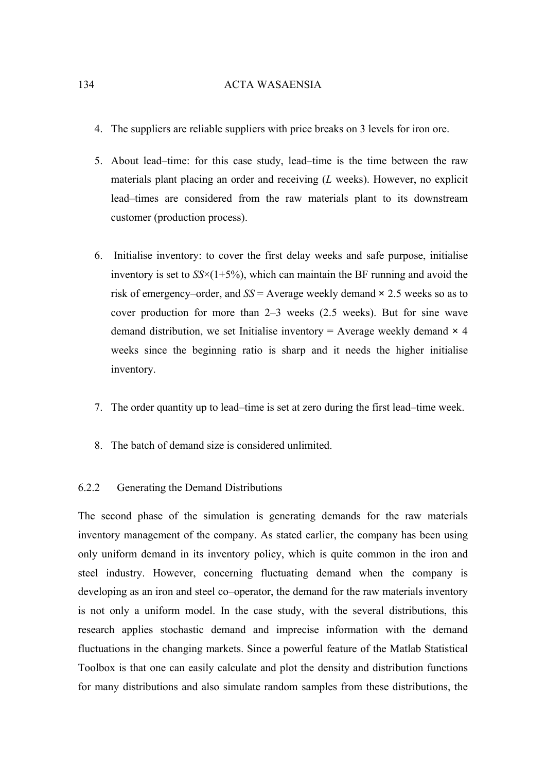- 4. The suppliers are reliable suppliers with price breaks on 3 levels for iron ore.
- 5. About lead–time: for this case study, lead–time is the time between the raw materials plant placing an order and receiving (*L* weeks). However, no explicit lead–times are considered from the raw materials plant to its downstream customer (production process).
- 6. Initialise inventory: to cover the first delay weeks and safe purpose, initialise inventory is set to  $SS \times (1+5\%)$ , which can maintain the BF running and avoid the risk of emergency–order, and *SS* = Average weekly demand **×** 2.5 weeks so as to cover production for more than 2–3 weeks (2.5 weeks). But for sine wave demand distribution, we set Initialise inventory  $=$  Average weekly demand  $\times$  4 weeks since the beginning ratio is sharp and it needs the higher initialise inventory.
- 7. The order quantity up to lead–time is set at zero during the first lead–time week.
- 8. The batch of demand size is considered unlimited.

## 6.2.2 Generating the Demand Distributions

The second phase of the simulation is generating demands for the raw materials inventory management of the company. As stated earlier, the company has been using only uniform demand in its inventory policy, which is quite common in the iron and steel industry. However, concerning fluctuating demand when the company is developing as an iron and steel co–operator, the demand for the raw materials inventory is not only a uniform model. In the case study, with the several distributions, this research applies stochastic demand and imprecise information with the demand fluctuations in the changing markets. Since a powerful feature of the Matlab Statistical Toolbox is that one can easily calculate and plot the density and distribution functions for many distributions and also simulate random samples from these distributions, the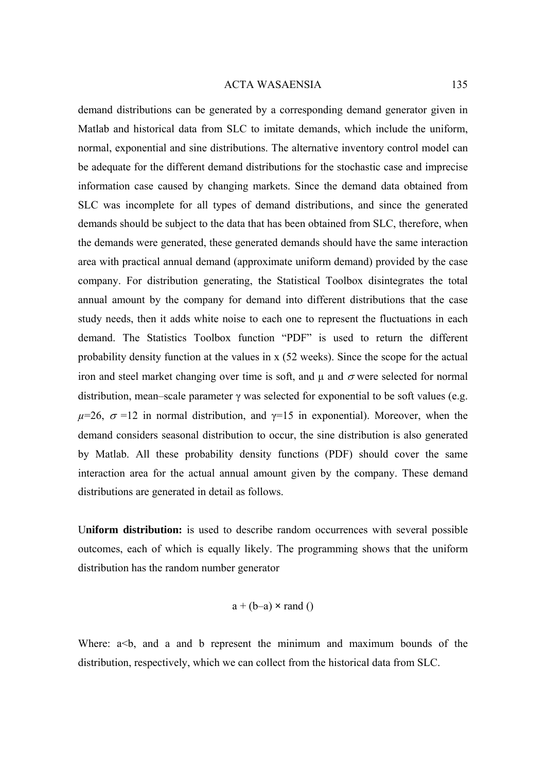demand distributions can be generated by a corresponding demand generator given in Matlab and historical data from SLC to imitate demands, which include the uniform, normal, exponential and sine distributions. The alternative inventory control model can be adequate for the different demand distributions for the stochastic case and imprecise information case caused by changing markets. Since the demand data obtained from SLC was incomplete for all types of demand distributions, and since the generated demands should be subject to the data that has been obtained from SLC, therefore, when the demands were generated, these generated demands should have the same interaction area with practical annual demand (approximate uniform demand) provided by the case company. For distribution generating, the Statistical Toolbox disintegrates the total annual amount by the company for demand into different distributions that the case study needs, then it adds white noise to each one to represent the fluctuations in each demand. The Statistics Toolbox function "PDF" is used to return the different probability density function at the values in x (52 weeks). Since the scope for the actual iron and steel market changing over time is soft, and  $\mu$  and  $\sigma$  were selected for normal distribution, mean–scale parameter γ was selected for exponential to be soft values (e.g.  $\mu$ =26,  $\sigma$ =12 in normal distribution, and  $\gamma$ =15 in exponential). Moreover, when the demand considers seasonal distribution to occur, the sine distribution is also generated by Matlab. All these probability density functions (PDF) should cover the same interaction area for the actual annual amount given by the company. These demand distributions are generated in detail as follows.

U**niform distribution:** is used to describe random occurrences with several possible outcomes, each of which is equally likely. The programming shows that the uniform distribution has the random number generator

$$
a + (b-a) \times rand()
$$

Where:  $a < b$ , and a and b represent the minimum and maximum bounds of the distribution, respectively, which we can collect from the historical data from SLC.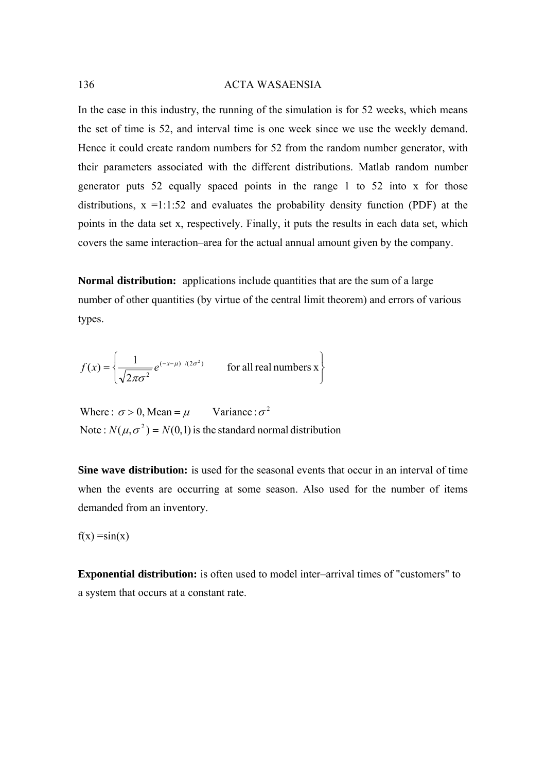In the case in this industry, the running of the simulation is for 52 weeks, which means the set of time is 52, and interval time is one week since we use the weekly demand. Hence it could create random numbers for 52 from the random number generator, with their parameters associated with the different distributions. Matlab random number generator puts 52 equally spaced points in the range 1 to 52 into x for those distributions,  $x = 1:1:52$  and evaluates the probability density function (PDF) at the points in the data set x, respectively. Finally, it puts the results in each data set, which covers the same interaction–area for the actual annual amount given by the company.

**Normal distribution:** applications include quantities that are the sum of a large number of other quantities (by virtue of the central limit theorem) and errors of various types.

$$
f(x) = \left\{ \frac{1}{\sqrt{2\pi\sigma^2}} e^{(-x-\mu)/(2\sigma^2)} \quad \text{for all real numbers x} \right\}
$$

Note :  $N(\mu, \sigma^2) = N(0, 1)$  is the standard normal distribution Where :  $\sigma > 0$ , Mean =  $\mu$  Variance :  $\sigma^2$ 

**Sine wave distribution:** is used for the seasonal events that occur in an interval of time when the events are occurring at some season. Also used for the number of items demanded from an inventory.

 $f(x) = sin(x)$ 

**Exponential distribution:** is often used to model inter–arrival times of "customers" to a system that occurs at a constant rate.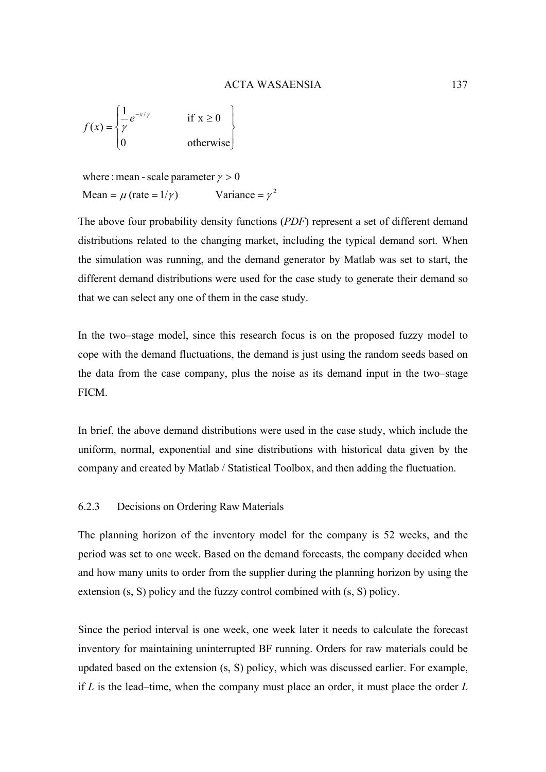$$
f(x) = \begin{cases} \frac{1}{\gamma} e^{-x/\gamma} & \text{if } x \ge 0 \\ 0 & \text{otherwise} \end{cases}
$$

where : mean - scale parameter 
$$
\gamma > 0
$$
  
Mean =  $\mu$  (rate = 1/ $\gamma$ ) Variance =  $\gamma^2$ 

The above four probability density functions (*PDF*) represent a set of different demand distributions related to the changing market, including the typical demand sort. When the simulation was running, and the demand generator by Matlab was set to start, the different demand distributions were used for the case study to generate their demand so that we can select any one of them in the case study.

In the two–stage model, since this research focus is on the proposed fuzzy model to cope with the demand fluctuations, the demand is just using the random seeds based on the data from the case company, plus the noise as its demand input in the two–stage FICM.

In brief, the above demand distributions were used in the case study, which include the uniform, normal, exponential and sine distributions with historical data given by the company and created by Matlab / Statistical Toolbox, and then adding the fluctuation.

# 6.2.3 Decisions on Ordering Raw Materials

The planning horizon of the inventory model for the company is 52 weeks, and the period was set to one week. Based on the demand forecasts, the company decided when and how many units to order from the supplier during the planning horizon by using the extension (s, S) policy and the fuzzy control combined with (s, S) policy.

Since the period interval is one week, one week later it needs to calculate the forecast inventory for maintaining uninterrupted BF running. Orders for raw materials could be updated based on the extension (s, S) policy, which was discussed earlier. For example, if *L* is the lead–time, when the company must place an order, it must place the order *L*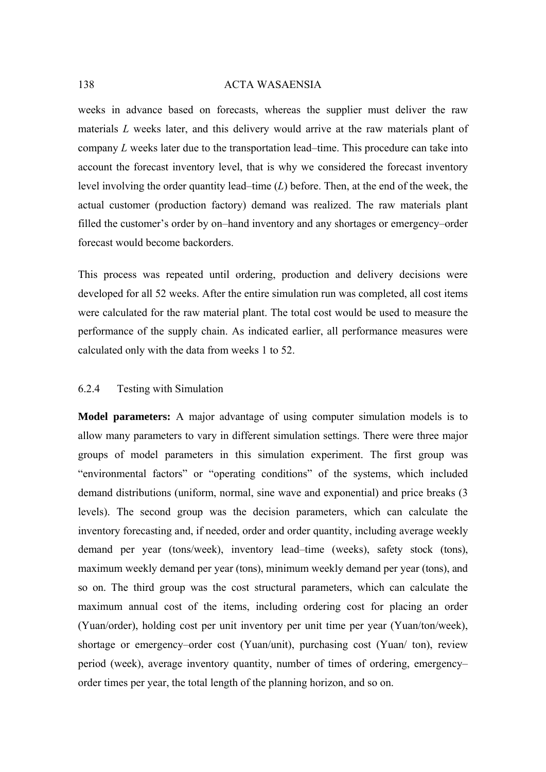weeks in advance based on forecasts, whereas the supplier must deliver the raw materials *L* weeks later, and this delivery would arrive at the raw materials plant of company *L* weeks later due to the transportation lead–time. This procedure can take into account the forecast inventory level, that is why we considered the forecast inventory level involving the order quantity lead–time (*L*) before. Then, at the end of the week, the actual customer (production factory) demand was realized. The raw materials plant filled the customer's order by on–hand inventory and any shortages or emergency–order forecast would become backorders.

This process was repeated until ordering, production and delivery decisions were developed for all 52 weeks. After the entire simulation run was completed, all cost items were calculated for the raw material plant. The total cost would be used to measure the performance of the supply chain. As indicated earlier, all performance measures were calculated only with the data from weeks 1 to 52.

# 6.2.4 Testing with Simulation

**Model parameters:** A major advantage of using computer simulation models is to allow many parameters to vary in different simulation settings. There were three major groups of model parameters in this simulation experiment. The first group was "environmental factors" or "operating conditions" of the systems, which included demand distributions (uniform, normal, sine wave and exponential) and price breaks (3 levels). The second group was the decision parameters, which can calculate the inventory forecasting and, if needed, order and order quantity, including average weekly demand per year (tons/week), inventory lead–time (weeks), safety stock (tons), maximum weekly demand per year (tons), minimum weekly demand per year (tons), and so on. The third group was the cost structural parameters, which can calculate the maximum annual cost of the items, including ordering cost for placing an order (Yuan/order), holding cost per unit inventory per unit time per year (Yuan/ton/week), shortage or emergency–order cost (Yuan/unit), purchasing cost (Yuan/ ton), review period (week), average inventory quantity, number of times of ordering, emergency– order times per year, the total length of the planning horizon, and so on.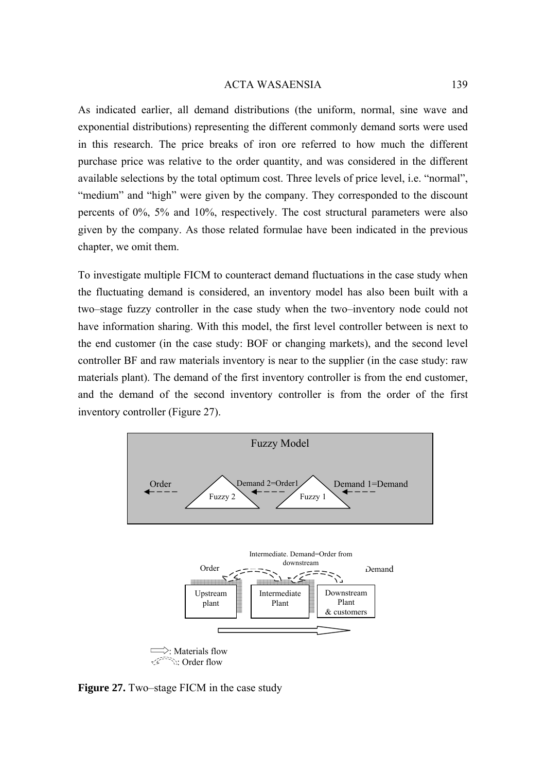As indicated earlier, all demand distributions (the uniform, normal, sine wave and exponential distributions) representing the different commonly demand sorts were used in this research. The price breaks of iron ore referred to how much the different purchase price was relative to the order quantity, and was considered in the different available selections by the total optimum cost. Three levels of price level, i.e. "normal", "medium" and "high" were given by the company. They corresponded to the discount percents of 0%, 5% and 10%, respectively. The cost structural parameters were also given by the company. As those related formulae have been indicated in the previous chapter, we omit them.

To investigate multiple FICM to counteract demand fluctuations in the case study when the fluctuating demand is considered, an inventory model has also been built with a two–stage fuzzy controller in the case study when the two–inventory node could not have information sharing. With this model, the first level controller between is next to the end customer (in the case study: BOF or changing markets), and the second level controller BF and raw materials inventory is near to the supplier (in the case study: raw materials plant). The demand of the first inventory controller is from the end customer, and the demand of the second inventory controller is from the order of the first inventory controller (Figure 27).



**Figure 27.** Two–stage FICM in the case study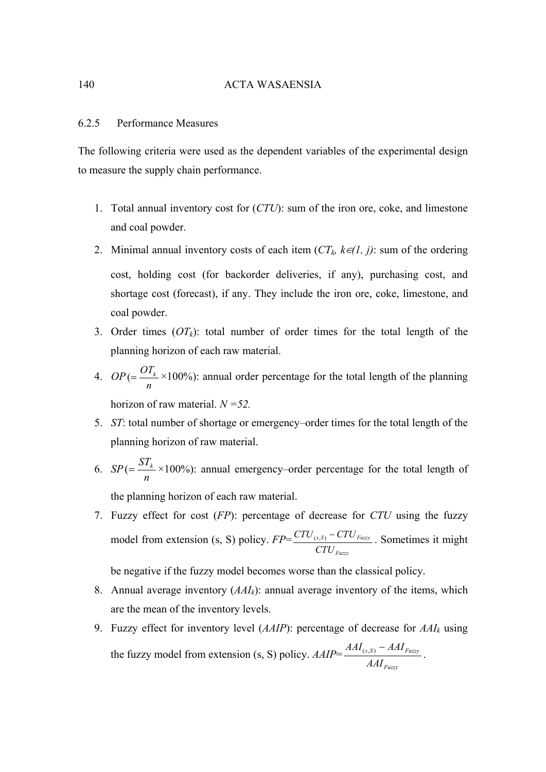## 6.2.5 Performance Measures

The following criteria were used as the dependent variables of the experimental design to measure the supply chain performance.

- 1. Total annual inventory cost for (*CTU*): sum of the iron ore, coke, and limestone and coal powder.
- 2. Minimal annual inventory costs of each item  $(CT_k, k\in I, j)$ : sum of the ordering cost, holding cost (for backorder deliveries, if any), purchasing cost, and shortage cost (forecast), if any. They include the iron ore, coke, limestone, and coal powder.
- 3. Order times  $(OT_k)$ : total number of order times for the total length of the planning horizon of each raw material.
- 4. *OP n*  $\epsilon = \frac{OT_k}{T} \times 100\%$ : annual order percentage for the total length of the planning horizon of raw material. *N =52.*
- 5. *ST*: total number of shortage or emergency–order times for the total length of the planning horizon of raw material.
- 6. *SP n*  $\epsilon = \frac{ST_k}{ST} \times 100\%$ : annual emergency–order percentage for the total length of the planning horizon of each raw material.
- 7. Fuzzy effect for cost (*FP*): percentage of decrease for *CTU* using the fuzzy model from extension (s, S) policy. *FP*= *Fuzzy*  $(s, S)$   $\cup$   $\cup$   $\cup$   $_{Fuzzy}$ *CTU*  $\frac{CTU_{(s,s)} - CTU_{Fuzzy}}{T}$ . Sometimes it might

be negative if the fuzzy model becomes worse than the classical policy.

- 8. Annual average inventory (*AAIk*): annual average inventory of the items, which are the mean of the inventory levels.
- 9. Fuzzy effect for inventory level (*AAIP*): percentage of decrease for *AAIk* using the fuzzy model from extension (s, S) policy. *AAIP*= *Fuzzy*  $(s, S)$  *TIME*  $Fuzzy$ *AAI*  $AAI_{(s,S)} - AAI_{Fuzzy}$ .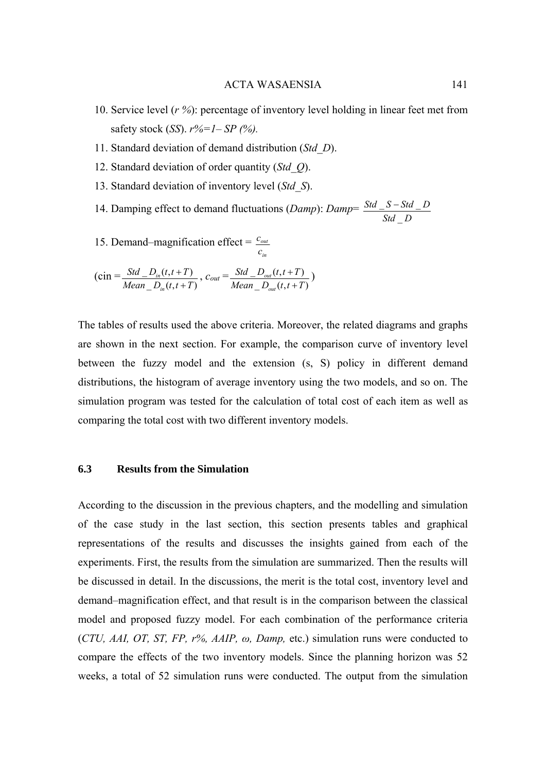- 10. Service level (*r %*): percentage of inventory level holding in linear feet met from safety stock (*SS*). *r%=1*– *SP (%).*
- 11. Standard deviation of demand distribution (*Std\_D*).
- 12. Standard deviation of order quantity (*Std\_Q*).
- 13. Standard deviation of inventory level (*Std\_S*).
- 14. Damping effect to demand fluctuations (*Damp*): *Damp*= *Std D Std S Std D*  $\overline{\phantom{0}}$  $S - Std$

*in*

15. Demand–magnification effect  $=$   $\frac{c_{\textit{out}}}{c_{\textit{out}}}$ *c*  $c_{\textit{\tiny{out}}}$ 

$$
(\text{cin} = \frac{Std\_D_{in}(t, t+T)}{Mean\_D_{in}(t, t+T)}, c_{out} = \frac{Std\_D_{out}(t, t+T)}{Mean\_D_{out}(t, t+T)})
$$

The tables of results used the above criteria. Moreover, the related diagrams and graphs are shown in the next section. For example, the comparison curve of inventory level between the fuzzy model and the extension (s, S) policy in different demand distributions, the histogram of average inventory using the two models, and so on. The simulation program was tested for the calculation of total cost of each item as well as comparing the total cost with two different inventory models.

# **6.3 Results from the Simulation**

According to the discussion in the previous chapters, and the modelling and simulation of the case study in the last section, this section presents tables and graphical representations of the results and discusses the insights gained from each of the experiments. First, the results from the simulation are summarized. Then the results will be discussed in detail. In the discussions, the merit is the total cost, inventory level and demand–magnification effect, and that result is in the comparison between the classical model and proposed fuzzy model. For each combination of the performance criteria (*CTU, AAI, OT, ST, FP, r%, AAIP, ω, Damp,* etc.) simulation runs were conducted to compare the effects of the two inventory models. Since the planning horizon was 52 weeks, a total of 52 simulation runs were conducted. The output from the simulation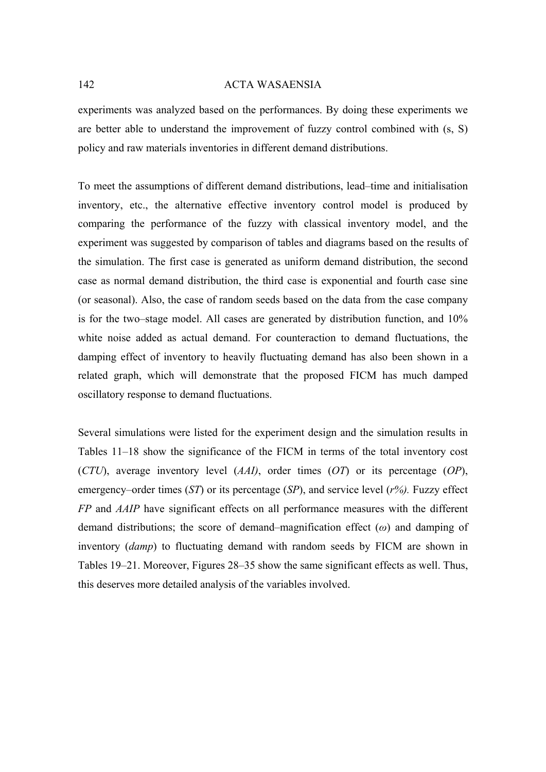experiments was analyzed based on the performances. By doing these experiments we are better able to understand the improvement of fuzzy control combined with (s, S) policy and raw materials inventories in different demand distributions.

To meet the assumptions of different demand distributions, lead–time and initialisation inventory, etc., the alternative effective inventory control model is produced by comparing the performance of the fuzzy with classical inventory model, and the experiment was suggested by comparison of tables and diagrams based on the results of the simulation. The first case is generated as uniform demand distribution, the second case as normal demand distribution, the third case is exponential and fourth case sine (or seasonal). Also, the case of random seeds based on the data from the case company is for the two–stage model. All cases are generated by distribution function, and 10% white noise added as actual demand. For counteraction to demand fluctuations, the damping effect of inventory to heavily fluctuating demand has also been shown in a related graph, which will demonstrate that the proposed FICM has much damped oscillatory response to demand fluctuations.

Several simulations were listed for the experiment design and the simulation results in Tables 11–18 show the significance of the FICM in terms of the total inventory cost (*CTU*), average inventory level (*AAI)*, order times (*OT*) or its percentage (*OP*), emergency–order times (*ST*) or its percentage (*SP*), and service level (*r%).* Fuzzy effect *FP* and *AAIP* have significant effects on all performance measures with the different demand distributions; the score of demand–magnification effect (*ω*) and damping of inventory (*damp*) to fluctuating demand with random seeds by FICM are shown in Tables 19–21. Moreover, Figures 28–35 show the same significant effects as well. Thus, this deserves more detailed analysis of the variables involved.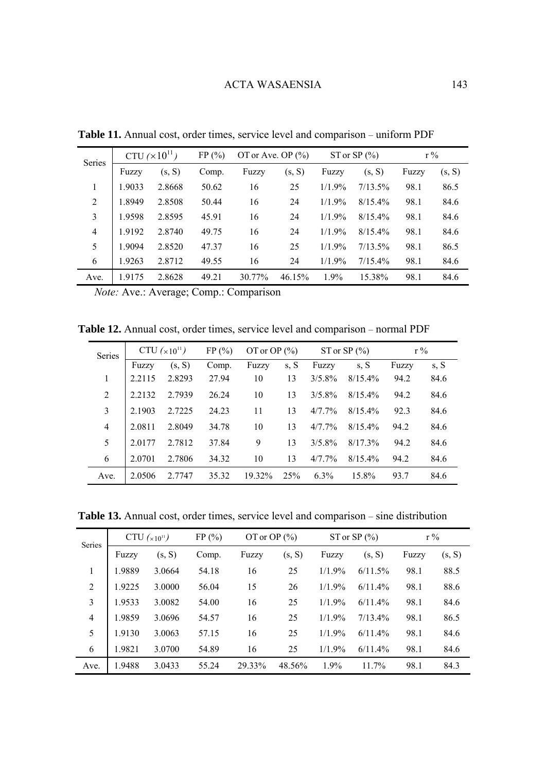| Series         |        | CTU $(\times 10^{11})$ | FP(%) | OT or Ave. OP $(\% )$ |        |           | ST or SP $(\% )$ | $r\%$ |        |
|----------------|--------|------------------------|-------|-----------------------|--------|-----------|------------------|-------|--------|
|                | Fuzzy  | (s, S)                 | Comp. | Fuzzy                 | (s, S) | Fuzzy     | (s, S)           | Fuzzy | (s, S) |
| 1              | 1.9033 | 2.8668                 | 50.62 | 16                    | 25     | 1/1.9%    | 7/13.5%          | 98.1  | 86.5   |
| 2              | 1.8949 | 2.8508                 | 50.44 | 16                    | 24     | 1/1.9%    | $8/15.4\%$       | 98.1  | 84.6   |
| 3              | 1.9598 | 2.8595                 | 45.91 | 16                    | 24     | 1/1.9%    | $8/15.4\%$       | 98.1  | 84.6   |
| $\overline{4}$ | 1.9192 | 2.8740                 | 49.75 | 16                    | 24     | 1/1.9%    | $8/15.4\%$       | 98.1  | 84.6   |
| 5              | 1.9094 | 2.8520                 | 47.37 | 16                    | 25     | 1/1.9%    | $7/13.5\%$       | 98.1  | 86.5   |
| 6              | 1.9263 | 2.8712                 | 49.55 | 16                    | 24     | $1/1.9\%$ | $7/15.4\%$       | 98.1  | 84.6   |
| Ave.           | 1.9175 | 2.8628                 | 49.21 | 30.77%                | 46.15% | $1.9\%$   | 15.38%           | 98.1  | 84.6   |
|                |        |                        |       |                       |        |           |                  |       |        |

**Table 11.** Annual cost, order times, service level and comparison – uniform PDF

*Note:* Ave.: Average; Comp.: Comparison

**Table 12.** Annual cost, order times, service level and comparison – normal PDF

| Series         |        | CTU $(x10^{11})$ | FP(%) | OT or OP $(\% )$ |      |           | ST or SP $(\% )$ | $r\%$ |      |
|----------------|--------|------------------|-------|------------------|------|-----------|------------------|-------|------|
|                | Fuzzy  | (s, S)           | Comp. | Fuzzy            | s, S | Fuzzy     | s, S             | Fuzzy | s, S |
| 1              | 2.2115 | 2.8293           | 27.94 | 10               | 13   | $3/5.8\%$ | $8/15.4\%$       | 94.2  | 84.6 |
| 2              | 2.2132 | 2.7939           | 26.24 | 10               | 13   | $3/5.8\%$ | 8/15.4%          | 94.2  | 84.6 |
| 3              | 2.1903 | 2.7225           | 24.23 | 11               | 13   | 4/7.7%    | 8/15.4%          | 92.3  | 84.6 |
| $\overline{4}$ | 2.0811 | 2.8049           | 34.78 | 10               | 13   | $4/77\%$  | $8/15.4\%$       | 94.2  | 84.6 |
| 5              | 20177  | 2.7812           | 37.84 | 9                | 13   | $3/5.8\%$ | $8/17.3\%$       | 94.2  | 84.6 |
| 6              | 2.0701 | 2.7806           | 34.32 | 10               | 13   | $4/77\%$  | $8/15.4\%$       | 94.2  | 84.6 |
| Ave.           | 2.0506 | 2.7747           | 35.32 | 19.32%           | 25%  | $6.3\%$   | 15.8%            | 93.7  | 84.6 |

**Table 13.** Annual cost, order times, service level and comparison – sine distribution

| Series         |        | CTU $(x10^{11})$ | FP(%) | OT or OP $(\% )$ |        |           | ST or SP $(\% )$ | $r\%$ |        |
|----------------|--------|------------------|-------|------------------|--------|-----------|------------------|-------|--------|
|                | Fuzzy  | (s, S)           | Comp. | Fuzzy            | (s, S) | Fuzzy     | (s, S)           | Fuzzy | (s, S) |
| 1              | 1.9889 | 3.0664           | 54.18 | 16               | 25     | $1/1.9\%$ | 6/11.5%          | 98.1  | 88.5   |
| 2              | 1.9225 | 3.0000           | 56.04 | 15               | 26     | $1/1.9\%$ | 6/11.4%          | 98.1  | 88.6   |
| 3              | 1.9533 | 3.0082           | 54.00 | 16               | 25     | $1/1.9\%$ | 6/11.4%          | 98.1  | 84.6   |
| $\overline{4}$ | 1.9859 | 3.0696           | 54.57 | 16               | 25     | $1/1.9\%$ | $7/13.4\%$       | 98.1  | 86.5   |
| 5              | 1.9130 | 3.0063           | 57.15 | 16               | 25     | 1/1.9%    | 6/11.4%          | 98.1  | 84.6   |
| 6              | 1.9821 | 3.0700           | 54.89 | 16               | 25     | $1/1.9\%$ | 6/11.4%          | 98.1  | 84.6   |
| Ave.           | 1.9488 | 3.0433           | 55.24 | 29.33%           | 48.56% | 1.9%      | 11.7%            | 98.1  | 84.3   |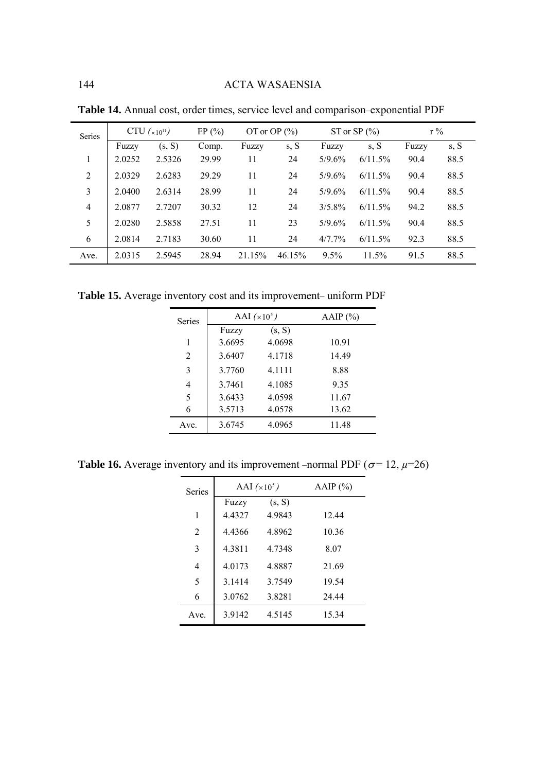| <b>Series</b>  |        | CTU $(x_{10^{11}})$ | FP(%) |        | OT or OP $(\% )$ |         | ST or SP $(\% )$ | $r\%$ |      |
|----------------|--------|---------------------|-------|--------|------------------|---------|------------------|-------|------|
|                | Fuzzy  | (s, S)              | Comp. | Fuzzy  | s, S             | Fuzzy   | s, S             | Fuzzy | s, S |
| 1              | 2.0252 | 2.5326              | 29.99 | 11     | 24               | 5/9.6%  | 6/11.5%          | 90.4  | 88.5 |
| 2              | 2.0329 | 2.6283              | 29.29 | 11     | 24               | 5/9.6%  | 6/11.5%          | 90.4  | 88.5 |
| 3              | 2.0400 | 2.6314              | 28.99 | 11     | 24               | 5/9.6%  | 6/11.5%          | 90.4  | 88.5 |
| $\overline{4}$ | 2.0877 | 2.7207              | 30.32 | 12     | 24               | 3/5.8%  | 6/11.5%          | 94.2  | 88.5 |
| 5              | 2.0280 | 2.5858              | 27.51 | 11     | 23               | 5/9.6%  | 6/11.5%          | 90.4  | 88.5 |
| 6              | 2.0814 | 2.7183              | 30.60 | 11     | 24               | 4/7.7%  | 6/11.5%          | 92.3  | 88.5 |
| Ave.           | 2.0315 | 2.5945              | 28.94 | 21.15% | 46.15%           | $9.5\%$ | 11.5%            | 91.5  | 88.5 |

**Table 14.** Annual cost, order times, service level and comparison–exponential PDF

**Table 15.** Average inventory cost and its improvement– uniform PDF

| Series |        | AAI $(\times 10^5)$ | AAIP $(\% )$ |
|--------|--------|---------------------|--------------|
|        | Fuzzy  | (s, S)              |              |
| 1      | 3.6695 | 4.0698              | 10.91        |
| 2      | 3.6407 | 4.1718              | 14.49        |
| 3      | 3.7760 | 4 1 1 1 1           | 8.88         |
| 4      | 3.7461 | 4.1085              | 9.35         |
| 5      | 3.6433 | 4.0598              | 11.67        |
| 6      | 3.5713 | 4.0578              | 13.62        |
| Ave.   | 3.6745 | 4.0965              | 11.48        |

**Table 16.** Average inventory and its improvement –normal PDF ( $\sigma$ = 12,  $\mu$ =26)

| <b>Series</b>  | AAI $(x10^5)$ | AAIP $(\% )$ |       |
|----------------|---------------|--------------|-------|
|                | Fuzzy         | (s, S)       |       |
| 1              | 4.4327        | 4.9843       | 12.44 |
| 2              | 44366         | 4.8962       | 10.36 |
| 3              | 4.3811        | 4.7348       | 8.07  |
| $\overline{4}$ | 4.0173        | 4.8887       | 21.69 |
| 5              | 3 14 14       | 3 7 5 4 9    | 19.54 |
| 6              | 3.0762        | 3.8281       | 24.44 |
| Ave.           | 3.9142        | 4.5145       | 15.34 |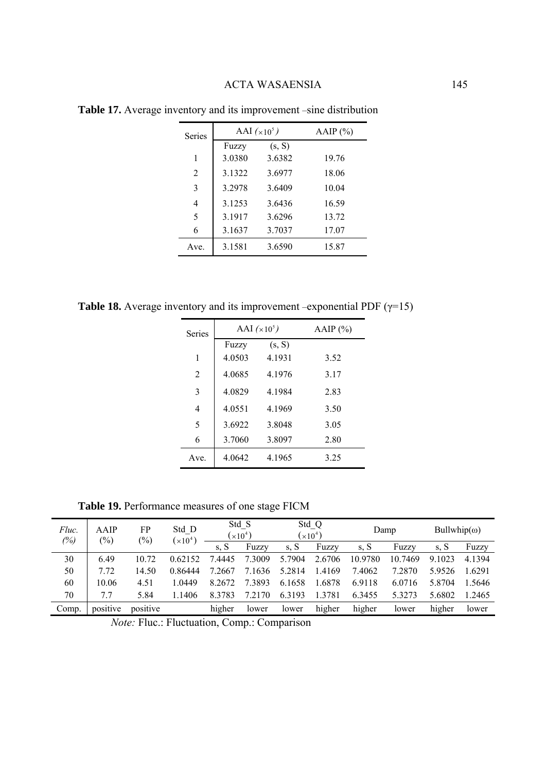| <b>Series</b>  |        | AAI $(\times 10^5)$ | AAIP $(\%)$ |  |  |
|----------------|--------|---------------------|-------------|--|--|
|                | Fuzzy  | (s, S)              |             |  |  |
| 1              | 3.0380 | 3.6382              | 19.76       |  |  |
| $\overline{2}$ | 3.1322 | 3.6977              | 18.06       |  |  |
| 3              | 3.2978 | 3.6409              | 10.04       |  |  |
| $\overline{4}$ | 3.1253 | 3.6436              | 16.59       |  |  |
| 5              | 3.1917 | 3.6296              | 13.72       |  |  |
| 6              | 3.1637 | 3.7037              | 17.07       |  |  |
| Ave.           | 3.1581 | 3.6590              | 15.87       |  |  |

**Table 17.** Average inventory and its improvement –sine distribution

**Table 18.** Average inventory and its improvement –exponential PDF ( $\gamma$ =15)

| <b>Series</b>  |        | AAI $(\times 10^5)$ | AAIP $(\%)$ |  |  |
|----------------|--------|---------------------|-------------|--|--|
|                | Fuzzy  | (s, S)              |             |  |  |
| 1              | 4.0503 | 4.1931              | 3.52        |  |  |
| $\mathfrak{D}$ | 4 0685 | 4 1 9 7 6           | 3.17        |  |  |
| 3              | 4.0829 | 4.1984              | 2.83        |  |  |
| $\overline{4}$ | 4.0551 | 4.1969              | 3.50        |  |  |
| 5              | 3.6922 | 3.8048              | 3.05        |  |  |
| 6              | 3.7060 | 3.8097              | 2.80        |  |  |
| Ave.           | 4.0642 | 4.1965              | 3.25        |  |  |

**Table 19.** Performance measures of one stage FICM

| Fluc.<br>(%) | AAIP<br>$(\%)$ | FP<br>$(\%)$ | Std D<br>$(\times 10^4)$ | Std S<br>$(x10^4)$ |        | Std Q<br>$(x10^4)$ |        | Damp    |         | $Bullwhip(\omega)$ |        |
|--------------|----------------|--------------|--------------------------|--------------------|--------|--------------------|--------|---------|---------|--------------------|--------|
|              |                |              |                          | s. S               | Fuzzy  | s. S               | Fuzzy  | s. S    | Fuzzy   | s. S               | Fuzzy  |
| 30           | 6.49           | 10.72        | 0.62152                  | 7.4445             | 7.3009 | 5.7904             | 2.6706 | 10.9780 | 10.7469 | 9.1023             | 4.1394 |
| 50           | 7.72           | 14.50        | 0.86444                  | 7.2667             | 7.1636 | 5.2814             | 1.4169 | 7.4062  | 7.2870  | 5.9526             | 1.6291 |
| 60           | 10.06          | 4.51         | 1.0449                   | 8.2672             | 7.3893 | 6.1658             | 1.6878 | 6.9118  | 6.0716  | 5.8704             | 1.5646 |
| 70           | 7.7            | 5.84         | 1.1406                   | 8.3783             | 7.2170 | 6.3193             | 1.3781 | 6.3455  | 5.3273  | 5.6802             | 1.2465 |
| Comp.        | positive       | positive     |                          | higher             | lower  | lower              | higher | higher  | lower   | higher             | lower  |

*Note:* Fluc.: Fluctuation, Comp.: Comparison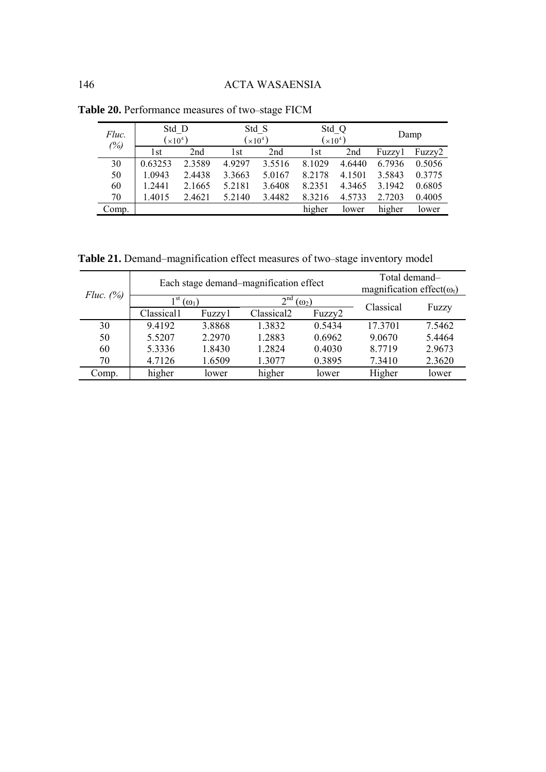| Fluc. | Std D     |                 | Std S                      |        | Std Q           |        | Damp   |        |
|-------|-----------|-----------------|----------------------------|--------|-----------------|--------|--------|--------|
| (%)   | $(x10^4)$ |                 | $\left[\times 10^4\right)$ |        | $(\times 10^4)$ |        |        |        |
|       | 1st       | 2 <sub>nd</sub> | l st                       | 2nd    | l st            | 2nd    | Fuzzy1 | Fuzzy2 |
| 30    | 0.63253   | 2.3589          | 4.9297                     | 3.5516 | 8.1029          | 4.6440 | 6.7936 | 0.5056 |
| 50    | 1.0943    | 2.4438          | 3.3663                     | 5.0167 | 8.2178          | 4.1501 | 3.5843 | 0.3775 |
| 60    | 1.2441    | 2.1665          | 5.2181                     | 3.6408 | 8.2351          | 4.3465 | 3.1942 | 0.6805 |
| 70    | 1.4015    | 2.4621          | 5.2140                     | 3.4482 | 8.3216          | 4.5733 | 2.7203 | 0.4005 |
| Comp. |           |                 |                            |        | higher          | lower  | higher | lower  |

**Table 20.** Performance measures of two–stage FICM

**Table 21.** Demand–magnification effect measures of two–stage inventory model

| Fluc. $(%)$ |            | Each stage demand-magnification effect | Total demand-<br>magnification effect( $\omega_t$ ) |              |           |        |
|-------------|------------|----------------------------------------|-----------------------------------------------------|--------------|-----------|--------|
|             | 1 st       | $\omega_1$                             | 2 <sup>nd</sup>                                     | $(\omega_2)$ | Classical | Fuzzy  |
|             | Classical1 | Fuzzy1                                 | Classical <sub>2</sub>                              | Fuzzy2       |           |        |
| 30          | 9.4192     | 3.8868                                 | 1.3832                                              | 0.5434       | 17 3701   | 7.5462 |
| 50          | 5.5207     | 2.2970                                 | 1.2883                                              | 0.6962       | 9.0670    | 5.4464 |
| 60          | 5.3336     | 1.8430                                 | 1 2 8 2 4                                           | 0.4030       | 8 7 7 1 9 | 2.9673 |
| 70          | 4.7126     | 1.6509                                 | 1.3077                                              | 0.3895       | 7.3410    | 2.3620 |
| Comp.       | higher     | lower                                  | higher                                              | lower        | Higher    | lower  |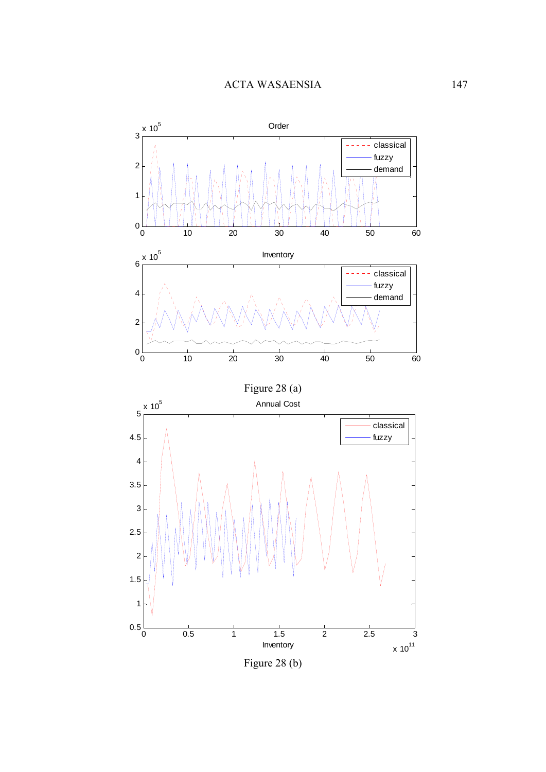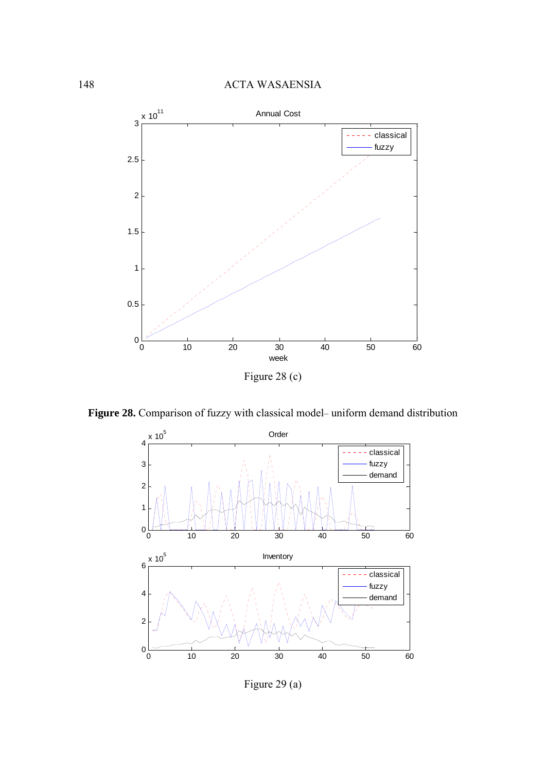

**Figure 28.** Comparison of fuzzy with classical model– uniform demand distribution



Figure 29 (a)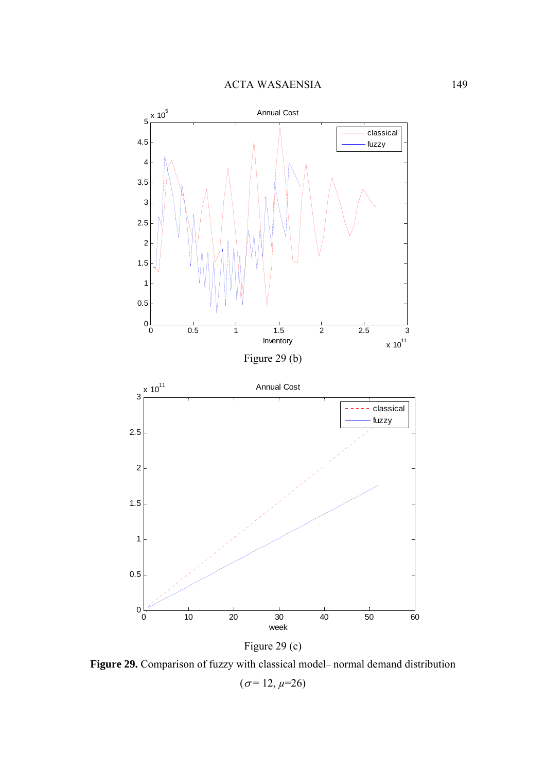

Figure 29 (c)

Figure 29. Comparison of fuzzy with classical model- normal demand distribution

 $(\sigma = 12, \mu = 26)$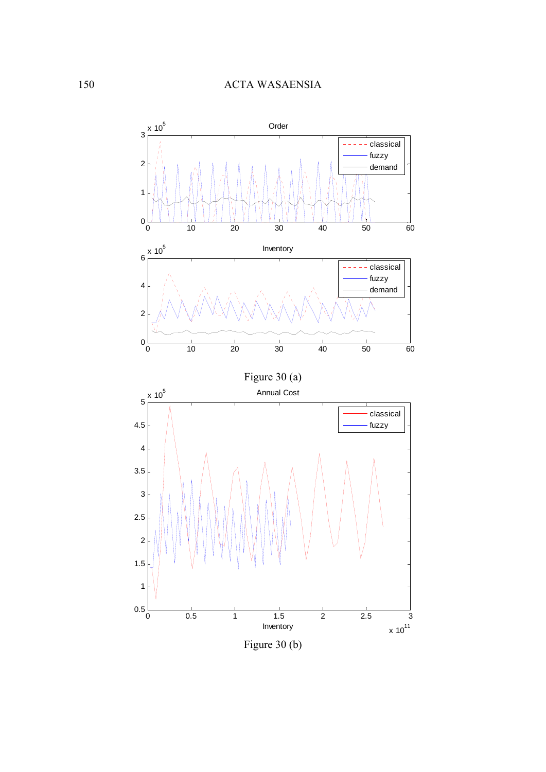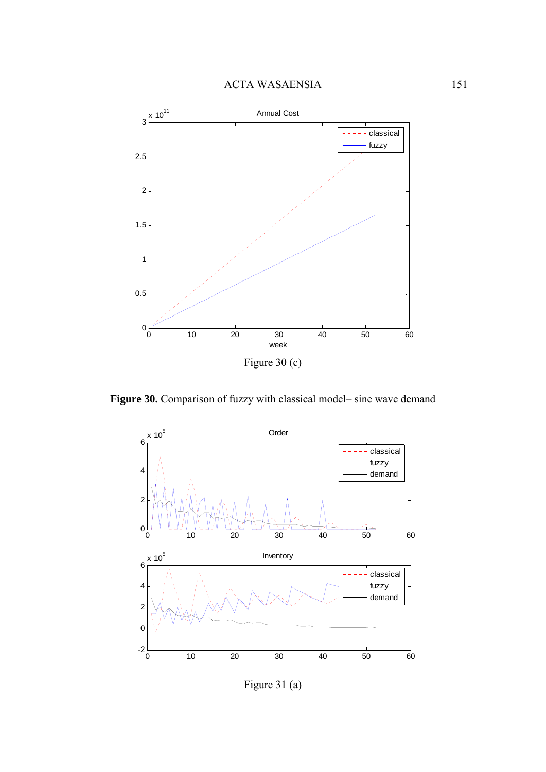

**Figure 30.** Comparison of fuzzy with classical model– sine wave demand



Figure 31 (a)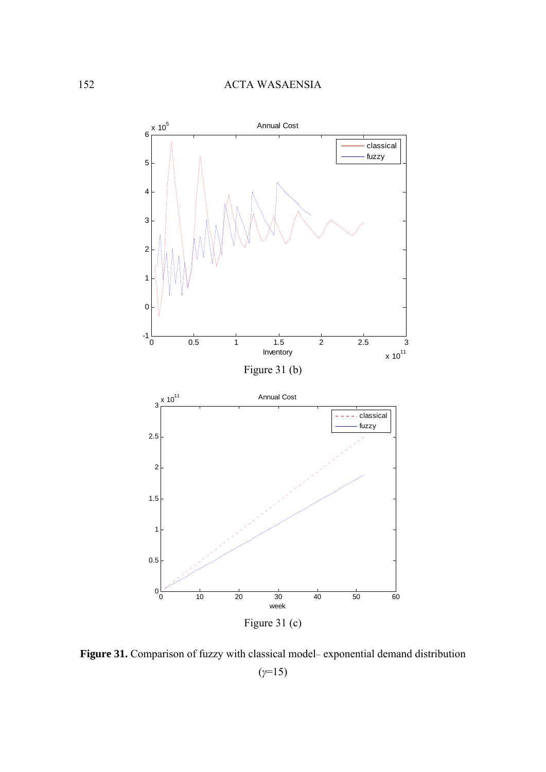

Figure 31. Comparison of fuzzy with classical model– exponential demand distribution (*γ*=15)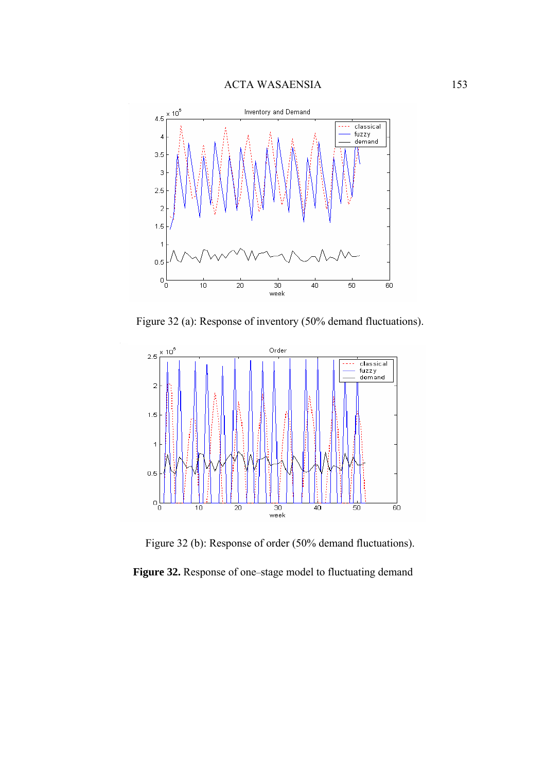

Figure 32 (a): Response of inventory (50% demand fluctuations).



Figure 32 (b): Response of order (50% demand fluctuations).

**Figure 32.** Response of one–stage model to fluctuating demand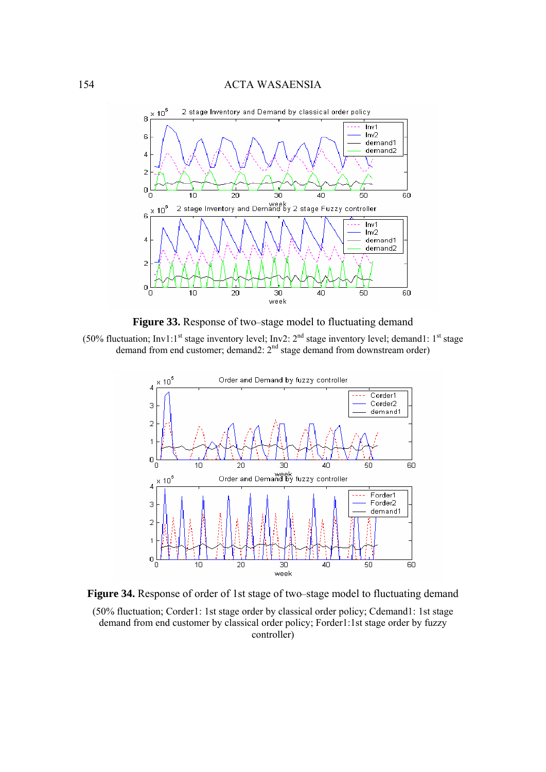

**Figure 33.** Response of two–stage model to fluctuating demand





**Figure 34.** Response of order of 1st stage of two–stage model to fluctuating demand (50% fluctuation; Corder1: 1st stage order by classical order policy; Cdemand1: 1st stage demand from end customer by classical order policy; Forder1:1st stage order by fuzzy controller)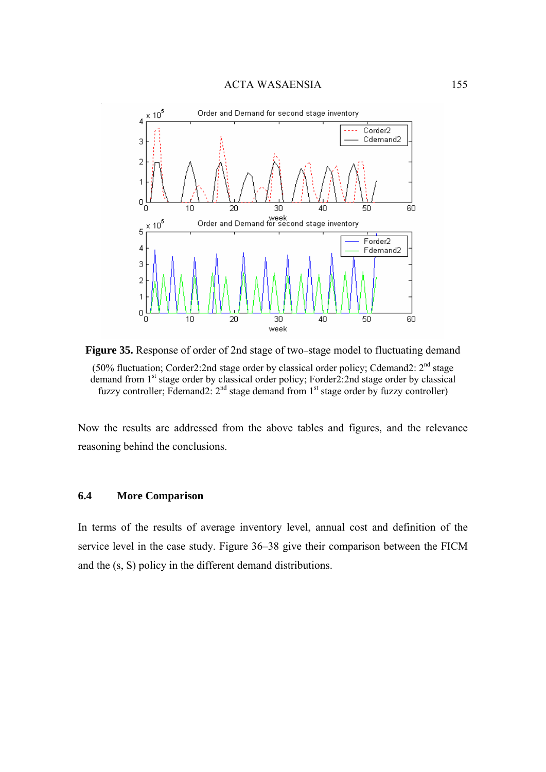

**Figure 35.** Response of order of 2nd stage of two–stage model to fluctuating demand (50% fluctuation; Corder2:2nd stage order by classical order policy; Cdemand2:  $2<sup>nd</sup>$  stage demand from 1<sup>st</sup> stage order by classical order policy; Forder2:2nd stage order by classical fuzzy controller; Fdemand2:  $2<sup>nd</sup>$  stage demand from  $1<sup>st</sup>$  stage order by fuzzy controller)

Now the results are addressed from the above tables and figures, and the relevance reasoning behind the conclusions.

#### **6.4 More Comparison**

In terms of the results of average inventory level, annual cost and definition of the service level in the case study. Figure 36–38 give their comparison between the FICM and the (s, S) policy in the different demand distributions.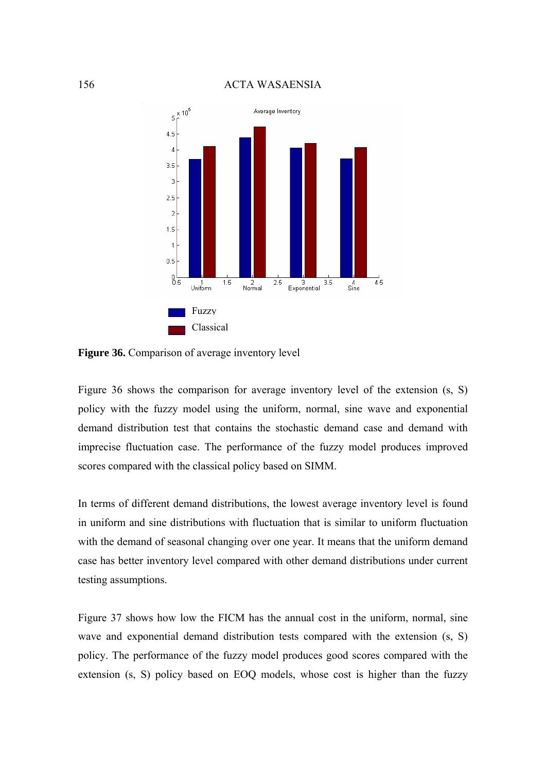

**Figure 36.** Comparison of average inventory level

Figure 36 shows the comparison for average inventory level of the extension (s, S) policy with the fuzzy model using the uniform, normal, sine wave and exponential demand distribution test that contains the stochastic demand case and demand with imprecise fluctuation case. The performance of the fuzzy model produces improved scores compared with the classical policy based on SIMM.

In terms of different demand distributions, the lowest average inventory level is found in uniform and sine distributions with fluctuation that is similar to uniform fluctuation with the demand of seasonal changing over one year. It means that the uniform demand case has better inventory level compared with other demand distributions under current testing assumptions.

Figure 37 shows how low the FICM has the annual cost in the uniform, normal, sine wave and exponential demand distribution tests compared with the extension  $(s, S)$ policy. The performance of the fuzzy model produces good scores compared with the extension (s, S) policy based on EOQ models, whose cost is higher than the fuzzy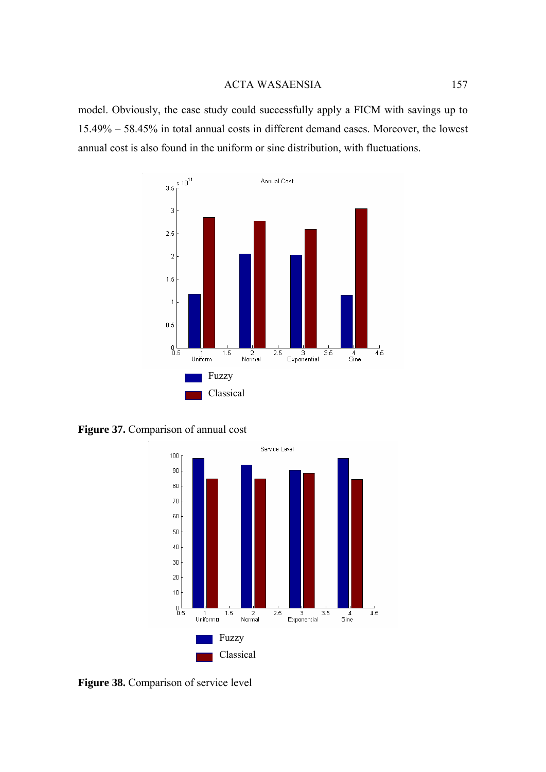model. Obviously, the case study could successfully apply a FICM with savings up to 15.49% – 58.45% in total annual costs in different demand cases. Moreover, the lowest annual cost is also found in the uniform or sine distribution, with fluctuations.



**Figure 37.** Comparison of annual cost



**Figure 38.** Comparison of service level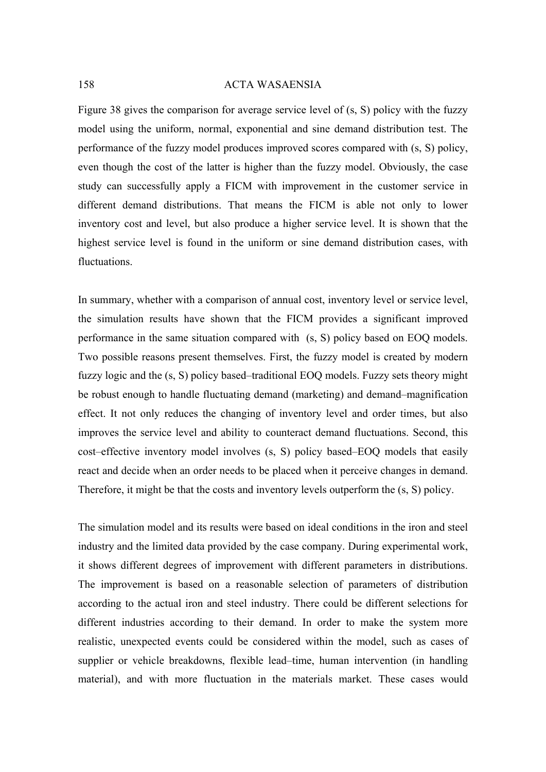Figure 38 gives the comparison for average service level of (s, S) policy with the fuzzy model using the uniform, normal, exponential and sine demand distribution test. The performance of the fuzzy model produces improved scores compared with (s, S) policy, even though the cost of the latter is higher than the fuzzy model. Obviously, the case study can successfully apply a FICM with improvement in the customer service in different demand distributions. That means the FICM is able not only to lower inventory cost and level, but also produce a higher service level. It is shown that the highest service level is found in the uniform or sine demand distribution cases, with fluctuations.

In summary, whether with a comparison of annual cost, inventory level or service level, the simulation results have shown that the FICM provides a significant improved performance in the same situation compared with (s, S) policy based on EOQ models. Two possible reasons present themselves. First, the fuzzy model is created by modern fuzzy logic and the (s, S) policy based–traditional EOQ models. Fuzzy sets theory might be robust enough to handle fluctuating demand (marketing) and demand–magnification effect. It not only reduces the changing of inventory level and order times, but also improves the service level and ability to counteract demand fluctuations. Second, this cost–effective inventory model involves (s, S) policy based–EOQ models that easily react and decide when an order needs to be placed when it perceive changes in demand. Therefore, it might be that the costs and inventory levels outperform the (s, S) policy.

The simulation model and its results were based on ideal conditions in the iron and steel industry and the limited data provided by the case company. During experimental work, it shows different degrees of improvement with different parameters in distributions. The improvement is based on a reasonable selection of parameters of distribution according to the actual iron and steel industry. There could be different selections for different industries according to their demand. In order to make the system more realistic, unexpected events could be considered within the model, such as cases of supplier or vehicle breakdowns, flexible lead–time, human intervention (in handling material), and with more fluctuation in the materials market. These cases would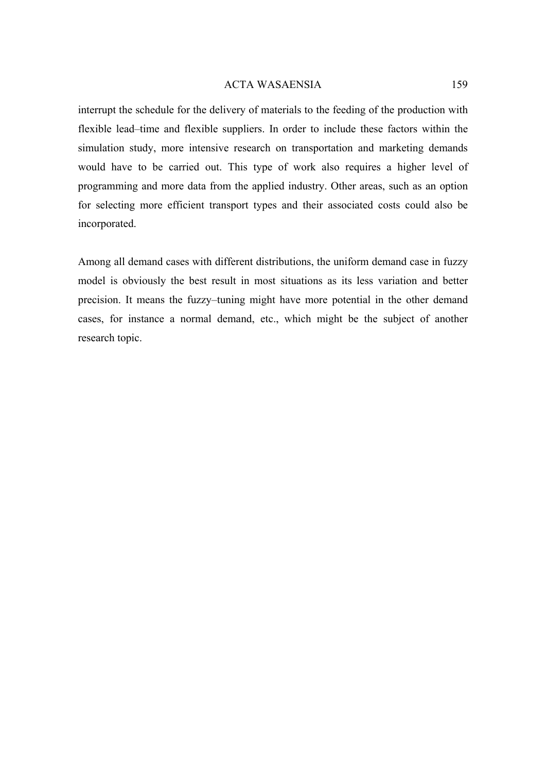interrupt the schedule for the delivery of materials to the feeding of the production with flexible lead–time and flexible suppliers. In order to include these factors within the simulation study, more intensive research on transportation and marketing demands would have to be carried out. This type of work also requires a higher level of programming and more data from the applied industry. Other areas, such as an option for selecting more efficient transport types and their associated costs could also be incorporated.

Among all demand cases with different distributions, the uniform demand case in fuzzy model is obviously the best result in most situations as its less variation and better precision. It means the fuzzy–tuning might have more potential in the other demand cases, for instance a normal demand, etc., which might be the subject of another research topic.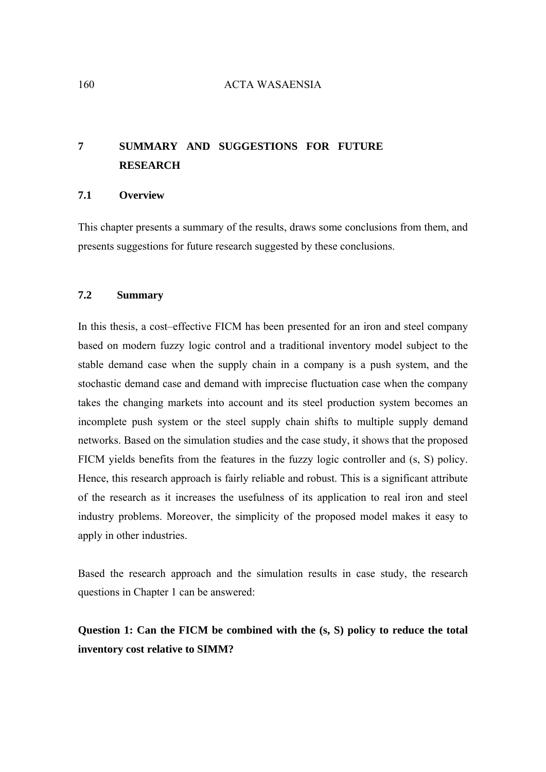## **7 SUMMARY AND SUGGESTIONS FOR FUTURE RESEARCH**

## **7.1 Overview**

This chapter presents a summary of the results, draws some conclusions from them, and presents suggestions for future research suggested by these conclusions.

## **7.2 Summary**

In this thesis, a cost–effective FICM has been presented for an iron and steel company based on modern fuzzy logic control and a traditional inventory model subject to the stable demand case when the supply chain in a company is a push system, and the stochastic demand case and demand with imprecise fluctuation case when the company takes the changing markets into account and its steel production system becomes an incomplete push system or the steel supply chain shifts to multiple supply demand networks. Based on the simulation studies and the case study, it shows that the proposed FICM yields benefits from the features in the fuzzy logic controller and (s, S) policy. Hence, this research approach is fairly reliable and robust. This is a significant attribute of the research as it increases the usefulness of its application to real iron and steel industry problems. Moreover, the simplicity of the proposed model makes it easy to apply in other industries.

Based the research approach and the simulation results in case study, the research questions in Chapter 1 can be answered:

## **Question 1: Can the FICM be combined with the (s, S) policy to reduce the total inventory cost relative to SIMM?**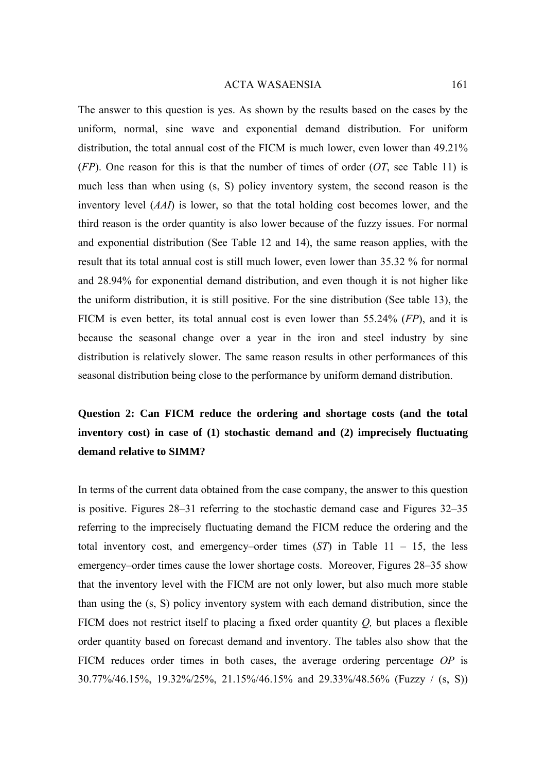The answer to this question is yes. As shown by the results based on the cases by the uniform, normal, sine wave and exponential demand distribution. For uniform distribution, the total annual cost of the FICM is much lower, even lower than 49.21% (*FP*). One reason for this is that the number of times of order (*OT*, see Table 11) is much less than when using (s, S) policy inventory system, the second reason is the inventory level (*AAI*) is lower, so that the total holding cost becomes lower, and the third reason is the order quantity is also lower because of the fuzzy issues. For normal and exponential distribution (See Table 12 and 14), the same reason applies, with the result that its total annual cost is still much lower, even lower than 35.32 % for normal and 28.94% for exponential demand distribution, and even though it is not higher like the uniform distribution, it is still positive. For the sine distribution (See table 13), the FICM is even better, its total annual cost is even lower than 55.24% (*FP*), and it is because the seasonal change over a year in the iron and steel industry by sine distribution is relatively slower. The same reason results in other performances of this seasonal distribution being close to the performance by uniform demand distribution.

# **Question 2: Can FICM reduce the ordering and shortage costs (and the total inventory cost) in case of (1) stochastic demand and (2) imprecisely fluctuating demand relative to SIMM?**

In terms of the current data obtained from the case company, the answer to this question is positive. Figures 28–31 referring to the stochastic demand case and Figures 32–35 referring to the imprecisely fluctuating demand the FICM reduce the ordering and the total inventory cost, and emergency–order times (*ST*) in Table 11 – 15, the less emergency–order times cause the lower shortage costs. Moreover, Figures 28–35 show that the inventory level with the FICM are not only lower, but also much more stable than using the (s, S) policy inventory system with each demand distribution, since the FICM does not restrict itself to placing a fixed order quantity *Q,* but places a flexible order quantity based on forecast demand and inventory. The tables also show that the FICM reduces order times in both cases, the average ordering percentage *OP* is 30.77%/46.15%, 19.32%/25%, 21.15%/46.15% and 29.33%/48.56% (Fuzzy / (s, S))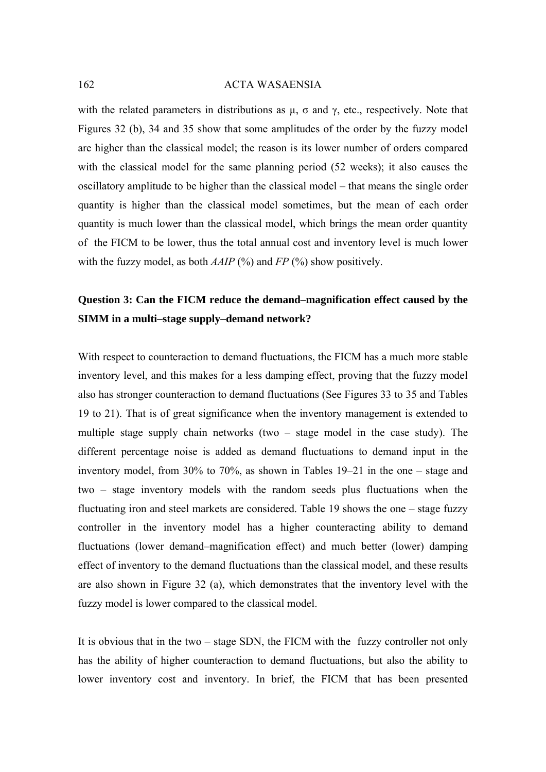with the related parameters in distributions as  $\mu$ ,  $\sigma$  and  $\gamma$ , etc., respectively. Note that Figures 32 (b), 34 and 35 show that some amplitudes of the order by the fuzzy model are higher than the classical model; the reason is its lower number of orders compared with the classical model for the same planning period (52 weeks); it also causes the oscillatory amplitude to be higher than the classical model – that means the single order quantity is higher than the classical model sometimes, but the mean of each order quantity is much lower than the classical model, which brings the mean order quantity of the FICM to be lower, thus the total annual cost and inventory level is much lower with the fuzzy model, as both *AAIP* (%) and *FP* (%) show positively.

## **Question 3: Can the FICM reduce the demand–magnification effect caused by the SIMM in a multi–stage supply–demand network?**

With respect to counteraction to demand fluctuations, the FICM has a much more stable inventory level, and this makes for a less damping effect, proving that the fuzzy model also has stronger counteraction to demand fluctuations (See Figures 33 to 35 and Tables 19 to 21). That is of great significance when the inventory management is extended to multiple stage supply chain networks (two – stage model in the case study). The different percentage noise is added as demand fluctuations to demand input in the inventory model, from 30% to 70%, as shown in Tables 19–21 in the one – stage and two – stage inventory models with the random seeds plus fluctuations when the fluctuating iron and steel markets are considered. Table 19 shows the one – stage fuzzy controller in the inventory model has a higher counteracting ability to demand fluctuations (lower demand–magnification effect) and much better (lower) damping effect of inventory to the demand fluctuations than the classical model, and these results are also shown in Figure 32 (a), which demonstrates that the inventory level with the fuzzy model is lower compared to the classical model.

It is obvious that in the two – stage SDN, the FICM with the fuzzy controller not only has the ability of higher counteraction to demand fluctuations, but also the ability to lower inventory cost and inventory. In brief, the FICM that has been presented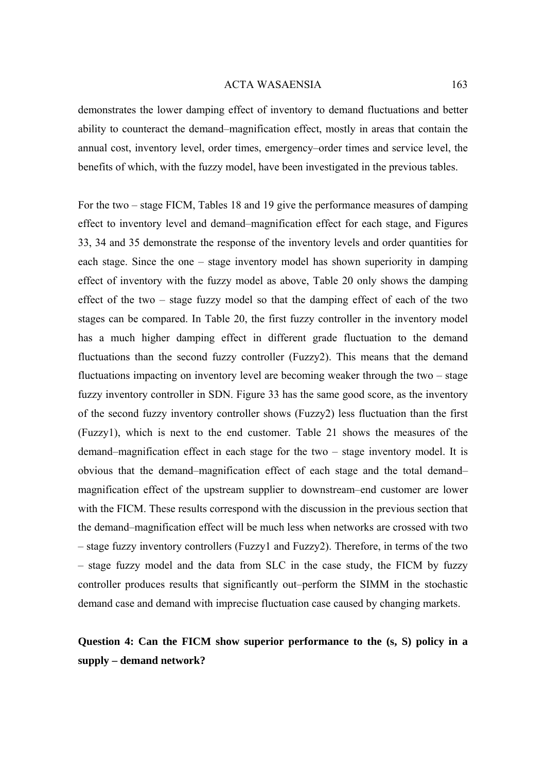demonstrates the lower damping effect of inventory to demand fluctuations and better ability to counteract the demand–magnification effect, mostly in areas that contain the annual cost, inventory level, order times, emergency–order times and service level, the benefits of which, with the fuzzy model, have been investigated in the previous tables.

For the two – stage FICM, Tables 18 and 19 give the performance measures of damping effect to inventory level and demand–magnification effect for each stage, and Figures 33, 34 and 35 demonstrate the response of the inventory levels and order quantities for each stage. Since the one – stage inventory model has shown superiority in damping effect of inventory with the fuzzy model as above, Table 20 only shows the damping effect of the two – stage fuzzy model so that the damping effect of each of the two stages can be compared. In Table 20, the first fuzzy controller in the inventory model has a much higher damping effect in different grade fluctuation to the demand fluctuations than the second fuzzy controller (Fuzzy2). This means that the demand fluctuations impacting on inventory level are becoming weaker through the two – stage fuzzy inventory controller in SDN. Figure 33 has the same good score, as the inventory of the second fuzzy inventory controller shows (Fuzzy2) less fluctuation than the first (Fuzzy1), which is next to the end customer. Table 21 shows the measures of the demand–magnification effect in each stage for the two – stage inventory model. It is obvious that the demand–magnification effect of each stage and the total demand– magnification effect of the upstream supplier to downstream–end customer are lower with the FICM. These results correspond with the discussion in the previous section that the demand–magnification effect will be much less when networks are crossed with two – stage fuzzy inventory controllers (Fuzzy1 and Fuzzy2). Therefore, in terms of the two – stage fuzzy model and the data from SLC in the case study, the FICM by fuzzy controller produces results that significantly out–perform the SIMM in the stochastic demand case and demand with imprecise fluctuation case caused by changing markets.

## **Question 4: Can the FICM show superior performance to the (s, S) policy in a supply – demand network?**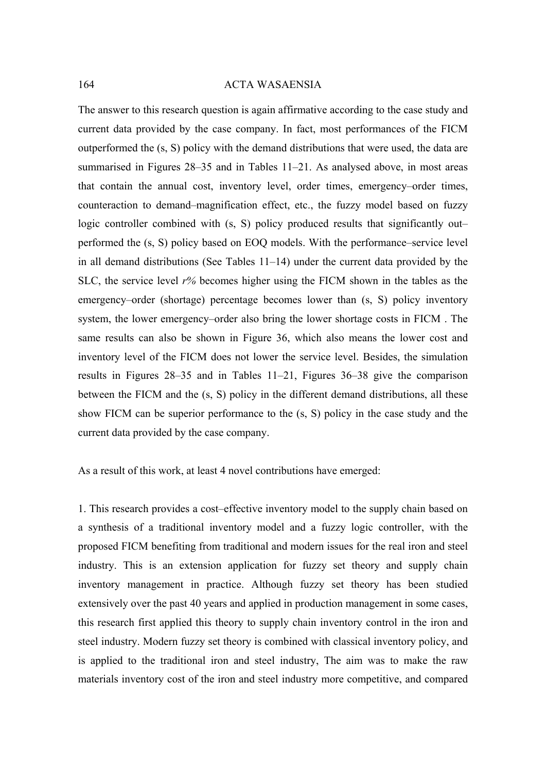The answer to this research question is again affirmative according to the case study and current data provided by the case company. In fact, most performances of the FICM outperformed the (s, S) policy with the demand distributions that were used, the data are summarised in Figures 28–35 and in Tables 11–21. As analysed above, in most areas that contain the annual cost, inventory level, order times, emergency–order times, counteraction to demand–magnification effect, etc., the fuzzy model based on fuzzy logic controller combined with (s, S) policy produced results that significantly out– performed the (s, S) policy based on EOQ models. With the performance–service level in all demand distributions (See Tables 11–14) under the current data provided by the SLC, the service level *r%* becomes higher using the FICM shown in the tables as the emergency–order (shortage) percentage becomes lower than  $(s, S)$  policy inventory system, the lower emergency–order also bring the lower shortage costs in FICM . The same results can also be shown in Figure 36, which also means the lower cost and inventory level of the FICM does not lower the service level. Besides, the simulation results in Figures 28–35 and in Tables 11–21, Figures 36–38 give the comparison between the FICM and the (s, S) policy in the different demand distributions, all these show FICM can be superior performance to the (s, S) policy in the case study and the current data provided by the case company.

As a result of this work, at least 4 novel contributions have emerged:

1. This research provides a cost–effective inventory model to the supply chain based on a synthesis of a traditional inventory model and a fuzzy logic controller, with the proposed FICM benefiting from traditional and modern issues for the real iron and steel industry. This is an extension application for fuzzy set theory and supply chain inventory management in practice. Although fuzzy set theory has been studied extensively over the past 40 years and applied in production management in some cases, this research first applied this theory to supply chain inventory control in the iron and steel industry. Modern fuzzy set theory is combined with classical inventory policy, and is applied to the traditional iron and steel industry, The aim was to make the raw materials inventory cost of the iron and steel industry more competitive, and compared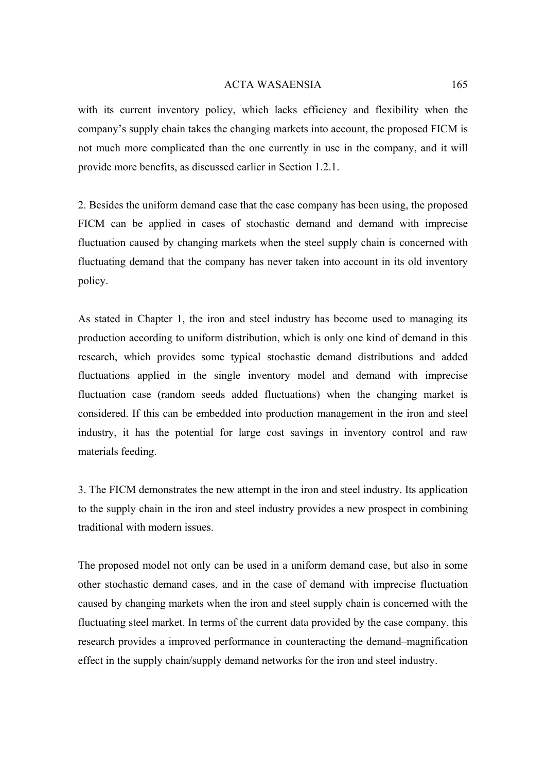with its current inventory policy, which lacks efficiency and flexibility when the company's supply chain takes the changing markets into account, the proposed FICM is not much more complicated than the one currently in use in the company, and it will provide more benefits, as discussed earlier in Section 1.2.1.

2. Besides the uniform demand case that the case company has been using, the proposed FICM can be applied in cases of stochastic demand and demand with imprecise fluctuation caused by changing markets when the steel supply chain is concerned with fluctuating demand that the company has never taken into account in its old inventory policy.

As stated in Chapter 1, the iron and steel industry has become used to managing its production according to uniform distribution, which is only one kind of demand in this research, which provides some typical stochastic demand distributions and added fluctuations applied in the single inventory model and demand with imprecise fluctuation case (random seeds added fluctuations) when the changing market is considered. If this can be embedded into production management in the iron and steel industry, it has the potential for large cost savings in inventory control and raw materials feeding.

3. The FICM demonstrates the new attempt in the iron and steel industry. Its application to the supply chain in the iron and steel industry provides a new prospect in combining traditional with modern issues.

The proposed model not only can be used in a uniform demand case, but also in some other stochastic demand cases, and in the case of demand with imprecise fluctuation caused by changing markets when the iron and steel supply chain is concerned with the fluctuating steel market. In terms of the current data provided by the case company, this research provides a improved performance in counteracting the demand–magnification effect in the supply chain/supply demand networks for the iron and steel industry.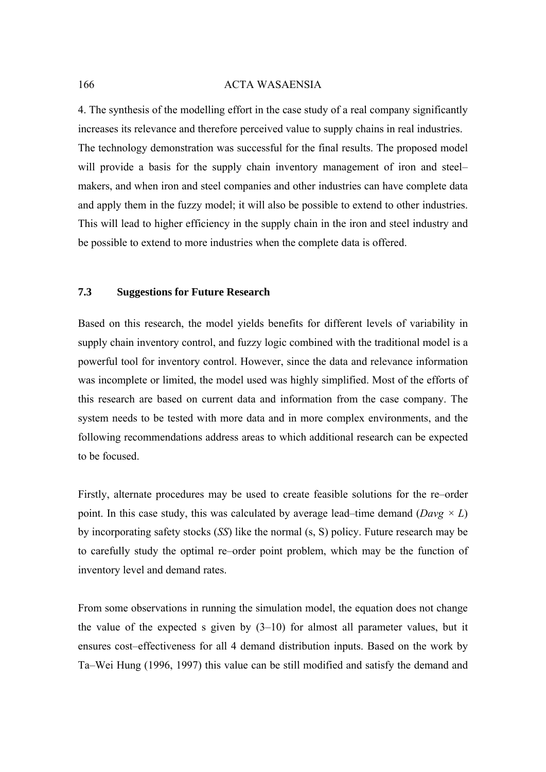4. The synthesis of the modelling effort in the case study of a real company significantly increases its relevance and therefore perceived value to supply chains in real industries. The technology demonstration was successful for the final results. The proposed model will provide a basis for the supply chain inventory management of iron and steelmakers, and when iron and steel companies and other industries can have complete data and apply them in the fuzzy model; it will also be possible to extend to other industries. This will lead to higher efficiency in the supply chain in the iron and steel industry and be possible to extend to more industries when the complete data is offered.

## **7.3 Suggestions for Future Research**

Based on this research, the model yields benefits for different levels of variability in supply chain inventory control, and fuzzy logic combined with the traditional model is a powerful tool for inventory control. However, since the data and relevance information was incomplete or limited, the model used was highly simplified. Most of the efforts of this research are based on current data and information from the case company. The system needs to be tested with more data and in more complex environments, and the following recommendations address areas to which additional research can be expected to be focused.

Firstly, alternate procedures may be used to create feasible solutions for the re–order point. In this case study, this was calculated by average lead–time demand (*Davg × L*) by incorporating safety stocks (*SS*) like the normal (s, S) policy. Future research may be to carefully study the optimal re–order point problem, which may be the function of inventory level and demand rates.

From some observations in running the simulation model, the equation does not change the value of the expected s given by  $(3-10)$  for almost all parameter values, but it ensures cost–effectiveness for all 4 demand distribution inputs. Based on the work by Ta–Wei Hung (1996, 1997) this value can be still modified and satisfy the demand and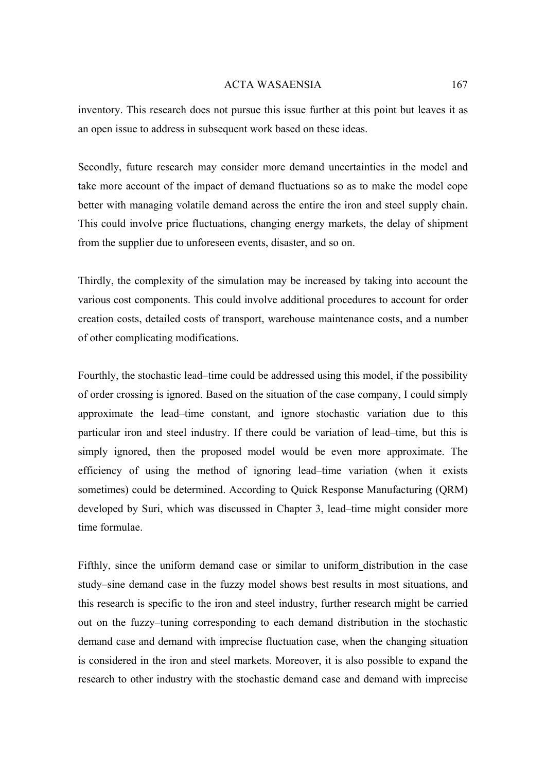inventory. This research does not pursue this issue further at this point but leaves it as an open issue to address in subsequent work based on these ideas.

Secondly, future research may consider more demand uncertainties in the model and take more account of the impact of demand fluctuations so as to make the model cope better with managing volatile demand across the entire the iron and steel supply chain. This could involve price fluctuations, changing energy markets, the delay of shipment from the supplier due to unforeseen events, disaster, and so on.

Thirdly, the complexity of the simulation may be increased by taking into account the various cost components. This could involve additional procedures to account for order creation costs, detailed costs of transport, warehouse maintenance costs, and a number of other complicating modifications.

Fourthly, the stochastic lead–time could be addressed using this model, if the possibility of order crossing is ignored. Based on the situation of the case company, I could simply approximate the lead–time constant, and ignore stochastic variation due to this particular iron and steel industry. If there could be variation of lead–time, but this is simply ignored, then the proposed model would be even more approximate. The efficiency of using the method of ignoring lead–time variation (when it exists sometimes) could be determined. According to Quick Response Manufacturing (QRM) developed by Suri, which was discussed in Chapter 3, lead–time might consider more time formulae.

Fifthly, since the uniform demand case or similar to uniform distribution in the case study–sine demand case in the fuzzy model shows best results in most situations, and this research is specific to the iron and steel industry, further research might be carried out on the fuzzy–tuning corresponding to each demand distribution in the stochastic demand case and demand with imprecise fluctuation case, when the changing situation is considered in the iron and steel markets. Moreover, it is also possible to expand the research to other industry with the stochastic demand case and demand with imprecise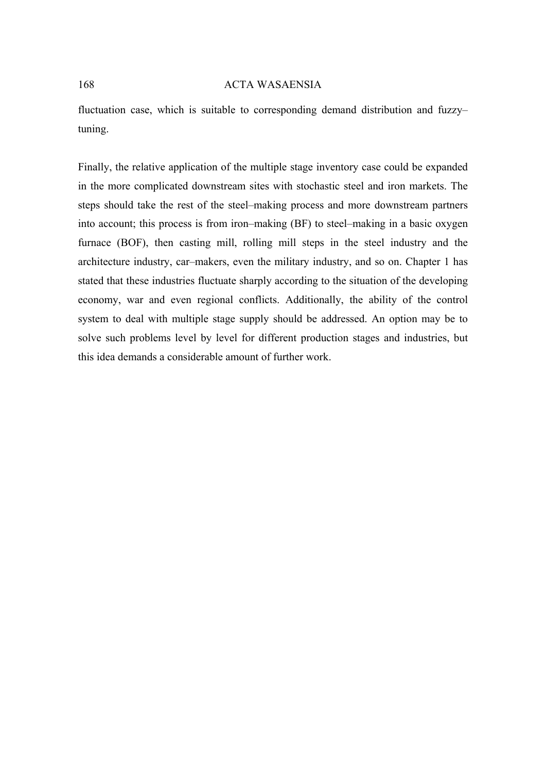fluctuation case, which is suitable to corresponding demand distribution and fuzzy– tuning.

Finally, the relative application of the multiple stage inventory case could be expanded in the more complicated downstream sites with stochastic steel and iron markets. The steps should take the rest of the steel–making process and more downstream partners into account; this process is from iron–making (BF) to steel–making in a basic oxygen furnace (BOF), then casting mill, rolling mill steps in the steel industry and the architecture industry, car–makers, even the military industry, and so on. Chapter 1 has stated that these industries fluctuate sharply according to the situation of the developing economy, war and even regional conflicts. Additionally, the ability of the control system to deal with multiple stage supply should be addressed. An option may be to solve such problems level by level for different production stages and industries, but this idea demands a considerable amount of further work.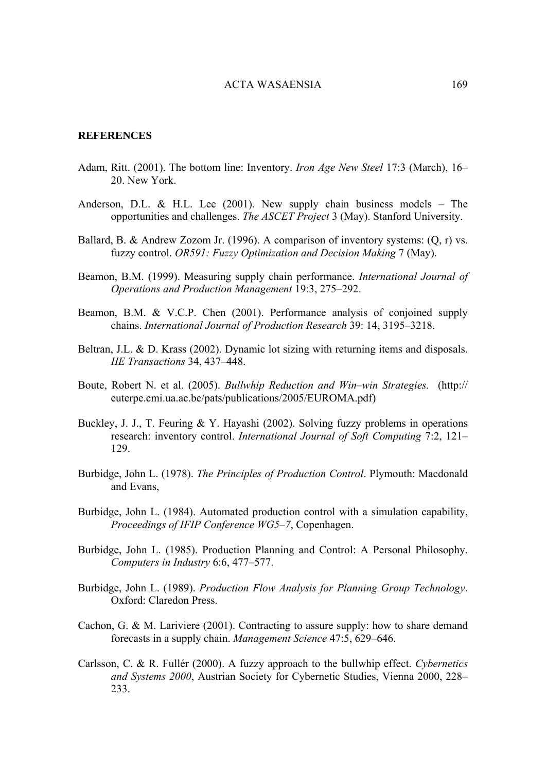#### **REFERENCES**

- Adam, Ritt. (2001). The bottom line: Inventory. *[Iron Age New Steel](http://proquest.umi.com/pqdweb?RQT=318&pmid=10480&TS=1130238139&clientId=23382&VType=PQD&VName=PQD&VInst=PROD)* 17:3 (March), 16– 20. New York.
- Anderson, D.L. & H.L. Lee (2001). New supply chain business models The opportunities and challenges. *The ASCET Project* 3 (May). Stanford University.
- Ballard, B. & Andrew Zozom Jr. (1996). A comparison of inventory systems: (Q, r) vs. fuzzy control. *OR591: Fuzzy Optimization and Decision Making* 7 (May).
- Beamon, B.M. (1999). Measuring supply chain performance. *International Journal of Operations and Production Management* 19:3, 275–292.
- Beamon, B.M. & V.C.P. Chen (2001). Performance analysis of conjoined supply chains. *International Journal of Production Research* 39: 14, 3195–3218.
- Beltran, J.L. & D. Krass (2002). Dynamic lot sizing with returning items and disposals. *IIE Transactions* 34, 437–448.
- Boute, Robert N. et al. (2005). *Bullwhip Reduction and Win–win Strategies.* (http:// euterpe.cmi.ua.ac.be/pats/publications/2005/EUROMA.pdf)
- Buckley, J. J., T. Feuring & Y. Hayashi (2002). Solving fuzzy problems in operations research: inventory control. *International Journal of Soft Computing* 7:2, 121– 129.
- Burbidge, John L. (1978). *The Principles of Production Control*. Plymouth: Macdonald and Evans,
- Burbidge, John L. (1984). Automated production control with a simulation capability, *Proceedings of IFIP Conference WG5–7*, Copenhagen.
- Burbidge, John L. (1985). Production Planning and Control: A Personal Philosophy. *Computers in Industry* 6:6, 477–577.
- Burbidge, John L. (1989). *Production Flow Analysis for Planning Group Technology*. Oxford: Claredon Press.
- Cachon, G. & M. Lariviere (2001). Contracting to assure supply: how to share demand forecasts in a supply chain. *Management Science* 47:5, 629–646.
- Carlsson, C. & R. Fullér (2000). A fuzzy approach to the bullwhip effect. *Cybernetics and Systems 2000*, Austrian Society for Cybernetic Studies, Vienna 2000, 228*–* 233.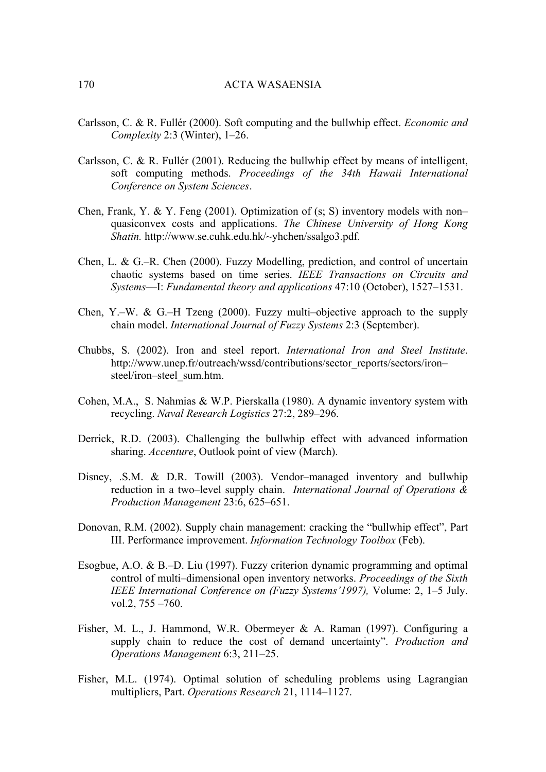- Carlsson, C. & R. Fullér (2000). Soft computing and the bullwhip effect. *Economic and Complexity* 2:3 (Winter), 1–26.
- Carlsson, C. & R. Fullér (2001). Reducing the bullwhip effect by means of intelligent, soft computing methods. *Proceedings of the 34th Hawaii International Conference on System Sciences*.
- Chen, Frank, Y. & Y. Feng (2001). Optimization of (s; S) inventory models with non– quasiconvex costs and applications. *The Chinese University of Hong Kong Shatin.* http://www.se.cuhk.edu.hk/~yhchen/ssalgo3.pdf*.*
- Chen, L. & G.–R. Chen (2000). Fuzzy Modelling, prediction, and control of uncertain chaotic systems based on time series. *IEEE Transactions on Circuits and Systems*—I: *Fundamental theory and applications* 47:10 (October), 1527–1531.
- Chen, Y.–W. & G.–H Tzeng (2000). Fuzzy multi–objective approach to the supply chain model. *International Journal of Fuzzy Systems* 2:3 (September).
- [Chubbs,](mailto:chubbs@iisi.be) S. (2002). Iron and steel report. *International Iron and Steel Institute*. http://www.unep.fr/outreach/wssd/contributions/sector\_reports/sectors/iron– steel/iron–steel\_sum.htm.
- Cohen, M.A., S. Nahmias & W.P. Pierskalla (1980). A dynamic inventory system with recycling. *Naval Research Logistics* 27:2, 289–296.
- Derrick, R.D. (2003). Challenging the bullwhip effect with advanced information sharing. *Accenture*, Outlook point of view (March).
- Disney, .S.M. & D.R. Towill (2003). Vendor–managed inventory and bullwhip reduction in a two–level supply chain. *International Journal of Operations & Production Management* 23:6, 625–651.
- Donovan, R.M. (2002). Supply chain management: cracking the "bullwhip effect", Part III. Performance improvement. *Information Technology Toolbox* (Feb).
- Esogbue, A.O. & B.–D. Liu (1997). Fuzzy criterion dynamic programming and optimal control of multi–dimensional open inventory networks. *Proceedings of the Sixth IEEE International Conference on (Fuzzy Systems'1997),* Volume: 2, 1–5 July. vol.2, 755 –760.
- Fisher, M. L., J. Hammond, W.R. Obermeyer & A. Raman (1997). Configuring a supply chain to reduce the cost of demand uncertainty". *Production and Operations Management* 6:3, 211–25.
- Fisher, M.L. (1974). Optimal solution of scheduling problems using Lagrangian multipliers, Part. *Operations Research* 21, 1114–1127.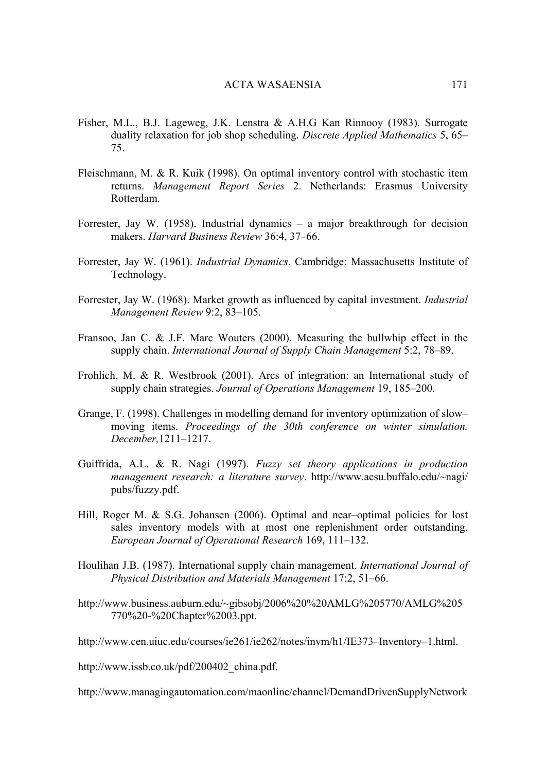- Fisher, M.L., B.J. Lageweg, J.K. Lenstra & A.H.G Kan Rinnooy (1983). Surrogate duality relaxation for job shop scheduling. *Discrete Applied Mathematics* 5, 65– 75.
- Fleischmann, M. & R. Kuik (1998). On optimal inventory control with stochastic item returns. *Management Report Series* 2. Netherlands: Erasmus University Rotterdam.
- Forrester, Jay W. (1958). Industrial dynamics a major breakthrough for decision makers. *Harvard Business Review* 36:4, 37–66.
- Forrester, Jay W. (1961). *Industrial Dynamics*. Cambridge: Massachusetts Institute of Technology.
- Forrester, Jay W. (1968). Market growth as influenced by capital investment. *Industrial Management Review* 9:2, 83–105.
- Fransoo, Jan C. & J.F. Marc Wouters (2000). Measuring the bullwhip effect in the supply chain. *International Journal of Supply Chain Management* 5:2, 78–89.
- Frohlich, M. & R. Westbrook (2001). Arcs of integration: an International study of supply chain strategies. *Journal of Operations Management* 19, 185–200.
- Grange, F. (1998). Challenges in modelling demand for inventory optimization of slow– moving items. *Proceedings of the 30th conference on winter simulation. December,*1211–1217.
- Guiffrida, A.L. & R. Nagi (1997). *Fuzzy set theory applications in production management research: a literature survey*. [http://www.acsu.buffalo.edu/~nagi/](http://www.acsu.buffalo.edu/~nagi/ pubs/fuzzy.pdf)  [pubs/fuzzy.pdf.](http://www.acsu.buffalo.edu/~nagi/ pubs/fuzzy.pdf)
- Hill, Roger M. & S.G. Johansen (2006). Optimal and near-optimal policies for lost sales inventory models with at most one replenishment order outstanding. *European Journal of Operational Research* 169, 111–132.
- Houlihan J.B. (1987). International supply chain management. *International Journal of Physical Distribution and Materials Management* 17:2, 51–66.
- [http://www.business.auburn.edu/~gibsobj/2006%20%20AMLG%205770/AMLG%205](http://www.business.auburn.edu/~gibsobj/2006  AMLG 5770/AMLG 5770  Chapter 03.ppt) [770%20-%20Chapter%2003.ppt](http://www.business.auburn.edu/~gibsobj/2006  AMLG 5770/AMLG 5770 - Chapter 03.ppt).

[http://www.cen.uiuc.edu/courses/ie261/ie262/notes/invm/h1/IE373–Inventory–1.html](http://www.cen.uiuc.edu/courses/ie261/ie262/notes/invm/h1/IE373-Inventory-1.html).

[http://www.issb.co.uk/pdf/200402\\_china.pdf](http://www.issb.co.uk/pdf/200402_china.pdf).

http://www.managingautomation.com/maonline/channel/DemandDrivenSupplyNetwork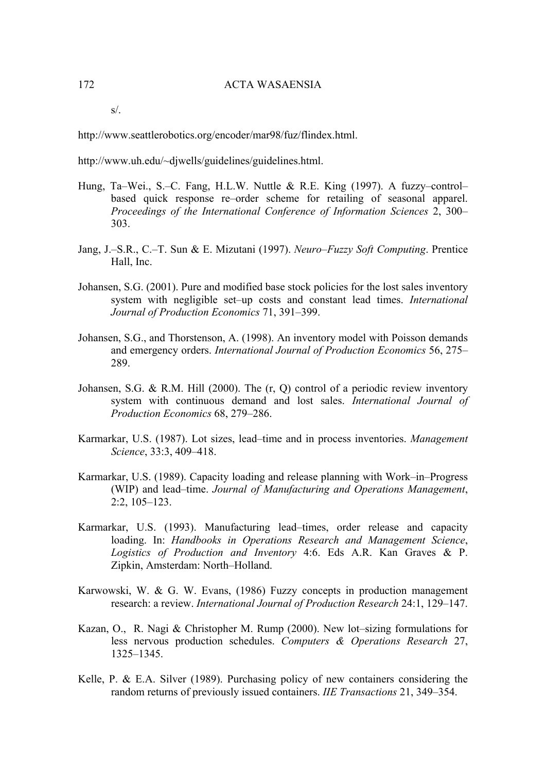s/.

<http://www.seattlerobotics.org/encoder/mar98/fuz/flindex.html>.

[http://www.uh.edu/~djwells/guidelines/guidelines.html.](http://www.uh.edu/~djwells/guidelines/guidelines.html)

- Hung, Ta–Wei., S.–C. Fang, H.L.W. Nuttle & R.E. King (1997). A fuzzy–control– based quick response re–order scheme for retailing of seasonal apparel. *Proceedings of the International Conference of Information Sciences* 2, 300– 303.
- Jang, J.–S.R., C.–T. Sun & E. Mizutani (1997). *Neuro*–*Fuzzy Soft Computing*. Prentice Hall, Inc.
- Johansen, S.G. (2001). Pure and modified base stock policies for the lost sales inventory system with negligible set–up costs and constant lead times. *International Journal of Production Economics* 71, 391–399.
- Johansen, S.G., and Thorstenson, A. (1998). An inventory model with Poisson demands and emergency orders. *International Journal of Production Economics* 56, 275– 289.
- Johansen, S.G. & R.M. Hill (2000). The (r, Q) control of a periodic review inventory system with continuous demand and lost sales. *International Journal of Production Economics* 68, 279–286.
- Karmarkar, U.S. (1987). Lot sizes, lead–time and in process inventories. *Management Science*, 33:3, 409–418.
- Karmarkar, U.S. (1989). Capacity loading and release planning with Work–in–Progress (WIP) and lead–time. *Journal of Manufacturing and Operations Management*, 2:2, 105–123.
- Karmarkar, U.S. (1993). Manufacturing lead–times, order release and capacity loading. In: *Handbooks in Operations Research and Management Science*, *Logistics of Production and Inventory* 4:6. Eds A.R. Kan Graves & P. Zipkin, Amsterdam: North–Holland.
- Karwowski, W. & G. W. Evans, (1986) Fuzzy concepts in production management research: a review. *International Journal of Production Research* 24:1, 129–147.
- Kazan, O., R. Nagi & Christopher M. Rump (2000). New lot–sizing formulations for less nervous production schedules. *Computers & Operations Research* 27, 1325–1345.
- Kelle, P. & E.A. Silver (1989). Purchasing policy of new containers considering the [random returns of previously issued containers.](http://www.managingautomation.com/maonline/channel/DemandDrivenSupplyNetworks/) *IIE Transactions* 21, 349–354.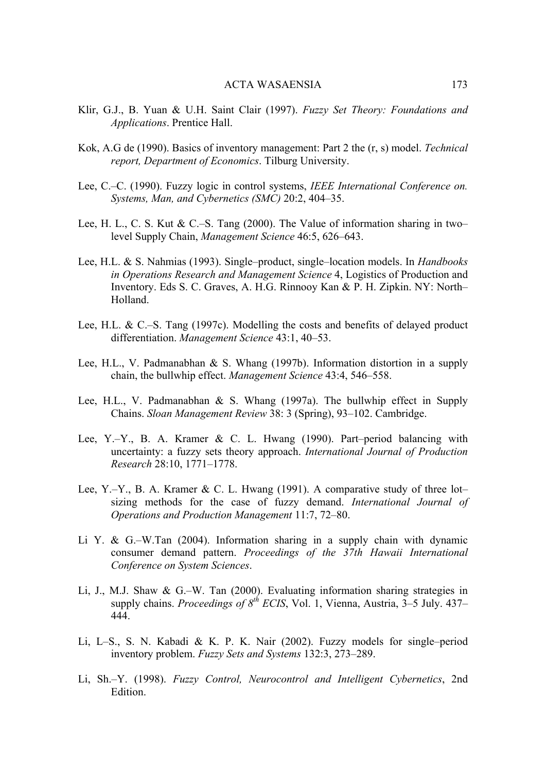- Klir, G.J., B. Yuan & U.H. Saint Clair (1997). *Fuzzy Set Theory: Foundations and Applications*. Prentice Hall.
- Kok, A.G de (1990). Basics of inventory management: Part 2 the (r, s) model. *Technical report, Department of Economics*. Tilburg University.
- Lee, C.–C. (1990). Fuzzy logic in control systems, *IEEE International Conference on. Systems, Man, and Cybernetics (SMC)* 20:2, 404–35.
- Lee, H. L., C. S. Kut & C.–S. Tang (2000). The Value of information sharing in two– level Supply Chain, *Management Science* 46:5, 626–643.
- Lee, H.L. & S. Nahmias (1993). Single–product, single–location models. In *Handbooks in Operations Research and Management Science* 4, Logistics of Production and Inventory. Eds S. C. Graves, A. H.G. Rinnooy Kan & P. H. Zipkin. NY: North– Holland.
- Lee, H.L. & C.–S. Tang (1997c). Modelling the costs and benefits of delayed product differentiation. *Management Science* 43:1, 40–53.
- Lee, H.L., V. Padmanabhan & S. Whang (1997b). Information distortion in a supply chain, the bullwhip effect. *Management Science* 43:4, 546–558.
- Lee, H.L., V. Padmanabhan & S. Whang (1997a). The bullwhip effect in Supply Chains. *Sloan Management Review* 38: 3 (Spring), 93–102. Cambridge.
- Lee, Y.–Y., B. A. Kramer & C. L. Hwang (1990). Part–period balancing with uncertainty: a fuzzy sets theory approach. *International Journal of Production Research* 28:10, 1771–1778.
- Lee, Y.–Y., B. A. Kramer & C. L. Hwang (1991). A comparative study of three lot– sizing methods for the case of fuzzy demand. *International Journal of Operations and Production Management* 11:7, 72–80.
- Li Y. & G.–W.Tan (2004). Information sharing in a supply chain with dynamic consumer demand pattern. *Proceedings of the 37th Hawaii International Conference on System Sciences*.
- Li, J., M.J. Shaw & G.–W. Tan (2000). Evaluating information sharing strategies in supply chains. *Proceedings of 8th ECIS*, Vol. 1, Vienna, Austria, 3–5 July. 437– 444.
- Li, L–S., S. N. Kabadi & K. P. K. Nair (2002). [Fuzzy models for single–period](http://portal.acm.org/citation.cfm?id=637306.637307&coll=GUIDE&dl=GUIDE&CFID=37841575&CFTOKEN=69335819)  inventory problem. *[Fuzzy Sets and Systems](http://portal.acm.org/citation.cfm?id=637306.637307&coll=GUIDE&dl=GUIDE&CFID=37841575&CFTOKEN=69335819)* 132:3, 273–289.
- Li, Sh.–Y. (1998). *Fuzzy Control, Neurocontrol and Intelligent Cybernetics*, 2nd Edition.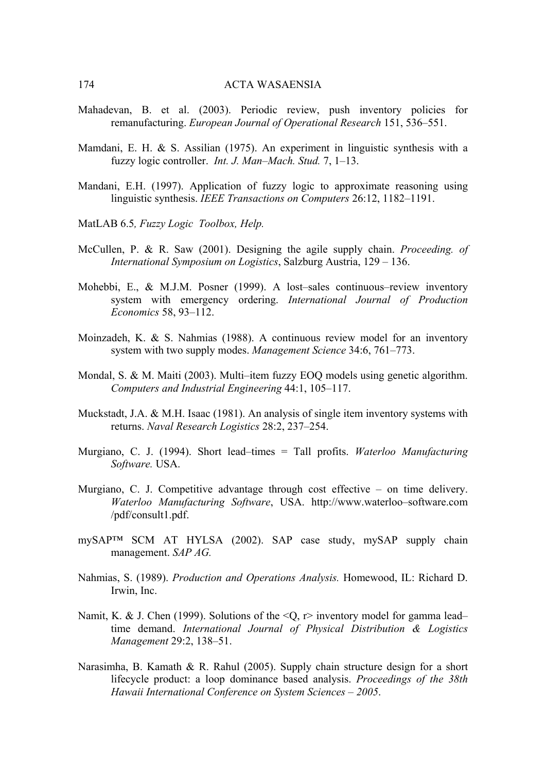- Mahadevan, B. et al. (2003). Periodic review, push inventory policies for remanufacturing. *European Journal of Operational Research* 151, 536–551.
- Mamdani, E. H. & S. Assilian (1975). An experiment in linguistic synthesis with a fuzzy logic controller. *Int. J. Man*–*Mach. Stud.* 7, 1–13.
- Mandani, E.H. (1997). Application of fuzzy logic to approximate reasoning using linguistic synthesis. *IEEE Transactions on Computers* 26:12, 1182–1191.
- MatLAB 6.5*, Fuzzy Logic Toolbox, Help.*
- McCullen, P. & R. Saw (2001). Designing the agile supply chain. *Proceeding. of International Symposium on Logistics*, Salzburg Austria, 129 – 136.
- Mohebbi, E., & M.J.M. Posner (1999). A lost–sales continuous–review inventory system with emergency ordering. *International Journal of Production Economics* 58, 93–112.
- Moinzadeh, K. & S. Nahmias (1988). A continuous review model for an inventory system with two supply modes. *Management Science* 34:6, 761–773.
- Mondal, S. & M. Maiti (2003). Multi–item fuzzy EOQ models using genetic algorithm. *Computers and Industrial Engineering* 44:1, 105–117.
- Muckstadt, J.A. & M.H. Isaac (1981). An analysis of single item inventory systems with returns. *Naval Research Logistics* 28:2, 237–254.
- Murgiano, C. J. (1994). Short lead–times = Tall profits. *Waterloo Manufacturing Software.* USA.
- Murgiano, C. J. Competitive advantage through cost effective on time delivery. *Waterloo Manufacturing Software*, USA. http://www.waterloo–software.com /pdf/consult1.pdf.
- mySAP™ SCM AT HYLSA (2002). SAP case study, mySAP supply chain management. *SAP AG.*
- Nahmias, S. (1989). *Production and Operations Analysis.* Homewood, IL: Richard D. Irwin, Inc.
- Namit, K. & J. Chen (1999). Solutions of the  $\langle Q, r \rangle$  inventory model for gamma lead– time demand. *International Journal of Physical Distribution & Logistics Management* 29:2, 138–51.
- Narasimha, B. Kamath & R. Rahul (2005). Supply chain structure design for a short lifecycle product: a loop dominance based analysis. *Proceedings of the 38th Hawaii International Conference on System Sciences – 2005*.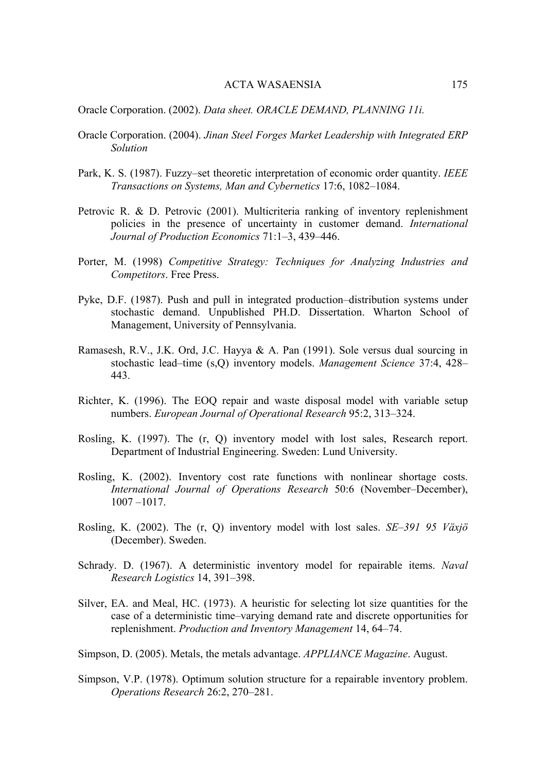Oracle Corporation. (2002). *Data sheet. ORACLE DEMAND, PLANNING 11i.* 

- Oracle Corporation. (2004). *Jinan Steel Forges Market Leadership with Integrated ERP Solution*
- Park, K. S. (1987). Fuzzy–set theoretic interpretation of economic order quantity. *IEEE Transactions on Systems, Man and Cybernetics* 17:6, 1082–1084.
- Petrovic R. & D. Petrovic (2001). Multicriteria ranking of inventory replenishment policies in the presence of uncertainty in customer demand. *International Journal of Production Economics* 71:1–3, 439–446.
- Porter, M. (1998) *Competitive Strategy: Techniques for Analyzing Industries and Competitors*. Free Press.
- Pyke, D.F. (1987). Push and pull in integrated production–distribution systems under stochastic demand. Unpublished PH.D. Dissertation. Wharton School of Management, University of Pennsylvania.
- Ramasesh, R.V., J.K. Ord, J.C. Hayya & A. Pan (1991). Sole versus dual sourcing in stochastic lead–time (s,Q) inventory models. *Management Science* 37:4, 428– 443.
- Richter, K. (1996). The EOQ repair and waste disposal model with variable setup numbers. *European Journal of Operational Research* 95:2, 313–324.
- Rosling, K. (1997). The (r, Q) inventory model with lost sales, Research report. Department of Industrial Engineering. Sweden: Lund University.
- Rosling, K. (2002). Inventory cost rate functions with nonlinear shortage costs. *International Journal of Operations Research* 50:6 (November–December), 1007 –1017.
- Rosling, K. (2002). The (r, Q) inventory model with lost sales. *SE*–*391 95 Växjö* (December). Sweden.
- Schrady. D. (1967). A deterministic inventory model for repairable items. *Naval Research Logistics* 14, 391–398.
- Silver, EA. and Meal, HC. (1973). A heuristic for selecting lot size quantities for the case of a deterministic time–varying demand rate and discrete opportunities for replenishment. *Production and Inventory Management* 14, 64–74.
- Simpson, D. (2005). Metals, the metals advantage. *APPLIANCE Magazine*. August.
- Simpson, V.P. (1978). Optimum solution structure for a repairable inventory problem. *Operations Research* 26:2, 270–281.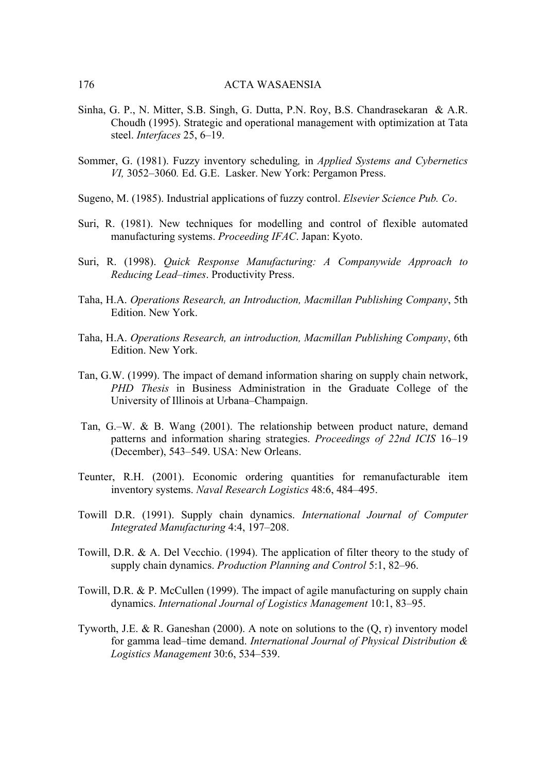- Sinha, G. P., N. Mitter, S.B. Singh, G. Dutta, P.N. Roy, B.S. Chandrasekaran & A.R. Choudh (1995). Strategic and operational management with optimization at Tata steel. *Interfaces* 25, 6–19.
- Sommer, G. (1981). Fuzzy inventory scheduling*,* in *Applied Systems and Cybernetics VI,* 3052–3060*.* Ed. G.E. Lasker. New York: Pergamon Press.
- Sugeno, M. (1985). Industrial applications of fuzzy control. *Elsevier Science Pub. Co*.
- Suri, R. (1981). New techniques for modelling and control of flexible automated manufacturing systems. *Proceeding IFAC*. Japan: Kyoto.
- Suri, R. (1998). *[Quick Response Manufacturing: A Companywide Approach to](http://www.networkdyn.com/QRM.html#Rajan%20book#Rajan%20book)  [Reducing Lead](http://www.networkdyn.com/QRM.html#Rajan%20book#Rajan%20book)*–*times*. Productivity Press.
- Taha, H.A. *Operations Research, an Introduction, Macmillan Publishing Company*, 5th Edition. New York.
- Taha, H.A. *Operations Research, an introduction, Macmillan Publishing Company*, 6th Edition. New York.
- Tan, G.W. (1999). The impact of demand information sharing on supply chain network, *PHD Thesis* in Business Administration in the Graduate College of the University of Illinois at Urbana–Champaign.
- Tan, G.–W. & B. Wang (2001). The relationship between product nature, demand patterns and information sharing strategies. *Proceedings of 22nd ICIS* 16–19 (December), 543–549. USA: New Orleans.
- Teunter, R.H. (2001). Economic ordering quantities for remanufacturable item inventory systems. *Naval Research Logistics* 48:6, 484–495.
- Towill D.R. (1991). Supply chain dynamics. *International Journal of Computer Integrated Manufacturing* 4:4, 197–208.
- Towill, D.R. & A. Del Vecchio. (1994). The application of filter theory to the study of supply chain dynamics. *Production Planning and Control* 5:1, 82–96.
- Towill, D.R. & P. McCullen (1999). The impact of agile manufacturing on supply chain dynamics. *International Journal of Logistics Management* 10:1, 83–95.
- Tyworth, J.E. & R. Ganeshan (2000). A note on solutions to the (Q, r) inventory model for gamma lead–time demand. *International Journal of Physical Distribution & Logistics Management* 30:6, 534–539.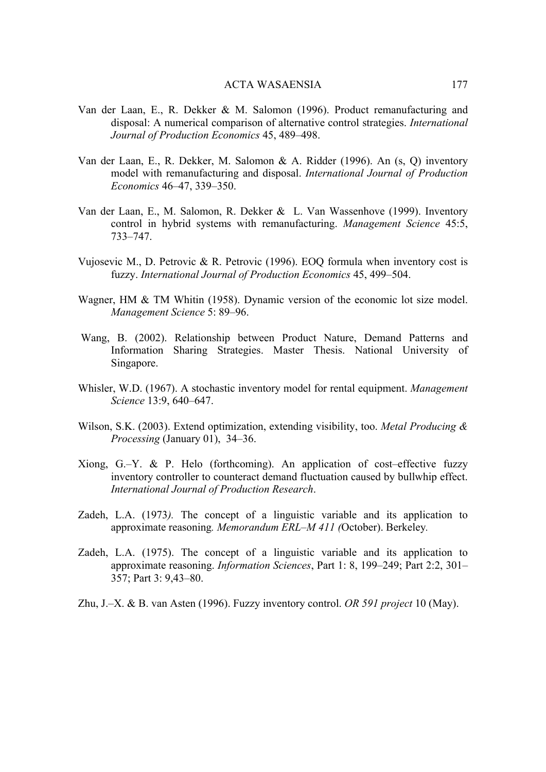- Van der Laan, E., R. Dekker & M. Salomon (1996). Product remanufacturing and disposal: A numerical comparison of alternative control strategies. *International Journal of Production Economics* 45, 489–498.
- Van der Laan, E., R. Dekker, M. Salomon & A. Ridder (1996). An (s, Q) inventory model with remanufacturing and disposal. *[International Journal of Production](http://elsevier.lib.sjtu.edu.cn/cgi-bin/sciserv.pl?collection=journals&journal=09255273&issue=v46-47inone)  [Economics](http://elsevier.lib.sjtu.edu.cn/cgi-bin/sciserv.pl?collection=journals&journal=09255273&issue=v46-47inone)* 46–47, 339–350.
- Van der Laan, E., M. Salomon, R. Dekker & L. Van Wassenhove (1999). Inventory control in hybrid systems with remanufacturing. *Management Science* 45:5, 733–747.
- Vujosevic M., D. Petrovic & R. Petrovic (1996). EOQ formula when inventory cost is fuzzy. *International Journal of Production Economics* 45, 499–504.
- Wagner, HM & TM Whitin (1958). Dynamic version of the economic lot size model. *Management Science* 5: 89–96.
- Wang, B. (2002). Relationship between Product Nature, Demand Patterns and Information Sharing Strategies. Master Thesis. National University of Singapore.
- Whisler, W.D. (1967). A stochastic inventory model for rental equipment. *Management Science* 13:9, 640–647.
- Wilson, S.K. (2003). Extend optimization, extending visibility, too. *Metal Producing & Processing* (January 01), 34–36.
- Xiong, G.–Y. & P. Helo (forthcoming). An application of cost–effective fuzzy inventory controller to counteract demand fluctuation caused by bullwhip effect. *International Journal of Production Research*.
- Zadeh, L.A. (1973*).* The concept of a linguistic variable and its application to approximate reasoning*. Memorandum ERL*–*M 411 (*October). Berkeley*.*
- Zadeh, L.A. (1975). The concept of a linguistic variable and its application to approximate reasoning. *Information Sciences*, Part 1: 8, 199–249; Part 2:2, 301– 357; Part 3: 9,43–80.
- Zhu, J.–X. & B. van Asten (1996). Fuzzy inventory control. *OR 591 project* 10 (May).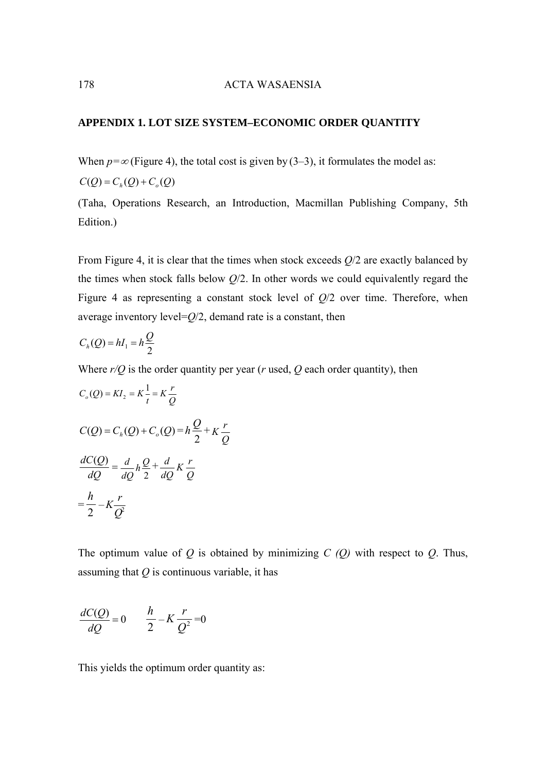## **APPENDIX 1. LOT SIZE SYSTEM–ECONOMIC ORDER QUANTITY**

When  $p = \infty$  (Figure 4), the total cost is given by (3–3), it formulates the model as:  $C(Q) = C_h(Q) + C_o(Q)$ 

(Taha, Operations Research, an Introduction, Macmillan Publishing Company, 5th Edition.)

From Figure 4, it is clear that the times when stock exceeds *Q*/2 are exactly balanced by the times when stock falls below *Q*/2. In other words we could equivalently regard the Figure 4 as representing a constant stock level of *Q*/2 over time. Therefore, when average inventory level=*Q*/2, demand rate is a constant, then

$$
C_h(Q) = hI_1 = h\frac{Q}{2}
$$

Where *r/Q* is the order quantity per year (*r* used, *Q* each order quantity), then

$$
C_o(Q) = K I_2 = K \frac{1}{t} = K \frac{r}{Q}
$$
  
\n
$$
C(Q) = C_h(Q) + C_o(Q) = h \frac{Q}{2} + K \frac{r}{Q}
$$
  
\n
$$
\frac{dC(Q)}{dQ} = \frac{d}{dQ} h \frac{Q}{2} + \frac{d}{dQ} K \frac{r}{Q}
$$
  
\n
$$
= \frac{h}{2} - K \frac{r}{Q^2}
$$

The optimum value of *Q* is obtained by minimizing *C (Q)* with respect to *Q*. Thus, assuming that *Q* is continuous variable, it has

$$
\frac{dC(Q)}{dQ} = 0 \qquad \frac{h}{2} - K\frac{r}{Q^2} = 0
$$

This yields the optimum order quantity as: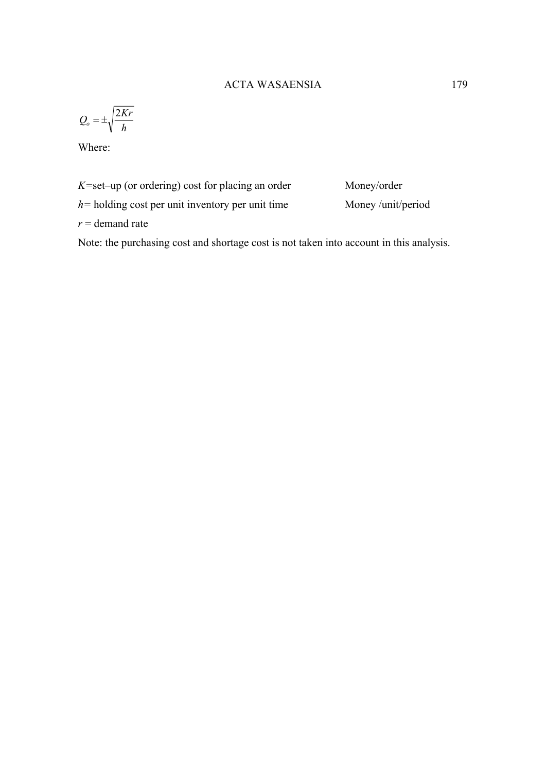$$
Q_o = \pm \sqrt{\frac{2Kr}{h}}
$$

Where:

*K=*set–up (or ordering) cost for placing an order Money/order

*h*= holding cost per unit inventory per unit time Money /unit/period

 $r =$  demand rate

Note: the purchasing cost and shortage cost is not taken into account in this analysis.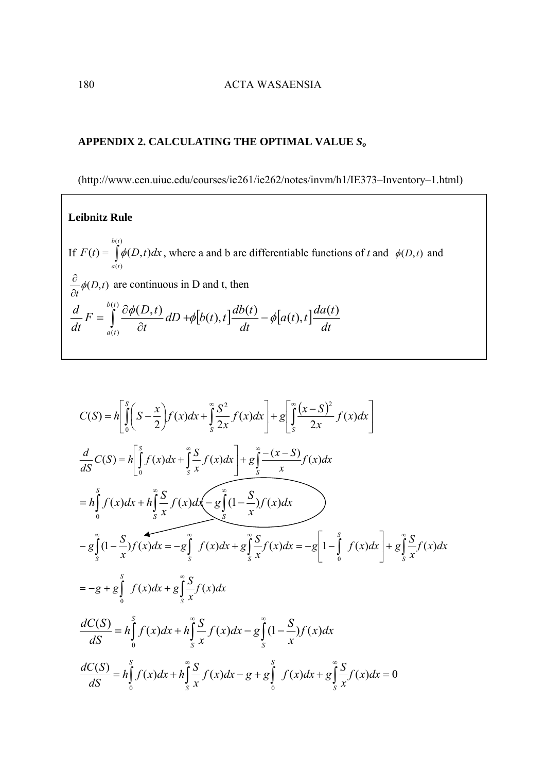### **APPENDIX 2. CALCULATING THE OPTIMAL VALUE** *So*

[\(http://www.cen.uiuc.edu/courses/ie261/ie262/notes/invm/h1/IE373–Inventory–1.html\)](http://www.cen.uiuc.edu/courses/ie261/ie262/notes/invm/h1/IE373-Inventory-1.html)

**Leibnitz Rule**  If  $F(t) = \int$  $(t)$  $(t)$  $(t) = \phi(D, t)$ *b t a t*  $F(t) = \oint f(D, t) dx$ , where a and b are differentiable functions of *t* and  $\phi(D, t)$  and (*D*,*t*)  $\frac{\partial}{\partial t}$  $\phi$  $\frac{\partial}{\partial z}\phi(D,t)$  are continuous in D and t, then  $\left[ b(t), t \right] \frac{d\theta(t)}{dt} - \phi \left[ a(t), t \right] \frac{d\theta(t)}{dt}$ *da t*  $a(t)$ , t *dt*  $dD + \phi[b(t), t] \frac{db(t)}{dt}$ *t*  $F = \int_{0}^{\rho(t)} \frac{\partial \phi(D,t)}{\partial \rho}$ *dt*  $d$  *d*  $\int$   $\int$   $\int$   $\int$   $\int$ *a t*  $\int_{0}^{(t)} \frac{\partial \phi(D,t)}{\partial dD} dD + \phi[b(t), t] \frac{db(t)}{dD} - \phi[a(t), t] \frac{da(t)}{dD}$  $=\int_{a(t)}^{b(t)}\frac{\partial \phi(D,t)}{\partial t}dD+\phi[b(t),t]\frac{db(t)}{dt}-\phi(t)$ 

$$
C(S) = h \left[ \int_{0}^{S} \left( S - \frac{x}{2} \right) f(x) dx + \int_{S}^{\infty} \frac{S^{2}}{2x} f(x) dx \right] + g \left[ \int_{S}^{\infty} \frac{(x - S)^{2}}{2x} f(x) dx \right]
$$
  
\n
$$
\frac{d}{dS} C(S) = h \left[ \int_{0}^{S} f(x) dx + \int_{S}^{\infty} \frac{S}{x} f(x) dx \right] + g \int_{S}^{\infty} \frac{-(x - S)}{x} f(x) dx
$$
  
\n
$$
= h \int_{0}^{S} f(x) dx + h \int_{S}^{\infty} \frac{S}{x} f(x) dx - g \int_{S}^{\infty} (1 - \frac{S}{x}) f(x) dx
$$
  
\n
$$
- g \int_{S}^{\infty} (1 - \frac{S}{x}) f(x) dx = -g \int_{S}^{\infty} f(x) dx + g \int_{S}^{\infty} \frac{S}{x} f(x) dx = -g \left[ 1 - \int_{0}^{S} f(x) dx \right] + g \int_{S}^{\infty} \frac{S}{x} f(x) dx
$$
  
\n
$$
= -g + g \int_{0}^{S} f(x) dx + g \int_{S}^{\infty} \frac{S}{x} f(x) dx
$$
  
\n
$$
\frac{dC(S)}{dS} = h \int_{0}^{S} f(x) dx + h \int_{S}^{\infty} \frac{S}{x} f(x) dx - g \int_{S}^{\infty} (1 - \frac{S}{x}) f(x) dx
$$
  
\n
$$
\frac{dC(S)}{dS} = h \int_{0}^{S} f(x) dx + h \int_{S}^{\infty} \frac{S}{x} f(x) dx - g + g \int_{0}^{S} f(x) dx + g \int_{S}^{\infty} \frac{S}{x} f(x) dx = 0
$$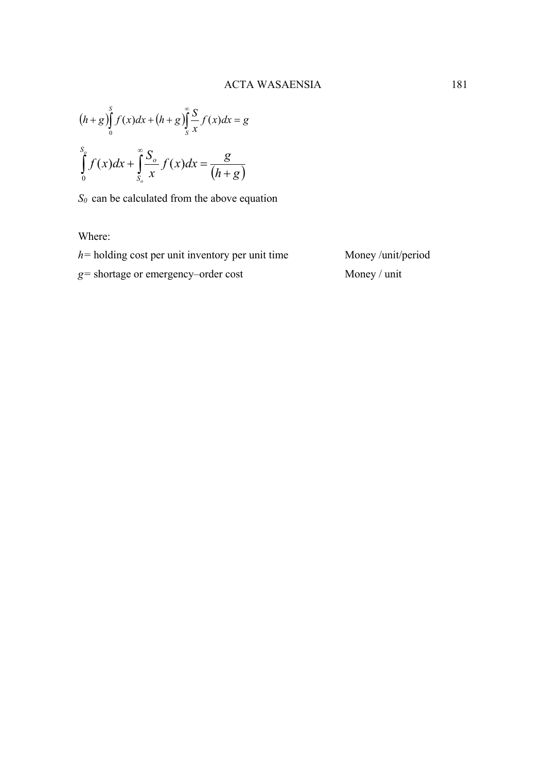$$
(h+g)\int_{0}^{S} f(x)dx + (h+g)\int_{S}^{\infty} \frac{S}{x}f(x)dx = g
$$

$$
\int_{0}^{S_{\circ}} f(x)dx + \int_{S_{\circ}}^{\infty} \frac{S_{\circ}}{x}f(x)dx = \frac{g}{(h+g)}
$$

*S0* can be calculated from the above equation

Where:

*h*= holding cost per unit inventory per unit time Money /unit/period

*g=* shortage or emergency–order cost Money / unit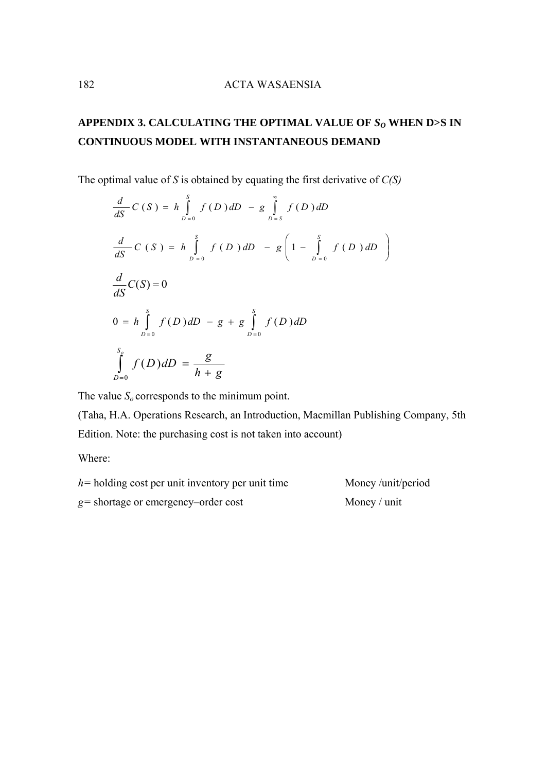# **APPENDIX 3. CALCULATING THE OPTIMAL VALUE OF** *SO* **WHEN D>S IN CONTINUOUS MODEL WITH INSTANTANEOUS DEMAND**

The optimal value of *S* is obtained by equating the first derivative of *C(S)*

$$
\frac{d}{dS}C(S) = h \int_{D=0}^{S} f(D) dD - g \int_{D=S}^{\infty} f(D) dD
$$
\n
$$
\frac{d}{dS}C(S) = h \int_{D=0}^{S} f(D) dD - g \left(1 - \int_{D=0}^{S} f(D) dD\right)
$$
\n
$$
\frac{d}{dS}C(S) = 0
$$
\n
$$
0 = h \int_{D=0}^{S} f(D) dD - g + g \int_{D=0}^{S} f(D) dD
$$
\n
$$
\int_{D=0}^{S} f(D) dD = \frac{g}{h+g}
$$

The value  $S<sub>o</sub>$  corresponds to the minimum point.

(Taha, H.A. Operations Research, an Introduction, Macmillan Publishing Company, 5th Edition. Note: the purchasing cost is not taken into account)

Where:

*h*= holding cost per unit inventory per unit time Money /unit/period *g=* shortage or emergency–order cost Money / unit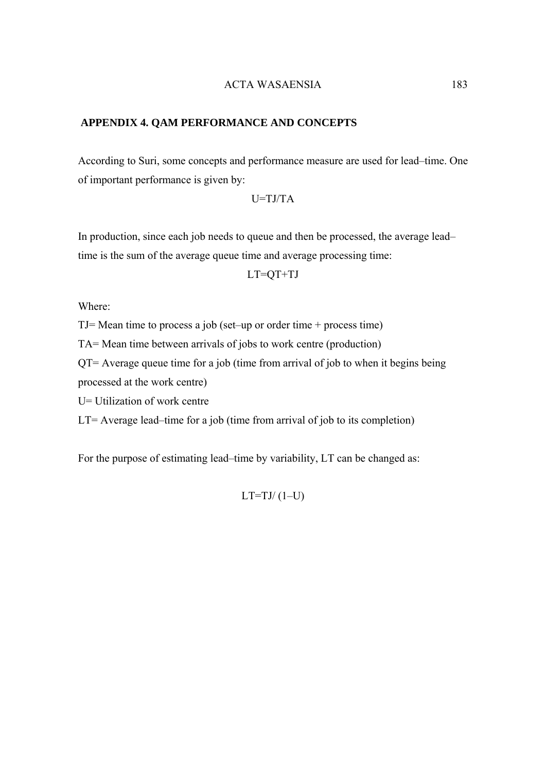### **APPENDIX 4. QAM PERFORMANCE AND CONCEPTS**

According to Suri, some concepts and performance measure are used for lead–time. One of important performance is given by:

$$
U = TJ/TA
$$

In production, since each job needs to queue and then be processed, the average lead– time is the sum of the average queue time and average processing time:

 $LT=QT+TJ$ 

Where:

TJ= Mean time to process a job (set–up or order time + process time)

TA= Mean time between arrivals of jobs to work centre (production)

QT= Average queue time for a job (time from arrival of job to when it begins being processed at the work centre)

U= Utilization of work centre

LT= Average lead–time for a job (time from arrival of job to its completion)

For the purpose of estimating lead–time by variability, LT can be changed as:

 $LT=TJ/(1-U)$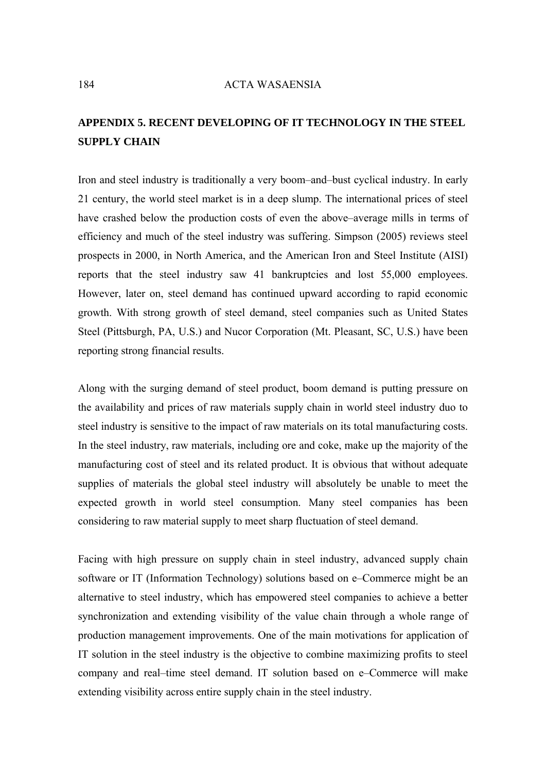## **APPENDIX 5. RECENT DEVELOPING OF IT TECHNOLOGY IN THE STEEL SUPPLY CHAIN**

Iron and steel industry is traditionally a very boom–and–bust cyclical industry. In early 21 century, the world steel market is in a deep slump. The international prices of steel have crashed below the production costs of even the above–average mills in terms of efficiency and much of the steel industry was suffering. Simpson (2005) reviews steel prospects in 2000, in North America, and the American Iron and Steel Institute (AISI) reports that the steel industry saw 41 bankruptcies and lost 55,000 employees. However, later on, steel demand has continued upward according to rapid economic growth. With strong growth of steel demand, steel companies such as United States Steel (Pittsburgh, PA, U.S.) and Nucor Corporation (Mt. Pleasant, SC, U.S.) have been reporting strong financial results.

Along with the surging demand of steel product, boom demand is putting pressure on the availability and prices of raw materials supply chain in world steel industry duo to steel industry is sensitive to the impact of raw materials on its total manufacturing costs. In the steel industry, raw materials, including ore and coke, make up the majority of the manufacturing cost of steel and its related product. It is obvious that without adequate supplies of materials the global steel industry will absolutely be unable to meet the expected growth in world steel consumption. Many steel companies has been considering to raw material supply to meet sharp fluctuation of steel demand.

Facing with high pressure on supply chain in steel industry, advanced supply chain software or IT (Information Technology) solutions based on e–Commerce might be an alternative to steel industry, which has empowered steel companies to achieve a better synchronization and extending visibility of the value chain through a whole range of production management improvements. One of the main motivations for application of IT solution in the steel industry is the objective to combine maximizing profits to steel company and real–time steel demand. IT solution based on e–Commerce will make extending visibility across entire supply chain in the steel industry.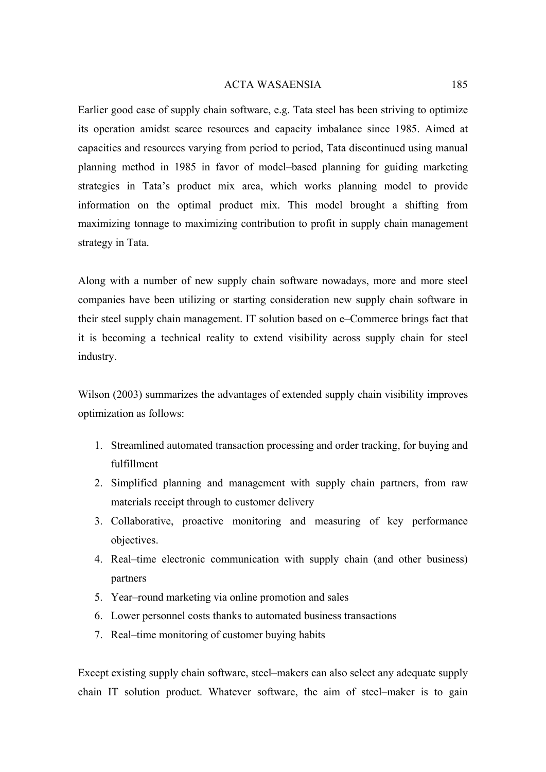Earlier good case of supply chain software, e.g. Tata steel has been striving to optimize its operation amidst scarce resources and capacity imbalance since 1985. Aimed at capacities and resources varying from period to period, Tata discontinued using manual planning method in 1985 in favor of model–based planning for guiding marketing strategies in Tata's product mix area, which works planning model to provide information on the optimal product mix. This model brought a shifting from maximizing tonnage to maximizing contribution to profit in supply chain management strategy in Tata.

Along with a number of new supply chain software nowadays, more and more steel companies have been utilizing or starting consideration new supply chain software in their steel supply chain management. IT solution based on e–Commerce brings fact that it is becoming a technical reality to extend visibility across supply chain for steel industry.

Wilson (2003) summarizes the advantages of extended supply chain visibility improves optimization as follows:

- 1. Streamlined automated transaction processing and order tracking, for buying and fulfillment
- 2. Simplified planning and management with supply chain partners, from raw materials receipt through to customer delivery
- 3. Collaborative, proactive monitoring and measuring of key performance objectives.
- 4. Real–time electronic communication with supply chain (and other business) partners
- 5. Year–round marketing via online promotion and sales
- 6. Lower personnel costs thanks to automated business transactions
- 7. Real–time monitoring of customer buying habits

Except existing supply chain software, steel–makers can also select any adequate supply chain IT solution product. Whatever software, the aim of steel–maker is to gain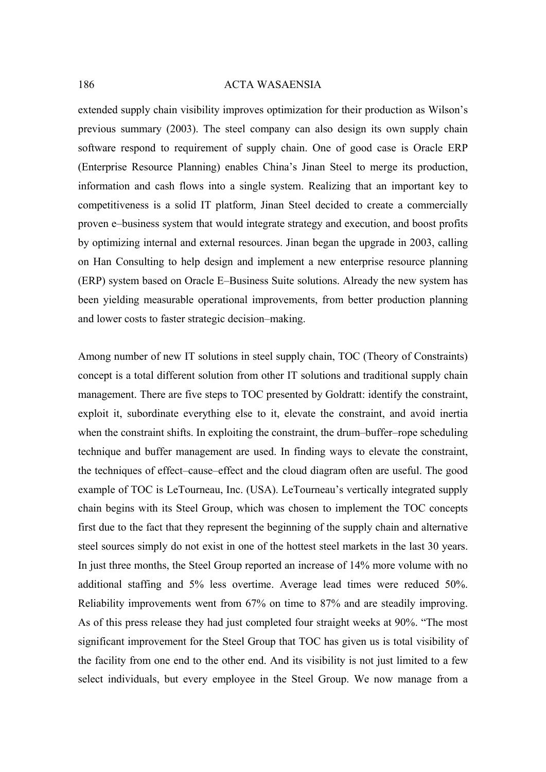extended supply chain visibility improves optimization for their production as Wilson's previous summary (2003). The steel company can also design its own supply chain software respond to requirement of supply chain. One of good case is Oracle ERP (Enterprise Resource Planning) enables China's Jinan Steel to merge its production, information and cash flows into a single system. Realizing that an important key to competitiveness is a solid IT platform, Jinan Steel decided to create a commercially proven e–business system that would integrate strategy and execution, and boost profits by optimizing internal and external resources. Jinan began the upgrade in 2003, calling on Han Consulting to help design and implement a new enterprise resource planning (ERP) system based on Oracle E–Business Suite solutions. Already the new system has been yielding measurable operational improvements, from better production planning and lower costs to faster strategic decision–making.

Among number of new IT solutions in steel supply chain, TOC (Theory of Constraints) concept is a total different solution from other IT solutions and traditional supply chain management. There are five steps to TOC presented by Goldratt: identify the constraint, exploit it, subordinate everything else to it, elevate the constraint, and avoid inertia when the constraint shifts. In exploiting the constraint, the drum–buffer–rope scheduling technique and buffer management are used. In finding ways to elevate the constraint, the techniques of effect–cause–effect and the cloud diagram often are useful. The good example of TOC is LeTourneau, Inc. (USA). LeTourneau's vertically integrated supply chain begins with its Steel Group, which was chosen to implement the TOC concepts first due to the fact that they represent the beginning of the supply chain and alternative steel sources simply do not exist in one of the hottest steel markets in the last 30 years. In just three months, the Steel Group reported an increase of 14% more volume with no additional staffing and 5% less overtime. Average lead times were reduced 50%. Reliability improvements went from 67% on time to 87% and are steadily improving. As of this press release they had just completed four straight weeks at 90%. "The most significant improvement for the Steel Group that TOC has given us is total visibility of the facility from one end to the other end. And its visibility is not just limited to a few select individuals, but every employee in the Steel Group. We now manage from a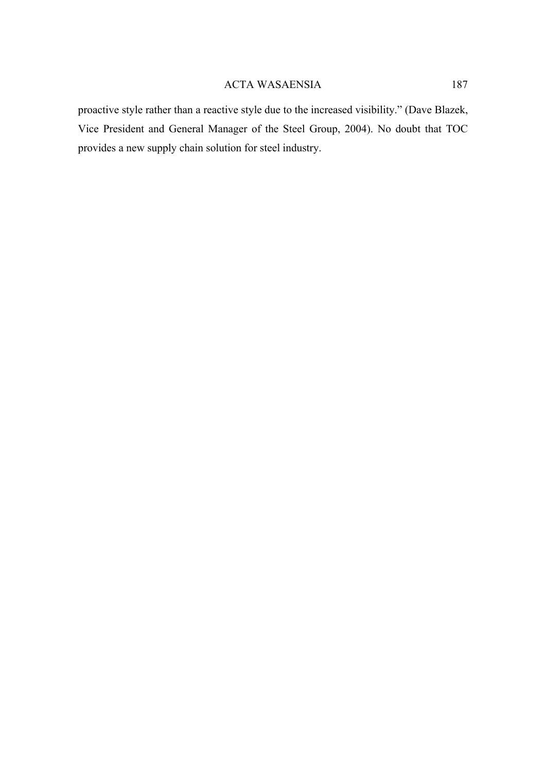proactive style rather than a reactive style due to the increased visibility." (Dave Blazek, Vice President and General Manager of the Steel Group, 2004). No doubt that TOC provides a new supply chain solution for steel industry.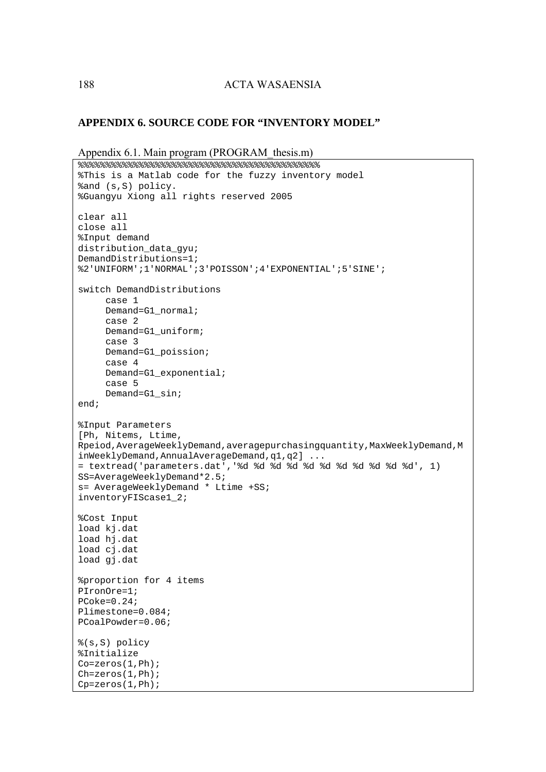### **APPENDIX 6. SOURCE CODE FOR "INVENTORY MODEL"**

```
Appendix 6.1. Main program (PROGRAM thesis.m)
8888888888888888888888888888%This is a Matlab code for the fuzzy inventory model 
%and (s,S) policy.
```

```
%Guangyu Xiong all rights reserved 2005 
clear all 
close all 
%Input demand 
distribution_data_gyu; 
DemandDistributions=1; 
%2'UNIFORM';1'NORMAL';3'POISSON';4'EXPONENTIAL';5'SINE'; 
switch DemandDistributions 
      case 1 
      Demand=G1_normal; 
      case 2 
      Demand=G1_uniform; 
      case 3 
      Demand=G1_poission; 
      case 4 
      Demand=G1_exponential; 
      case 5 
      Demand=G1_sin; 
end; 
%Input Parameters 
[Ph, Nitems, Ltime, 
Rpeiod,AverageWeeklyDemand,averagepurchasingquantity,MaxWeeklyDemand,M
inWeeklyDemand,AnnualAverageDemand,q1,q2] ... 
= textread('parameters.dat','%d %d %d %d %d %d %d %d %d %d %d', 1) 
SS=AverageWeeklyDemand*2.5; 
s= AverageWeeklyDemand * Ltime +SS; 
inventoryFIScase1_2; 
%Cost Input 
load kj.dat 
load hj.dat 
load cj.dat 
load gj.dat 
%proportion for 4 items 
PIronOre=1; 
PCoke=0.24; 
Plimestone=0.084; 
PCoalPowder=0.06; 
%(s,S) policy 
%Initialize 
Co=zeros(1,Ph); 
Ch=zeros(1,Ph); 
Cp=zeros(1,Ph);
```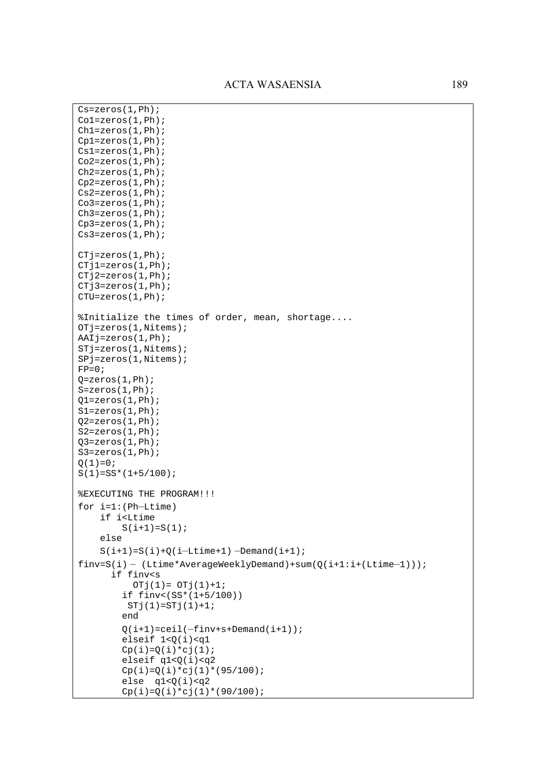```
Cs=zeros(1,Ph); 
Co1=zeros(1,Ph); 
Ch1=zeros(1,Ph); 
Cp1=zeros(1,Ph); 
Cs1=zeros(1,Ph); 
Co2=zeros(1,Ph); 
Ch2=zeros(1,Ph); 
Cp2=zeros(1,Ph); 
Cs2=zeros(1,Ph); 
Co3 = zeros(1, Ph);Ch3=zeros(1,Ph); 
Cp3=zeros(1,Ph); 
Cs3=zeros(1,Ph); 
CTj=zeros(1,Ph); 
CTj1=zeros(1,Ph); 
CTj2=zeros(1,Ph); 
CTj3=zeros(1,Ph); 
CTU=zeros(1,Ph); 
%Initialize the times of order, mean, shortage.... 
OTj=zeros(1,Nitems); 
AAIj=zeros(1,Ph); 
STj=zeros(1,Nitems); 
SPj=zeros(1,Nitems); 
FP=0;Q = zeros(1, Ph);S=zeros(1,Ph); 
Q1 =zeros(1, Ph);S1=zeros(1,Ph); 
Q2 =zeros(1, Ph);S2=zeros(1,Ph); 
Q3 =zeros(1, Ph);S3=zeros(1,Ph); 
Q(1)=0;S(1)=SS*(1+5/100);%EXECUTING THE PROGRAM!!! 
for i=1:(Ph–Ltime) 
     if i<Ltime 
        S(i+1)=S(1); else 
    S(i+1)=S(i)+Q(i-Ltime+1) –Demand(i+1);
finv=S(i) - (Ltime*AverageWeeklyDemand) + sum(Q(i+1:i+(Ltime-1)));
       if finv<s 
          OTj(1) = OTj(1)+1; if finv<(SS*(1+5/100)) 
         STj(1)=STj(1)+1; end 
        Q(i+1)=ceil(-finv+s+Demand(i+1)); elseif 1<Q(i)<q1 
        Cp(i)=Q(i)*cj(1);elseif q1 < Q(i) < q2Cp(i)=Q(i)*cj(1)*(95/100);else q1 < Q(i) < q2Cp(i)=Q(i)*c(i)(1)*(90/100);
```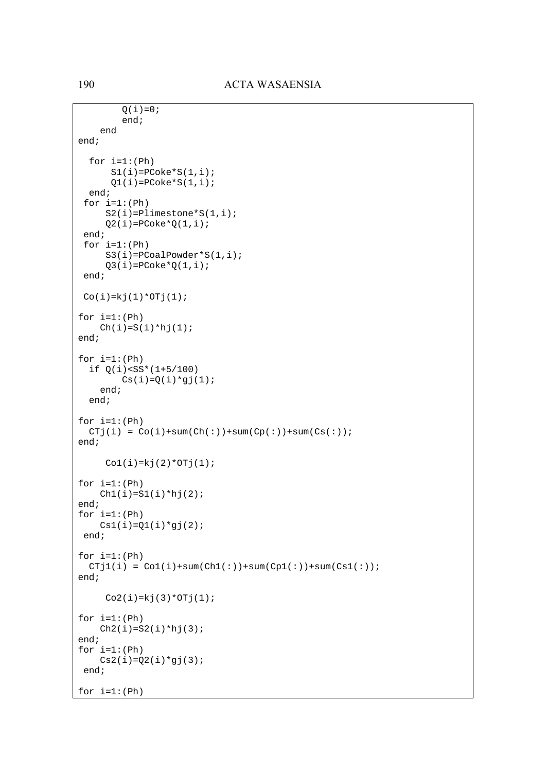```
Q(i)=0; end; 
     end 
end; 
  for i=1:(Ph)S1(i)=PCoke*S(1,i);Q1(i)=PCoke*S(1,i); end; 
 for i=1:(Ph)S2(i)=Plimestone*S(1,i);Q2(i)=PCoke*Q(1,i); end; 
 for i=1:(Ph) S3(i)=PCoalPowder*S(1,i); 
     Q3(i)=PCokerQ(1,i); end; 
Co(i)=kj(1)*OTj(1);for i=1:(Ph)Ch(i)=S(i)*hj(1);end; 
for i=1:(Ph) if Q(i)<SS*(1+5/100) 
       Cs(i) = Q(i)*g(j(1); end; 
   end; 
for i=1:(Ph)CTj(i) = Co(i)+sum(Ch(:)) + sum(Cp(:)) + sum(Cs(:));end; 
    Col(i)=kj(2)*OTj(1);for i=1:(Ph)Ch1(i)=S1(i)*hj(2);end; 
for i=1:(Ph)Cs1(i)=Q1(i)*gj(2); end; 
for i=1:(Ph)CTj1(i) = Col(i)+sum(Chl(i))+sum(Cp1(i))+sum(Cs1(i));end; 
    Co2(i)=kj(3)*OTj(1);for i=1:(Ph)Ch2(i)=S2(i)*hj(3);end; 
for i=1:(Ph)Cs2(i)=Q2(i)*gj(3); end; 
for i=1:(Ph)
```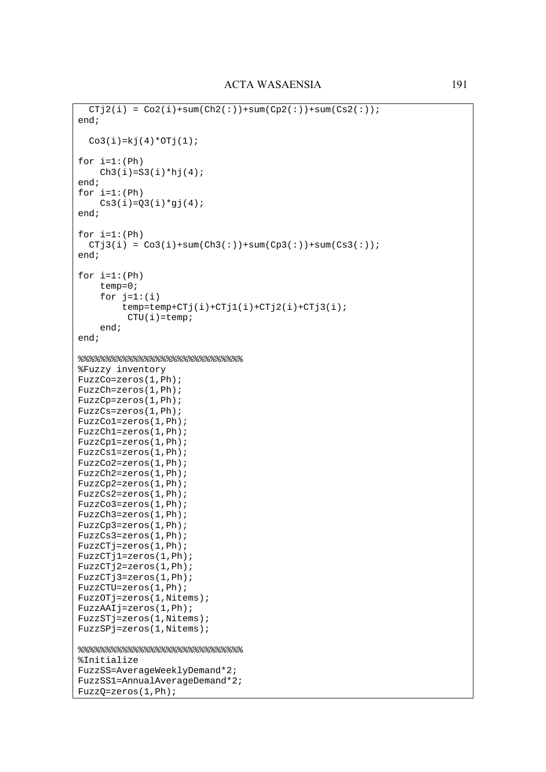```
CTj2(i) = Co2(i) + sum(Ch2(i)) + sum(Cp2(i)) + sum(Cs2(i));end; 
  Co3(i)=kj(4)*OTj(1);for i=1:(Ph)Ch3(i)=S3(i)*hj(4);end; 
for i=1:(Ph)Cs3(i)=Q3(i)*gj(4);end; 
for i=1:(Ph)CTj3(i) = Co3(i) + sum(Ch3(i)) + sum(Cp3(i)) + sum(Cs3(i));end; 
for i=1:(Ph) 
     temp=0; 
    for i=1:(i)temp = temp + CTj(i) + CTj1(i) + CTj2(i) + CTj3(i);CTU(i)=temp; end; 
end; 
%%%%%%%%%%%%%%%%%%%%%%%%%%%%%% 
%Fuzzy inventory 
FuzzCo=zeros(1,Ph); 
FuzzCh=zeros(1,Ph); 
FuzzCp=zeros(1,Ph); 
FuzzCs=zeros(1,Ph); 
FuzzCo1=zeros(1,Ph); 
FuzzCh1=zeros(1,Ph); 
FuzzCp1=zeros(1,Ph); 
FuzzCs1=zeros(1,Ph); 
FuzzCo2=zeros(1,Ph); 
FuzzCh2=zeros(1,Ph); 
FuzzCp2=zeros(1,Ph); 
FuzzCs2=zeros(1,Ph); 
FuzzCo3=zeros(1,Ph); 
FuzzCh3=zeros(1,Ph); 
FuzzCp3=zeros(1,Ph); 
FuzzCs3=zeros(1,Ph); 
FuzzCTj=zeros(1,Ph); 
FuzzCTj1=zeros(1,Ph); 
FuzzCTj2=zeros(1,Ph); 
FuzzCTj3=zeros(1,Ph); 
FuzzCTU=zeros(1,Ph); 
FuzzOTj=zeros(1,Nitems); 
FuzzAAIj=zeros(1,Ph); 
FuzzSTj=zeros(1,Nitems); 
FuzzSPj=zeros(1,Nitems); 
%%%%%%%%%%%%%%%%%%%%%%%%%%%%%% 
%Initialize 
FuzzSS=AverageWeeklyDemand*2; 
FuzzSS1=AnnualAverageDemand*2; 
FuzzQ=zeros(1,Ph);
```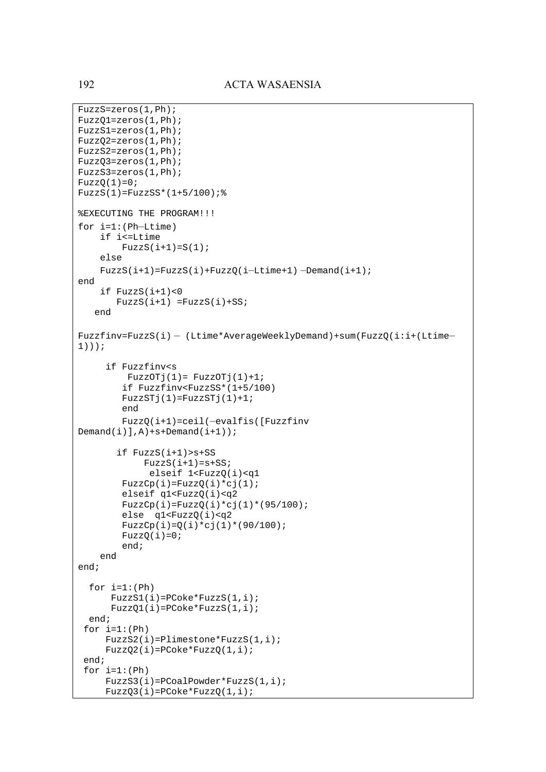```
FuzzS=zeros(1,Ph); 
FuzzQ1=zeros(1,Ph); 
FuzzS1=zeros(1,Ph); 
FuzzQ2=zeros(1,Ph); 
FuzzS2=zeros(1,Ph); 
FuzzQ3=zeros(1,Ph); 
FuzzS3=zeros(1,Ph); 
FuzzQ(1)=0;FuzzS(1)=FuzzSS*(1+5/100);%EXECUTING THE PROGRAM!!! 
for i=1:(Ph–Ltime) 
     if i<=Ltime 
        FuzzS(i+1)=S(1); else 
    FuzzS(i+1)=FuzzS(i)+FuzzQ(i-Ltime+1) -Demand(i+1);
end 
     if FuzzS(i+1)<0 
       FuzzS(i+1) = FuzzS(i)+SS; end 
Fuzzfinv=FuzzS(i) – (Ltime*AverageWeeklyDemand)+sum(FuzzQ(i:i+(Ltime– 1))); 
      if Fuzzfinv<s 
         FuzzOTj(1) = FuzzOTj(1)+1; if Fuzzfinv<FuzzSS*(1+5/100) 
        FuzzSTj(1)=FuzzSTj(1)+1; end 
         FuzzQ(i+1)=ceil(–evalfis([Fuzzfinv 
Demand(i), A)+s+Demand(i+1); if FuzzS(i+1)>s+SS 
            FuzzS(i+1)=s+SS; elseif 1<FuzzQ(i)<q1 
        FuzzCp(i)=FuzzQ(i)*cj(1); elseif q1<FuzzQ(i)<q2 
        FuzzCp(i)=FuzzQ(i)*cj(1)*(95/100); else q1<FuzzQ(i)<q2 
        FuzzCp(i)=Q(i)*cj(1)*(90/100);FuzzQ(i)=0; end; 
     end 
end; 
  for i=1:(Ph) FuzzS1(i)=PCoke*FuzzS(1,i); 
       FuzzQ1(i)=PCoke*FuzzS(1,i); 
   end; 
 for i=1:(Ph) FuzzS2(i)=Plimestone*FuzzS(1,i); 
     FuzzQ2(i)=PCoke*FuzzQ(1,i); end; 
 for i=1:(Ph) FuzzS3(i)=PCoalPowder*FuzzS(1,i); 
     FuzzQ3(i)=PCoke*FuzzQ(1,i);
```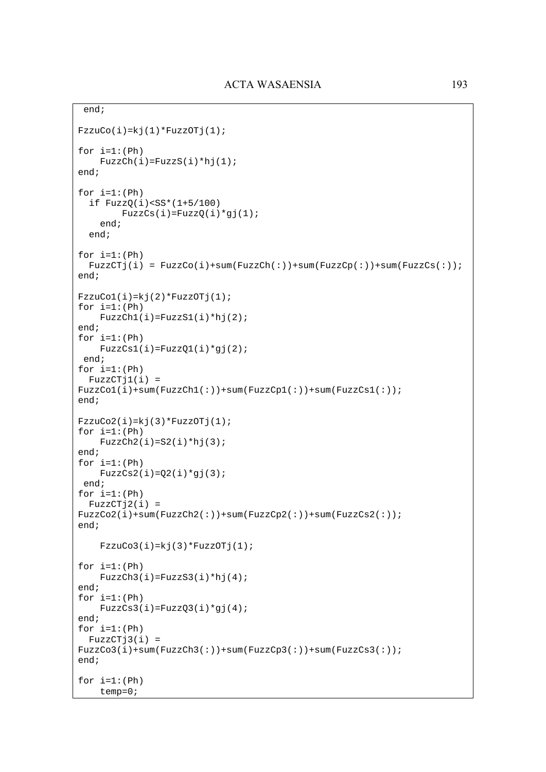```
 end; 
FzzuCo(i)=kj(1)*FuzzOTj(1);for i=1:(Ph)FuzzCh(i)=FuzzS(i)*hj(1);end; 
for i=1:(Ph) if FuzzQ(i)<SS*(1+5/100) 
        FuzzCs(i)=FuzzQ(i)*gj(1); end; 
   end; 
for i=1:(Ph)FuzzCTj(i) = FuzzCo(i)+sum(FuzzCh(i))+sum(FuzzCp(i))+sum(FuzzCs(i)))end; 
FzzuCol(i)=kj(2)*FuzzOTj(1);for i=1:(Ph) 
    FuzzCh1(i)=FuzzS1(i)*hj(2);end; 
for i=1:(Ph)FuzzCs1(i)=FuzzQ1(i)*qj(2); end; 
for i=1:(Ph) FuzzCTj1(i) = 
FuzzCo1(i)+sum(FuzzCh1(:))+sum(FuzzCp1(:))+sum(FuzzCs1(:)); 
end; 
FzzuCo2(i)=kj(3)*FuzzOTj(1);for i=1:(Ph)FuzzCh2(i)=S2(i)*hj(3);end; 
for i=1:(Ph) 
    FuzzCs2(i)=Q2(i)*q1(3); end; 
for i=1:(Ph)FuzzCTj2(i) =FuzzCo2(i)+sum(FuzzCh2(i))+sum(FuzzCp2(i)))+sum(FuzzCs2(i));
end; 
    FzzuCo3(i)=kj(3)*FuzzOTj(1);for i=1:(Ph)FuzzCh3(i)=FuzzS3(i)*hj(4);
end; 
for i=1:(Ph)FuzzCs3(i)=FuzzQ3(i)*gj(4);end; 
for i=1:(Ph)FuzzCTj3(i) =FuzzCo3(i)+sum(FuzzCh3(i))+sum(FuzzCp3(i))+sum(FuzzCs3(i));end; 
for i=1:(Ph) 
     temp=0;
```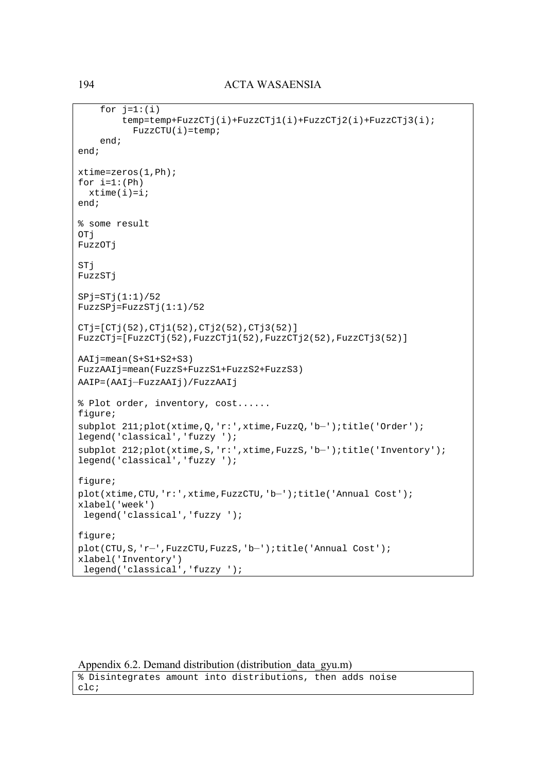```
for j=1:(i) temp=temp+FuzzCTj(i)+FuzzCTj1(i)+FuzzCTj2(i)+FuzzCTj3(i); 
          FuzzCTU(i)=temp; end; 
end; 
xtime=zeros(1,Ph); 
for i=1:(Ph)xtime(i)=i;end; 
% some result 
OTj 
FuzzOTj 
STj 
FuzzSTj 
SPj = STj(1:1)/52FuzzSPj=FuzzSTj(1:1)/52 
CTj=[CTj(52),CTj1(52),CTj2(52),CTj3(52)] 
FuzzCTj=[FuzzCTj(52),FuzzCTj1(52),FuzzCTj2(52),FuzzCTj3(52)] 
AAIj=mean(S+S1+S2+S3) 
FuzzAAIj=mean(FuzzS+FuzzS1+FuzzS2+FuzzS3) 
AAIP=(AAIj–FuzzAAIj)/FuzzAAIj 
% Plot order, inventory, cost...... 
figure; 
subplot 211;plot(xtime,Q,'r:',xtime,FuzzQ,'b–');title('Order'); 
legend('classical','fuzzy '); 
subplot 212;plot(xtime,S,'r:',xtime,FuzzS,'b–');title('Inventory'); 
legend('classical','fuzzy '); 
figure; 
plot(xtime,CTU,'r:',xtime,FuzzCTU,'b–');title('Annual Cost'); 
xlabel('week') 
  legend('classical','fuzzy '); 
figure; 
plot(CTU,S,'r–',FuzzCTU,FuzzS,'b–');title('Annual Cost'); 
xlabel('Inventory') 
  legend('classical','fuzzy ');
```
Appendix 6.2. Demand distribution (distribution data gyu.m)

```
% Disintegrates amount into distributions, then adds noise 
clc;
```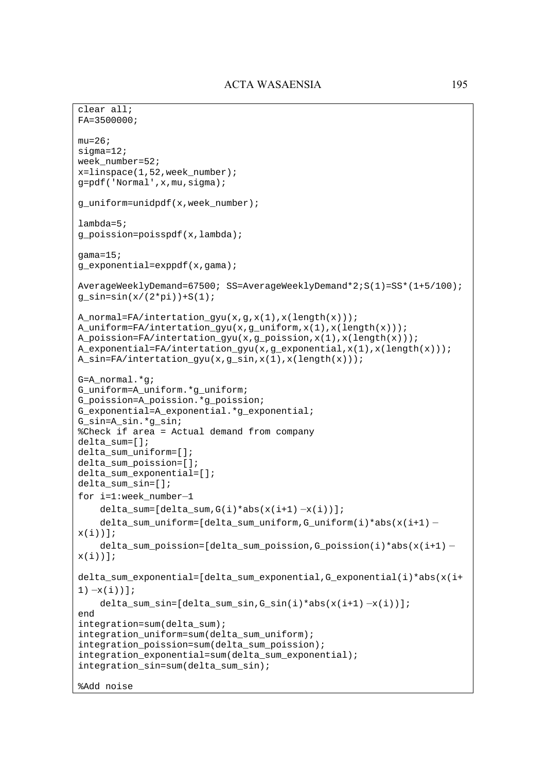```
clear all; 
FA=3500000; 
mu=26;signal=12;week number=52;
x=linspace(1,52,week number);
g=pdf('Normal',x,mu,sigma); 
g_uniform=unidpdf(x,week_number); 
lambda=5; 
g_poission=poisspdf(x,lambda); 
qama=15;g_exponential=exppdf(x,gama); 
AverageWeeklyDemand=67500; SS=AverageWeeklyDemand*2;S(1)=SS*(1+5/100); 
g_sin=sin(x/(2*pi))+S(1);
A_normal=FA/intertation_gyu(x,g,x(1),x(length(x)));
A_uniform=FA/intertation_gyu(x,g_uniform,x(1),x(length(x))); 
A_poission=FA/intertation_gyu(x,g_poission,x(1),x(length(x)));
A exponential=FA/intertation qyu(x,q exponential,x(1),x(length(x)));
A_sin=FA/intertation_gyu(x,g_sin,x(1),x(length(x))); 
G=A_normal.*g; 
G_uniform=A_uniform.*g_uniform; 
G_poission=A_poission.*g_poission; 
G_exponential=A_exponential.*g_exponential; 
G_sin=A_sin.*g_sin; 
%Check if area = Actual demand from company 
delta_sum=[]; 
delta sum uniform=[];
delta sum poission=[];
delta_sum_exponential=[]; 
delta_sum_sin=[]; 
for i=1:week_number–1 
    delta_sum=[delta\_sum,G(i)*abs(x(i+1) -x(i))];
     delta_sum_uniform=[delta_sum_uniform,G_uniform(i)*abs(x(i+1) – x(i))];
     delta_sum_poission=[delta_sum_poission,G_poission(i)*abs(x(i+1) – x(i))];
delta_sum_exponential=[delta_sum_exponential,G_exponential(i)*abs(x(i+
1) -x(i));
     delta_sum_sin=[delta_sum_sin,G_sin(i)*abs(x(i+1) –x(i))]; 
end 
integration=sum(delta_sum); 
integration_uniform=sum(delta_sum_uniform); 
integration poission=sum(delta sum poission);
integration exponential=sum(delta sum exponential);
integration_sin=sum(delta_sum_sin); 
%Add noise
```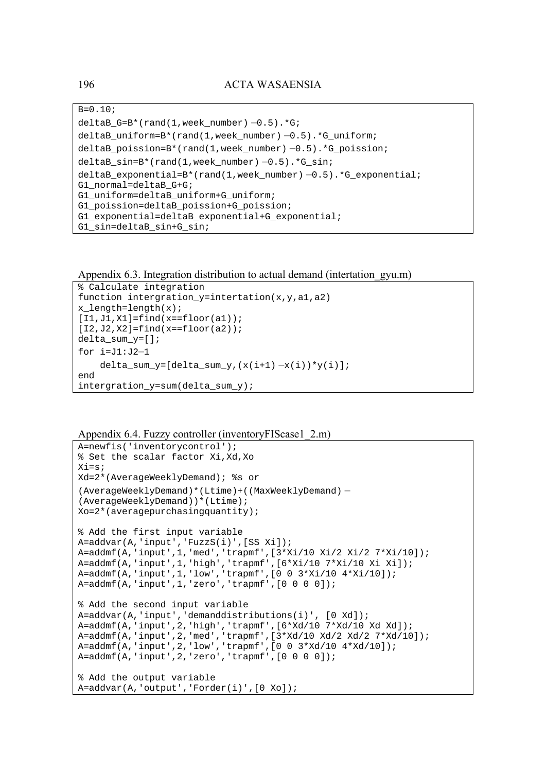$B=0.10;$  $delta_G=B*(rand(1,week_number) -0.5).*G;$ deltaB\_uniform=B\*(rand(1,week\_number) –0.5).\*G\_uniform; deltaB\_poission=B\*(rand(1,week\_number) –0.5).\*G\_poission; deltaB\_sin=B\*(rand(1,week\_number) –0.5).\*G\_sin; deltaB\_exponential=B\*(rand(1,week\_number) –0.5).\*G\_exponential; G1 normal=deltaB G+G; G1 uniform=deltaB uniform+G uniform; G1\_poission=deltaB\_poission+G\_poission; G1 exponential=deltaB exponential+G exponential; G1 sin=deltaB sin+G sin;

Appendix 6.3. Integration distribution to actual demand (intertation\_gyu.m)

```
% Calculate integration 
function intergration_y=intertation(x,y,a1,a2) 
x length=length(x);
[I1,J1,X1]=find(x==floor(a1));[I2,J2,X2]=\text{find}(x=\text{floor}(a2));delta sum y=[;]for i=J1:J2–1 
    delta_sum_y=[delta_sum_y,(x(i+1) -x(i)) *y(i)];
end 
intergration_y=sum(delta_sum_y);
```
Appendix 6.4. Fuzzy controller (inventoryFIScase1\_2.m)

```
A=newfis('inventorycontrol'); 
% Set the scalar factor Xi,Xd,Xo 
Xi=s; 
Xd=2*(AverageWeeklyDemand); %s or 
(AverageWeeklyDemand)*(Ltime)+((MaxWeeklyDemand) – (AverageWeeklyDemand))*(Ltime); 
Xo=2*(averagepurchasingquantity); 
% Add the first input variable 
A=addvar(A,'input','FuzzS(i)',[SS Xi]); 
A=addmf(A,'input',1,'med','trapmf',[3*Xi/10 Xi/2 Xi/2 7*Xi/10]); 
A=addmf(A,'input',1,'high','trapmf',[6*Xi/10 7*Xi/10 Xi Xi]); 
A=addmf(A,'input',1,'low','trapmf',[0 0 3*Xi/10 4*Xi/10]); 
A=addmf(A,'input',1,'zero','trapmf',[0 0 0 0]); 
% Add the second input variable 
A=addvar(A,'input','demanddistributions(i)', [0 Xd]); 
A=addmf(A,'input',2,'high','trapmf',[6*Xd/10 7*Xd/10 Xd Xd]); 
A=addmf(A,'input',2,'med','trapmf',[3*Xd/10 Xd/2 Xd/2 7*Xd/10]); 
A=addmf(A,'input',2,'low','trapmf',[0 0 3*Xd/10 4*Xd/10]); 
A=addmf(A,'input',2,'zero','trapmf',[0 0 0 0]); 
% Add the output variable 
A=addvar(A,'output','Forder(i)',[0 Xo]);
```